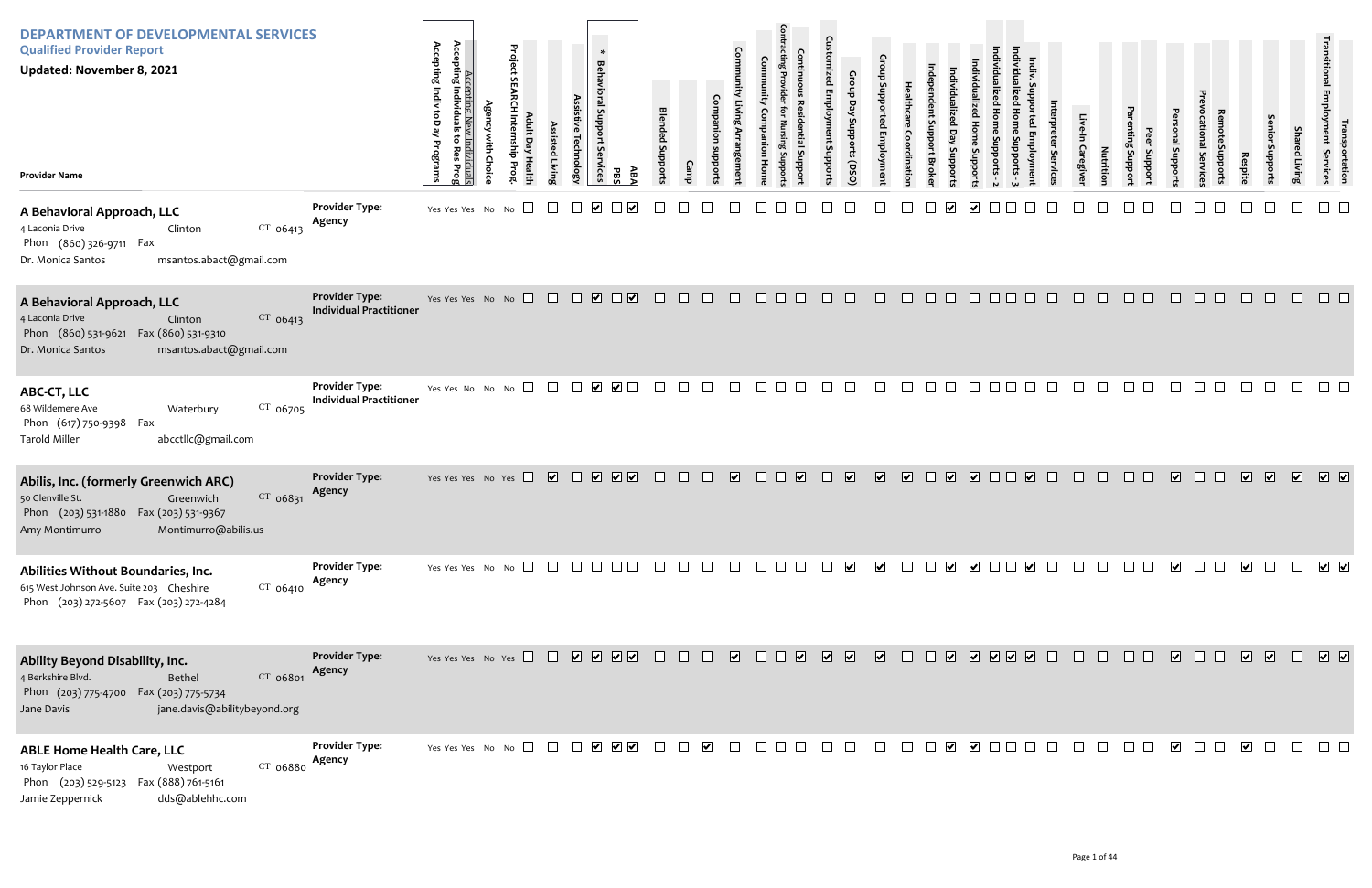| <b>DEPARTMENT OF DEVELOPMENTAL SERVICES</b><br><b>Qualified Provider Report</b><br><b>Updated: November 8, 2021</b><br><b>Provider Name</b>                            |                                                         | Accepting Indiv toD<br>Accepting N<br>Accepting Individu<br>يع<br><u>Individual</u><br>to Res Pro <u>;</u><br>Programs<br>≏ | Project | <b>Assis</b><br>Technolog <sup>.</sup><br>isted Livin | $\ast$<br>Behavioral Support<br>Services<br>Æ,<br>곦 | <b>Blended Suppor</b> |        |                                   |        |                                                                                                             | e<br>oddns                                                          | Gro<br>nbborts (DSO     |                |               |                                                                                                                |                         |        | Caregive | <b>Nutrition</b> | Jupport<br>Suppor | Jupport                 | hpoddr           |                                                                                                                                                                                                                                                                                                                                                                                                                                                                                       | Joddr      | Shai<br>ed Living | ו ransp<br>smployment<br>portation<br>Services |
|------------------------------------------------------------------------------------------------------------------------------------------------------------------------|---------------------------------------------------------|-----------------------------------------------------------------------------------------------------------------------------|---------|-------------------------------------------------------|-----------------------------------------------------|-----------------------|--------|-----------------------------------|--------|-------------------------------------------------------------------------------------------------------------|---------------------------------------------------------------------|-------------------------|----------------|---------------|----------------------------------------------------------------------------------------------------------------|-------------------------|--------|----------|------------------|-------------------|-------------------------|------------------|---------------------------------------------------------------------------------------------------------------------------------------------------------------------------------------------------------------------------------------------------------------------------------------------------------------------------------------------------------------------------------------------------------------------------------------------------------------------------------------|------------|-------------------|------------------------------------------------|
| A Behavioral Approach, LLC<br>$CT$ 06413<br>4 Laconia Drive<br>Clinton<br>Phon (860) 326-9711 Fax<br>msantos.abact@gmail.com<br>Dr. Monica Santos                      | <b>Provider Type:</b><br>Agency                         | Yes Yes Yes No No $\square$                                                                                                 |         | $\Box$                                                | $\blacktriangledown$                                |                       |        |                                   |        |                                                                                                             |                                                                     |                         |                |               |                                                                                                                |                         |        |          |                  |                   |                         |                  |                                                                                                                                                                                                                                                                                                                                                                                                                                                                                       |            |                   |                                                |
| A Behavioral Approach, LLC<br>$CT$ 06413<br>4 Laconia Drive<br>Clinton<br>Phon (860) 531-9621 Fax (860) 531-9310<br>msantos.abact@gmail.com<br>Dr. Monica Santos       | <b>Provider Type:</b><br><b>Individual Practitioner</b> | Yes Yes Yes No No                                                                                                           |         |                                                       |                                                     | $\Box$                | $\Box$ | $\Box$<br>$\Box$                  |        | $\Box$ $\Box$ $\Box$                                                                                        | $\Box$                                                              | $\Box$<br>$\Box$        | $\Box$         | $\Box$ $\Box$ | $\Box$<br>$\Box$ $\Box$                                                                                        | $\mathbb{R}^n$          | $\Box$ | $\Box$   | $\Box$           | $\Box$ $\Box$     | $\Box$                  | $\Box$<br>$\Box$ | $\Box$                                                                                                                                                                                                                                                                                                                                                                                                                                                                                | $\Box$     | $\Box$            | $\Box$ $\Box$                                  |
| ABC-CT, LLC<br>CT 06705<br>68 Wildemere Ave<br>Waterbury<br>Phon (617) 750-9398<br>Fax<br>abcctllc@gmail.com<br>Tarold Miller                                          | <b>Provider Type:</b><br><b>Individual Practitioner</b> | Yes Yes No No No $\Box$                                                                                                     |         |                                                       |                                                     |                       |        |                                   |        |                                                                                                             | $\vert \ \vert$                                                     |                         |                |               |                                                                                                                |                         |        |          |                  | $\perp$           |                         |                  |                                                                                                                                                                                                                                                                                                                                                                                                                                                                                       |            |                   |                                                |
| Abilis, Inc. (formerly Greenwich ARC)<br>CT 06831<br>50 Glenville St.<br>Greenwich<br>Phon (203) 531-1880 Fax (203) 531-9367<br>Montimurro@abilis.us<br>Amy Montimurro | <b>Provider Type:</b><br>Agency                         | Yes Yes Yes No Yes $\Box$                                                                                                   |         |                                                       | V V V V                                             | $\Box$                | $\Box$ | $\overline{\mathbf{v}}$<br>$\Box$ | $\Box$ | $\overline{\mathbf{v}}$                                                                                     | $\Box$<br>$\overline{\mathbf{v}}$                                   | $\overline{\mathbf{v}}$ | $\sqrt{2}$     |               | $\begin{array}{c c c c c c} \hline \textbf{C} & \textbf{C} & \textbf{C} & \textbf{C} & \textbf{C} \end{array}$ |                         |        |          | $\Box$           | ⊔                 | $\sqrt{2}$              | $\Box$<br>$\Box$ | $\overline{\mathbf{v}}$                                                                                                                                                                                                                                                                                                                                                                                                                                                               | $\sqrt{2}$ | $\sqrt{2}$        | $\sqrt{2}$                                     |
| Abilities Without Boundaries, Inc.<br>615 West Johnson Ave. Suite 203 Cheshire<br>$CT$ 06410<br>Phon (203) 272-5607 Fax (203) 272-4284                                 | <b>Provider Type:</b><br>Agency                         | Yes Yes Yes No No $\square$ $\square$ $\square$ $\square$ $\square$                                                         |         |                                                       |                                                     |                       |        | $\mathbf{L}$<br>$\perp$           |        | $\begin{array}{c} \square \hspace{0.2cm} \square \hspace{0.2cm} \square \hspace{0.2cm} \square \end{array}$ | $\blacktriangledown$<br>$\pm$                                       | $\blacktriangledown$    |                | $\Box$        | $\Box$                                                                                                         | $\overline{\mathbf{v}}$ |        |          |                  |                   | $\overline{\mathbf{v}}$ |                  | $\overline{\mathbf{v}}$                                                                                                                                                                                                                                                                                                                                                                                                                                                               |            |                   | $\overline{\phantom{a}}$                       |
| Ability Beyond Disability, Inc.<br>CT 06801<br>4 Berkshire Blvd.<br>Bethel<br>Phon (203) 775-4700 Fax (203) 775-5734<br>jane.davis@abilitybeyond.org<br>Jane Davis     | <b>Provider Type:</b><br>Agency                         | Yes Yes Yes No Yes $\Box$                                                                                                   |         |                                                       | V V V V O                                           |                       | $\Box$ | $\overline{\mathbf{v}}$<br>$\Box$ | $\Box$ |                                                                                                             | $\begin{array}{ccc} \hline \bullet & \bullet & \bullet \end{array}$ |                         | $\Box$         |               | $\begin{array}{c c c c c c} \hline \textbf{C} & \textbf{C} & \textbf{C} & \textbf{C} & \textbf{C} \end{array}$ |                         |        |          | $\perp$          | $\mathbf{L}$      | $\overline{\mathbf{v}}$ | $\Box$<br>$\Box$ | $\begin{array}{c} \nabla \cdot \mathbf{r} \cdot \mathbf{r} \cdot \mathbf{r} \cdot \mathbf{r} \cdot \mathbf{r} \cdot \mathbf{r} \cdot \mathbf{r} \cdot \mathbf{r} \cdot \mathbf{r} \cdot \mathbf{r} \cdot \mathbf{r} \cdot \mathbf{r} \cdot \mathbf{r} \cdot \mathbf{r} \cdot \mathbf{r} \cdot \mathbf{r} \cdot \mathbf{r} \cdot \mathbf{r} \cdot \mathbf{r} \cdot \mathbf{r} \cdot \mathbf{r} \cdot \mathbf{r} \cdot \mathbf{r} \cdot \mathbf{r} \cdot \mathbf{r} \cdot \mathbf{r} \$ |            | $\Box$            | $\sqrt{2}$                                     |
| <b>ABLE Home Health Care, LLC</b><br>CT 06880<br>16 Taylor Place<br>Westport<br>Phon (203) 529-5123 Fax (888) 761-5161<br>dds@ablehhc.com<br>Jamie Zeppernick          | <b>Provider Type:</b><br>Agency                         |                                                                                                                             |         |                                                       |                                                     |                       |        | $\Box$                            |        | $\Box$ $\Box$ $\Box$                                                                                        | $\Box$                                                              | $\Box$                  | $\sim 10^{-1}$ |               |                                                                                                                |                         |        | $\Box$   | $\Box$           | $\Box$            | $\blacktriangledown$    | $\Box$           | $\blacktriangledown$                                                                                                                                                                                                                                                                                                                                                                                                                                                                  | $\Box$     | $\Box$            | $\Box$<br>$\Box$                               |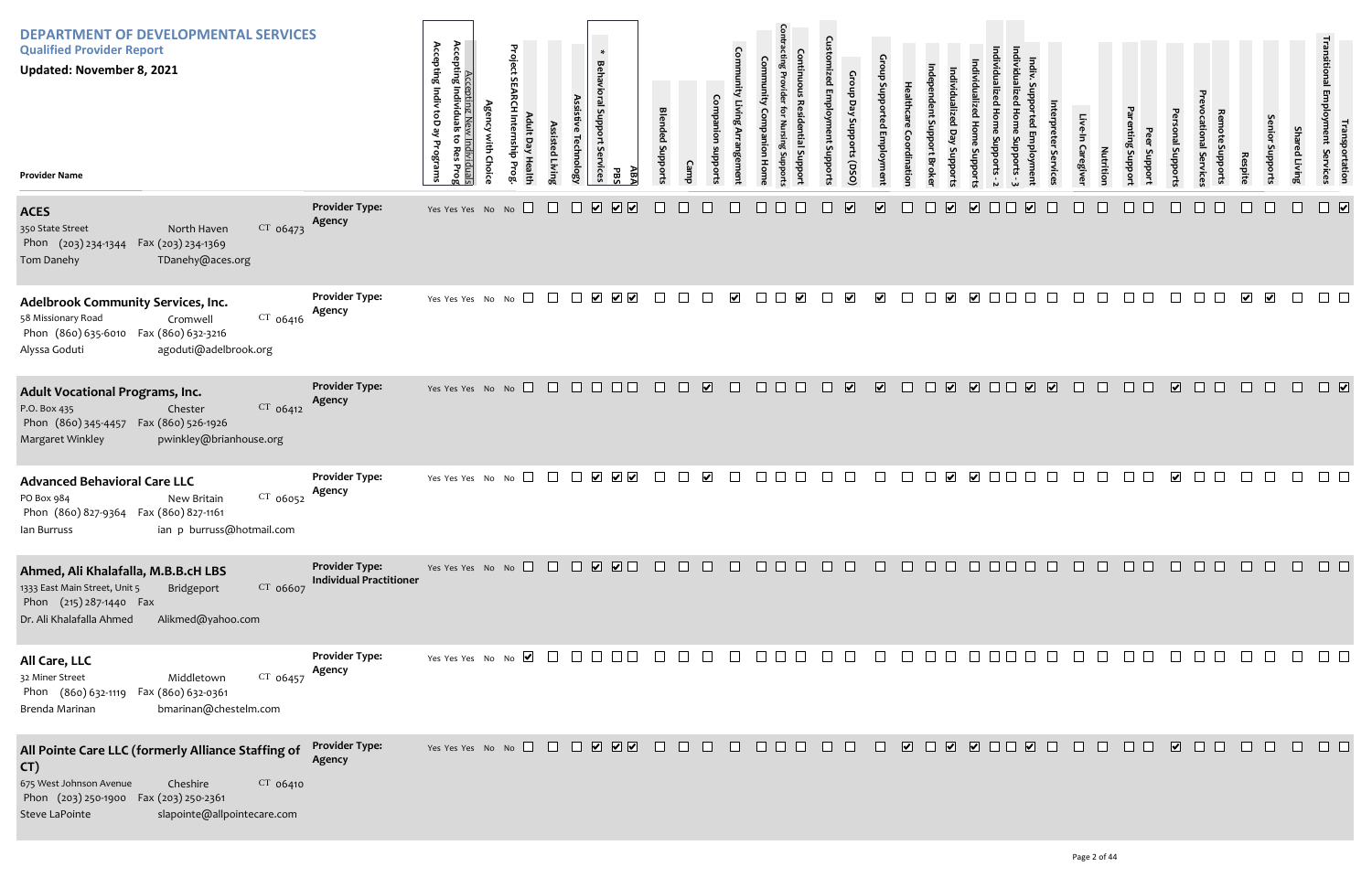| <b>DEPARTMENT OF DEVELOPMENTAL SERVICES</b><br><b>Qualified Provider Report</b><br><b>Updated: November 8, 2021</b><br><b>Provider Name</b>                                                             |                                                         | Accepting New<br>Accepting Individuals<br>Accepting Indiv toD ay<br>៵<br>ミ<br>Programs<br>Res<br>lividual <sup>.</sup><br>ໂes Prog<br>ę | Project<br>$\Box$<br>릉<br>Prog | ssisted Livin | <b>Technolog</b>               | $\ast$<br><b>Behavioral Support</b><br>Services<br>ΑB/<br>PB. | <b>Blended Suppor</b> |                                        | Com                                |        |                                | $\cap$<br>En<br>poddns | Day<br>oddns<br>orts (DSO) |                         |                  |                         | oddns                   |        |                                       |                | Caregive<br><b>Nutrition</b> | Support<br>Support | I Support               | al Service | Respite                 | enior<br>phbort:        | Sha<br>ed Living | Transportation<br>Employment Services                                                      |
|---------------------------------------------------------------------------------------------------------------------------------------------------------------------------------------------------------|---------------------------------------------------------|-----------------------------------------------------------------------------------------------------------------------------------------|--------------------------------|---------------|--------------------------------|---------------------------------------------------------------|-----------------------|----------------------------------------|------------------------------------|--------|--------------------------------|------------------------|----------------------------|-------------------------|------------------|-------------------------|-------------------------|--------|---------------------------------------|----------------|------------------------------|--------------------|-------------------------|------------|-------------------------|-------------------------|------------------|--------------------------------------------------------------------------------------------|
| <b>ACES</b><br>$CT$ 06473<br>350 State Street<br>North Haven<br>Fax (203) 234-1369<br>Phon (203) 234-1344<br>TDanehy@aces.org<br>Tom Danehy                                                             | <b>Provider Type:</b><br>Agency                         | Yes Yes Yes No No                                                                                                                       |                                | $\Box$        | $\boxed{\mathbf{v}}$<br>$\Box$ | $\sqrt{2}$                                                    |                       |                                        |                                    |        |                                |                        | $\overline{\mathbf{v}}$    | $\overline{\mathbf{v}}$ |                  | $\overline{\mathbf{v}}$ | $\overline{\mathbf{v}}$ |        | $\overline{\mathbf{v}}$               |                |                              |                    |                         |            |                         |                         |                  | $\overline{\mathbf{v}}$                                                                    |
| <b>Adelbrook Community Services, Inc.</b><br>$CT$ 06416<br>58 Missionary Road<br>Cromwell<br>Phon (860) 635-6010  Fax (860) 632-3216<br>agoduti@adelbrook.org<br>Alyssa Goduti                          | <b>Provider Type:</b><br>Agency                         | Yes Yes Yes No No $\Box$                                                                                                                |                                |               | $\Box$                         | $\begin{array}{c} \blacktriangleright \end{array}$            | $\Box$                | $\Box$                                 | $\Box$<br>$\blacktriangleright$    |        | $\Box$<br>$\blacktriangledown$ |                        | $\blacktriangledown$       | $\blacktriangledown$    | $\Box$           | $\overline{\mathbf{v}}$ | $\blacktriangledown$    |        |                                       |                |                              |                    |                         | $\Box$     | $\overline{\mathbf{v}}$ | $\overline{\mathbf{v}}$ | $\Box$           |                                                                                            |
| Adult Vocational Programs, Inc.<br>CT 06412<br>P.O. Box 435<br>Chester<br>Phon (860) 345-4457<br>Fax (860) 526-1926<br>Margaret Winkley<br>pwinkley@brianhouse.org                                      | <b>Provider Type:</b><br>Agency                         | Yes Yes Yes No No $\Box$ $\Box$ $\Box$ $\Box$                                                                                           |                                |               |                                | $\Box$ Box                                                    | $\Box$                | $\Box$                                 | $\overline{\mathbf{v}}$<br>$\Box$  | $\Box$ |                                |                        | $\overline{\mathbf{v}}$    | $\overline{\mathbf{v}}$ | $\Box$<br>$\Box$ | $\overline{\mathbf{v}}$ | $\overline{\mathbf{v}}$ | $\Box$ | $\overline{\mathbf{v}}$<br>$\sqrt{2}$ | $\mathbb{R}^n$ | $\Box$                       | O O                | $\overline{\mathbf{v}}$ | $\Box$     |                         |                         |                  | $\Box$                                                                                     |
| <b>Advanced Behavioral Care LLC</b><br>PO Box 984<br>CT 06052<br>New Britain<br>Phon (860) 827-9364  Fax (860) 827-1161<br>ian p burruss@hotmail.com<br>lan Burruss                                     | <b>Provider Type:</b><br>Agency                         | Yes Yes Yes No No $\square$                                                                                                             |                                |               | $\blacktriangleright$          | $\blacktriangledown$                                          |                       |                                        | $\blacktriangledown$               |        |                                |                        |                            |                         |                  |                         | $\blacktriangledown$    |        |                                       |                |                              |                    | $\blacktriangledown$    |            |                         |                         |                  |                                                                                            |
| Ahmed, Ali Khalafalla, M.B.B.cH LBS<br>CT 06607<br>1333 East Main Street, Unit 5<br>Bridgeport<br>Phon (215) 287-1440 Fax<br>Dr. Ali Khalafalla Ahmed<br>Alikmed@yahoo.com                              | <b>Provider Type:</b><br><b>Individual Practitioner</b> |                                                                                                                                         |                                |               |                                |                                                               |                       |                                        |                                    |        | 00000000000000000              |                        |                            |                         |                  |                         |                         |        |                                       |                |                              |                    |                         | 00000      |                         |                         |                  | $\begin{array}{ccccccccccccc} \square & \square & \square & \square & \square \end{array}$ |
| All Care, LLC<br>$CT$ 06457<br>32 Miner Street<br>Middletown<br>Phon (860) 632-1119  Fax (860) 632-0361<br>bmarinan@chestelm.com<br>Brenda Marinan                                                      | <b>Provider Type:</b><br>Agency                         |                                                                                                                                         |                                |               |                                |                                                               |                       |                                        | $\Box$<br>$\overline{\phantom{a}}$ |        | $\Box$ $\Box$ $\Box$           | $\Box$                 | $\Box$                     | $\Box$                  | $\Box$           |                         | 0000000                 |        |                                       | $\Box$         |                              |                    | $\Box$                  | $\Box$     |                         |                         | $\Box$           | $\Box$<br>$\Box$                                                                           |
| All Pointe Care LLC (formerly Alliance Staffing of<br>CT)<br>675 West Johnson Avenue<br>CT 06410<br>Cheshire<br>Phon (203) 250-1900 Fax (203) 250-2361<br>Steve LaPointe<br>slapointe@allpointecare.com | <b>Provider Type:</b><br>Agency                         | Yes Yes Yes No No $\Box$ $\Box$ $\Box$ $\Box$ $\Box$ $\Box$ $\Box$                                                                      |                                |               |                                |                                                               |                       | $\begin{array}{c} \square \end{array}$ | $\Box$                             |        | 88888                          |                        |                            | $\Box$                  |                  |                         | V D V V D D V D         |        |                                       | $\Box$         | $\Box$                       | $\Box$ $\Box$      | $\sqrt{2}$              | $\Box$     | $\Box$                  | $\Box$                  | $\Box$           | $\Box$ $\Box$                                                                              |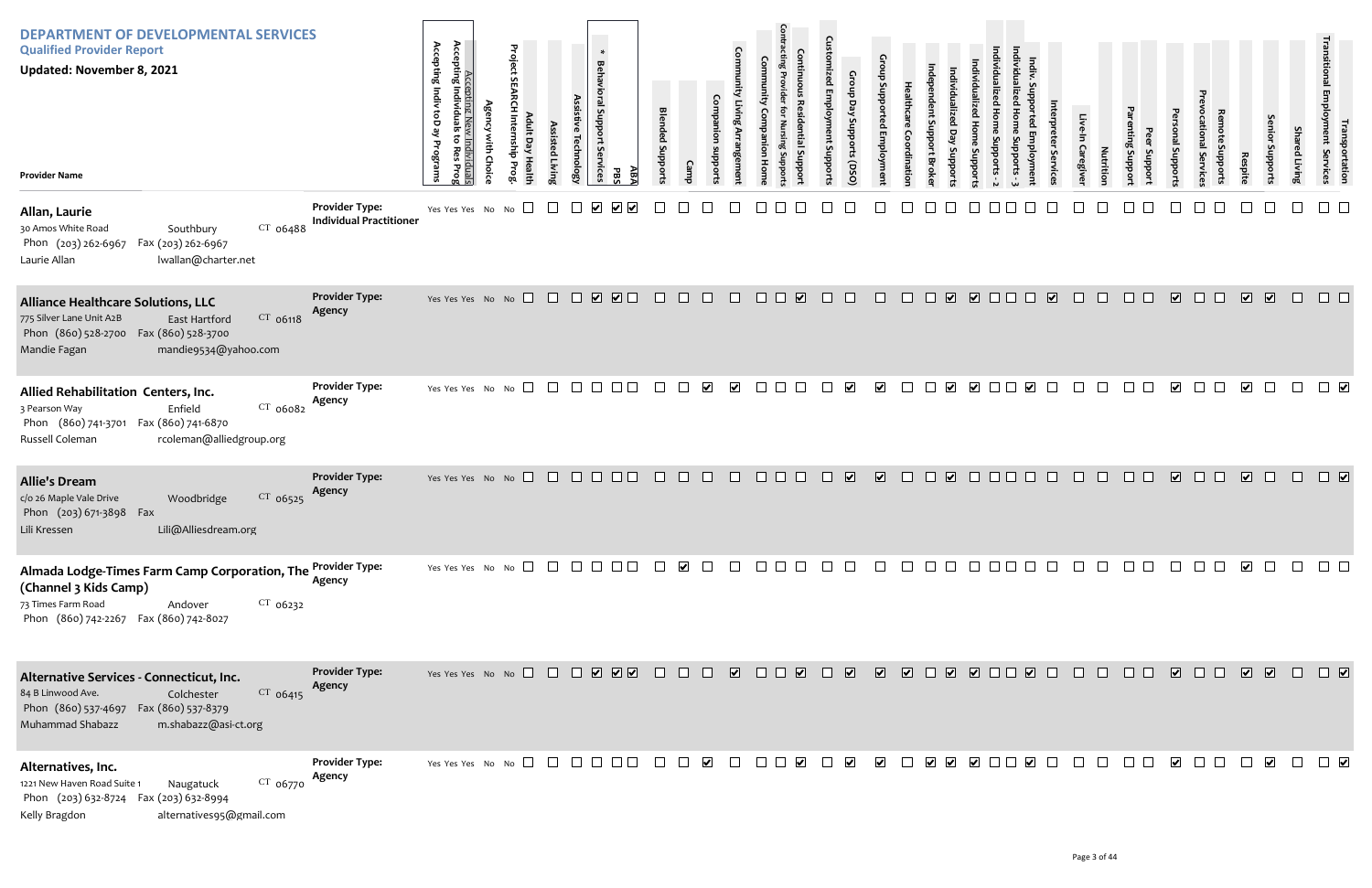| <b>DEPARTMENT OF DEVELOPMENTAL SERVICES</b><br><b>Qualified Provider Report</b><br><b>Updated: November 8, 2021</b><br><b>Provider Name</b>                                            |                                                         | Accepting Indiv toD ay<br>to Res<br>Programs                | Accepting New<br>Accepting Individuals<br>È<br>Choic | Project<br>$\overline{a}$<br>ay Healt<br>를 | Assisted Livin | <b>Technology</b>                                                                             | $\ast$<br><b>Behavioral Support</b><br><b>Services</b> | ABA<br>PBS | <b>Blended Support:</b>     |        |                      | Com                   |                                                                                    |                         | ē<br>nt Support | Croup<br>Day<br>Stropports<br>(DSQ) |                          | ៰                |                                              | <b>Suppor</b>           |                       |                         | Caregive | <b>Nutrition</b> | Support<br>Jupport | al Support              | Fvice         | Respite                 | enio<br>Supports         | Sha<br>ed Living | <b>Irans</b><br>Irahsportation<br>Employment Services |
|----------------------------------------------------------------------------------------------------------------------------------------------------------------------------------------|---------------------------------------------------------|-------------------------------------------------------------|------------------------------------------------------|--------------------------------------------|----------------|-----------------------------------------------------------------------------------------------|--------------------------------------------------------|------------|-----------------------------|--------|----------------------|-----------------------|------------------------------------------------------------------------------------|-------------------------|-----------------|-------------------------------------|--------------------------|------------------|----------------------------------------------|-------------------------|-----------------------|-------------------------|----------|------------------|--------------------|-------------------------|---------------|-------------------------|--------------------------|------------------|-------------------------------------------------------|
| Allan, Laurie<br>$CT$ 06488<br>30 Amos White Road<br>Southbury<br>Phon (203) 262-6967<br>Fax (203) 262-6967<br>Laurie Allan<br>lwallan@charter.net                                     | <b>Provider Type:</b><br><b>Individual Practitioner</b> | Yes Yes Yes No No                                           |                                                      | $\Box$                                     |                |                                                                                               | $\blacktriangledown$                                   |            |                             |        |                      |                       |                                                                                    |                         |                 |                                     |                          |                  |                                              |                         |                       |                         |          |                  |                    |                         |               |                         |                          |                  |                                                       |
| <b>Alliance Healthcare Solutions, LLC</b><br>$CT$ 06118<br>775 Silver Lane Unit A2B<br>East Hartford<br>Phon (860) 528-2700 Fax (860) 528-3700<br>mandie9534@yahoo.com<br>Mandie Fagan | <b>Provider Type:</b><br>Agency                         | Yes Yes Yes No No $\Box$                                    |                                                      |                                            |                | $\begin{array}{c c c c} \hline \textbf{w} & \textbf{w} & \textbf{w} & \textbf{w} \end{array}$ |                                                        |            | $\Box$                      | $\Box$ | $\Box$               | $\Box$                | $\Box$ $\Box$                                                                      | $\overline{\mathbf{v}}$ | $\Box$          | $\Box$                              | $\Box$                   | $\Box$<br>$\Box$ |                                              | V V O O O               |                       | $\overline{\mathbf{v}}$ | $\Box$   | $\Box$           | $\Box$ $\Box$      | $\overline{\mathbf{v}}$ | $\Box$ $\Box$ | $\overline{\mathbf{v}}$ | $\sqrt{2}$               | $\Box$           | $\Box$ $\Box$                                         |
| Allied Rehabilitation Centers, Inc.<br>CT 06082<br>Enfield<br>3 Pearson Way<br>Phon (860) 741-3701 Fax (860) 741-6870<br>Russell Coleman<br>rcoleman@alliedgroup.org                   | <b>Provider Type:</b><br>Agency                         | Yes Yes Yes No No                                           |                                                      | $\Box$                                     | $\Box$         | $\begin{array}{c} \square \end{array}$                                                        |                                                        |            | $\mathcal{L}^{\mathcal{L}}$ |        | $\blacktriangledown$ | $\blacktriangleright$ | $\mathcal{L}_{\mathcal{A}}$                                                        |                         |                 | $\blacktriangledown$                | $\blacktriangleright$    | $\Box$           | $\blacktriangledown$                         | $\overline{\mathbf{v}}$ | $\blacktriangleright$ | $\Box$                  |          |                  | $\Box$             | $\blacktriangleright$   |               | $\overline{\mathbf{v}}$ | $\perp$                  | $\Box$           | $\Box$                                                |
| <b>Allie's Dream</b><br>c/o 26 Maple Vale Drive<br>CT 06525<br>Woodbridge<br>Phon (203) 671-3898 Fax<br>Lili@Alliesdream.org<br>Lili Kressen                                           | <b>Provider Type:</b><br>Agency                         | Yes Yes Yes No No $\Box$ $\Box$ $\Box$ $\Box$ $\Box$ $\Box$ |                                                      |                                            |                |                                                                                               |                                                        |            | $\Box$                      | $\Box$ | $\Box$               | $\Box$                | $\Box$                                                                             |                         |                 | $\overline{\mathbf{v}}$             | $\overline{\mathbf{v}}$  | $\Box$<br>$\Box$ | $\overline{\mathbf{v}}$                      | $\Box$                  |                       |                         |          |                  |                    | $\overline{\mathbf{v}}$ | $\Box$        | $\overline{\mathbf{v}}$ | $\Box$                   |                  | $\Box$                                                |
| Almada Lodge-Times Farm Camp Corporation, The Provider Type:<br>(Channel 3 Kids Camp)<br>73 Times Farm Road<br>$CT$ 06232<br>Andover<br>Phon (860) 742-2267 Fax (860) 742-8027         | Agency                                                  | Yes Yes Yes No No $\Box$                                    |                                                      |                                            |                |                                                                                               |                                                        |            |                             |        |                      |                       | $\vert \ \ \vert$                                                                  |                         |                 |                                     |                          |                  |                                              |                         |                       |                         |          |                  |                    |                         |               |                         |                          |                  |                                                       |
| Alternative Services - Connecticut, Inc.<br>CT 06415<br>84 B Linwood Ave.<br>Colchester<br>Phon (860) 537-4697  Fax (860) 537-8379<br>Muhammad Shabazz<br>m.shabazz@asi-ct.org         | <b>Provider Type:</b><br>Agency                         |                                                             |                                                      |                                            |                |                                                                                               |                                                        |            |                             |        |                      |                       | $\begin{array}{c c c c c} \hline \textbf{v} & \textbf{v} & \textbf{v} \end{array}$ |                         |                 |                                     | <b>V V I V V I I V I</b> |                  |                                              |                         |                       |                         | $\Box$   | $\Box$           | $\Box$             | $\sqrt{2}$              | $\Box$        | $\sqrt{2}$              |                          | $\Box$           | $\Box$                                                |
| Alternatives, Inc.<br>CT 06770<br>1221 New Haven Road Suite 1<br>Naugatuck<br>Phon (203) 632-8724  Fax (203) 632-8994<br>alternatives95@gmail.com<br>Kelly Bragdon                     | <b>Provider Type:</b><br>Agency                         | Yes Yes Yes No No $\Box$                                    |                                                      |                                            |                | $\mathbb{R}^n$                                                                                |                                                        |            |                             |        | $\blacktriangledown$ |                       |                                                                                    | $\blacktriangledown$    |                 | $\blacktriangledown$                | $\blacktriangledown$     |                  | $\blacktriangledown$<br>$\blacktriangledown$ | $\overline{\mathbf{v}}$ | $\blacktriangleright$ |                         |          |                  |                    | $\blacktriangledown$    |               |                         | $\vert \mathbf{v} \vert$ |                  | $\Box$                                                |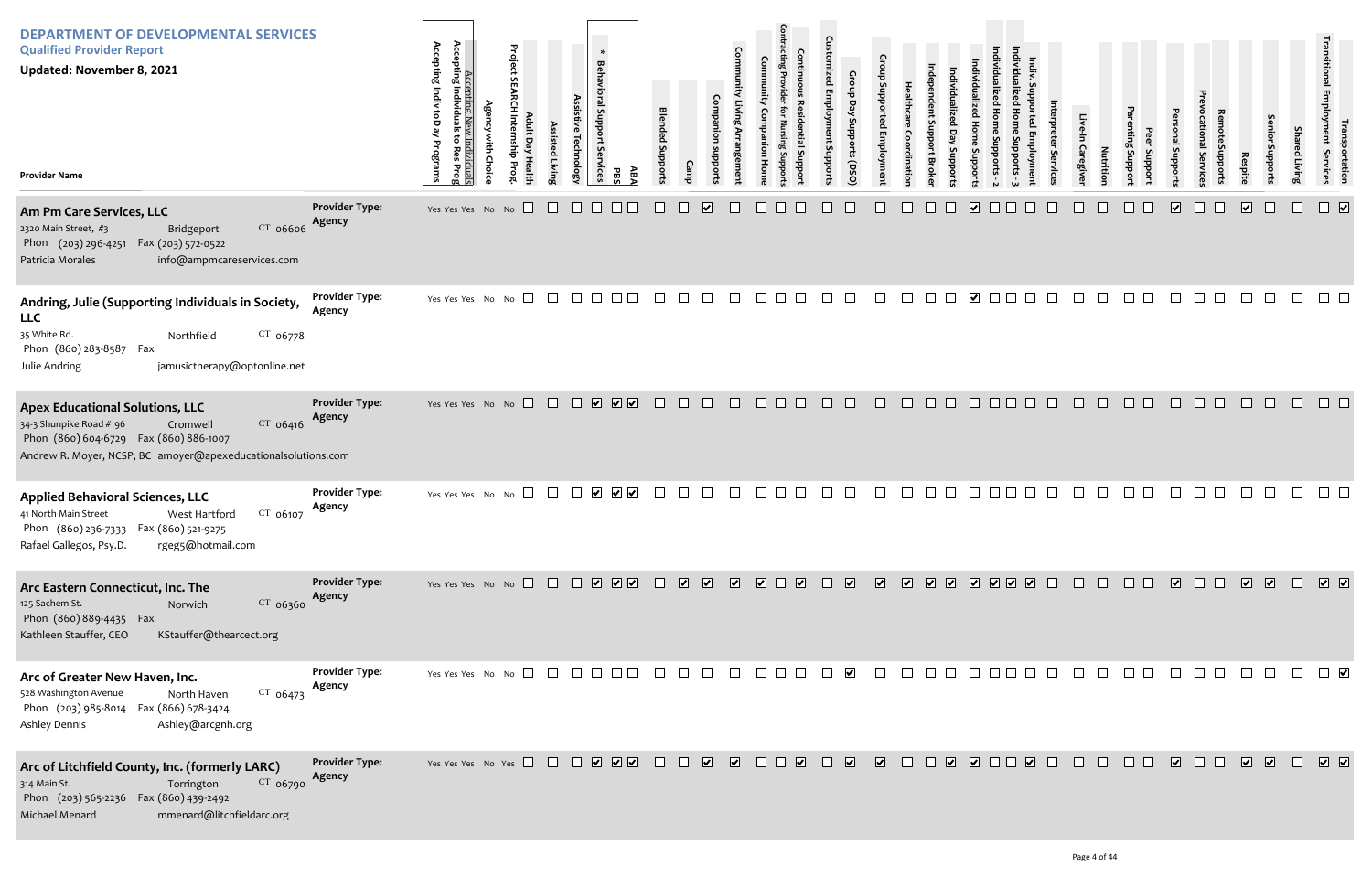| <b>DEPARTMENT OF DEVELOPMENTAL SERVICES</b><br><b>Qualified Provider Report</b><br><b>Updated: November 8, 2021</b><br><b>Provider Name</b>                                                                                              | Accepting Indiv<br>Accepting Individu<br>Project<br>$\ast$<br><b>Behavioral Support</b><br>Assis<br>ĝ<br>يع<br>Technolog<br>isted Livin<br>Programs<br>È<br><b>Services</b><br>Choic<br>Pro:<br>PB. | <b>Blended Suppor</b><br>$\mathbb{R}$                        | S<br>Employ<br>ddns<br>Sha<br>ant Suppoi<br>poport:<br>Caregive<br>Nutritio<br>ed Living<br>portation<br>Services<br>Support<br>OSO)                         |
|------------------------------------------------------------------------------------------------------------------------------------------------------------------------------------------------------------------------------------------|-----------------------------------------------------------------------------------------------------------------------------------------------------------------------------------------------------|--------------------------------------------------------------|--------------------------------------------------------------------------------------------------------------------------------------------------------------|
| <b>Provider Type:</b><br>Am Pm Care Services, LLC<br>Agency<br>$CT$ 06606<br>2320 Main Street, #3<br>Bridgeport<br>Phon (203) 296-4251<br>Fax (203) 572-0522<br>Patricia Morales<br>info@ampmcareservices.com                            | Yes Yes Yes No No $\Box$<br>$\Box$<br>$\Box$<br>□□                                                                                                                                                  | $\overline{\mathbf{v}}$                                      | $\overline{\mathbf{v}}$<br>$\overline{\mathbf{v}}$<br>$\overline{\mathbf{v}}$<br>$\boxed{\mathbf{v}}$                                                        |
| <b>Provider Type:</b><br>Andring, Julie (Supporting Individuals in Society,<br>Agency<br><b>LLC</b><br>35 White Rd.<br>$CT$ 06778<br>Northfield<br>Phon (860) 283-8587 Fax<br>Julie Andring<br>jamusictherapy@optonline.net              | Yes Yes Yes No No $\square$<br>$\Box$<br>$\begin{array}{c} \square \ \square \ \square \ \square \end{array}$                                                                                       | $\Box$<br>$\Box$<br>$\Box$<br>$\Box$<br>$\Box$<br>$\Box$     | $\blacktriangleright$<br>$\Box$<br>$\Box$<br>$\Box$<br>$\mathbf{I}$<br>$\perp$                                                                               |
| <b>Provider Type:</b><br><b>Apex Educational Solutions, LLC</b><br>Agency<br>CT 06416<br>34-3 Shunpike Road #196<br>Cromwell<br>Phon (860) 604-6729  Fax (860) 886-1007<br>Andrew R. Moyer, NCSP, BC amoyer@apexeducationalsolutions.com | <b>V V V</b><br>Yes Yes Yes No No<br>$\Box$<br>$\Box$                                                                                                                                               | $\Box$<br>$\Box$<br>$\Box$<br>$\Box$<br>$\Box$ $\Box$ $\Box$ | $\Box$<br>$\Box$<br>$\Box$<br>$\Box$<br>$\Box$<br>$\Box$<br>$\Box$<br>$\Box$ $\Box$<br>$\Box$<br>$\Box$<br>$\Box$ $\Box$<br>$\Box$<br>$\Box$<br>a di co<br>H |
| <b>Provider Type:</b><br><b>Applied Behavioral Sciences, LLC</b><br>Agency<br>$CT$ 06107<br>West Hartford<br>41 North Main Street<br>Phon (860) 236-7333  Fax (860) 521-9275<br>rgeg5@hotmail.com<br>Rafael Gallegos, Psy.D.             | $\sqrt{}$<br>$\Box$<br>$\vert \mathbf{v} \vert$<br>Yes Yes Yes No No                                                                                                                                |                                                              |                                                                                                                                                              |
| <b>Provider Type:</b><br>Arc Eastern Connecticut, Inc. The<br>Agency<br>$CT$ 06360<br>125 Sachem St.<br>Norwich<br>Phon (860) 889-4435 Fax<br>Kathleen Stauffer, CEO<br>KStauffer@thearcect.org                                          |                                                                                                                                                                                                     | <b>V V I V I V</b>                                           | $\Box$<br>$\Box$ $\Box$                                                                                                                                      |
| <b>Provider Type:</b><br>Arc of Greater New Haven, Inc.<br>Agency<br>$CT$ 06473<br>528 Washington Avenue<br>North Haven<br>Phon (203) 985-8014  Fax (866) 678-3424<br>Ashley@arcgnh.org<br><b>Ashley Dennis</b>                          | Yes Yes Yes No No $\square$ $\square$ $\square$ $\square$ $\square$ $\square$                                                                                                                       | $\mathbf{L}$                                                 | $\blacktriangledown$<br>$\Box$                                                                                                                               |
| <b>Provider Type:</b><br>Arc of Litchfield County, Inc. (formerly LARC)<br>Agency<br>CT 06790<br>314 Main St.<br>Torrington<br>Phon (203) 565-2236 Fax (860) 439-2492<br>Michael Menard<br>mmenard@litchfieldarc.org                     |                                                                                                                                                                                                     |                                                              | $\sqrt{2}$<br>$\overline{\phantom{a}}$<br>$\Box$<br>$\sqrt{2}$<br>$\sqrt{2}$<br>$\Box$<br>$\Box$<br>$\Box$ $\Box$<br>$\Box$ $\Box$<br>$\Box$<br>$\sqrt{2}$   |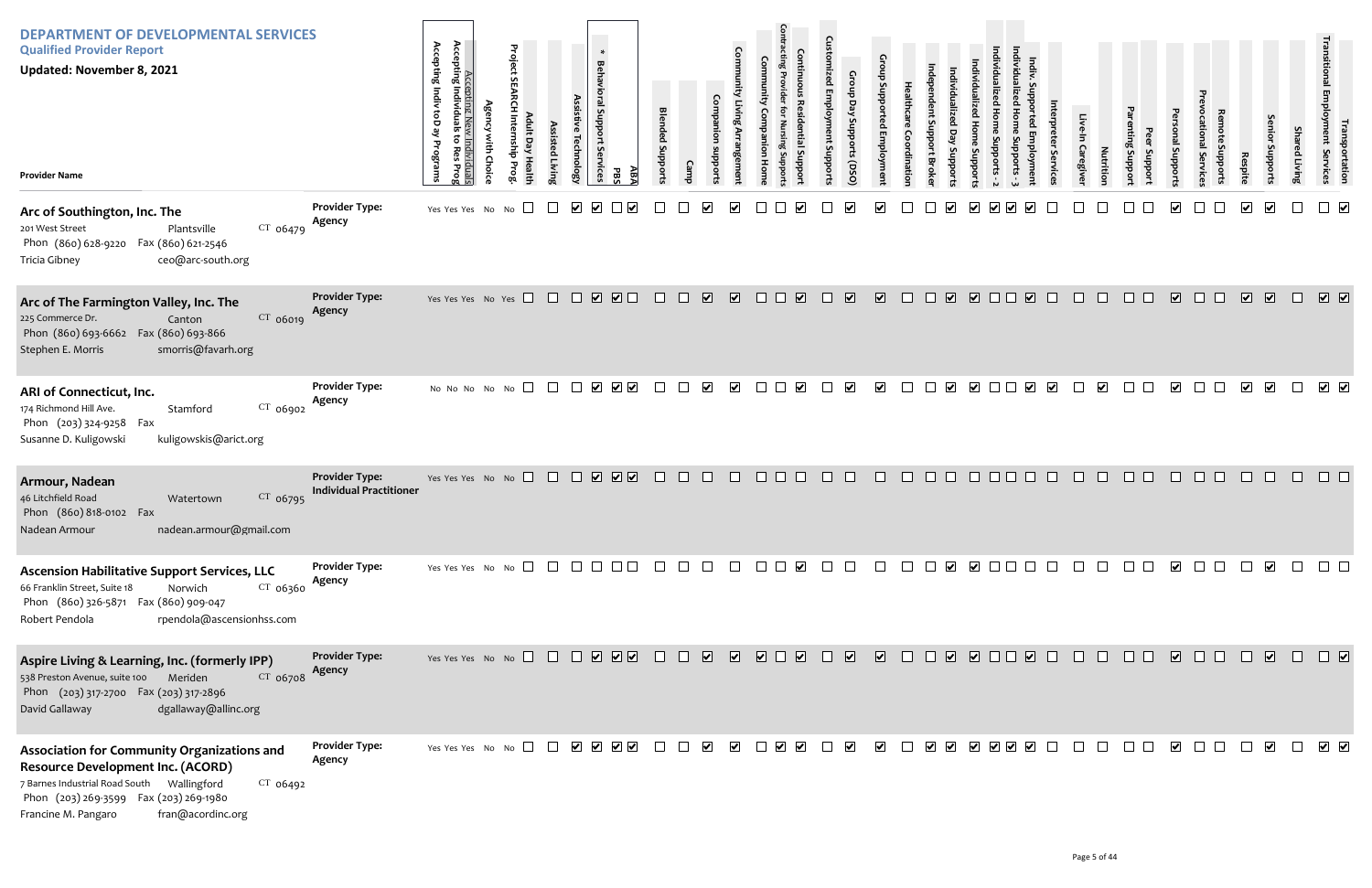| <b>DEPARTMENT OF DEVELOPMENTAL SERVICES</b><br><b>Qualified Provider Report</b><br><b>Updated: November 8, 2021</b><br><b>Provider Name</b>                                                          |                                                         | Accepting Indiv toD ay<br>Accepting Ne<br>Accepting Individua<br>$\overline{\sigma}$<br>Programs<br><u>Individuals</u><br>to Res Prog | Project<br>$\sigma$<br>È<br>ę | ssisted Livir | <b>Behavioral Support Services</b><br>echnolog; | $\ast$<br>ΑB/<br>공                                                                                           | <b>Blended Support</b> |              | Comi                                               |              |                                                                             | 5<br>oddns: | Croup<br>Day<br>Supports (DSO | ns d                    |              |                                   | <b>addns</b>            |        |                         | Servic                  | Caregive | Nutrition               | Jupport<br>Support | Isupport                | ppout:        | Respite                 | uoddn                   | <b>Shar</b><br>ed Living | l ו Tansp<br>Employment<br>portation<br>Services |
|------------------------------------------------------------------------------------------------------------------------------------------------------------------------------------------------------|---------------------------------------------------------|---------------------------------------------------------------------------------------------------------------------------------------|-------------------------------|---------------|-------------------------------------------------|--------------------------------------------------------------------------------------------------------------|------------------------|--------------|----------------------------------------------------|--------------|-----------------------------------------------------------------------------|-------------|-------------------------------|-------------------------|--------------|-----------------------------------|-------------------------|--------|-------------------------|-------------------------|----------|-------------------------|--------------------|-------------------------|---------------|-------------------------|-------------------------|--------------------------|--------------------------------------------------|
| Arc of Southington, Inc. The<br>$CT$ 06479<br>201 West Street<br>Plantsville<br>Phon (860) 628-9220  Fax (860) 621-2546<br>Tricia Gibney<br>ceo@arc-south.org                                        | <b>Provider Type:</b><br>Agency                         | Yes Yes Yes No                                                                                                                        | No                            |               | $\blacktriangledown$<br>$\blacktriangledown$    |                                                                                                              |                        |              |                                                    |              |                                                                             |             |                               |                         |              |                                   |                         |        |                         |                         |          |                         |                    |                         |               |                         | $\boxed{\checkmark}$    |                          |                                                  |
| Arc of The Farmington Valley, Inc. The<br>CT 06019<br>225 Commerce Dr.<br>Canton<br>Phon (860) 693-6662  Fax (860) 693-866<br>smorris@favarh.org<br>Stephen E. Morris                                | <b>Provider Type:</b><br>Agency                         | Yes Yes Yes No Yes                                                                                                                    |                               |               | $\Box$                                          |                                                                                                              | $\Box$                 | $\Box$       | $\overline{\mathbf{v}}$<br>$\overline{\mathbf{v}}$ | $\Box$       | $\overline{\mathbf{v}}$                                                     | $\Box$      | $\overline{\mathbf{v}}$       | $\overline{\mathbf{v}}$ | $\mathbf{1}$ | $\overline{\mathbf{v}}$<br>$\Box$ | $\overline{\mathbf{v}}$ | $\Box$ | $\overline{\mathbf{v}}$ | $\perp$                 | $\pm$    | $\mathbf{L}$            | $\Box$ $\Box$      | $\overline{\mathbf{v}}$ | $\Box$<br>. . | $\overline{\mathbf{v}}$ | $\sqrt{2}$              | $\Box$                   | $\boxed{\mathbf{v}}$                             |
| ARI of Connecticut, Inc.<br>CT 06902<br>174 Richmond Hill Ave.<br>Stamford<br>Phon (203) 324-9258 Fax<br>kuligowskis@arict.org<br>Susanne D. Kuligowski                                              | <b>Provider Type:</b><br>Agency                         | No No No No No                                                                                                                        | $\Box$                        | $\Box$        |                                                 | $\begin{array}{c c c c c} \hline \textbf{v} & \textbf{v} & \textbf{v} \end{array}$                           | $\mathbb{R}^n$         |              | $\blacktriangledown$<br>$\blacktriangleright$      | $\mathbf{L}$ | $\vert\bm{\checkmark}\vert$                                                 |             | $\blacktriangledown$          | $\blacktriangledown$    |              | $\overline{\mathbf{v}}$           | $\overline{\mathbf{v}}$ |        | $\blacktriangledown$    | $\overline{\mathbf{v}}$ |          | $\overline{\mathbf{v}}$ |                    | $\vert\mathbf{v}\vert$  |               | $\blacktriangledown$    | $\overline{\mathbf{v}}$ | $\Box$                   | $\sqrt{2}$                                       |
| Armour, Nadean<br>46 Litchfield Road<br>$CT$ 06795<br>Watertown<br>Phon (860) 818-0102 Fax<br>nadean.armour@gmail.com<br>Nadean Armour                                                               | <b>Provider Type:</b><br><b>Individual Practitioner</b> | Yes Yes Yes No No $\Box$                                                                                                              |                               |               |                                                 | $\begin{array}{c} \square \ \square \ \square \ \square \end{array}$                                         |                        | $\mathbf{1}$ |                                                    | ⊔            |                                                                             |             |                               |                         |              |                                   |                         |        |                         |                         |          |                         |                    |                         |               |                         |                         |                          |                                                  |
| <b>Ascension Habilitative Support Services, LLC</b><br>$CT$ 06360<br>66 Franklin Street, Suite 18<br>Norwich<br>Phon (860) 326-5871 Fax (860) 909-047<br>rpendola@ascensionhss.com<br>Robert Pendola | <b>Provider Type:</b><br>Agency                         | Yes Yes Yes No No $\Box$                                                                                                              |                               |               |                                                 |                                                                                                              |                        |              | $\perp$<br>$\mathbf{I}$                            |              | $\Box$ $\Box$<br>⊻                                                          |             |                               |                         |              | $\blacktriangleright$             |                         |        |                         |                         |          |                         |                    |                         |               |                         |                         |                          |                                                  |
| Aspire Living & Learning, Inc. (formerly IPP)<br>538 Preston Avenue, suite 100 Meriden<br>$CT$ 06708<br>Phon (203) 317-2700 Fax (203) 317-2896<br>David Gallaway<br>dgallaway@allinc.org             | <b>Provider Type:</b><br>Agency                         | Yes Yes Yes No No $\Box$                                                                                                              |                               |               |                                                 | $\begin{array}{c c c c c} \hline \textbf{a} & \textbf{b} & \textbf{c} & \textbf{b} & \textbf{b} \end{array}$ |                        | $\Box$       | $\overline{\mathbf{v}}$                            |              | $\begin{array}{c} \hline \textbf{V} & \textbf{V} \end{array}$<br>$\sqrt{2}$ | a katika    | $\overline{\mathbf{v}}$       | $\sqrt{2}$              | $\Box$       | $\Box$                            |                         |        |                         | $\Box$                  |          | $\mathbf{L}$            | $\mathbf{L}$       | $\overline{\mathbf{v}}$ | $\mathbf{L}$  | $\Box$                  | $\boxed{\mathbf{v}}$    | $\Box$                   | $\Box$                                           |
| Association for Community Organizations and<br><b>Resource Development Inc. (ACORD)</b><br>CT 06492<br>Phon (203) 269-3599  Fax (203) 269-1980<br>fran@acordinc.org<br>Francine M. Pangaro           | <b>Provider Type:</b><br>Agency                         | Yes Yes Yes No No $\Box$ $\Box$ $\Box$ $\Box$ $\Box$ $\Box$                                                                           |                               |               |                                                 |                                                                                                              |                        | $\Box$       | $\blacktriangledown$<br>$\blacktriangledown$       |              | $\overline{\phantom{a}}$ $\overline{\phantom{a}}$ $\overline{\phantom{a}}$  |             | $\blacktriangledown$          | $\blacktriangledown$    |              |                                   |                         |        |                         | V V V V V I             | $\Box$   |                         |                    | $\overline{\mathbf{v}}$ |               |                         | $\overline{\mathbf{v}}$ | $\Box$                   | $\sqrt{ }$                                       |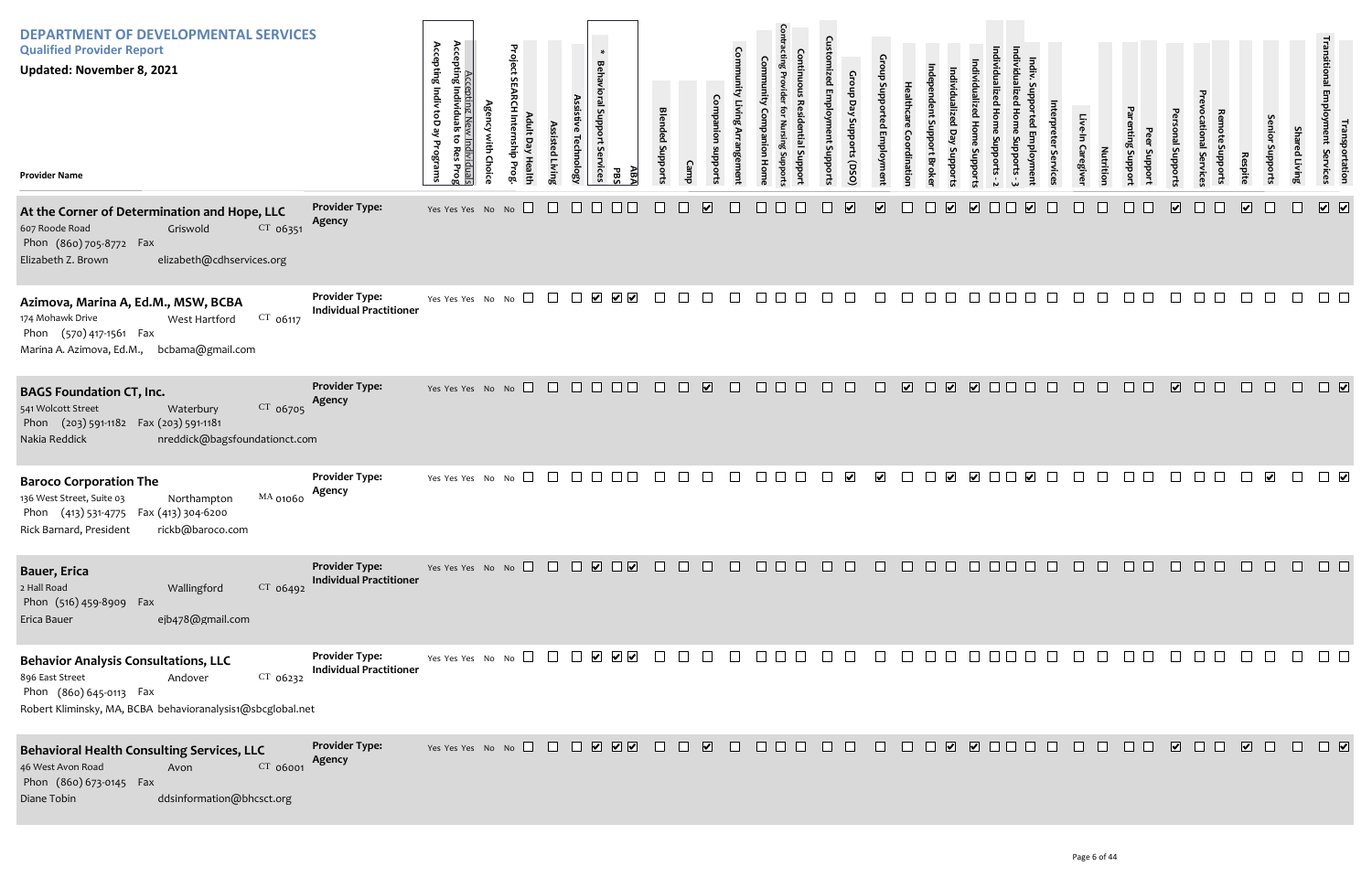| <b>DEPARTMENT OF DEVELOPMENTAL SERVICES</b><br><b>Qualified Provider Report</b><br><b>Updated: November 8, 2021</b><br><b>Provider Name</b>                                      |                                                         | Accepting<br>Accepting<br>Indiv toD<br>Individuals<br>Programs<br>Prog | <b>Agency with Choice</b> | Project SEARCH Internship Prog<br>Adult Day Health | Assisted Living        | <b>Behavioral Support</b><br>Assistive Technology<br>rvices | ĀВA<br>PBS                                      | <b>Blended Supports</b> | <b>Camp</b> | Companion<br>supports   | <b>Community Living Arrangement</b> | Community Companion<br>Hom | <b>Contracting Provider</b><br>Continuous<br>Residential Support<br>for Nursing Suppor | <b>Customized Employment Supports</b> | Group Day Supports (DSO)    | Group Supported Employment | Healthcare<br>Coordinatior | ndependent Support Broke | Individualized Home Supports<br>Individualized<br>Day<br>Supports | Individualized Home Supports - 2 |
|----------------------------------------------------------------------------------------------------------------------------------------------------------------------------------|---------------------------------------------------------|------------------------------------------------------------------------|---------------------------|----------------------------------------------------|------------------------|-------------------------------------------------------------|-------------------------------------------------|-------------------------|-------------|-------------------------|-------------------------------------|----------------------------|----------------------------------------------------------------------------------------|---------------------------------------|-----------------------------|----------------------------|----------------------------|--------------------------|-------------------------------------------------------------------|----------------------------------|
| At the Corner of Determination and Hope, LLC<br>607 Roode Road<br>Griswold<br>$CT$ 06351<br>Phon (860) 705-8772 Fax<br>Elizabeth Z. Brown<br>elizabeth@cdhservices.org           | <b>Provider Type:</b><br>Agency                         | Yes Yes Yes No No                                                      |                           |                                                    |                        |                                                             |                                                 |                         |             | $\overline{\mathbf{v}}$ |                                     |                            |                                                                                        |                                       | $\overline{\mathbf{v}}$     | $\overline{\mathbf{v}}$    |                            |                          | $\overline{\mathbf{v}}$<br>$\overline{\mathbf{v}}$                |                                  |
| Azimova, Marina A, Ed.M., MSW, BCBA<br>174 Mohawk Drive<br>$CT$ 06117<br>West Hartford<br>Phon (570) 417-1561 Fax<br>Marina A. Azimova, Ed.M.,<br>bcbama@gmail.com               | <b>Provider Type:</b><br><b>Individual Practitioner</b> | Yes Yes Yes No No                                                      |                           | $\Box$                                             | $\perp$<br>$\Box$      | $\blacktriangledown$                                        | $\overline{\mathsf{v}}$                         | $\perp$                 |             |                         |                                     |                            |                                                                                        |                                       |                             |                            |                            |                          |                                                                   |                                  |
| <b>BAGS Foundation CT, Inc.</b><br>541 Wolcott Street<br>CT 06705<br>Waterbury<br>Phon (203) 591-1182 Fax (203) 591-1181<br>Nakia Reddick<br>nreddick@bagsfoundationct.com       | <b>Provider Type:</b><br>Agency                         | Yes Yes Yes No No                                                      |                           | $\Box$                                             | $\Box$<br>$\Box$       | $\Box$                                                      | $\perp$<br>$\overline{\phantom{a}}$             | $\perp$                 |             | $\overline{\mathbf{v}}$ |                                     |                            | $\mathbf{L}$                                                                           |                                       | $\vert \ \ \vert$           | $\perp$                    | $\overline{\mathbf{v}}$    | ப                        | $\overline{\mathbf{v}}$                                           | $\Box$                           |
| <b>Baroco Corporation The</b><br>136 West Street, Suite 03<br>MA 01060<br>Northampton<br>Phon (413) 531-4775 Fax (413) 304-6200<br>Rick Barnard, President<br>rickb@baroco.com   | <b>Provider Type:</b><br>Agency                         | Yes Yes Yes No No                                                      |                           | $\Box$                                             |                        |                                                             |                                                 |                         |             |                         |                                     |                            |                                                                                        |                                       | $\left  \mathbf{v} \right $ | ⊻                          |                            |                          | $\blacktriangleright$<br>$\vert\bm{\mathsf{v}}\vert$              |                                  |
| Bauer, Erica<br>2 Hall Road<br>CT 06492<br>Wallingford<br>Phon (516) 459-8909<br>Fax<br>ejb478@gmail.com<br>Erica Bauer                                                          | <b>Provider Type:</b><br><b>Individual Practitioner</b> | Yes Yes Yes No No                                                      |                           |                                                    | $\Box$<br>$\perp$      | $\overline{\mathbf{v}}$                                     | $\Box$                                          | $\perp$                 |             |                         |                                     |                            | $\Box$                                                                                 |                                       |                             |                            |                            |                          |                                                                   |                                  |
| <b>Behavior Analysis Consultations, LLC</b><br>896 East Street<br>$CT$ 06232<br>Andover<br>Phon (860) 645-0113 Fax<br>Robert Kliminsky, MA, BCBA behavioranalysis1@sbcglobal.net | <b>Provider Type:</b><br><b>Individual Practitioner</b> | Yes Yes Yes No No $\Box$                                               |                           |                                                    | $\Box$<br>$\Box$       | $\blacktriangledown$                                        | $\overline{\mathbf{v}}$ $\overline{\mathbf{v}}$ |                         |             |                         |                                     |                            |                                                                                        |                                       |                             |                            |                            |                          |                                                                   |                                  |
| <b>Behavioral Health Consulting Services, LLC</b><br>46 West Avon Road<br>Avon<br>CT 06001<br>Phon (860) 673-0145 Fax<br>Diane Tobin<br>ddsinformation@bhcsct.org                | <b>Provider Type:</b><br>Agency                         | Yes Yes Yes No No $\Box$                                               |                           |                                                    | $\mathbb{Z}$<br>$\Box$ |                                                             | V V V                                           | $\mathbf{L}$            |             | $\overline{\mathbf{v}}$ |                                     |                            | $\mathsf{L}$                                                                           | $\perp$                               | $\mathbf{1}$                |                            |                            | $\overline{\mathbf{v}}$  |                                                                   | $\Box$                           |

| Individualized Home Supports - 3 | Indiv. Supported Employment | Interpreter Services | Live-In Caregiver | Nutrition | Parenting Support | Peer Support | Personal Supports               | Prevocational Services | Remote Supports | Respite                      | Senior Supports      | Shared Living   | Transitional Employment Services | Transportation                  |
|----------------------------------|-----------------------------|----------------------|-------------------|-----------|-------------------|--------------|---------------------------------|------------------------|-----------------|------------------------------|----------------------|-----------------|----------------------------------|---------------------------------|
|                                  | $\blacktriangleright$       |                      |                   |           |                   |              | $\overline{\blacktriangledown}$ |                        |                 | $\boxed{\blacktriangledown}$ |                      |                 | $\overline{\mathbf{v}}$          | $\overline{\blacktriangledown}$ |
|                                  |                             |                      |                   |           |                   |              |                                 |                        |                 |                              |                      |                 |                                  |                                 |
|                                  |                             |                      |                   |           |                   |              | $\overline{\mathbf{v}}$         |                        |                 |                              |                      |                 |                                  | $\boxed{\blacktriangledown}$    |
|                                  | $\overline{\mathbf{v}}$     |                      |                   |           |                   |              |                                 |                        |                 |                              | $\blacktriangledown$ |                 |                                  | $\blacktriangledown$            |
|                                  |                             |                      |                   |           |                   |              |                                 |                        |                 |                              |                      | 100000000000000 |                                  |                                 |
|                                  |                             |                      |                   |           |                   |              |                                 |                        |                 | $\Box$                       | $\Box$               | $\Box$          | $\Box$                           | $\Box$                          |
| $\Box$                           | $\Box$                      |                      |                   |           |                   |              |                                 |                        |                 |                              |                      | 0000000000000   |                                  |                                 |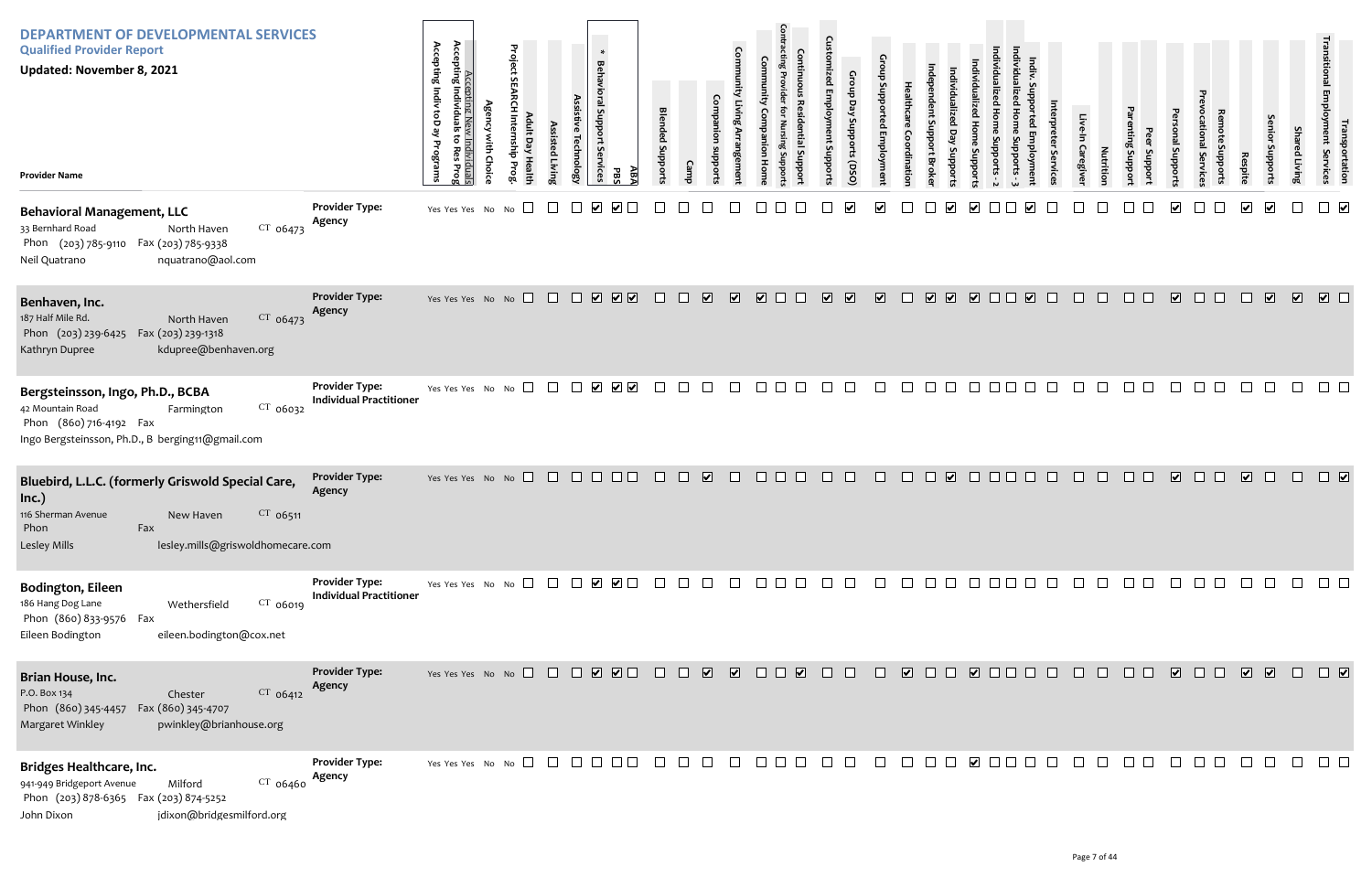| <b>DEPARTMENT OF DEVELOPMENTAL SERVICES</b><br><b>Qualified Provider Report</b><br>Updated: November 8, 2021<br><b>Provider Name</b>                                          |                                                         | Accepting Indiv toD<br>Accepting Nev<br>Accepting Individuals<br>ہے<br>v Individuals<br>; to Res Prog<br>Programs<br>$\overline{Q}$ | Project<br>ult D<br>n<br>Bub<br><b>Healt</b><br><b>PTOB</b> | Assisted Livin<br><b>Technology</b> | $\ast$<br><b>Behavioral Support</b><br>: Services<br>PBS                                                   | ABA    | <b>Blended Support:</b><br>Camp |                                                                             | <b>Comm</b>             | 툳<br>поп                                                                     | Ω<br>Ę<br><b>Suppor</b> | Group Day Supports (DSO | Gro                     | <b>Brok</b>             |                         | <b>Suppor</b>           |        |                         | ervic  | <b>Caregiver</b> | Nutrition | Suppor<br>Support | Support                 | quoddn<br>ervice | Respito              | Senio<br>oddns             | Shar<br>red Living      | rranspor<br>10 yment Se<br>portation<br>Services               |
|-------------------------------------------------------------------------------------------------------------------------------------------------------------------------------|---------------------------------------------------------|-------------------------------------------------------------------------------------------------------------------------------------|-------------------------------------------------------------|-------------------------------------|------------------------------------------------------------------------------------------------------------|--------|---------------------------------|-----------------------------------------------------------------------------|-------------------------|------------------------------------------------------------------------------|-------------------------|-------------------------|-------------------------|-------------------------|-------------------------|-------------------------|--------|-------------------------|--------|------------------|-----------|-------------------|-------------------------|------------------|----------------------|----------------------------|-------------------------|----------------------------------------------------------------|
| <b>Behavioral Management, LLC</b><br>$CT$ 06473<br>33 Bernhard Road<br>North Haven<br>Phon (203) 785-9110 Fax (203) 785-9338<br>nquatrano@aol.com<br>Neil Quatrano            | <b>Provider Type:</b><br>Agency                         | Yes Yes Yes No No                                                                                                                   |                                                             |                                     | $\blacktriangledown$                                                                                       |        |                                 |                                                                             |                         |                                                                              |                         |                         |                         |                         |                         | ⊻                       |        | $\blacktriangledown$    |        |                  |           |                   | $\overline{\mathbf{v}}$ |                  | $\blacktriangledown$ | $\overline{\mathbf{v}}$    |                         | $\Box$                                                         |
| Benhaven, Inc.<br>CT 06473<br>187 Half Mile Rd.<br>North Haven<br>Phon (203) 239-6425  Fax (203) 239-1318<br>kdupree@benhaven.org<br>Kathryn Dupree                           | <b>Provider Type:</b><br>Agency                         | Yes Yes Yes No                                                                                                                      | $\Box$<br>No                                                | $\Box$<br>$\Box$                    | $\sqrt{2}$<br>$\boxed{\bullet}$                                                                            | $\Box$ | $\Box$                          | $\overline{\mathbf{v}}$                                                     | $\overline{\mathbf{v}}$ | $\overline{\mathbf{v}}$                                                      | $\overline{\mathbf{v}}$ | $\overline{\mathbf{v}}$ | $\overline{\mathbf{v}}$ | $\overline{\mathbf{v}}$ | $\overline{\mathbf{v}}$ | $\overline{\mathbf{v}}$ | $\Box$ | $\overline{\mathbf{v}}$ | $\Box$ | $\Box$           | П         | $\Box$ $\Box$     | $\overline{\mathbf{v}}$ | $\Box$ $\Box$    | $\Box$               | $\overline{\mathbf{v}}$    | $\overline{\mathbf{v}}$ | $\sqrt{2}$                                                     |
| Bergsteinsson, Ingo, Ph.D., BCBA<br>CT 06032<br>42 Mountain Road<br>Farmington<br>Phon (860) 716-4192 Fax<br>Ingo Bergsteinsson, Ph.D., B berging11@gmail.com                 | <b>Provider Type:</b><br><b>Individual Practitioner</b> | Yes Yes Yes No No                                                                                                                   | $\Box$                                                      |                                     | $\blacktriangleright$<br>$\overline{\mathbf{v}}$ $\overline{\mathbf{v}}$                                   |        |                                 |                                                                             |                         | k.                                                                           |                         |                         |                         | l.                      |                         |                         |        |                         |        |                  |           |                   |                         |                  |                      |                            |                         |                                                                |
| Bluebird, L.L.C. (formerly Griswold Special Care,<br>Inc.)<br>116 Sherman Avenue<br>CT 06511<br>New Haven<br>Phon<br>Fax<br>lesley.mills@griswoldhomecare.com<br>Lesley Mills | <b>Provider Type:</b><br>Agency                         | Yes Yes Yes No No $\Box$                                                                                                            |                                                             | $\Box$                              | $\Box$ $\Box$<br>$\Box$                                                                                    |        | $\overline{\phantom{a}}$        | $\overline{\mathbf{v}}$                                                     | $\perp$                 | $\mathbf{L}$                                                                 |                         |                         |                         | $\mathsf{L}$            | $\overline{\mathbf{v}}$ | $\mathbb{R}^n$          | n n    |                         |        |                  | П         |                   | $\overline{\mathbf{v}}$ | $\Box$           | $\sqrt{2}$           | ⊔                          | $\Box$                  | $\Box$                                                         |
| <b>Bodington, Eileen</b><br>186 Hang Dog Lane<br>$CT$ 06019<br>Wethersfield<br>Phon (860) 833-9576 Fax<br>eileen.bodington@cox.net<br>Eileen Bodington                        | <b>Provider Type:</b><br><b>Individual Practitioner</b> |                                                                                                                                     |                                                             |                                     |                                                                                                            |        |                                 | $\Box$                                                                      |                         | $\begin{array}{cccccccccccccc} \Box & \Box & \Box & \Box & \Box \end{array}$ | $\Box$ $\Box$           |                         | $\Box$                  | 000000000               |                         |                         |        |                         |        |                  |           | $\Box$ $\Box$     | $\Box$                  | $\Box$           | $\Box$               | $\mathcal{L}(\mathcal{A})$ |                         | $\begin{array}{ccc} & \square & \square & \square \end{array}$ |
| Brian House, Inc.<br>CT 06412<br>P.O. Box 134<br>Chester<br>Phon (860) 345-4457<br>Fax (860) 345-4707<br>Margaret Winkley<br>pwinkley@brianhouse.org                          | <b>Provider Type:</b><br>Agency                         | Yes Yes Yes No No $\Box$                                                                                                            |                                                             |                                     | $\begin{array}{c} \square \text{ } \square \text{ } \square \text{ } \square \text{ } \square \end{array}$ | $\Box$ |                                 | $\begin{array}{ccc} & \text{ } & \text{ } & \text{ } \\ \hline \end{array}$ |                         | $\overline{\mathbf{v}}$                                                      | $\Box$                  | $\Box$                  | $\Box$                  | $\overline{\mathbf{v}}$ |                         | 000000                  |        |                         |        | $\Box$           | $\Box$    | $\Box$ $\Box$     | $\sqrt{2}$              | $\Box$ $\Box$    | $\boxed{\mathbf{v}}$ |                            | $\Box$                  | $\Box$                                                         |
| Bridges Healthcare, Inc.<br>941-949 Bridgeport Avenue<br>$CT$ 06460<br>Milford<br>Phon (203) 878-6365 Fax (203) 874-5252<br>jdixon@bridgesmilford.org<br>John Dixon           | <b>Provider Type:</b><br>Agency                         | Yes Yes Yes No No $\Box$                                                                                                            |                                                             | $\Box$                              |                                                                                                            |        |                                 |                                                                             | П                       | $\Box$                                                                       |                         |                         |                         |                         |                         | $\vee$ $\Box$ $\Box$    |        | $\Box$                  |        |                  |           |                   |                         |                  |                      |                            |                         | $\Box$ $\Box$                                                  |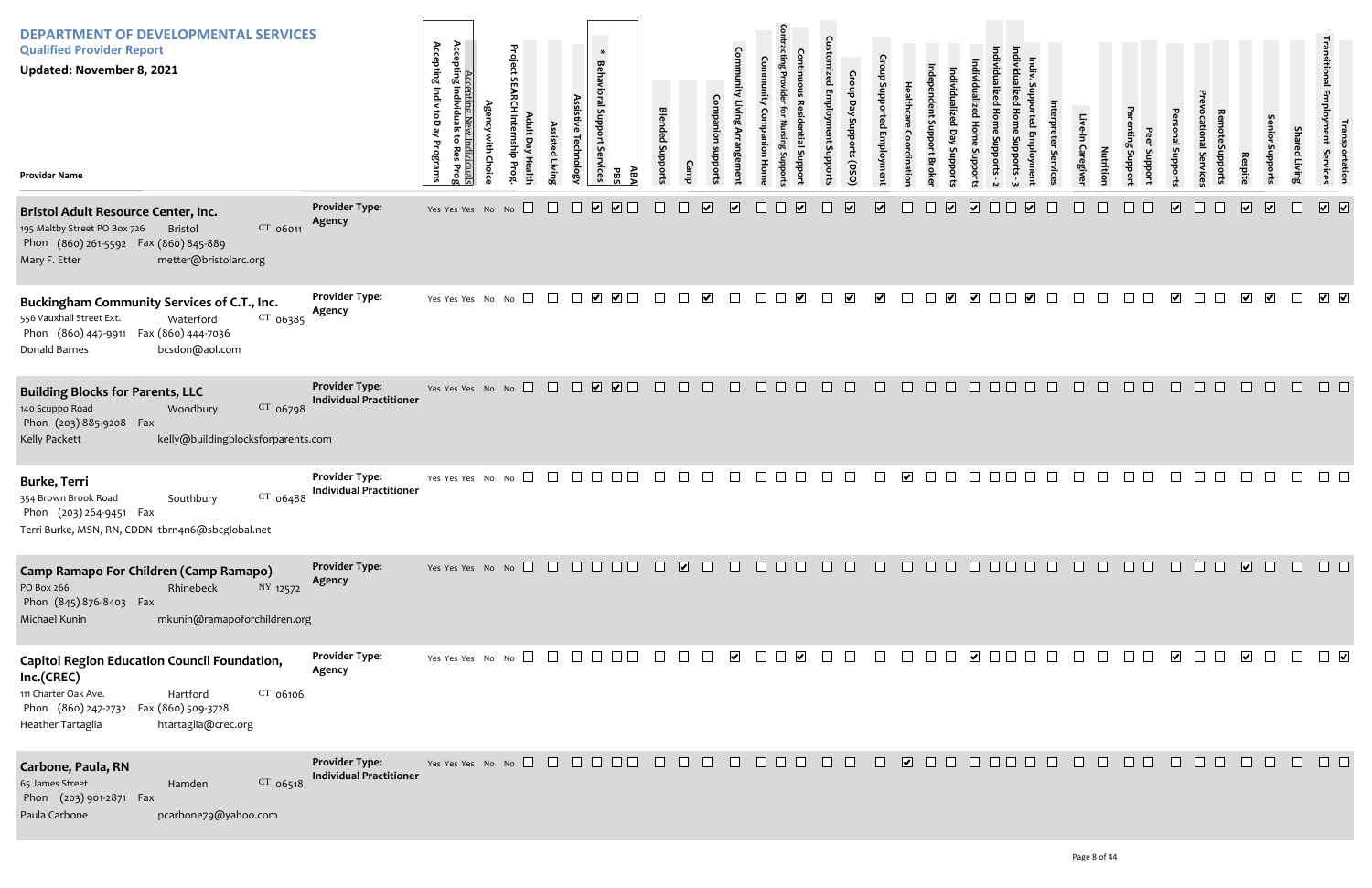| <b>DEPARTMENT OF DEVELOPMENTAL SERVICES</b><br><b>Qualified Provider Report</b><br><b>Updated: November 8, 2021</b><br><b>Provider Name</b>                                                                  | <b>Provider Type:</b>                                   | Accepting New<br>Accepting Individuals<br>Accepting Indiv<br>ke Qo <sub>1</sub><br>៵<br>ے<br>آ<br>Programs<br>Res<br>lividuals<br>Res Prog<br>Yes Yes Yes No No $\Box$ | Project<br>$\Box$<br>릉<br>Prog | ssisted Livin<br>$\Box$ | echnology<br>$\sqrt{2}$<br>$\Box$ | $\ast$<br><b>Behavioral Sup</b><br><b>Services</b><br><u>дв</u><br>PBS<br>$\Box$ | <b>Blended Suppor</b> |        | $\overline{\mathbf{v}}$ | Com<br>$\overline{\mathbf{v}}$ |        | $\overline{\mathbf{v}}$                                                                      | $\cap$<br>Support | Day<br>oddns<br>orts (DSO)<br>$\overline{\mathbf{v}}$ | $\overline{\mathbf{v}}$ | dinatio      | <b>Brok</b><br>$\overline{\mathbf{v}}$ | Support<br>$\overline{\mathbf{v}}$ |                      | $\overline{\mathbf{v}}$ |        | Caregive<br><b>Nutrition</b> | Loddns        | Support | Support<br>$\overline{\mathbf{v}}$ | rvice         | Respite<br>$\boxed{\bullet}$ | prodding<br>$\boxed{\bullet}$ | Shai<br>ed Living<br>$\Box$ | ггапspor<br>ployment Se<br>portation<br>Services<br>$\boxed{\bullet}$                                                                                                                                                                                                                                                                                                                                                                |
|--------------------------------------------------------------------------------------------------------------------------------------------------------------------------------------------------------------|---------------------------------------------------------|------------------------------------------------------------------------------------------------------------------------------------------------------------------------|--------------------------------|-------------------------|-----------------------------------|----------------------------------------------------------------------------------|-----------------------|--------|-------------------------|--------------------------------|--------|----------------------------------------------------------------------------------------------|-------------------|-------------------------------------------------------|-------------------------|--------------|----------------------------------------|------------------------------------|----------------------|-------------------------|--------|------------------------------|---------------|---------|------------------------------------|---------------|------------------------------|-------------------------------|-----------------------------|--------------------------------------------------------------------------------------------------------------------------------------------------------------------------------------------------------------------------------------------------------------------------------------------------------------------------------------------------------------------------------------------------------------------------------------|
| <b>Bristol Adult Resource Center, Inc.</b><br>$CT$ 06011<br>195 Maltby Street PO Box 726<br>Bristol<br>Phon (860) 261-5592 Fax (860) 845-889<br>Mary F. Etter<br>metter@bristolarc.org                       | Agency                                                  |                                                                                                                                                                        |                                |                         |                                   |                                                                                  |                       |        |                         |                                |        |                                                                                              |                   |                                                       |                         |              |                                        |                                    |                      |                         |        |                              |               |         |                                    |               |                              |                               |                             |                                                                                                                                                                                                                                                                                                                                                                                                                                      |
| Buckingham Community Services of C.T., Inc.<br>$CT$ 06385<br>556 Vauxhall Street Ext.<br>Waterford<br>Fax (860) 444-7036<br>Phon (860) 447-9911<br>Donald Barnes<br>bcsdon@aol.com                           | <b>Provider Type:</b><br>Agency                         | Yes Yes Yes No No $\Box$                                                                                                                                               |                                |                         | $\Box$                            | $\begin{array}{c} \bigtriangledown \end{array}$                                  | $\Box$                | $\Box$ | $\blacktriangledown$    | $\Box$                         | $\Box$ | $\blacktriangledown$                                                                         |                   | $\blacktriangledown$                                  | $\blacktriangledown$    |              | $\Box$<br>$\overline{\mathbf{v}}$      | $\blacktriangledown$               | $\Box$ $\Box$        | $\blacktriangledown$    |        |                              |               |         | $\overline{\mathbf{v}}$            |               | $\overline{\mathbf{v}}$      | $\overline{\mathbf{v}}$       | $\Box$                      | $\begin{array}{c} \blacktriangleright \end{array}$                                                                                                                                                                                                                                                                                                                                                                                   |
| <b>Building Blocks for Parents, LLC</b><br>CT 06798<br>140 Scuppo Road<br>Woodbury<br>Phon (203) 885-9208 Fax<br>Kelly Packett<br>kelly@buildingblocksforparents.com                                         | <b>Provider Type:</b><br><b>Individual Practitioner</b> | Yes Yes Yes No No $\Box$                                                                                                                                               |                                |                         |                                   | $\begin{array}{c} \square \ \square \ \square \end{array}$                       | $\Box$                | $\Box$ | $\Box$                  | $\Box$                         | $\Box$ | $\Box$                                                                                       | <b>TELEVISION</b> | $\Box$                                                | $\Box$                  | $\mathbb{R}$ | $\Box$<br><b>CD</b>                    |                                    | $\Box$<br>IQ O       | $\mathbf{L}$            |        | $\Box$                       | $\Box$        |         | $\mathbf{L}$                       | $\Box$        |                              | ⊔                             | $\Box$                      | $\Box$ $\Box$                                                                                                                                                                                                                                                                                                                                                                                                                        |
| <b>Burke, Terri</b><br>354 Brown Brook Road<br>$CT$ 06488<br>Southbury<br>Phon (203) 264-9451 Fax<br>Terri Burke, MSN, RN, CDDN tbrn4n6@sbcglobal.net                                                        | <b>Provider Type:</b><br><b>Individual Practitioner</b> | Yes Yes Yes No No $\square$                                                                                                                                            |                                | $\Box$                  |                                   |                                                                                  |                       |        |                         |                                |        |                                                                                              |                   |                                                       |                         |              |                                        |                                    |                      |                         |        |                              |               |         |                                    |               |                              |                               |                             |                                                                                                                                                                                                                                                                                                                                                                                                                                      |
| Camp Ramapo For Children (Camp Ramapo)<br>PO Box 266<br>NY 12572<br>Rhinebeck<br>Phon (845) 876-8403 Fax<br>Michael Kunin<br>mkunin@ramapoforchildren.org                                                    | <b>Provider Type:</b><br>Agency                         |                                                                                                                                                                        |                                |                         |                                   |                                                                                  |                       |        |                         |                                |        | 000000000000000                                                                              |                   |                                                       |                         |              |                                        |                                    |                      |                         |        |                              | $\Box$ $\Box$ |         |                                    |               |                              |                               |                             | $\begin{array}{ccccccccccccc} \textbf{C} & \textbf{C} & \textbf{C} & \textbf{C} & \textbf{C} & \textbf{C} & \textbf{C} & \textbf{C} & \textbf{C} & \textbf{C} & \textbf{C} & \textbf{C} & \textbf{C} & \textbf{C} & \textbf{C} & \textbf{C} & \textbf{C} & \textbf{C} & \textbf{C} & \textbf{C} & \textbf{C} & \textbf{C} & \textbf{C} & \textbf{C} & \textbf{C} & \textbf{C} & \textbf{C} & \textbf{C} & \textbf{C} & \textbf{C} &$ |
| <b>Capitol Region Education Council Foundation,</b><br>Inc.(CREC)<br>111 Charter Oak Ave.<br>$CT$ 06106<br>Hartford<br>Phon (860) 247-2732<br>Fax (860) 509-3728<br>htartaglia@crec.org<br>Heather Tartaglia | <b>Provider Type:</b><br>Agency                         |                                                                                                                                                                        |                                |                         |                                   |                                                                                  |                       |        |                         |                                |        |                                                                                              |                   | $\Box$                                                | $\Box$                  | $\Box$       |                                        |                                    |                      |                         | $\Box$ | $\Box$                       | $\Box$ $\Box$ |         |                                    |               | $\overline{\phantom{a}}$     |                               |                             | $\begin{array}{c} \square \end{array} \begin{array}{c} \square \end{array} \begin{array}{c} \square \end{array}$                                                                                                                                                                                                                                                                                                                     |
| Carbone, Paula, RN<br>65 James Street<br>CT 06518<br>Hamden<br>Phon (203) 901-2871 Fax<br>Paula Carbone<br>pcarbone79@yahoo.com                                                                              | <b>Provider Type:</b><br><b>Individual Practitioner</b> | Yes Yes Yes No No $\Box$ $\Box$ $\Box$ $\Box$ $\Box$ $\Box$                                                                                                            |                                |                         |                                   |                                                                                  | $\Box$                | $\Box$ | $\Box$                  | $\Box$                         |        | $\begin{array}{c c c c c} \hline \quad \text{ } & \text{ } & \text{ } \\ \hline \end{array}$ | $\Box$            | $\Box$                                                | $\Box$                  |              |                                        |                                    | $\Box$ $\Box$ $\Box$ | $\mathbf{1}$            |        | $\mathbf{L}$                 | .             |         | $\mathbf{1}$                       | $\Box$ $\Box$ | $\Box$                       | $\Box$                        | $\Box$                      | $\Box$                                                                                                                                                                                                                                                                                                                                                                                                                               |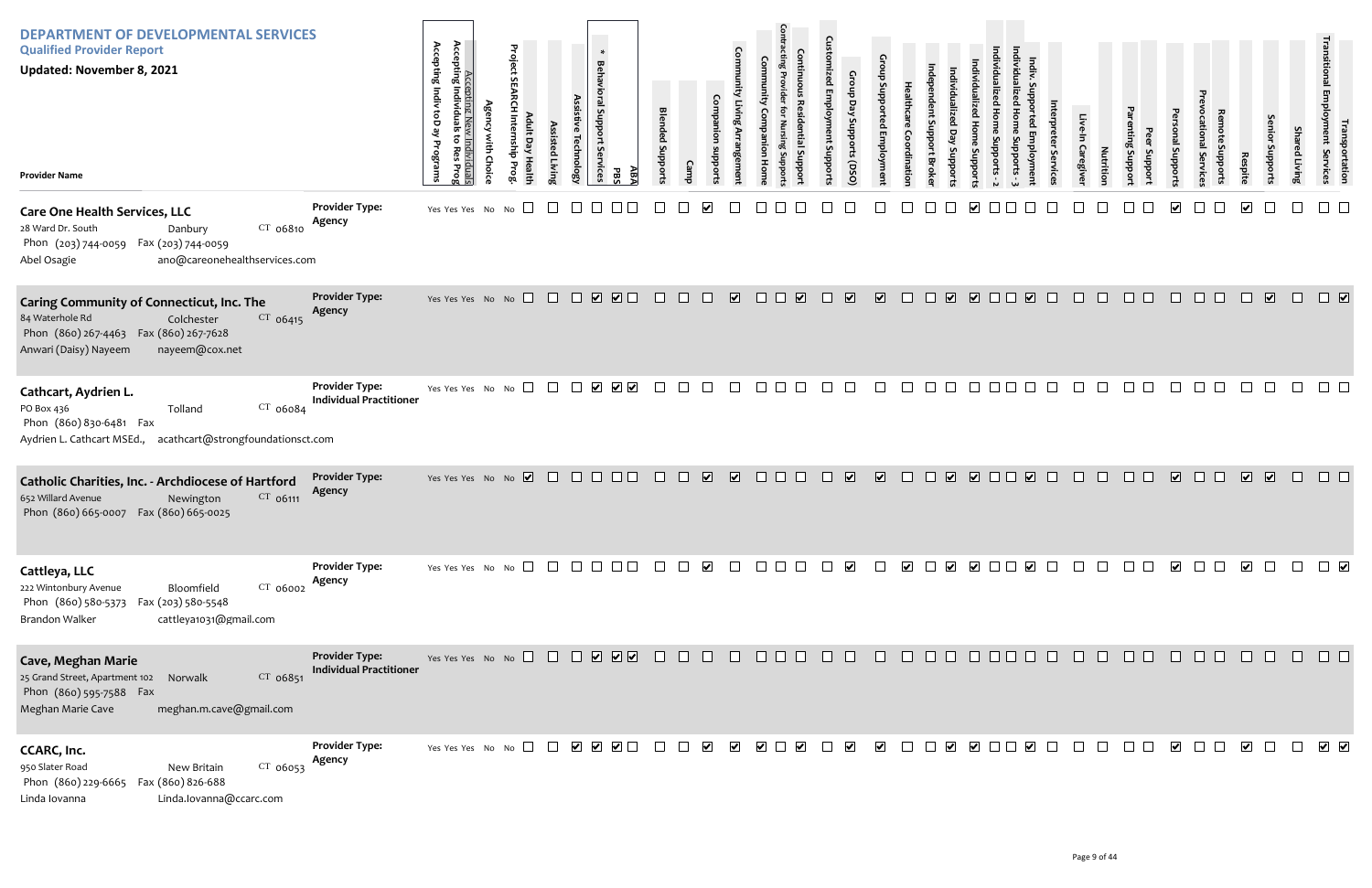| <b>DEPARTMENT OF DEVELOPMENTAL SERVICES</b><br><b>Qualified Provider Report</b><br><b>Updated: November 8, 2021</b><br><b>Provider Name</b>                                           |                                                         | Accepting<br>Accepting Indiv toD ay<br>Accepting New Individuals<br>Individuals<br>$\ddot{\circ}$<br>Programs<br>Res<br>Prog | <b>Agency with Choice</b> | Project SEARCH Internship Prog<br>Adult Day Health | Assisted Living | Assistive Technology | $\ast$<br>Behavioral Support Services<br>ĀВA<br><b>PBS</b>           | <b>Blended Supports</b>  | Camp         | Companion supports    | Community Living Arrangement | munity<br><b>Companion Home</b> | Contracting Provider for Nursing Suppor<br><b>Continuous Residential Suppor</b> | <b>Customized Employment Supports</b> | Group Day Supports (DSO) | Group Supported Employment | <b>Healthcare Coordination</b> | Independent Support Broker              | Individualized<br>Individualized Day Supports<br><b>Home</b><br>Supports | Individualized Home Supports - 2 |
|---------------------------------------------------------------------------------------------------------------------------------------------------------------------------------------|---------------------------------------------------------|------------------------------------------------------------------------------------------------------------------------------|---------------------------|----------------------------------------------------|-----------------|----------------------|----------------------------------------------------------------------|--------------------------|--------------|-----------------------|------------------------------|---------------------------------|---------------------------------------------------------------------------------|---------------------------------------|--------------------------|----------------------------|--------------------------------|-----------------------------------------|--------------------------------------------------------------------------|----------------------------------|
| <b>Care One Health Services, LLC</b><br>28 Ward Dr. South<br>CT 06810<br>Danbury<br>Phon (203) 744-0059  Fax (203) 744-0059<br>Abel Osagie<br>ano@careonehealthservices.com           | <b>Provider Type:</b><br>Agency                         | Yes Yes Yes No No                                                                                                            |                           |                                                    |                 |                      |                                                                      |                          |              |                       |                              |                                 |                                                                                 |                                       |                          |                            |                                |                                         | $\vert\bm{\mathsf{v}}\vert$                                              |                                  |
| <b>Caring Community of Connecticut, Inc. The</b><br>84 Waterhole Rd<br>Colchester<br>$CT$ 06415<br>Phon (860) 267-4463  Fax (860) 267-7628<br>Anwari (Daisy) Nayeem<br>nayeem@cox.net | <b>Provider Type:</b><br>Agency                         | Yes Yes Yes No No                                                                                                            |                           | $\Box$                                             | $\Box$          | $\Box$               | $\overline{\mathbf{v}}$<br>$\blacksquare$                            | $\overline{\phantom{a}}$ | $\mathbf{L}$ |                       | $\overline{\mathbf{v}}$      |                                 | $\overline{\blacktriangledown}$<br>I.                                           | $\perp$                               | $\blacktriangleright$    | $\overline{\mathbf{v}}$    | $\perp$                        | $\overline{\mathbf{v}}$<br>$\mathbf{I}$ | $\overline{\mathbf{v}}$                                                  |                                  |
| Cathcart, Aydrien L.<br>CT 06084<br>PO Box 436<br>Tolland<br>Phon (860) 830-6481 Fax<br>Aydrien L. Cathcart MSEd., acathcart@strongfoundationsct.com                                  | <b>Provider Type:</b><br><b>Individual Practitioner</b> | Yes Yes Yes No No                                                                                                            |                           |                                                    |                 |                      | $\blacktriangleright$<br>$\overline{\mathsf{v}}$                     |                          |              |                       |                              |                                 |                                                                                 |                                       |                          |                            |                                |                                         |                                                                          |                                  |
| Catholic Charities, Inc. - Archdiocese of Hartford<br>652 Willard Avenue<br>CT 06111<br>Newington<br>Phon (860) 665-0007  Fax (860) 665-0025                                          | <b>Provider Type:</b><br>Agency                         | Yes Yes Yes No No $\overline{\mathbf{V}}$                                                                                    |                           |                                                    |                 | $\Box$               |                                                                      |                          |              | $\blacktriangledown$  | $\overline{\blacktriangle}$  |                                 |                                                                                 |                                       | $\blacktriangledown$     | $\overline{\mathbf{v}}$    |                                | $\overline{\mathbf{v}}$                 | $\overline{\mathbf{v}}$                                                  |                                  |
| Cattleya, LLC<br>222 Wintonbury Avenue<br>CT 06002<br>Bloomfield<br>Phon (860) 580-5373<br>Fax (203) 580-5548<br>cattleya1031@gmail.com<br>Brandon Walker                             | <b>Provider Type:</b><br>Agency                         | Yes Yes Yes No No                                                                                                            |                           |                                                    |                 |                      |                                                                      |                          |              |                       |                              |                                 |                                                                                 |                                       |                          |                            |                                | $\vert\bm{\mathsf{v}}\vert$             |                                                                          | ☑ □                              |
| <b>Cave, Meghan Marie</b><br>25 Grand Street, Apartment 102<br>CT 06851<br>Norwalk<br>Phon (860) 595-7588 Fax<br>Meghan Marie Cave<br>meghan.m.cave@gmail.com                         | <b>Provider Type:</b><br><b>Individual Practitioner</b> | Yes Yes Yes No No                                                                                                            |                           |                                                    |                 |                      | $\boxed{\mathbf{v}}$ $\boxed{\mathbf{v}}$<br>$\overline{\mathbf{v}}$ |                          |              |                       |                              |                                 |                                                                                 |                                       |                          |                            |                                |                                         |                                                                          |                                  |
| CCARC, Inc.<br>950 Slater Road<br>CT 06053<br>New Britain<br>Phon (860) 229-6665<br>Fax (860) 826-688<br>Linda.lovanna@ccarc.com<br>Linda Iovanna                                     | <b>Provider Type:</b><br>Agency                         | Yes Yes Yes No No                                                                                                            |                           |                                                    |                 | $\blacktriangledown$ | $\overline{\mathbf{v}}$<br>$\blacktriangledown$                      |                          |              | $\blacktriangleright$ | V                            | $\blacktriangledown$            |                                                                                 |                                       | $\blacktriangledown$     | V                          |                                |                                         |                                                                          |                                  |

| Individualized Home Supports - 3 | Indiv. Supported Employment | Interpreter Services | Live-In Caregiver | Nutrition | Parenting Support | Peer Support | Personal Supports                                                            | Prevocational Services | Remote Supports | Respite                      | Senior Supports              | Shared Living | Transitional Employment Services | Transportation               |
|----------------------------------|-----------------------------|----------------------|-------------------|-----------|-------------------|--------------|------------------------------------------------------------------------------|------------------------|-----------------|------------------------------|------------------------------|---------------|----------------------------------|------------------------------|
|                                  |                             |                      |                   |           |                   |              | $\overline{\mathbf{v}}$                                                      |                        |                 | $\blacktriangledown$         |                              |               |                                  |                              |
|                                  | $\overline{\mathbf{v}}$     |                      |                   |           |                   |              |                                                                              |                        |                 |                              | $\boxed{\blacktriangledown}$ |               |                                  | $\boxed{\blacktriangledown}$ |
|                                  |                             |                      |                   |           |                   |              |                                                                              |                        |                 |                              |                              |               |                                  |                              |
|                                  | $\overline{\mathbf{v}}$     |                      |                   |           |                   |              | $\overline{\mathbf{v}}$                                                      |                        |                 | $\boxed{\blacktriangledown}$ | $\overline{\mathbf{v}}$      |               |                                  |                              |
| $\Box$                           | $\blacktriangledown$        | $\Box$               | $\Box$            | $\Box$    | $\Box$            |              | $\begin{array}{ccc} & \bullet & \bullet & \bullet \end{array}$               |                        | $\Box$          |                              | $\Box$                       | $\Box$        | П                                | $\blacktriangledown$         |
| $\Box$                           | $\Box$                      | $\Box$               | $\Box$            |           |                   |              | $\begin{array}{cccccccccccccc} \Box & \Box & \Box & \Box & \Box \end{array}$ | $\Box$                 | $\Box$          | $\Box$                       | $\Box$                       | $\Box$        |                                  | - 1                          |
| $\Box$                           | $\blacktriangledown$        | $\Box$               | $\Box$            | $\Box$    | $\Box$            | $\Box$       | $\blacktriangledown$                                                         | $\Box$                 | $\Box$          | $\blacktriangledown$         | $\Box$                       | $\Box$        | ☑                                |                              |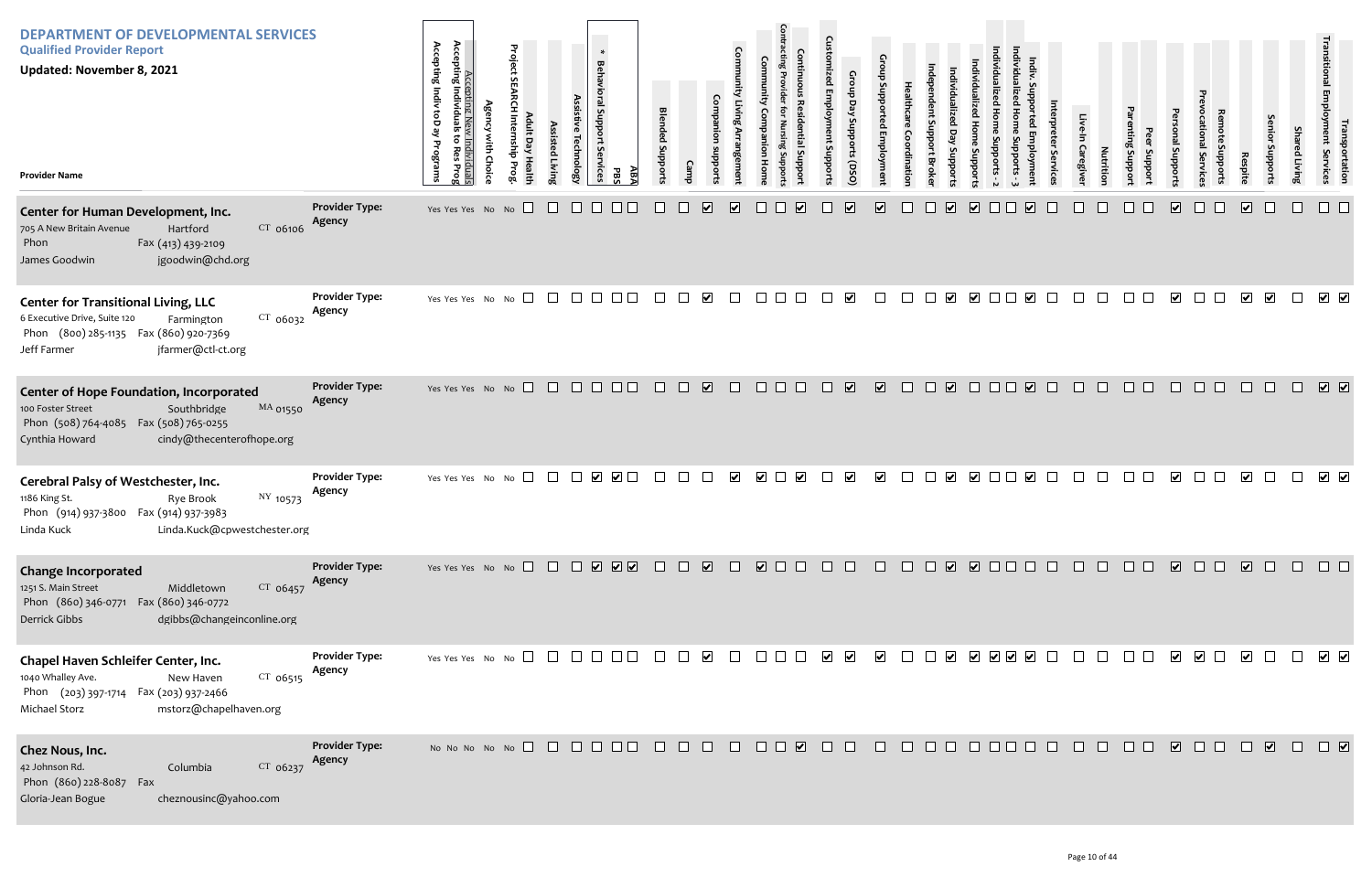| <b>DEPARTMENT OF DEVELOPMENTAL SERVICES</b><br><b>Qualified Provider Report</b><br><b>Updated: November 8, 2021</b><br><b>Provider Name</b>                                                 |                                 | Accepting<br>Accepting<br>Indiv toD<br>ទី<br>Individuals<br>Programs<br>Prog | Project SEARCH Internship Prog<br><b>Agency with Choice</b><br>Adult Day Health | Assisted Living | <b>Behavioral Support</b><br>Assistive Technology<br>rvices | ABA<br>PBS                                        | <b>Blended</b><br>Supports | Camp                            | <b>Community Living Arrangement</b><br>Companion<br>subports | Community Companion Home | <b>Contracting Provider for Nursing Supports</b><br><b>Continuous Residential Support</b> | <b>Customized Employment Supports</b> | Group Day Supports (DSO)        | <b>Group Supported Employment</b> | Healthcare<br>Coordination | ndependent Support<br>Individualized<br>Day<br>Supports<br><b>Broker</b> | Individualized Home Supports - 2<br>Individualized Home Supports |
|---------------------------------------------------------------------------------------------------------------------------------------------------------------------------------------------|---------------------------------|------------------------------------------------------------------------------|---------------------------------------------------------------------------------|-----------------|-------------------------------------------------------------|---------------------------------------------------|----------------------------|---------------------------------|--------------------------------------------------------------|--------------------------|-------------------------------------------------------------------------------------------|---------------------------------------|---------------------------------|-----------------------------------|----------------------------|--------------------------------------------------------------------------|------------------------------------------------------------------|
| Center for Human Development, Inc.<br>CT 06106<br>705 A New Britain Avenue<br>Hartford<br>Fax (413) 439-2109<br>Phon<br>James Goodwin<br>jgoodwin@chd.org                                   | <b>Provider Type:</b><br>Agency | Yes Yes Yes No No                                                            |                                                                                 |                 |                                                             |                                                   |                            | $\overline{\blacktriangledown}$ | $\blacktriangledown$                                         |                          | $\blacktriangledown$                                                                      |                                       | $\overline{\blacktriangledown}$ | $\overline{\mathbf{v}}$           |                            | $\overline{\mathbf{v}}$                                                  | $\overline{\blacktriangledown}$                                  |
| <b>Center for Transitional Living, LLC</b><br>6 Executive Drive, Suite 120<br>$CT$ 06032<br>Farmington<br>(800) 285-1135    Fax (860) 920-7369<br>Phon<br>Jeff Farmer<br>jfarmer@ctl-ct.org | <b>Provider Type:</b><br>Agency | Yes Yes Yes No No                                                            |                                                                                 | $\perp$         | $\Box$<br>$\perp$                                           |                                                   |                            | ☑                               |                                                              |                          |                                                                                           |                                       | ☑                               |                                   |                            | ⊻                                                                        | ☑ □                                                              |
| <b>Center of Hope Foundation, Incorporated</b><br>100 Foster Street<br>Southbridge<br>MA 01550<br>Phon (508) 764-4085  Fax (508) 765-0255<br>cindy@thecenterofhope.org<br>Cynthia Howard    | <b>Provider Type:</b><br>Agency |                                                                              | Yes Yes Yes No No                                                               | $\Box$          | $\Box$<br>$\Box$                                            | $\perp$<br>$\mathsf{L}$                           | $\mathsf{L}$               | $\overline{\mathbf{v}}$         |                                                              | $\mathbb{L}$             |                                                                                           |                                       | $\overline{\mathbf{v}}$         | $\overline{\mathbf{v}}$           | $\Box$                     | $\overline{\mathbf{v}}$<br>$\Box$                                        |                                                                  |
| Cerebral Palsy of Westchester, Inc.<br>1186 King St.<br>NY 10573<br>Rye Brook<br>Phon (914) 937-3800 Fax (914) 937-3983<br>Linda.Kuck@cpwestchester.org<br>Linda Kuck                       | <b>Provider Type:</b><br>Agency | Yes Yes Yes No No                                                            | $\Box$                                                                          |                 | ⊻                                                           | $\blacktriangledown$                              |                            |                                 | ⊻                                                            | $\blacktriangledown$     | $\blacktriangledown$                                                                      |                                       | $\blacktriangledown$            | $\blacktriangledown$              |                            | $\blacktriangledown$                                                     | $\Box$                                                           |
| <b>Change Incorporated</b><br>1251 S. Main Street<br>CT 06457<br>Middletown<br>Phon (860) 346-0771<br>Fax (860) 346-0772<br>Derrick Gibbs<br>dgibbs@changeinconline.org                     | <b>Provider Type:</b><br>Agency |                                                                              | Yes Yes Yes No No                                                               | $\perp$         | $\perp$                                                     | $\begin{array}{c} \bullet \\ \bullet \end{array}$ |                            | $\overline{\mathbf{v}}$         |                                                              | $\overline{\mathbf{v}}$  |                                                                                           |                                       |                                 |                                   |                            | $\overline{\mathbf{v}}$                                                  | ☑ □                                                              |
| Chapel Haven Schleifer Center, Inc.<br>1040 Whalley Ave.<br>$CT$ 06515<br>New Haven<br>Phon (203) 397-1714 Fax (203) 937-2466<br>Michael Storz<br>mstorz@chapelhaven.org                    | <b>Provider Type:</b><br>Agency |                                                                              | Yes Yes Yes No No $\Box$                                                        | $\mathbf{1}$    | $\perp$<br>$\mathbb{R}^n$                                   |                                                   |                            | $\vert\bm{\mathsf{v}}\vert$     |                                                              |                          |                                                                                           | $\blacktriangledown$                  | $\blacktriangledown$            | $\blacktriangledown$              |                            | ⊻                                                                        | $\sqrt{}$                                                        |
| Chez Nous, Inc.<br>42 Johnson Rd.<br>Columbia<br>CT 06237<br>Phon (860) 228-8087<br>Fax<br>Gloria-Jean Bogue<br>cheznousinc@yahoo.com                                                       | <b>Provider Type:</b><br>Agency |                                                                              | No No No No No $\Box$                                                           |                 |                                                             |                                                   |                            |                                 |                                                              |                          | $\blacktriangledown$                                                                      |                                       |                                 |                                   |                            |                                                                          |                                                                  |

| Individualized Home Supports - 3 | Indiv. Supported Employment     | Interpreter Services | Live-In Caregiver | Nutrition   | Parenting Support | Peer Support | Personal Supports               | Prevocational Services | Remote Supports | Respite                 | Senior Supports         | Shared Living                                                  | Transitional Employment Services                                                                            | Transportation               |
|----------------------------------|---------------------------------|----------------------|-------------------|-------------|-------------------|--------------|---------------------------------|------------------------|-----------------|-------------------------|-------------------------|----------------------------------------------------------------|-------------------------------------------------------------------------------------------------------------|------------------------------|
|                                  | $\blacktriangledown$            |                      |                   |             |                   |              | $\overline{\blacktriangledown}$ |                        |                 | $\overline{\mathbf{v}}$ |                         |                                                                |                                                                                                             |                              |
|                                  | $\overline{\mathbf{v}}$         |                      |                   |             |                   |              | $\overline{\mathbf{v}}$         |                        |                 | $\overline{\mathbf{v}}$ | $\overline{\mathbf{v}}$ |                                                                | $\overline{\mathbf{v}}$                                                                                     | $\blacktriangledown$         |
|                                  | $\overline{\blacktriangledown}$ |                      |                   |             |                   |              |                                 |                        |                 |                         |                         |                                                                | $\boxed{\blacktriangledown}$                                                                                | $\boxed{\blacktriangledown}$ |
|                                  | $\overline{\mathbf{v}}$         |                      |                   |             |                   |              | $\blacktriangledown$            |                        |                 | $\blacktriangledown$    |                         |                                                                | $\blacktriangledown$                                                                                        | $\blacktriangledown$         |
| $\Box$                           |                                 |                      |                   | 00000000000 |                   |              |                                 |                        |                 |                         |                         |                                                                | $\Box$                                                                                                      | $\Box$                       |
|                                  |                                 |                      |                   |             |                   |              |                                 |                        |                 |                         |                         | $\begin{array}{ccc} & \bullet & \bullet & \bullet \end{array}$ |                                                                                                             |                              |
| $\Box$                           | $\Box$                          |                      |                   | 0000000000  |                   |              |                                 |                        |                 |                         |                         |                                                                | $\begin{array}{ c c } \hline \textbf{v} & \textbf{v} \\\hline \textbf{v} & \textbf{v} \\\hline \end{array}$ |                              |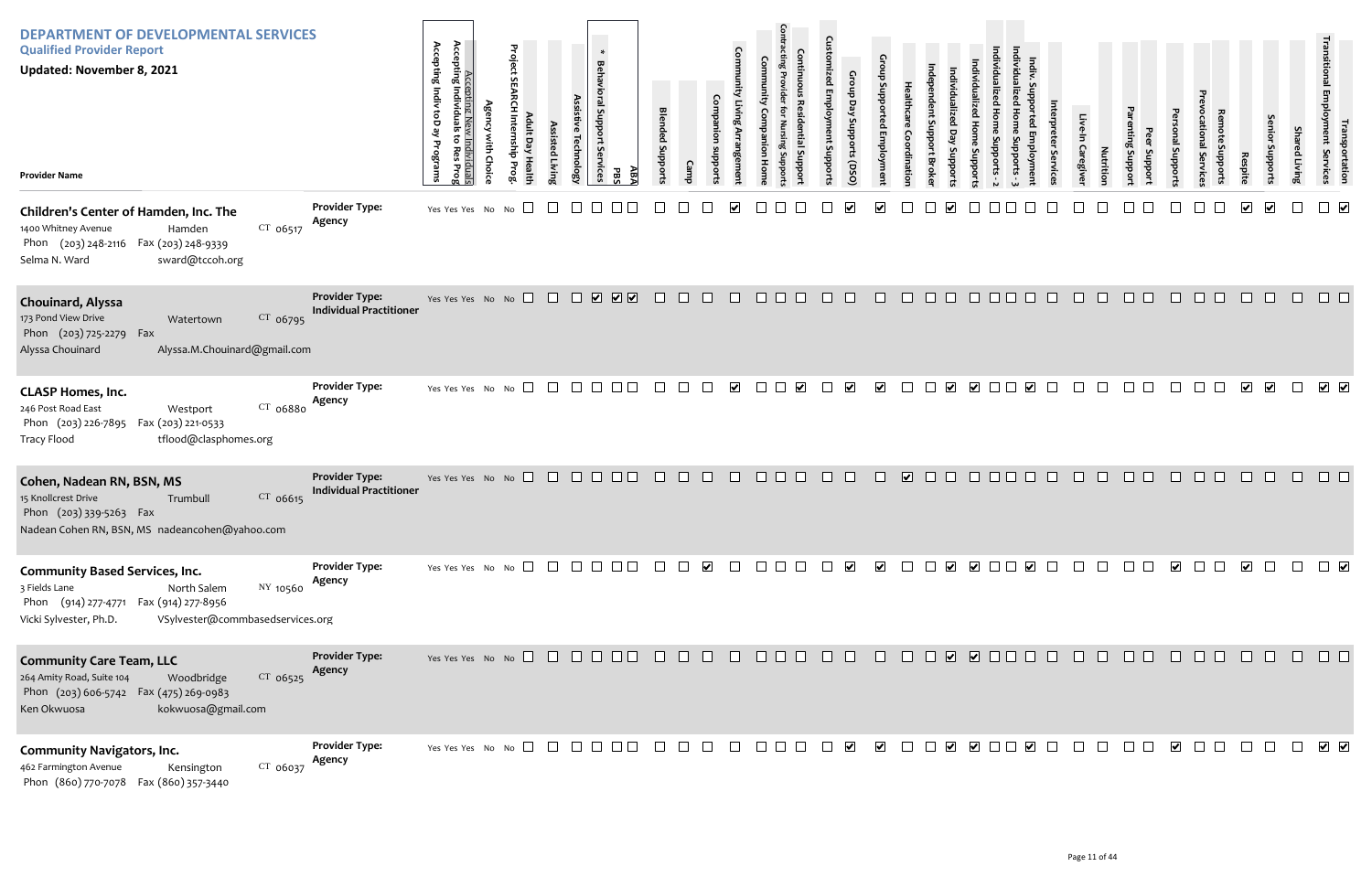| <b>DEPARTMENT OF DEVELOPMENTAL SERVICES</b><br><b>Qualified Provider Report</b><br><b>Updated: November 8, 2021</b><br><b>Provider Name</b>                                               |                                                         | Accepting N<br>Accepting Individu<br>Accepting Indiv<br>ke dot<br>$\overline{\sigma}$<br>Programs<br>Res<br>lividuals<br>tes Prog | Project SI<br>$\overline{a}$<br>릉<br>Healt | ssisted Livin; | $\ast$<br><b>Behavioral Support</b><br>Assist<br>echnolog<br><b>ivices</b> | AB/<br>98 | <b>Blended Suppo</b>                                                  |        |                      |                         |                         | $\Omega$<br>snt Support | ddns<br>rts (DSO)    |                       | dinatio    | Bro                                       | oddns                 |        |                      |        | Caregive | Nutritio | proport<br>Support | Isupport                |        | Respite                 | enior<br>Joddns         | Shar<br>ed Living | Transportation<br>Employment Services           |
|-------------------------------------------------------------------------------------------------------------------------------------------------------------------------------------------|---------------------------------------------------------|-----------------------------------------------------------------------------------------------------------------------------------|--------------------------------------------|----------------|----------------------------------------------------------------------------|-----------|-----------------------------------------------------------------------|--------|----------------------|-------------------------|-------------------------|-------------------------|----------------------|-----------------------|------------|-------------------------------------------|-----------------------|--------|----------------------|--------|----------|----------|--------------------|-------------------------|--------|-------------------------|-------------------------|-------------------|-------------------------------------------------|
| Children's Center of Hamden, Inc. The<br>$CT_{06517}$<br>1400 Whitney Avenue<br>Hamden<br>Phon (203) 248-2116 Fax (203) 248-9339<br>sward@tccoh.org<br>Selma N. Ward                      | <b>Provider Type:</b><br>Agency                         | Yes Yes Yes No No                                                                                                                 | $\Box$                                     |                |                                                                            |           |                                                                       |        |                      |                         |                         |                         |                      |                       |            |                                           |                       |        |                      |        |          |          |                    |                         |        | ☑                       | $\overline{\mathbf{v}}$ |                   | $\Box$ $\triangledown$                          |
| Chouinard, Alyssa<br>CT 06795<br>173 Pond View Drive<br>Watertown<br>Phon (203) 725-2279 Fax<br>Alyssa.M.Chouinard@gmail.com<br>Alyssa Chouinard                                          | <b>Provider Type:</b><br><b>Individual Practitioner</b> | Yes Yes Yes No No $\Box$ $\Box$ $\Box$ $\Box$ $\Box$ $\Box$ $\Box$                                                                |                                            |                |                                                                            |           | $\Box$                                                                | $\Box$ | $\Box$               | $\Box$                  | $\Box$<br>$\Box$ $\Box$ | $\Box$                  | $\Box$               | $\Box$                | $\Box$     | $\Box$<br>$\Box$                          | $\Box$                |        |                      |        |          | n.       | n.                 |                         | П      |                         |                         |                   |                                                 |
| <b>CLASP Homes, Inc.</b><br>CT 06880<br>246 Post Road East<br>Westport<br>Phon (203) 226-7895 Fax (203) 221-0533<br>tflood@clasphomes.org<br><b>Tracy Flood</b>                           | <b>Provider Type:</b><br>Agency                         | Yes Yes Yes No No                                                                                                                 | $\Box$                                     |                |                                                                            |           |                                                                       |        |                      | $\overline{\mathbf{v}}$ | $\mathbb{R}^n$          |                         | $\blacktriangledown$ | $\blacktriangledown$  |            |                                           | $\blacktriangleright$ |        |                      |        |          |          |                    |                         |        |                         | $\overline{\mathbf{v}}$ | $\perp$           | $\overline{\mathsf{v}}$ $\overline{\mathsf{v}}$ |
| Cohen, Nadean RN, BSN, MS<br>15 Knollcrest Drive<br>CT 06615<br>Trumbull<br>Phon (203) 339-5263 Fax<br>Nadean Cohen RN, BSN, MS nadeancohen@yahoo.com                                     | <b>Provider Type:</b><br><b>Individual Practitioner</b> | Yes Yes Yes No No $\Box$ $\Box$ $\Box$ $\Box$                                                                                     |                                            |                |                                                                            | $\Box$    | $\Box$                                                                | $\Box$ | $\Box$               | $\Box$                  | $\Box$ $\Box$ $\Box$    | $\Box$                  | $\Box$               | $\Box$                | $\sqrt{2}$ | $\Box$<br>$\Box$                          | $\Box$                | $\Box$ | $\Box$               | $\Box$ | $\Box$   | $\Box$   | $\Box$ $\Box$      | $\Box$                  | $\Box$ | $\Box$                  | $\Box$                  | $\Box$            |                                                 |
| <b>Community Based Services, Inc.</b><br>NY 10560<br>3 Fields Lane<br>North Salem<br>Phon (914) 277-4771 Fax (914) 277-8956<br>Vicki Sylvester, Ph.D.<br>VSylvester@commbasedservices.org | <b>Provider Type:</b><br>Agency                         | Yes Yes Yes No No $\Box$ $\Box$ $\Box$ $\Box$                                                                                     |                                            |                |                                                                            |           |                                                                       |        | $\blacktriangledown$ | $\mathbf{L}$            | $\mathbf{L}$            |                         | $\blacktriangledown$ | $\blacktriangleright$ |            |                                           |                       |        |                      |        |          |          |                    | $\overline{\mathbf{v}}$ | $\Box$ | $\overline{\mathbf{v}}$ | $\Box$                  | $\Box$            | $\Box$                                          |
| <b>Community Care Team, LLC</b><br>$CT$ 06525<br>264 Amity Road, Suite 104<br>Woodbridge<br>Phon (203) 606-5742  Fax (475) 269-0983<br>kokwuosa@gmail.com<br>Ken Okwuosa                  | <b>Provider Type:</b><br>Agency                         | Yes Yes Yes No No $\Box$ $\Box$ $\Box$ $\Box$ $\Box$ $\Box$ $\Box$                                                                |                                            |                |                                                                            |           | $\begin{array}{cccccccccccccc} \Box & \Box & \Box & \Box \end{array}$ |        |                      | $\Box$                  | $\Box$ $\Box$ $\Box$    | $\Box$                  | $\Box$               | $\Box$                | $\Box$     |                                           |                       |        |                      |        |          | n.       | $\Box$ $\Box$      |                         | $\Box$ |                         |                         |                   |                                                 |
| <b>Community Navigators, Inc.</b><br>$CT$ 06037<br>462 Farmington Avenue<br>Kensington<br>Phon (860) 770-7078  Fax (860) 357-3440                                                         | <b>Provider Type:</b><br>Agency                         | Yes Yes Yes No No $\Box$                                                                                                          |                                            |                |                                                                            |           |                                                                       |        |                      |                         | $\mathbf{L}$            |                         | $\blacktriangledown$ | $\blacktriangledown$  |            | $\blacktriangledown$<br>$\vert \ \ \vert$ | $\blacktriangledown$  |        | $\blacktriangledown$ |        |          |          |                    | $\blacktriangledown$    |        |                         |                         |                   | $\sqrt{ }$                                      |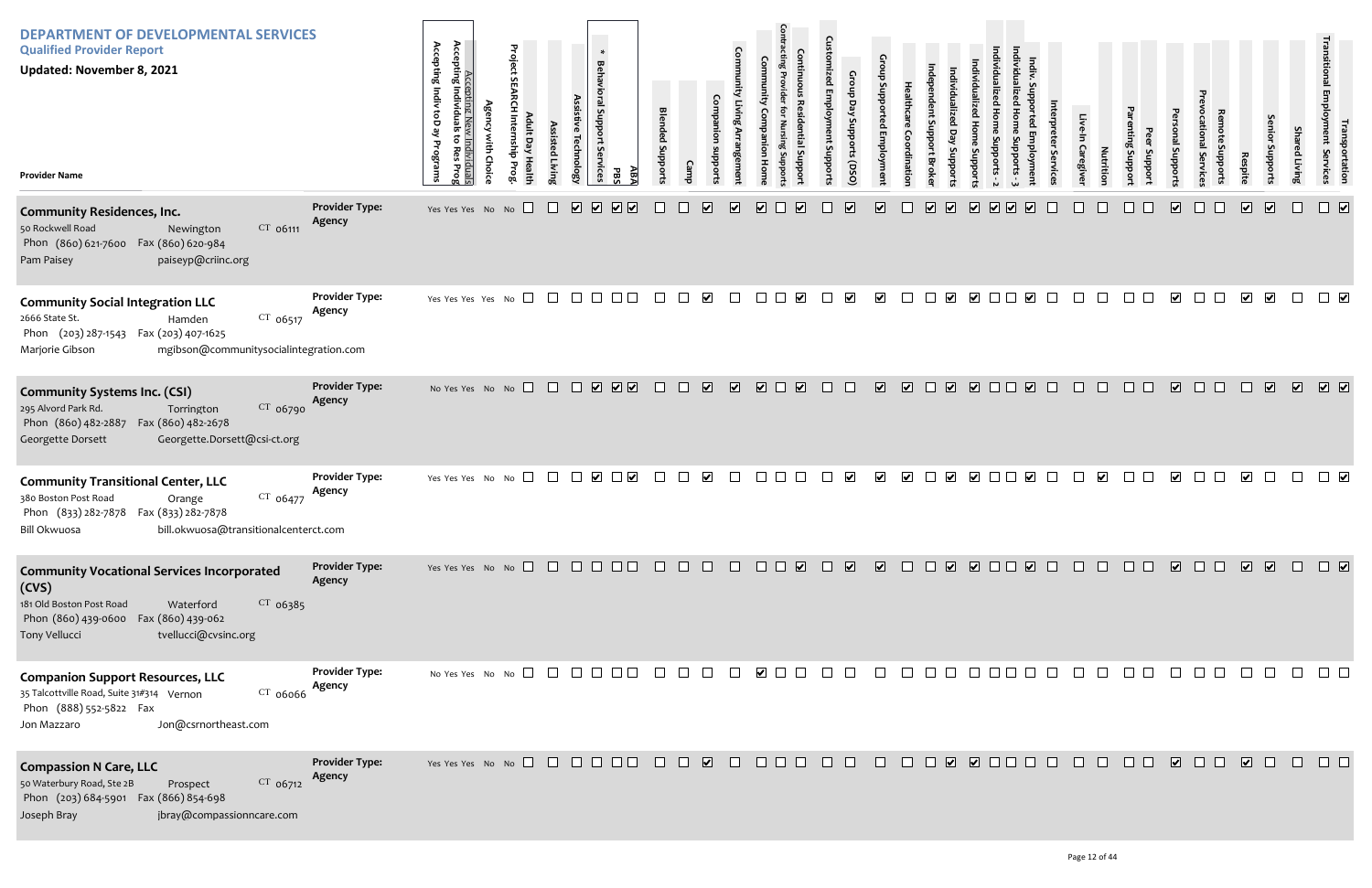| <b>DEPARTMENT OF DEVELOPMENTAL SERVICES</b><br><b>Qualified Provider Report</b><br><b>Updated: November 8, 2021</b><br><b>Provider Name</b>                                                         |                                 | Accepting New<br>Accepting Individuals<br>Accepting Indiv toD<br>ہے<br><u>v Individuals</u><br>; to Res Prog<br>ist<br>Programs<br>Choic | Project<br>Day<br><b>Healt</b> | Assistiv<br>Assisted Living<br><b>Technology</b> | $\ast$<br><b>Behavioral Support</b><br>Services<br>Æ<br>PB.                    | <b>Blended Suppor</b>    |                                   |                         |                                                              | Ğ<br><b>Employm</b><br>ent Support: | Croup<br>Day<br>Supports<br>(050) | Croup Sul<br>ced Employme             | <b>Health</b><br>dinatio |                         |                                                    |                                                    | S          | Caregive | Nutrition            | Proport<br>Support | uoddn <u>s</u> jei      |                  | Respite                 | enior<br>phport:             | Sha<br>ed Living | ינ <sup>ו ו דו</sup> יזי<br>גוויגווי נוסטאס<br>portation<br>Services |
|-----------------------------------------------------------------------------------------------------------------------------------------------------------------------------------------------------|---------------------------------|------------------------------------------------------------------------------------------------------------------------------------------|--------------------------------|--------------------------------------------------|--------------------------------------------------------------------------------|--------------------------|-----------------------------------|-------------------------|--------------------------------------------------------------|-------------------------------------|-----------------------------------|---------------------------------------|--------------------------|-------------------------|----------------------------------------------------|----------------------------------------------------|------------|----------|----------------------|--------------------|-------------------------|------------------|-------------------------|------------------------------|------------------|----------------------------------------------------------------------|
| <b>Community Residences, Inc.</b><br>$CT$ 06111<br>50 Rockwell Road<br>Newington<br>Phon (860) 621-7600 Fax (860) 620-984<br>paiseyp@criinc.org<br>Pam Paisey                                       | <b>Provider Type:</b><br>Agency | Yes Yes Yes No No                                                                                                                        |                                | $\overline{\mathbf{v}}$<br>$\Box$                | $\sqrt{2}$<br>$\overline{\mathbf{v}}$<br>$\overline{\mathbf{v}}$               |                          | $\overline{\mathbf{v}}$           | $\overline{\mathbf{v}}$ | $\overline{\mathbf{v}}$<br>$\overline{\mathbf{v}}$           |                                     | $\overline{\mathbf{v}}$           | $\overline{\mathbf{v}}$               | $\overline{\mathbf{v}}$  | $\overline{\mathbf{v}}$ | $\overline{\mathbf{v}}$<br>$\overline{\mathbf{v}}$ | $\overline{\mathbf{v}}$<br>$\overline{\mathbf{v}}$ |            |          |                      |                    | $\overline{\mathbf{v}}$ |                  | $\sqrt{ }$              | $\boxed{\blacktriangledown}$ |                  | $\Box$                                                               |
| <b>Community Social Integration LLC</b><br>$CT$ 06517<br>2666 State St.<br>Hamden<br>Phon (203) 287-1543 Fax (203) 407-1625<br>mgibson@communitysocialintegration.com<br>Marjorie Gibson            | <b>Provider Type:</b><br>Agency | Yes Yes Yes Yes No $\square$                                                                                                             |                                | $\Box$ $\Box$                                    | $\Box$ $\Box$                                                                  | $\Box$                   | $\blacktriangledown$<br>$\Box$    | $\perp$                 | $\blacktriangledown$<br>$\perp$                              |                                     | $\blacktriangledown$              | $\blacktriangledown$                  |                          |                         | $\blacktriangledown$                               | $\overline{\mathbf{v}}$                            |            |          |                      |                    | $\overline{\mathbf{v}}$ |                  | $\overline{\mathbf{v}}$ | $\overline{\mathbf{v}}$      |                  |                                                                      |
| <b>Community Systems Inc. (CSI)</b><br>CT 06790<br>295 Alvord Park Rd.<br>Torrington<br>Phon (860) 482-2887<br>Fax (860) 482-2678<br>Georgette.Dorsett@csi-ct.org<br>Georgette Dorsett              | <b>Provider Type:</b><br>Agency | No Yes Yes No No                                                                                                                         |                                |                                                  | $\begin{array}{c} \square \ \square \ \square \ \square \ \square \end{array}$ | $\Box$                   | $\overline{\mathbf{v}}$<br>$\Box$ | $\overline{\mathbf{v}}$ | $\overline{\mathbf{v}}$<br>$\overline{\mathbf{v}}$<br>$\Box$ |                                     | $\Box$                            | $\overline{\mathbf{v}}$<br>$\sqrt{2}$ | $\Box$                   | $\boxed{\bullet}$       |                                                    | $\Box$                                             | $\Box$     |          | $\Box$               | $\Box$             | $\overline{\mathbf{v}}$ | $\Box$<br>$\Box$ |                         | $\overline{\mathbf{v}}$      |                  | $\begin{array}{ccc} \hline \bullet & \bullet & \bullet \end{array}$  |
| <b>Community Transitional Center, LLC</b><br>CT 06477<br>380 Boston Post Road<br>Orange<br>Phon (833) 282-7878 Fax (833) 282-7878<br>bill.okwuosa@transitionalcenterct.com<br>Bill Okwuosa          | <b>Provider Type:</b><br>Agency | Yes Yes Yes No No $\Box$                                                                                                                 |                                |                                                  |                                                                                | $\overline{\phantom{a}}$ | $\blacktriangledown$              | $\Box$                  |                                                              |                                     | $\blacktriangledown$              | $\blacktriangledown$                  | $\blacktriangledown$     | $\blacktriangleright$   | $\blacktriangledown$                               |                                                    | $\sqrt{ }$ |          | $\blacktriangledown$ |                    | $\overline{\mathbf{v}}$ |                  | $\blacktriangledown$    |                              |                  |                                                                      |
| <b>Community Vocational Services Incorporated</b><br>(CVS)<br>181 Old Boston Post Road<br>$CT$ 06385<br>Waterford<br>Phon (860) 439-0600 Fax (860) 439-062<br>tvellucci@cvsinc.org<br>Tony Vellucci | <b>Provider Type:</b><br>Agency |                                                                                                                                          |                                |                                                  |                                                                                |                          |                                   |                         | 0000000000000000                                             |                                     |                                   |                                       |                          |                         |                                                    |                                                    |            |          |                      |                    |                         |                  |                         |                              |                  |                                                                      |
| <b>Companion Support Resources, LLC</b><br>35 Talcottville Road, Suite 31#314 Vernon<br>CT 06066<br>Phon (888) 552-5822 Fax<br>Jon@csrnortheast.com<br>Jon Mazzaro                                  | <b>Provider Type:</b><br>Agency |                                                                                                                                          |                                |                                                  |                                                                                |                          | $\Box$                            | $\Box$                  | $\blacksquare$                                               | $\Box$                              | $\Box$                            | $\Box$<br>$\Box$                      |                          |                         |                                                    | 0000000                                            |            |          |                      | $\Box$             |                         |                  |                         |                              |                  |                                                                      |
| <b>Compassion N Care, LLC</b><br>CT 06712<br>50 Waterbury Road, Ste 2B<br>Prospect<br>Phon (203) 684-5901 Fax (866) 854-698<br>Joseph Bray<br>jbray@compassionncare.com                             | <b>Provider Type:</b><br>Agency |                                                                                                                                          |                                |                                                  |                                                                                |                          |                                   | $\Box$                  | <b>OOO OO</b>                                                |                                     |                                   |                                       |                          |                         |                                                    | 00000000                                           |            | $\Box$   | $\Box$               | $\Box$ $\Box$      | $\sqrt{2}$              | $\Box$           | $\sqrt{2}$              | $\Box$                       | $\Box$           |                                                                      |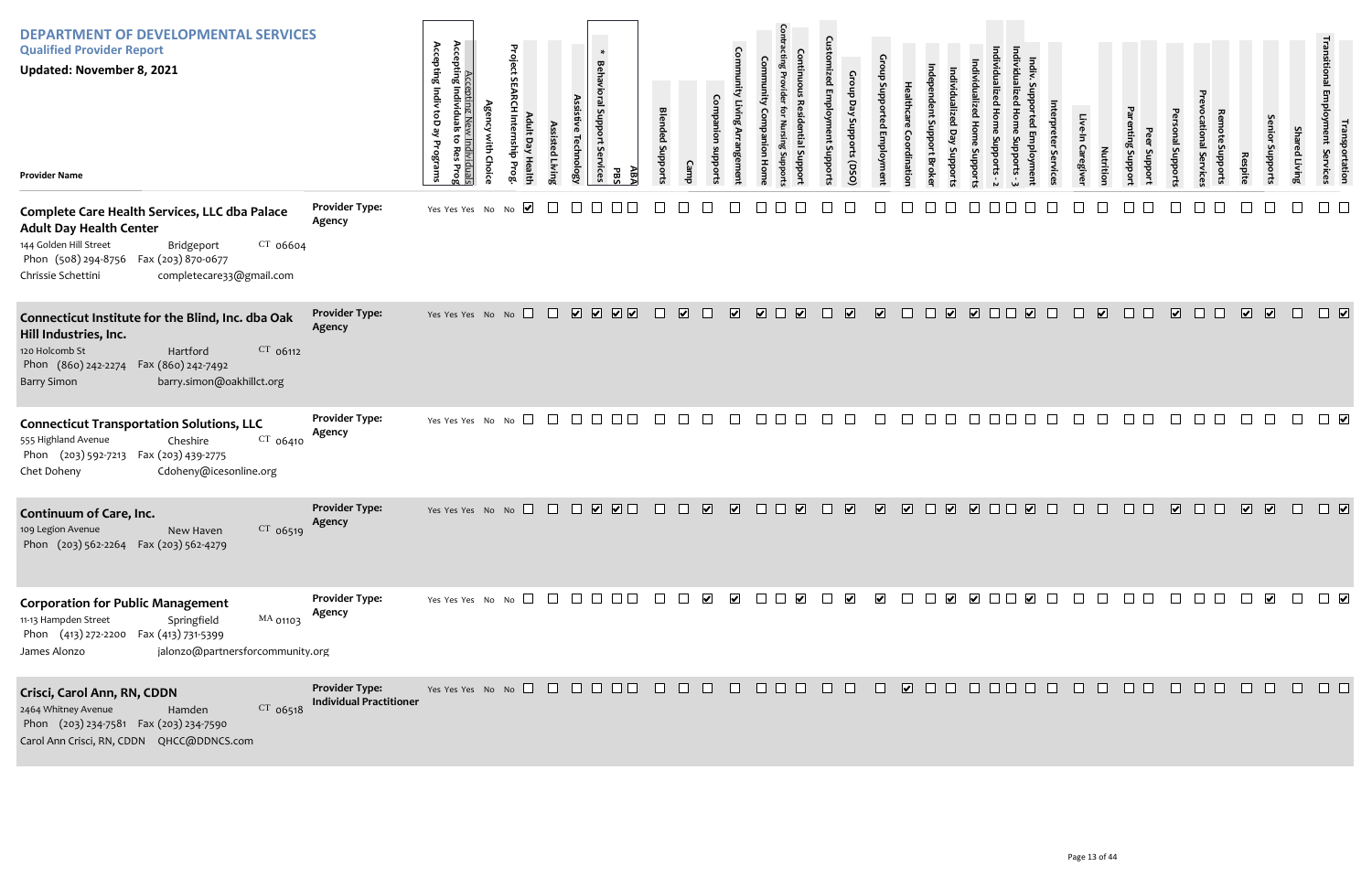| <b>DEPARTMENT OF DEVELOPMENTAL SERVICES</b><br><b>Qualified Provider Report</b><br><b>Updated: November 8, 2021</b><br><b>Provider Name</b>                                                                                        |                                                         | Accepting Indiv toD ay<br>Accepting N<br>Accepting Individu<br>족.<br>v Individuals<br>: to Res Prog<br>Programs | Project<br>S<br>dult Day Healt<br>dius<br>Prog | ssisted Livin | $\ast$<br><b>Behavioral Support</b><br>Assisti<br><b>Technolog</b><br>Services                 | АB<br>PB. | <b>Blended Suppor</b> |                                   |                         |                         | Contir<br>ntial Supp<br>$\overline{5}$ | Ε.<br>ed Emplo<br>ent Suppor | Croup<br>Day<br>Supports (DSO | $\mathbf{C}$<br>dns d   | t Support<br><b>Brok</b>      |                         | oddns                   |        |                         |              | Caregive | Nutritio                | mting<br>oddns<br>oddns | ponal Support           | Service       | Respit                   | enior Suppo             | <b>Shared Living</b> | Iranspoi<br>Ioyment Se<br>portation<br>Services |
|------------------------------------------------------------------------------------------------------------------------------------------------------------------------------------------------------------------------------------|---------------------------------------------------------|-----------------------------------------------------------------------------------------------------------------|------------------------------------------------|---------------|------------------------------------------------------------------------------------------------|-----------|-----------------------|-----------------------------------|-------------------------|-------------------------|----------------------------------------|------------------------------|-------------------------------|-------------------------|-------------------------------|-------------------------|-------------------------|--------|-------------------------|--------------|----------|-------------------------|-------------------------|-------------------------|---------------|--------------------------|-------------------------|----------------------|-------------------------------------------------|
| Complete Care Health Services, LLC dba Palace<br><b>Adult Day Health Center</b><br>144 Golden Hill Street<br>$CT$ 06604<br>Bridgeport<br>Phon (508) 294-8756  Fax (203) 870-0677<br>Chrissie Schettini<br>completecare33@gmail.com | <b>Provider Type:</b><br>Agency                         | Yes Yes Yes No No                                                                                               | $\blacktriangledown$                           |               |                                                                                                |           |                       |                                   |                         |                         |                                        |                              |                               |                         |                               |                         |                         |        |                         |              |          |                         |                         |                         |               |                          |                         |                      |                                                 |
| Connecticut Institute for the Blind, Inc. dba Oak<br>Hill Industries, Inc.<br>$CT$ 06112<br>120 Holcomb St<br>Hartford<br>Phon (860) 242-2274<br>Fax (860) 242-7492<br>barry.simon@oakhillct.org<br><b>Barry Simon</b>             | <b>Provider Type:</b><br>Agency                         | Yes Yes Yes No No                                                                                               |                                                | $\Box$        | <b>V V V V</b>                                                                                 |           | $\mathbf{L}$          | $\overline{\mathbf{v}}$<br>$\Box$ | $\overline{\mathbf{v}}$ | $\overline{\mathbf{v}}$ | $\overline{\mathbf{v}}$<br>$\perp$     | a katika                     | $\overline{\mathbf{v}}$       | $\overline{\mathbf{v}}$ | <b>TELEVISION</b><br>$\perp$  | $\overline{\mathbf{v}}$ | $\overline{\mathbf{v}}$ | $\Box$ | $\overline{\mathbf{v}}$ | $\mathbf{L}$ | $\Box$   | $\overline{\mathbf{v}}$ | $\Box$<br>$\Box$        | $\overline{\mathbf{v}}$ | $\Box$ $\Box$ | $\overline{\mathbf{v}}$  | $\sqrt{2}$              | $\Box$               | $\Box$                                          |
| <b>Connecticut Transportation Solutions, LLC</b><br>555 Highland Avenue<br>CT 06410<br>Cheshire<br>Phon (203) 592-7213 Fax (203) 439-2775<br>Cdoheny@icesonline.org<br>Chet Doheny                                                 | <b>Provider Type:</b><br>Agency                         | Yes Yes Yes No No $\square$                                                                                     |                                                |               | $\Box$ $\Box$                                                                                  |           |                       |                                   | $\Box$                  |                         |                                        |                              |                               |                         |                               |                         |                         |        |                         |              |          |                         |                         |                         |               |                          |                         |                      | $\Box$                                          |
| Continuum of Care, Inc.<br>$CT$ 06519<br>109 Legion Avenue<br>New Haven<br>Phon (203) 562-2264  Fax (203) 562-4279                                                                                                                 | <b>Provider Type:</b><br>Agency                         | Yes Yes Yes No No                                                                                               |                                                |               | $\begin{array}{c} \square \quad \square \quad \square \quad \square \quad \square \end{array}$ |           |                       | ☑                                 | $\overline{\mathbf{v}}$ |                         |                                        |                              | $\overline{\mathbf{v}}$       | $\overline{\mathbf{v}}$ | ⊻                             | $\overline{\mathbf{v}}$ | $\sqrt{2}$              | .      | ☑                       |              |          |                         |                         | $\overline{\mathbf{v}}$ |               | $\overline{\mathbf{v}}$  | $\sqrt{2}$              | $\Box$               | $\Box$                                          |
| <b>Corporation for Public Management</b><br>MA 01103<br>11-13 Hampden Street<br>Springfield<br>Phon (413) 272-2200 Fax (413) 731-5399<br>jalonzo@partnersforcommunity.org<br>James Alonzo                                          | <b>Provider Type:</b><br>Agency                         | Yes Yes Yes No No $\Box$ $\Box$ $\Box$ $\Box$ $\Box$ $\Box$ $\Box$                                              |                                                |               |                                                                                                |           |                       | $\overline{\phantom{a}}$          | $\blacktriangledown$    |                         |                                        |                              |                               | $\blacktriangledown$    | $\mathcal{L}^{\mathcal{L}}$ . |                         |                         |        |                         |              | $\Box$   | $\Box$                  |                         | $\Box$                  | $\Box$ $\Box$ | $\overline{\phantom{a}}$ | $\overline{\mathbf{v}}$ | $\Box$               | $\Box$                                          |
| Crisci, Carol Ann, RN, CDDN<br>CT 06518<br>2464 Whitney Avenue<br>Hamden<br>Phon (203) 234-7581 Fax (203) 234-7590<br>Carol Ann Crisci, RN, CDDN QHCC@DDNCS.com                                                                    | <b>Provider Type:</b><br><b>Individual Practitioner</b> | Yes Yes Yes No No $\Box$ $\Box$ $\Box$ $\Box$ $\Box$ $\Box$                                                     |                                                |               |                                                                                                |           |                       | $\mathbf{1}$                      | $\mathbf{L}$            |                         | $\Box$ $\Box$ $\Box$                   | <b>The Contract</b>          | $\Box$                        | $\Box$                  | $\sqrt{2}$                    | $\Box$                  | $\Box$                  | $\Box$ | $\Box$                  |              | $\Box$   | $\Box$                  | $\Box$                  |                         |               |                          |                         |                      | $\Box$                                          |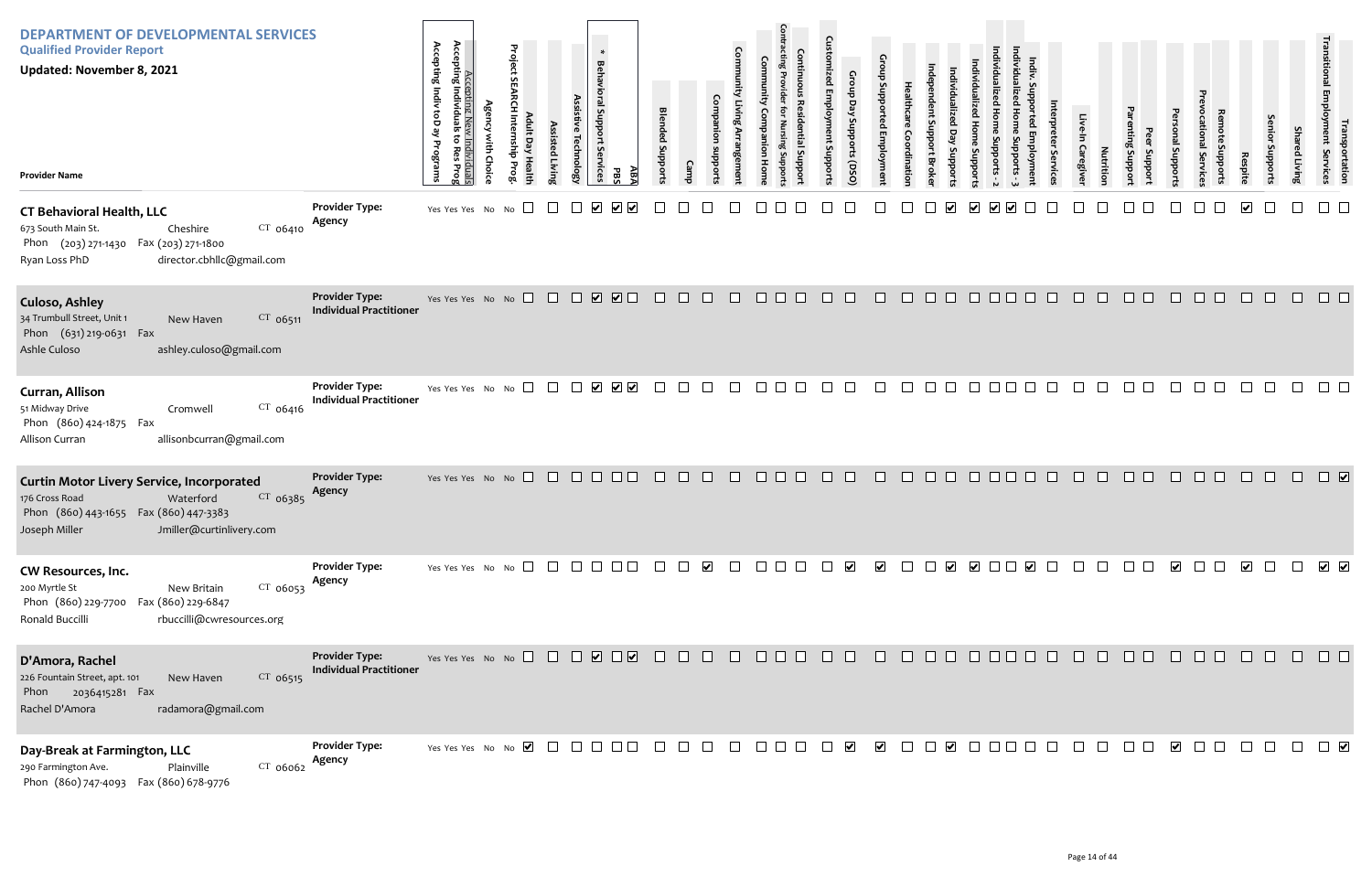| <b>DEPARTMENT OF DEVELOPMENTAL SERVICES</b><br><b>Qualified Provider Report</b><br>Updated: November 8, 2021<br><b>Provider Name</b>                                               |                                                         | Accepting Indiv<br>Accepting Ne<br>Accepting Individua<br>ToDay<br>Programs<br>Individuals<br>:o Res Prog<br>È<br>ę | Project<br>ssisted Livir | echnology            | $\ast$<br>Behavioral Support Services<br>ΑB/<br>공                                  | <b>Blended Suppor</b> |                      | Com       |                                                                                              | $\mathbf{C}$<br>oddns: | Group<br>Day<br>Supports (DSO                | ns d       |                  | uoddn  |               |         | Caregive     | Nutrition | Jupport<br>Support | pubport                 | mpports<br>ervic | Respite                 | uoddn  | Shar<br>ed Living | נproyment<br>Employment<br>portation<br>Services |
|------------------------------------------------------------------------------------------------------------------------------------------------------------------------------------|---------------------------------------------------------|---------------------------------------------------------------------------------------------------------------------|--------------------------|----------------------|------------------------------------------------------------------------------------|-----------------------|----------------------|-----------|----------------------------------------------------------------------------------------------|------------------------|----------------------------------------------|------------|------------------|--------|---------------|---------|--------------|-----------|--------------------|-------------------------|------------------|-------------------------|--------|-------------------|--------------------------------------------------|
| <b>CT Behavioral Health, LLC</b><br>$CT$ 06410<br>673 South Main St.<br>Cheshire<br>Phon (203) 271-1430 Fax (203) 271-1800<br>director.cbhllc@gmail.com<br>Ryan Loss PhD           | <b>Provider Type:</b><br>Agency                         | Yes Yes Yes No No                                                                                                   |                          | $\blacktriangledown$ |                                                                                    |                       |                      |           |                                                                                              |                        |                                              |            |                  |        |               |         |              |           |                    |                         |                  |                         |        |                   |                                                  |
| <b>Culoso, Ashley</b><br>CT 06511<br>34 Trumbull Street, Unit 1<br>New Haven<br>Phon (631) 219-0631 Fax<br>Ashle Culoso<br>ashley.culoso@gmail.com                                 | <b>Provider Type:</b><br><b>Individual Practitioner</b> | Yes Yes Yes No No                                                                                                   |                          |                      |                                                                                    | $\Box$                | $\Box$<br>$\Box$     | $\Box$    | $\Box$ $\Box$ $\Box$                                                                         | $\Box$                 | $\Box$<br>$\Box$                             | $\Box$     | $\Box$<br>$\Box$ | $\Box$ | $\Box$ $\Box$ | $\Box$  | $\Box$<br>П. | $\Box$    | $\Box$ $\Box$      | $\Box$                  | $\Box$<br>$\Box$ | $\Box$                  | $\Box$ | $\Box$            | $\Box$ $\Box$                                    |
| Curran, Allison<br>51 Midway Drive<br>$CT$ 06416<br>Cromwell<br>Phon (860) 424-1875 Fax<br>allisonbcurran@gmail.com<br>Allison Curran                                              | <b>Provider Type:</b><br><b>Individual Practitioner</b> | Yes Yes Yes No No                                                                                                   | $\Box$<br>$\Box$         |                      | $\begin{array}{c c c c c} \hline \textbf{v} & \textbf{v} & \textbf{v} \end{array}$ |                       | $\mathbf{I}$         |           | $\mathbf{L}$                                                                                 |                        |                                              |            | $\mathbf{I}$     |        |               |         |              |           |                    |                         |                  |                         |        |                   |                                                  |
| <b>Curtin Motor Livery Service, Incorporated</b><br>CT 06385<br>Waterford<br>176 Cross Road<br>Phon (860) 443-1655 Fax (860) 447-3383<br>Jmiller@curtinlivery.com<br>Joseph Miller | <b>Provider Type:</b><br>Agency                         | Yes Yes Yes No No $\Box$ $\Box$ $\Box$ $\Box$                                                                       |                          |                      | $\Box$ Box                                                                         |                       | $\Box$<br>$\Box$     |           | $\Box$                                                                                       |                        |                                              |            | $\Box$           | $\Box$ |               |         |              |           |                    |                         |                  |                         |        |                   | $\Box$ $\Box$                                    |
| CW Resources, Inc.<br>200 Myrtle St<br>$CT$ 06053<br>New Britain<br>Phon (860) 229-7700 Fax (860) 229-6847<br>rbuccilli@cwresources.org<br>Ronald Buccilli                         | <b>Provider Type:</b><br>Agency                         | Yes Yes Yes No No $\Box$                                                                                            |                          | a kata kac           |                                                                                    |                       | $\blacktriangledown$ | $\sim 10$ | $\Box$ $\Box$ $\Box$                                                                         |                        | $\blacktriangledown$<br>$\blacktriangledown$ |            | $\Box$           |        |               |         |              |           |                    | $\overline{\mathbf{v}}$ | $\Box$           | $\overline{\mathbf{v}}$ | $\Box$ | $\Box$            | $\overline{\phantom{a}}$                         |
| D'Amora, Rachel<br>226 Fountain Street, apt. 101<br>CT 06515<br>New Haven<br>Phon 2036415281 Fax<br>Rachel D'Amora<br>radamora@gmail.com                                           | <b>Provider Type:</b><br><b>Individual Practitioner</b> | Yes Yes Yes No No $\Box$ $\Box$ $\Box$ $\Box$ $\Box$ $\Box$ $\Box$                                                  |                          |                      |                                                                                    |                       | $\Box$<br>$\Box$     | $\Box$    | $\begin{array}{c c c c c} \hline \quad \text{ } & \text{ } & \text{ } \\ \hline \end{array}$ | $\Box$                 | $\Box$<br>$\Box$                             | $\Box$     | $\Box$ $\Box$    | $\Box$ |               | $\perp$ |              | $\Box$    |                    | $\Box$                  | H<br>. .         | $\Box$                  | $\Box$ | $\Box$            | $\Box$ $\Box$                                    |
| Day-Break at Farmington, LLC<br>CT 06062<br>290 Farmington Ave.<br>Plainville<br>Phon (860) 747-4093  Fax (860) 678-9776                                                           | <b>Provider Type:</b><br>Agency                         |                                                                                                                     |                          |                      |                                                                                    |                       |                      | $\Box$    | $\Box$ $\Box$ $\Box$ $\Box$ $\lor$                                                           |                        |                                              | $\sqrt{ }$ |                  |        |               |         |              |           | $\Box$             | $\blacktriangledown$    | $\Box$           |                         |        |                   | $\Box$                                           |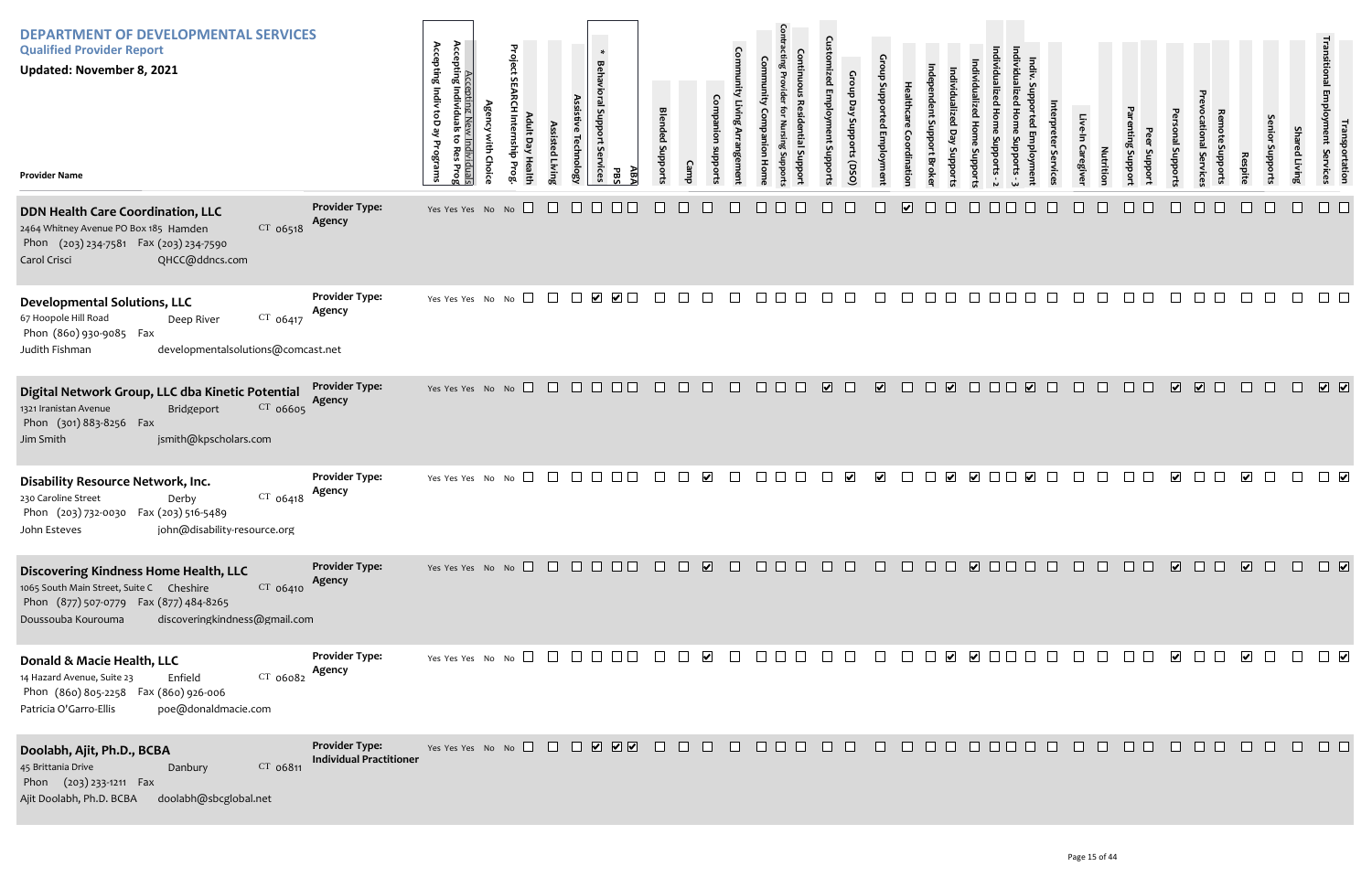| <b>DEPARTMENT OF DEVELOPMENTAL SERVICES</b><br><b>Qualified Provider Report</b><br><b>Updated: November 8, 2021</b><br><b>Provider Name</b>                                                     |                                                         | Accepting I<br>Accepting Individu<br><b>Accepting Indiv toD</b><br>يع<br>Programs<br>ndividua<br>Pro | <sup>roject</sup><br>$\Box$<br>ਚ<br>Healt | Assist<br>sted Living<br>echnolog)                                                         | $\sim 10$<br>$\ast$<br>Behavioral Support<br>Services<br><u>дв</u><br>PBS                          | <b>Blended Suppor</b> |                  |        |                      | C<br>oddng au<br>ᄒ                      | Supports (DSO |                         |                         |                         |                      |                                          |   | aregive | Nutritio<br>Joddn | Jupport       | Loddns                  | ervice                                 | Respit         |                  | Shar<br>ed Living    | Iranspo<br>yment S<br>portation<br>Services                                                                      |
|-------------------------------------------------------------------------------------------------------------------------------------------------------------------------------------------------|---------------------------------------------------------|------------------------------------------------------------------------------------------------------|-------------------------------------------|--------------------------------------------------------------------------------------------|----------------------------------------------------------------------------------------------------|-----------------------|------------------|--------|----------------------|-----------------------------------------|---------------|-------------------------|-------------------------|-------------------------|----------------------|------------------------------------------|---|---------|-------------------|---------------|-------------------------|----------------------------------------|----------------|------------------|----------------------|------------------------------------------------------------------------------------------------------------------|
| DDN Health Care Coordination, LLC<br>$CT$ 06518<br>2464 Whitney Avenue PO Box 185 Hamden<br>Phon (203) 234-7581 Fax (203) 234-7590<br>QHCC@ddncs.com<br>Carol Crisci                            | <b>Provider Type:</b><br>Agency                         | Yes Yes Yes No No $\square$                                                                          |                                           | $\Box$<br>$\perp$                                                                          |                                                                                                    |                       |                  |        |                      |                                         |               |                         | $\overline{\mathbf{v}}$ |                         |                      |                                          |   |         |                   |               |                         |                                        |                |                  |                      |                                                                                                                  |
| <b>Developmental Solutions, LLC</b><br>$CT$ 06417<br>67 Hoopole Hill Road<br>Deep River<br>Phon (860) 930-9085 Fax<br>developmentalsolutions@comcast.net<br>Judith Fishman                      | <b>Provider Type:</b><br>Agency                         | Yes Yes Yes No No $\square$                                                                          |                                           |                                                                                            | $\begin{array}{c} \square \ \blacksquare \ \blacksquare \ \blacksquare \ \blacksquare \end{array}$ | $\Box$                | $\Box$<br>$\Box$ | $\Box$ | $\Box$               | $\Box$                                  | $\Box$        | $\Box$                  | $\Box$                  |                         | $\Box$               | $\mathbf{1}$                             |   | $\Box$  | $\Box$<br>$\Box$  |               |                         |                                        |                | $\Box$           |                      | $\Box$ $\Box$                                                                                                    |
| Digital Network Group, LLC dba Kinetic Potential<br>CT 06605<br>1321 Iranistan Avenue<br>Bridgeport<br>Phon (301) 883-8256 Fax<br>jsmith@kpscholars.com<br>Jim Smith                            | <b>Provider Type:</b><br>Agency                         | Yes Yes Yes No No                                                                                    |                                           | $\begin{array}{ccccccccccccc} \square & \square & \square & \square & \square \end{array}$ | $\Box$                                                                                             | $\Box$                | $\Box$<br>$\Box$ | $\Box$ | $\Box$               | $\overline{\mathbf{v}}$<br>$\mathbf{1}$ | $\Box$        | $\overline{\mathbf{v}}$ | $\Box$<br>$\Box$        | $\overline{\mathbf{v}}$ | $\Box$               | $\overline{\mathbf{v}}$<br><b>TERRIT</b> | Æ | $\pm$   | $\Box$            | $\Box$ $\Box$ | $\overline{\mathbf{v}}$ | $\sqrt{2}$<br>$\Box$                   | $\Box$         | $\Box$<br>$\Box$ |                      | $\sqrt{2}$                                                                                                       |
| <b>Disability Resource Network, Inc.</b><br>$CT$ 06418<br>230 Caroline Street<br>Derby<br>Phon (203) 732-0030 Fax (203) 516-5489<br>john@disability-resource.org<br>John Esteves                | <b>Provider Type:</b><br>Agency                         | Yes Yes Yes No No $\square$                                                                          |                                           | $\Box$                                                                                     |                                                                                                    |                       |                  |        |                      |                                         |               | $\blacktriangledown$    |                         |                         | $\blacktriangledown$ |                                          |   |         |                   |               | $\blacktriangleright$   |                                        |                |                  |                      |                                                                                                                  |
| Discovering Kindness Home Health, LLC<br>1065 South Main Street, Suite C Cheshire<br>CT 06410<br>Phon (877) 507-0779  Fax (877) 484-8265<br>discoveringkindness@gmail.com<br>Doussouba Kourouma | <b>Provider Type:</b><br>Agency                         |                                                                                                      |                                           |                                                                                            |                                                                                                    |                       |                  |        |                      |                                         |               |                         |                         |                         |                      |                                          |   |         |                   |               |                         |                                        |                |                  |                      |                                                                                                                  |
| Donald & Macie Health, LLC<br>$CT$ 06082<br>14 Hazard Avenue, Suite 23<br>Enfield<br>Phon (860) 805-2258  Fax (860) 926-006<br>Patricia O'Garro-Ellis<br>poe@donaldmacie.com                    | <b>Provider Type:</b><br>Agency                         |                                                                                                      |                                           |                                                                                            |                                                                                                    |                       |                  | $\Box$ | $\Box$ $\Box$ $\Box$ | $\Box$                                  | $\Box$        | $\Box$                  | $\Box$                  |                         |                      |                                          |   | $\Box$  | $\perp$           | a sa sa       | $\overline{\mathbf{v}}$ | $\begin{array}{c} \square \end{array}$ | $\blacksquare$ |                  | $\Box$ $\Box$ $\vee$ |                                                                                                                  |
| Doolabh, Ajit, Ph.D., BCBA<br>CT 06811<br>45 Brittania Drive<br>Danbury<br>Phon (203) 233-1211 Fax<br>Ajit Doolabh, Ph.D. BCBA<br>doolabh@sbcglobal.net                                         | <b>Provider Type:</b><br><b>Individual Practitioner</b> |                                                                                                      |                                           |                                                                                            |                                                                                                    |                       |                  |        | 000000               |                                         |               |                         |                         |                         | 000000000            |                                          |   |         | $\Box$            | $\Box$ $\Box$ | $\Box$                  | $\Box$                                 | $\Box$         | $\Box$           |                      | $\begin{array}{c} \square \end{array} \begin{array}{c} \square \end{array} \begin{array}{c} \square \end{array}$ |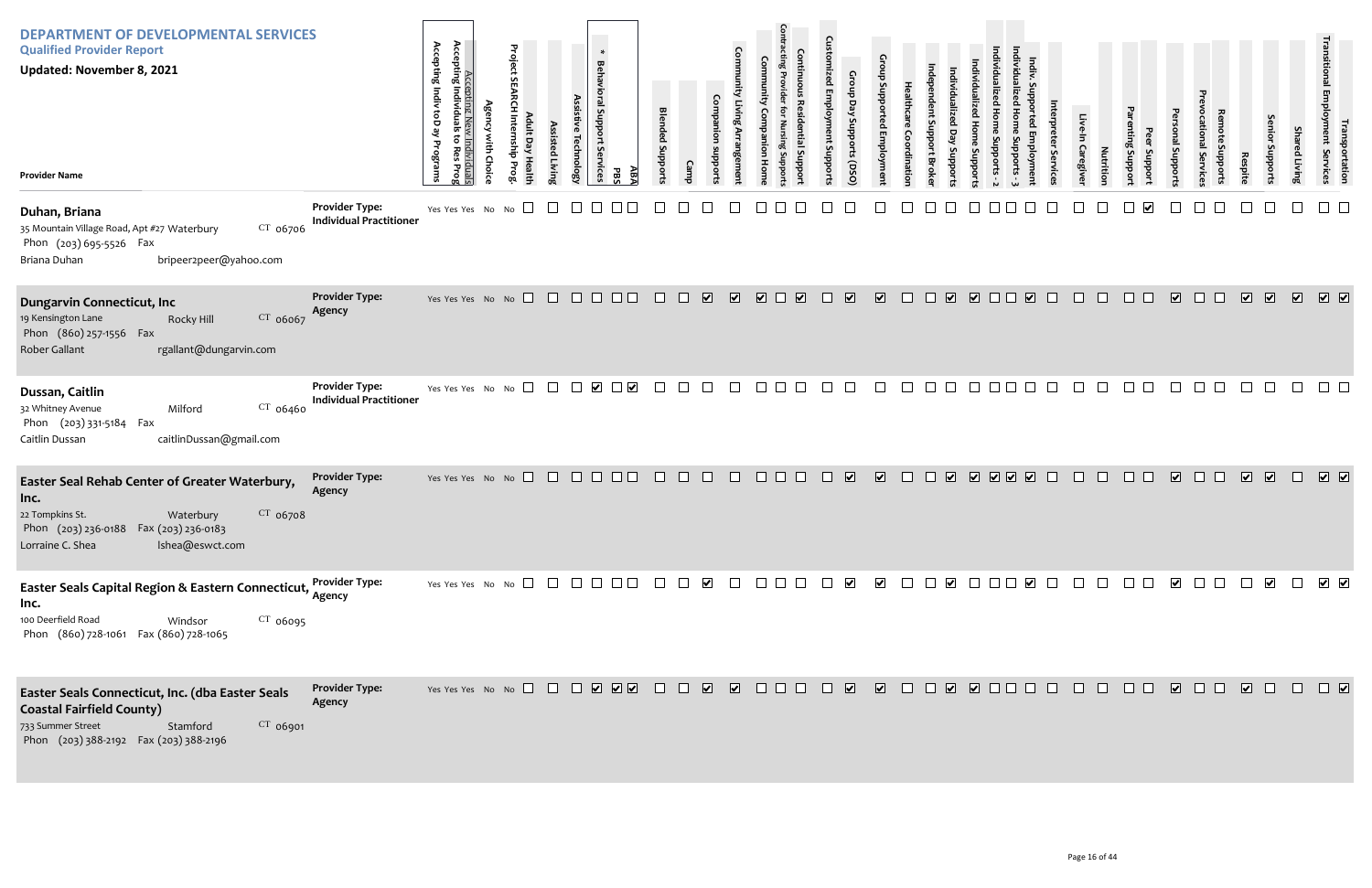| <b>DEPARTMENT OF DEVELOPMENTAL SERVICES</b><br><b>Qualified Provider Report</b><br><b>Updated: November 8, 2021</b><br><b>Provider Name</b>                                         |                                                         | Accepting<br>Accepting Individ<br>Accepting Indiv<br>g<br>Programs<br><u>Individuals</u><br>o Res Prog | Project SE/<br>dult D<br>sisted Livir<br>Technolog <sub>'</sub><br>nship Prog<br>ay Health | $\ast$<br><b>Behavioral S</b><br>mpport<br>rvices<br>ĀВ<br>PBS       | <b>Blended Support</b><br>Cam | Com                                                | Comti<br>_ਰੋ                                                                                                   | Croup<br>Day<br>oddns<br>oddns<br>OSQ   |                                                  |                                                                                                                                                                                                                                                                                                                                                     |             | Caregive | Nutritic<br>oddns<br>ਰੋ | nal Suppor              | Servic           | oddns<br><b>Respit</b>   | <b>Shared Livin</b> | <b>I Fansportation</b><br>Ioyment Services                                                                       |
|-------------------------------------------------------------------------------------------------------------------------------------------------------------------------------------|---------------------------------------------------------|--------------------------------------------------------------------------------------------------------|--------------------------------------------------------------------------------------------|----------------------------------------------------------------------|-------------------------------|----------------------------------------------------|----------------------------------------------------------------------------------------------------------------|-----------------------------------------|--------------------------------------------------|-----------------------------------------------------------------------------------------------------------------------------------------------------------------------------------------------------------------------------------------------------------------------------------------------------------------------------------------------------|-------------|----------|-------------------------|-------------------------|------------------|--------------------------|---------------------|------------------------------------------------------------------------------------------------------------------|
| Duhan, Briana<br>35 Mountain Village Road, Apt #27 Waterbury<br>$CT$ 06706<br>Phon (203) 695-5526 Fax<br>bripeer2peer@yahoo.com<br>Briana Duhan                                     | <b>Provider Type:</b><br><b>Individual Practitioner</b> | Yes Yes Yes No No                                                                                      | $\Box$<br>$\Box$                                                                           |                                                                      |                               |                                                    |                                                                                                                |                                         |                                                  |                                                                                                                                                                                                                                                                                                                                                     |             |          |                         |                         |                  |                          |                     |                                                                                                                  |
| <b>Dungarvin Connecticut, Inc</b><br>CT 06067<br>19 Kensington Lane<br>Rocky Hill<br>Phon (860) 257-1556 Fax<br>Rober Gallant<br>rgallant@dungarvin.com                             | <b>Provider Type:</b><br>Agency                         |                                                                                                        | Yes Yes Yes No No $\square$ $\square$ $\square$ $\square$ $\square$                        |                                                                      | $\Box$<br>$\Box$              | $\overline{\mathbf{v}}$<br>$\overline{\mathbf{v}}$ | $\blacksquare$<br>$\overline{\mathbf{v}}$                                                                      | $\Box$<br>$\overline{\mathbf{v}}$       | $\overline{\mathbf{v}}$<br>$\Box$                | $\begin{picture}(10,10) \put(0,0){\line(0,1){10}} \put(10,0){\line(0,1){10}} \put(10,0){\line(0,1){10}} \put(10,0){\line(0,1){10}} \put(10,0){\line(0,1){10}} \put(10,0){\line(0,1){10}} \put(10,0){\line(0,1){10}} \put(10,0){\line(0,1){10}} \put(10,0){\line(0,1){10}} \put(10,0){\line(0,1){10}} \put(10,0){\line(0,1){10}} \put(10,0){\line(0$ | V V I I V I | $\Box$   | $\Box$<br>$\Box$        | $\overline{\mathbf{v}}$ | $\Box$<br>$\Box$ | $\sqrt{2}$<br>$\sqrt{2}$ | $\sqrt{2}$          | $\sqrt{2}$                                                                                                       |
| Dussan, Caitlin<br>CT 06460<br>32 Whitney Avenue<br>Milford<br>Phon (203) 331-5184 Fax<br>caitlinDussan@gmail.com<br>Caitlin Dussan                                                 | <b>Provider Type:</b><br><b>Individual Practitioner</b> | Yes Yes Yes No No                                                                                      | $\Box$<br>$\Box$                                                                           | $\blacktriangledown$<br>$\overline{\phantom{a}}$                     |                               |                                                    |                                                                                                                |                                         |                                                  |                                                                                                                                                                                                                                                                                                                                                     |             |          |                         |                         |                  |                          |                     |                                                                                                                  |
| Easter Seal Rehab Center of Greater Waterbury,<br>Inc.<br>CT 06708<br>22 Tompkins St.<br>Waterbury<br>Phon (203) 236-0188 Fax (203) 236-0183<br>Lorraine C. Shea<br>Ishea@eswct.com | <b>Provider Type:</b><br>Agency                         | Yes Yes Yes No No                                                                                      |                                                                                            | $\begin{array}{c} \square \ \square \ \square \ \square \end{array}$ | $\Box$<br>$\Box$              | $\Box$<br>$\Box$                                   | $\Box$<br>$\Box$                                                                                               | $\overline{\mathbf{v}}$<br>$\mathbf{1}$ | $\overline{\mathbf{v}}$<br>$\Box$                | $\Box$                                                                                                                                                                                                                                                                                                                                              | V V V V D   | $\Box$   | $\Box$<br>⊔             | $\sqrt{2}$              | $\Box$<br>$\Box$ | $\sqrt{2}$<br>$\sqrt{2}$ | $\Box$              | $\boxed{\blacklozenge} \quad \boxed{\blacktriangledown}$                                                         |
| Easter Seals Capital Region & Eastern Connecticut, Provider Type:<br>Inc.<br>100 Deerfield Road<br>$CT$ 06095<br>Windsor<br>Phon (860) 728-1061 Fax (860) 728-1065                  |                                                         |                                                                                                        |                                                                                            |                                                                      |                               |                                                    | $\begin{array}{c} \square \quad \square \quad \square \quad \square \end{array}$                               | $\Box$                                  | $\blacktriangledown$<br>$\overline{\phantom{a}}$ |                                                                                                                                                                                                                                                                                                                                                     |             | $\Box$   | $\perp$                 |                         | $\blacksquare$   | $\blacktriangledown$     |                     | $\begin{array}{c} \square \end{array}$                                                                           |
| Easter Seals Connecticut, Inc. (dba Easter Seals<br><b>Coastal Fairfield County)</b><br>733 Summer Street<br>CT 06901<br>Stamford<br>Phon (203) 388-2192  Fax (203) 388-2196        | <b>Provider Type:</b><br>Agency                         |                                                                                                        | Yes Yes Yes No No $\Box$ $\Box$ $\Box$ $\Box$ $\Box$ $\Box$ $\Box$                         |                                                                      |                               |                                                    | $\begin{array}{c c c c c c} \hline \textbf{C} & \textbf{C} & \textbf{C} & \textbf{C} & \textbf{C} \end{array}$ |                                         |                                                  |                                                                                                                                                                                                                                                                                                                                                     |             |          | $\Box$                  |                         |                  |                          |                     | $\begin{array}{c} \square \end{array} \begin{array}{c} \square \end{array} \begin{array}{c} \square \end{array}$ |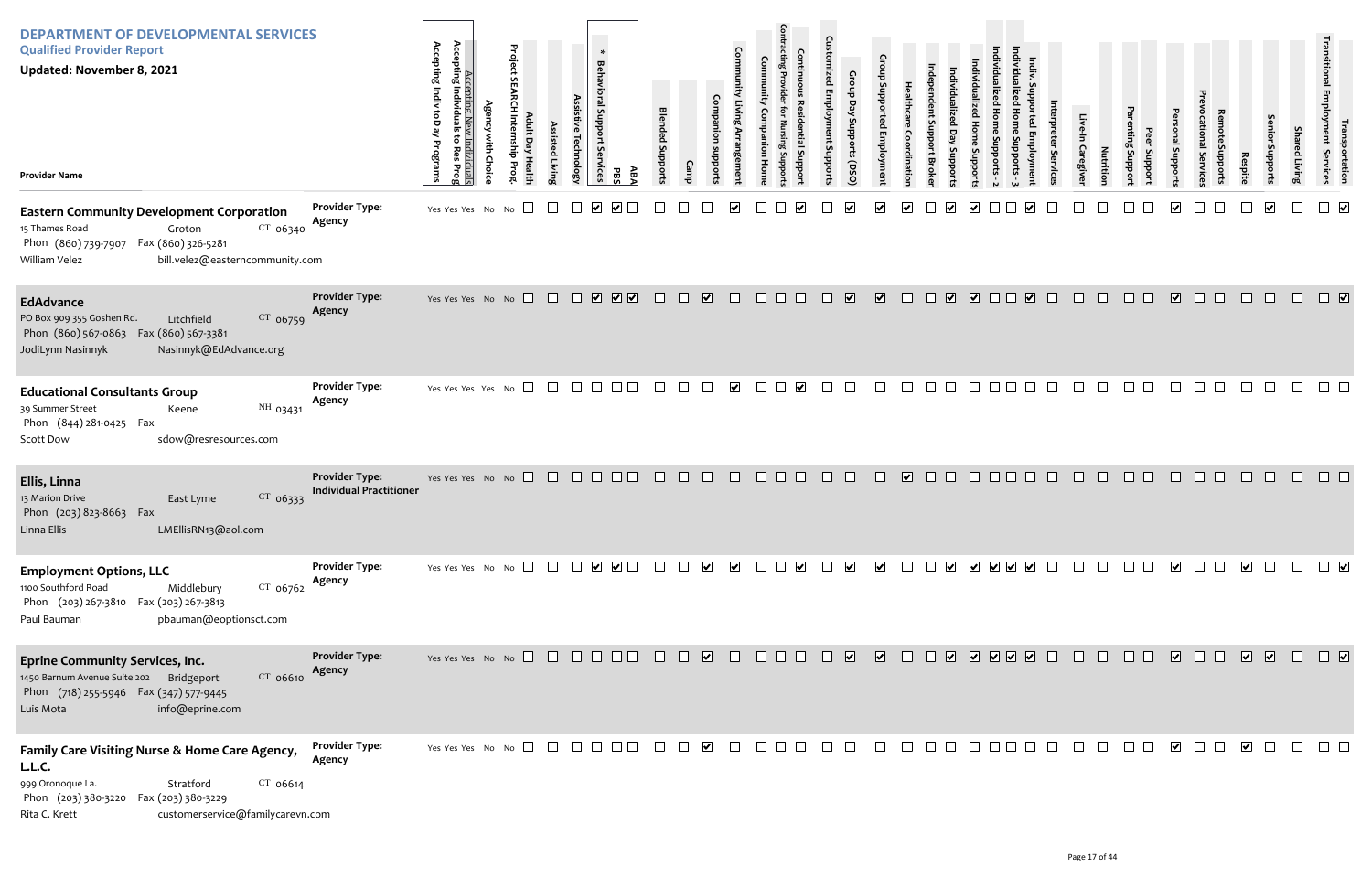| <b>DEPARTMENT OF DEVELOPMENTAL SERVICES</b><br><b>Qualified Provider Report</b><br><b>Updated: November 8, 2021</b><br><b>Provider Name</b>                                                             |                                                         | Accepting Indiv<br>Accepting New<br>Accepting Individuals<br>toD ay<br>to Res<br>Programs<br>Choic<br>iduals<br>s Prog | Project<br>$\overline{a}$<br>를<br>Healt | Assisted Livin | $\ast$<br><b>Behavioral Support</b><br><b>Technology</b><br><b>Services</b> | ABA<br>PBS                                                                                 | <b>Blended Support:</b> |        | Com                                          |                             |                       | m<br>Šμ<br>dd            | Croup<br>Day<br>Stropports<br>(DSQ) |                             | ៰                                 |                                   | oddns |                         |        | Caregive | Nutrition | Jupport<br>Support | uoddns                  | Fvice                  | Respite                 | enio<br>Supports | Sha<br>ed Living | נproyment<br>Employment<br>portation<br>Services |
|---------------------------------------------------------------------------------------------------------------------------------------------------------------------------------------------------------|---------------------------------------------------------|------------------------------------------------------------------------------------------------------------------------|-----------------------------------------|----------------|-----------------------------------------------------------------------------|--------------------------------------------------------------------------------------------|-------------------------|--------|----------------------------------------------|-----------------------------|-----------------------|--------------------------|-------------------------------------|-----------------------------|-----------------------------------|-----------------------------------|-------|-------------------------|--------|----------|-----------|--------------------|-------------------------|------------------------|-------------------------|------------------|------------------|--------------------------------------------------|
| <b>Eastern Community Development Corporation</b><br>$CT$ 06340<br>15 Thames Road<br>Groton<br>Phon (860) 739-7907  Fax (860) 326-5281<br>bill.velez@easterncommunity.com<br>William Velez               | <b>Provider Type:</b><br>Agency                         | Yes Yes Yes No No                                                                                                      | $\Box$                                  |                |                                                                             |                                                                                            |                         |        |                                              |                             |                       |                          |                                     |                             |                                   |                                   | V     |                         |        |          |           |                    |                         |                        |                         | $\triangledown$  |                  | $\overline{\mathbf{v}}$                          |
| <b>EdAdvance</b><br>CT 06759<br>PO Box 909 355 Goshen Rd.<br>Litchfield<br>Phon (860) 567-0863  Fax (860) 567-3381<br>Nasinnyk@EdAdvance.org<br>JodiLynn Nasinnyk                                       | <b>Provider Type:</b><br>Agency                         | Yes Yes Yes No No $\Box$                                                                                               |                                         |                |                                                                             | $\begin{array}{c} \begin{array}{c} \begin{array}{c} \end{array}\\ \end{array} \end{array}$ | $\Box$                  | $\Box$ | $\overline{\mathbf{v}}$<br>$\Box$            | $\Box$ $\Box$               |                       | $\overline{\phantom{a}}$ | $\overline{\mathbf{v}}$             | $\overline{\mathbf{v}}$     | $\Box$                            | $\overline{\mathbf{v}}$<br>$\Box$ |       | $\overline{\mathbf{v}}$ | $\Box$ | $\Box$   | $\Box$    | $\Box$ $\Box$      | $\overline{\mathbf{v}}$ | $\Box$ $\Box$          | $\Box$                  | $\Box$           | $\Box$           |                                                  |
| <b>Educational Consultants Group</b><br>NH 03431<br>39 Summer Street<br>Keene<br>Phon (844) 281-0425 Fax<br>sdow@resresources.com<br><b>Scott Dow</b>                                                   | <b>Provider Type:</b><br>Agency                         | Yes Yes Yes Yes No $\square$                                                                                           |                                         | $\Box$         | $\Box$ $\Box$                                                               |                                                                                            | $\Box$                  |        | $\blacktriangleright$<br>$\perp$             | $\mathcal{L}_{\mathcal{A}}$ | $\blacktriangleright$ |                          |                                     |                             |                                   | $\perp$                           |       |                         |        |          |           |                    |                         |                        |                         |                  |                  |                                                  |
| Ellis, Linna<br>13 Marion Drive<br>CT 06333<br>East Lyme<br>Phon (203) 823-8663 Fax<br>LMEllisRN13@aol.com<br>Linna Ellis                                                                               | <b>Provider Type:</b><br><b>Individual Practitioner</b> | Yes Yes Yes No No $\Box$ $\Box$ $\Box$ $\Box$                                                                          |                                         |                |                                                                             | $\Box$ $\Box$                                                                              |                         | $\Box$ | $\Box$                                       | $\Box$                      |                       |                          |                                     |                             | $\overline{\mathbf{v}}$<br>$\Box$ |                                   | П     |                         |        |          |           |                    |                         |                        |                         |                  |                  |                                                  |
| <b>Employment Options, LLC</b><br>1100 Southford Road<br>$CT$ 06762<br>Middlebury<br>Phon (203) 267-3810 Fax (203) 267-3813<br>pbauman@eoptionsct.com<br>Paul Bauman                                    | <b>Provider Type:</b><br>Agency                         | Yes Yes Yes No No $\Box$                                                                                               |                                         |                |                                                                             | $\begin{array}{c} \square \ \ \square \ \ \square \end{array}$                             |                         |        | $\blacktriangledown$<br>$\blacktriangledown$ | $\Box$                      | $\blacktriangledown$  |                          | $\vert\bm{\mathsf{v}}\vert$         | $\vert\bm{\mathsf{v}}\vert$ |                                   | $\perp$<br>$\blacktriangledown$   |       | V V V V                 |        |          |           |                    | $\overline{\mathbf{v}}$ |                        | ⊻                       | $\perp$          |                  |                                                  |
| <b>Eprine Community Services, Inc.</b><br>1450 Barnum Avenue Suite 202 Bridgeport<br>$CT$ 06610<br>Phon (718) 255-5946  Fax (347) 577-9445<br>info@eprine.com<br>Luis Mota                              | <b>Provider Type:</b><br>Agency                         | Yes Yes Yes No No $\Box$ $\Box$ $\Box$ $\Box$ $\Box$ $\Box$                                                            |                                         |                |                                                                             |                                                                                            | $\Box$                  | $\Box$ | $\Box$                                       |                             | $\Box$ $\Box$ $\Box$  | a ka                     | $\overline{\mathbf{v}}$             | $\sqrt{2}$                  |                                   | $\Box$                            |       | V V V V D               |        |          | $\Box$    |                    | $\overline{\mathbf{v}}$ | $\mathbf{1}$<br>$\Box$ | $\sqrt{2}$              |                  | $\Box$           | $\Box$                                           |
| Family Care Visiting Nurse & Home Care Agency,<br>L.L.C.<br>999 Oronoque La.<br>CT 06614<br>Stratford<br>Phon (203) 380-3220    Fax (203) 380-3229<br>customerservice@familycarevn.com<br>Rita C. Krett | <b>Provider Type:</b><br>Agency                         | Yes Yes Yes No No $\Box$                                                                                               |                                         |                | $\Box$ $\Box$                                                               |                                                                                            | $\Box$                  |        | $\blacktriangledown$                         |                             |                       |                          |                                     |                             |                                   |                                   |       |                         |        |          |           |                    | $\overline{\mathbf{v}}$ |                        | $\overline{\mathbf{v}}$ | $\Box$           | $\Box$           | $\Box$ $\Box$                                    |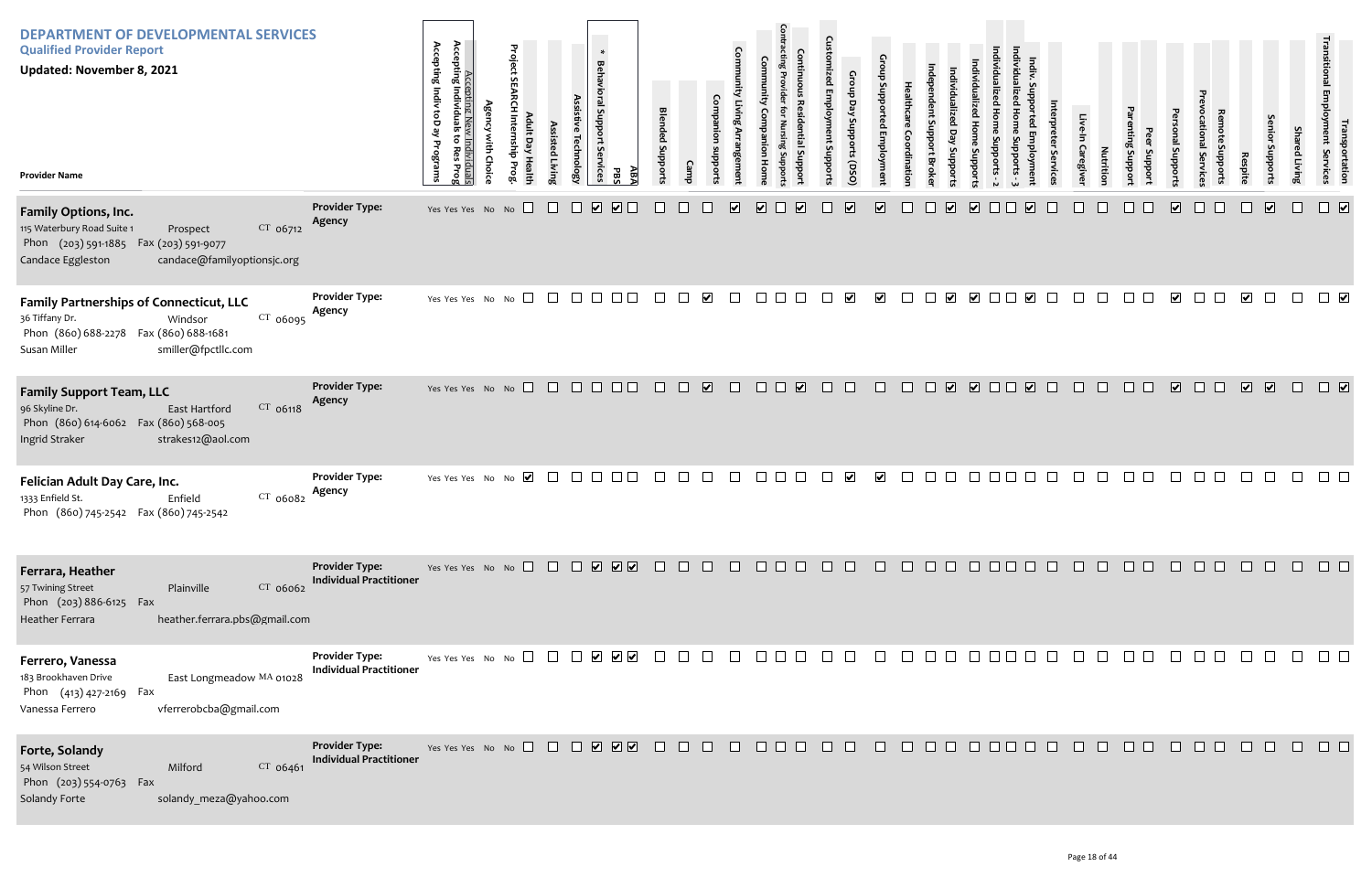| <b>DEPARTMENT OF DEVELOPMENTAL SERVICES</b><br><b>Qualified Provider Report</b><br><b>Updated: November 8, 2021</b><br><b>Provider Name</b>                                 |                                                         | Accepting<br>Accepting Indiv toD ay Programs<br>Accepting New Individuals<br>Individuals<br>đ<br>Res<br>Prog | <b>Agency with Choice</b> | Project SEARCH Internship Prog<br>Adult Day Health | Assisted Living | Assistive Technology | $\ast$<br>Behavioral Support<br>δę<br><b>irvices</b><br><b>PBS</b>   | ĀВĀ            | <b>Blended Supports</b> | Camp | Companion<br>sunddns         | Community Living Arrangement    | Community<br>Companion<br>Home  | <b>Contracting Provider</b><br><b>Continuous Residential Suppor</b><br>for Nursing Suppor | <b>Customized Employment Supports</b> | Group Day Supports (DSO) | Group Supported Employment | Healthcare<br>Coordination | ndependent Support Broke | Individualized Day Supports | Individualized Home<br>Supports | Individualized Home Supports - 2 |
|-----------------------------------------------------------------------------------------------------------------------------------------------------------------------------|---------------------------------------------------------|--------------------------------------------------------------------------------------------------------------|---------------------------|----------------------------------------------------|-----------------|----------------------|----------------------------------------------------------------------|----------------|-------------------------|------|------------------------------|---------------------------------|---------------------------------|-------------------------------------------------------------------------------------------|---------------------------------------|--------------------------|----------------------------|----------------------------|--------------------------|-----------------------------|---------------------------------|----------------------------------|
| Family Options, Inc.<br>115 Waterbury Road Suite 1<br>CT 06712<br>Prospect<br>Phon (203) 591-1885 Fax (203) 591-9077<br>Candace Eggleston<br>candace@familyoptionsjc.org    | <b>Provider Type:</b><br>Agency                         | Yes Yes Yes No No                                                                                            |                           |                                                    |                 |                      | $\boxed{\blacktriangledown}$<br>⊻                                    |                |                         |      |                              | $\overline{\blacktriangledown}$ | $\overline{\blacktriangledown}$ | $\overline{\mathbf{v}}$                                                                   |                                       | $\overline{\mathbf{v}}$  | $\overline{\mathbf{v}}$    |                            |                          | $\overline{\mathbf{v}}$     | $\blacktriangledown$            |                                  |
| <b>Family Partnerships of Connecticut, LLC</b><br>36 Tiffany Dr.<br>$CT$ 06095<br>Windsor<br>Phon (860) 688-2278  Fax (860) 688-1681<br>Susan Miller<br>smiller@fpctllc.com | <b>Provider Type:</b><br>Agency                         | Yes Yes Yes No No                                                                                            |                           | $\Box$                                             | $\perp$         | $\perp$              | $\perp$<br>$\vert \ \ \vert$                                         | $\blacksquare$ | $\mathbf{I}$            |      | $\vert\bm{\mathsf{v}}\vert$  |                                 |                                 |                                                                                           |                                       | $\blacktriangledown$     | $\overline{\mathbf{v}}$    | $\mathbf{L}$               | $\blacksquare$           | ⊻                           | $\vert \mathbf{v} \vert$        |                                  |
| <b>Family Support Team, LLC</b><br>CT 06118<br>96 Skyline Dr.<br>East Hartford<br>Phon (860) 614-6062 Fax (860) 568-005<br>Ingrid Straker<br>strakes12@aol.com              | <b>Provider Type:</b><br>Agency                         | Yes Yes Yes No No                                                                                            |                           |                                                    | $\perp$         |                      | $\mathbf{L}$                                                         |                |                         |      | $\boxed{\blacktriangledown}$ |                                 |                                 | $\blacktriangledown$                                                                      |                                       |                          |                            |                            |                          | $\blacktriangledown$        | ☑□                              |                                  |
| Felician Adult Day Care, Inc.<br>CT 06082<br>1333 Enfield St.<br>Enfield<br>Phon (860) 745-2542 Fax (860) 745-2542                                                          | <b>Provider Type:</b><br>Agency                         | Yes Yes Yes No No                                                                                            |                           | $\blacktriangledown$                               |                 |                      |                                                                      |                |                         |      |                              |                                 |                                 |                                                                                           |                                       | $\blacktriangledown$     | $\blacktriangledown$       |                            |                          |                             |                                 |                                  |
| Ferrara, Heather<br>57 Twining Street<br>CT 06062<br>Plainville<br>Phon (203) 886-6125 Fax<br>Heather Ferrara<br>heather.ferrara.pbs@gmail.com                              | <b>Provider Type:</b><br><b>Individual Practitioner</b> | Yes Yes Yes No No $\Box$                                                                                     |                           |                                                    | $\perp$         |                      | <b>V V V</b>                                                         |                |                         |      |                              |                                 |                                 |                                                                                           |                                       |                          |                            |                            |                          |                             |                                 |                                  |
| Ferrero, Vanessa<br>183 Brookhaven Drive<br>East Longmeadow MA 01028<br>Phon (413) 427-2169 Fax<br>vferrerobcba@gmail.com<br>Vanessa Ferrero                                | <b>Provider Type:</b><br><b>Individual Practitioner</b> | Yes Yes Yes No No                                                                                            |                           |                                                    |                 |                      | $\blacktriangledown$ $\blacktriangledown$<br>$\overline{\mathbf{v}}$ |                |                         |      |                              |                                 |                                 |                                                                                           |                                       |                          |                            |                            |                          |                             |                                 |                                  |
| <b>Forte, Solandy</b><br>54 Wilson Street<br>Milford<br>CT 06461<br>Phon (203) 554-0763<br>Fax<br>Solandy Forte<br>solandy meza@yahoo.com                                   | <b>Provider Type:</b><br><b>Individual Practitioner</b> | Yes Yes Yes No No                                                                                            |                           |                                                    | $\Box$          | $\mathbf{1}$         | <b>V</b> V V                                                         |                |                         |      |                              |                                 |                                 |                                                                                           |                                       |                          |                            |                            |                          |                             |                                 |                                  |

| Individualized Home Supports - 3 | Indiv. Supported Employment | Interpreter Services | Live-In Caregiver | Nutrition       | Parenting Support | Peer Support | Personal Supports               | Prevocational Services | Remote Supports | Respite                      | Senior Supports              | <b>Shared Living</b> | Transitional Employment Services | Transportation                  |
|----------------------------------|-----------------------------|----------------------|-------------------|-----------------|-------------------|--------------|---------------------------------|------------------------|-----------------|------------------------------|------------------------------|----------------------|----------------------------------|---------------------------------|
|                                  | $\overline{\mathbf{v}}$     |                      |                   |                 |                   |              | $\overline{\blacktriangledown}$ |                        |                 |                              | $\overline{\mathbf{v}}$      |                      |                                  | $\overline{\blacktriangledown}$ |
|                                  | $\overline{\mathbf{v}}$     |                      |                   |                 |                   |              | $\overline{\mathbf{v}}$         |                        |                 | $\overline{\mathbf{v}}$      |                              |                      |                                  | $\overline{\mathbf{v}}$         |
|                                  | $\overline{\mathbf{v}}$     |                      |                   |                 |                   |              | $\boxed{\blacktriangledown}$    |                        |                 | $\boxed{\blacktriangledown}$ | $\boxed{\blacktriangledown}$ |                      |                                  | $\boxed{\blacktriangledown}$    |
|                                  |                             |                      |                   |                 |                   |              |                                 |                        |                 |                              |                              |                      |                                  |                                 |
|                                  |                             |                      |                   | 100000000000000 |                   |              |                                 |                        |                 |                              |                              |                      |                                  |                                 |
|                                  |                             |                      |                   |                 |                   |              |                                 |                        |                 |                              |                              | $\Box$               | $\Box$ $\Box$                    |                                 |
|                                  |                             |                      |                   | 1000000000000   |                   |              |                                 |                        |                 |                              |                              |                      |                                  | $\Box$                          |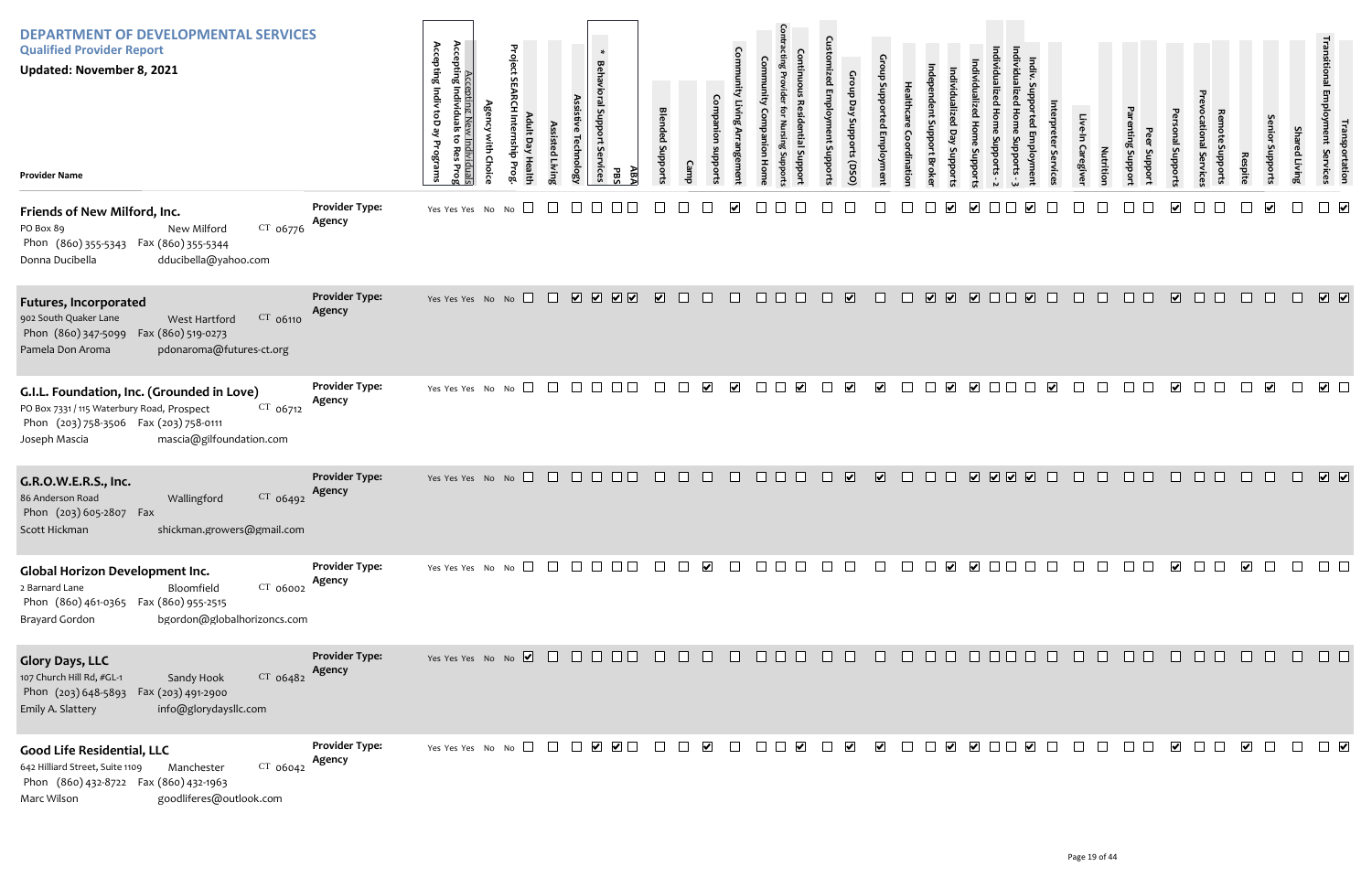| <b>DEPARTMENT OF DEVELOPMENTAL SERVICES</b><br><b>Qualified Provider Report</b><br><b>Updated: November 8, 2021</b><br><b>Provider Name</b>                                                 |                                 | Accepting New<br>Accepting Individuals<br>Accepting Indiv toD ay<br>៵<br>Programs<br>ndivi<br>Res<br>iduals<br>s Prog | Project<br><b>Lut</b> D<br>릉 | Assisted Livir | <b>Technolog</b> | $\ast$<br><b>Behavioral Support</b><br>$\mathbf{v}$<br>ervices<br>AB7<br>ЪB | <b>Blended Support</b>                                                                                           |        |                         | Comr                       |              | $\mathbf{c}$<br>uddns au | Crou<br>ਚੋ<br>OSQ) suoddng |                         |        | dns<br>Brok                           |                      |         |        | Caregive | <b>Nutritio</b> | ddns<br><b>addns</b> | oddns jeu               |        | <b>Respit</b>           | enio                    | <b>Shar</b><br>ed Livin | I ransportation<br>Employment Services |
|---------------------------------------------------------------------------------------------------------------------------------------------------------------------------------------------|---------------------------------|-----------------------------------------------------------------------------------------------------------------------|------------------------------|----------------|------------------|-----------------------------------------------------------------------------|------------------------------------------------------------------------------------------------------------------|--------|-------------------------|----------------------------|--------------|--------------------------|----------------------------|-------------------------|--------|---------------------------------------|----------------------|---------|--------|----------|-----------------|----------------------|-------------------------|--------|-------------------------|-------------------------|-------------------------|----------------------------------------|
| Friends of New Milford, Inc.<br>$CT$ 06776<br>PO Box 89<br>New Milford<br>Phon (860) 355-5343  Fax (860) 355-5344<br>Donna Ducibella<br>dducibella@yahoo.com                                | <b>Provider Type:</b><br>Agency | Yes Yes Yes No                                                                                                        | $\Box$<br>No                 |                |                  |                                                                             |                                                                                                                  |        |                         |                            |              |                          |                            |                         |        |                                       | V                    |         |        |          |                 |                      |                         |        |                         |                         |                         |                                        |
| <b>Futures, Incorporated</b><br>CT 06110<br>902 South Quaker Lane<br>West Hartford<br>Phon (860) 347-5099<br>Fax (860) 519-0273<br>pdonaroma@futures-ct.org<br>Pamela Don Aroma             | <b>Provider Type:</b><br>Agency | Yes Yes Yes No No                                                                                                     |                              | $\Box$         |                  | <b>VVVV</b>                                                                 | $\sqrt{2}$                                                                                                       | $\Box$ | $\Box$                  | $\Box$                     | $\Box$       | $\Box$                   | $\overline{\mathbf{v}}$    | $\Box$                  | $\Box$ | $\begin{array}{c} \nabla \end{array}$ |                      |         | $\Box$ | $\Box$   | $\Box$          | $\Box$               | $\overline{\mathbf{v}}$ | $\Box$ | $\pm$                   | $\Box$                  | $\Box$                  | $\sqrt{2}$                             |
| G.I.L. Foundation, Inc. (Grounded in Love)<br>PO Box 7331 / 115 Waterbury Road, Prospect<br>CT 06712<br>Phon (203) 758-3506 Fax (203) 758-0111<br>mascia@gilfoundation.com<br>Joseph Mascia | <b>Provider Type:</b><br>Agency | Yes Yes Yes No No                                                                                                     | $\Box$                       |                |                  |                                                                             |                                                                                                                  |        | $\overline{\mathbf{v}}$ | $\blacktriangleright$      | $\perp$      |                          | $\blacktriangledown$       | $\blacktriangledown$    |        |                                       | $\blacktriangledown$ |         |        |          |                 |                      |                         |        |                         | $\overline{\mathbf{v}}$ |                         | $\triangledown$ $\Box$                 |
| G.R.O.W.E.R.S., Inc.<br>CT 06492<br>86 Anderson Road<br>Wallingford<br>Phon (203) 605-2807 Fax<br>Scott Hickman<br>shickman.growers@gmail.com                                               | <b>Provider Type:</b><br>Agency | Yes Yes Yes No No $\Box$                                                                                              |                              |                | $\Box$ $\Box$    | $\Box$                                                                      | $\Box$                                                                                                           | $\Box$ | $\Box$                  | $\Box$                     | $\Box$       |                          | $\overline{\mathbf{v}}$    | $\overline{\mathbf{v}}$ | $\Box$ | $\Box$                                |                      | V V V V | $\Box$ |          | $\Box$          | H                    |                         | H      | $\Box$                  | $\Box$                  | $\Box$                  | $\boxed{\mathbf{v}}$                   |
| Global Horizon Development Inc.<br>$CT$ 06002<br>2 Barnard Lane<br>Bloomfield<br>Phon (860) 461-0365  Fax (860) 955-2515<br>bgordon@globalhorizoncs.com<br><b>Brayard Gordon</b>            | <b>Provider Type:</b><br>Agency | Yes Yes Yes No No $\Box$                                                                                              |                              |                | $\Box$ $\Box$    |                                                                             |                                                                                                                  |        | $\blacktriangledown$    | $\mathbf{L}$               | $\mathbf{1}$ |                          |                            |                         |        | $\Box$                                |                      |         |        |          |                 |                      | $\overline{\mathbf{v}}$ |        | $\overline{\mathbf{v}}$ | $\Box$                  | $\Box$                  |                                        |
| <b>Glory Days, LLC</b><br>107 Church Hill Rd, #GL-1<br>$CT$ 06482<br>Sandy Hook<br>Phon (203) 648-5893  Fax (203) 491-2900<br>info@glorydaysllc.com<br>Emily A. Slattery                    | <b>Provider Type:</b><br>Agency | Yes Yes Yes No No $\Box$ $\Box$ $\Box$ $\Box$ $\Box$ $\Box$                                                           |                              |                |                  |                                                                             | $\begin{array}{c} \square \end{array} \begin{array}{c} \square \end{array} \begin{array}{c} \square \end{array}$ |        |                         |                            | 000000       |                          |                            | $\Box$                  |        | 0000000                               |                      |         |        | $\Box$   | $\Box$          | $\Box$ $\Box$        | $\Box$                  | $\Box$ | $\Box$                  | $\Box$                  | $\Box$                  | $\Box$ $\Box$                          |
| <b>Good Life Residential, LLC</b><br>CT 06042<br>642 Hilliard Street, Suite 1109<br>Manchester<br>Phon (860) 432-8722  Fax (860) 432-1963<br>goodliferes@outlook.com<br>Marc Wilson         | <b>Provider Type:</b><br>Agency | Yes Yes Yes No No $\Box$ $\Box$ $\Box$ $\Box$ $\Box$ $\Box$                                                           |                              |                |                  |                                                                             | $\Box$                                                                                                           |        | $\blacktriangledown$    | $\mathcal{L}^{\text{max}}$ | $\Box$       | $\Box$                   | $\blacktriangledown$       | $\blacktriangledown$    | $\Box$ |                                       |                      |         |        | $\Box$   | $\Box$          | .                    | $\overline{\mathbf{v}}$ |        | $\overline{\mathbf{v}}$ | $\Box$                  |                         | $\Box$                                 |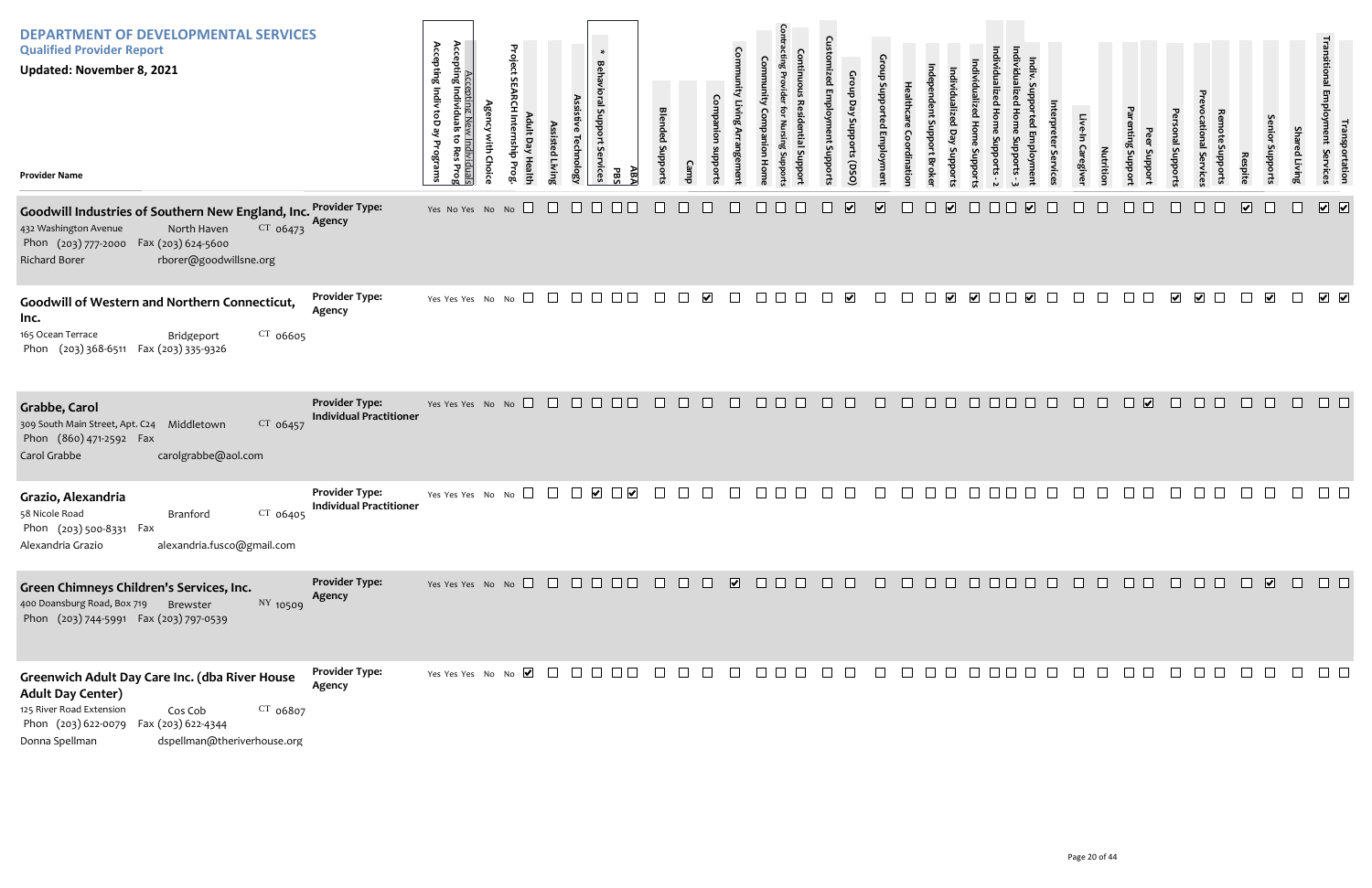| <b>DEPARTMENT OF DEVELOPMENTAL SERVICES</b><br><b>Qualified Provider Report</b><br><b>Updated: November 8, 2021</b><br><b>Provider Name</b>                                                                                |                                                         | Accepting Indiv<br>Accepting Ne<br>Accepting Individua<br>toD ay<br>Programs<br>idividuals<br>Res Prog<br>ę | Project      | ssisted Livir | $\ast$<br><b>Behavioral Support</b><br>Services<br>:hnolog | AΒ,<br>곦 | <b>Blended Suppor</b> |                |                             | Com     |                                                                                              | 5υ     | Group<br>Day<br>Stropports<br>(DSO | ρū      |                          |                          |                         |        |                             | ervic  | Caregive | Nutritio | ddns<br><b>Suppor</b>             | Support                 | hpport                  |                      | Joddr                   | Sha<br>Living | יישונוי<br>Shament<br><b>Services</b><br>Services |
|----------------------------------------------------------------------------------------------------------------------------------------------------------------------------------------------------------------------------|---------------------------------------------------------|-------------------------------------------------------------------------------------------------------------|--------------|---------------|------------------------------------------------------------|----------|-----------------------|----------------|-----------------------------|---------|----------------------------------------------------------------------------------------------|--------|------------------------------------|---------|--------------------------|--------------------------|-------------------------|--------|-----------------------------|--------|----------|----------|-----------------------------------|-------------------------|-------------------------|----------------------|-------------------------|---------------|---------------------------------------------------|
| Goodwill Industries of Southern New England, Inc. Provider Type:<br>$CT$ 06473<br>432 Washington Avenue<br>North Haven<br>Phon (203) 777-2000 Fax (203) 624-5600<br><b>Richard Borer</b><br>rborer@goodwillsne.org         | Agency                                                  | Yes No Yes No No                                                                                            |              |               |                                                            |          |                       |                |                             |         |                                                                                              |        | $\overline{\mathbf{v}}$            | ⊻       |                          | $\vert \checkmark \vert$ |                         |        | $\vert\bm{\mathsf{v}}\vert$ |        |          |          |                                   |                         |                         | $\boxed{\mathbf{v}}$ |                         |               | $\boxed{\bullet}$                                 |
| Goodwill of Western and Northern Connecticut,<br>Inc.<br>165 Ocean Terrace<br>$CT$ 06605<br>Bridgeport<br>Phon (203) 368-6511 Fax (203) 335-9326                                                                           | <b>Provider Type:</b><br>Agency                         | Yes Yes Yes No No                                                                                           | $\Box$       | $\Box$        |                                                            |          | $\perp$               |                | $\blacktriangledown$        | $\perp$ | $\Box$                                                                                       |        | $\overline{\mathbf{v}}$            |         |                          |                          | $\overline{\mathbf{v}}$ |        |                             |        |          |          |                                   | $\overline{\mathbf{v}}$ | $\overline{\mathbf{v}}$ |                      | $\overline{\mathbf{v}}$ | $\Box$        | 7 2                                               |
| Grabbe, Carol<br>$CT$ 06457<br>309 South Main Street, Apt. C24 Middletown<br>Phon (860) 471-2592 Fax<br>Carol Grabbe<br>carolgrabbe@aol.com                                                                                | <b>Provider Type:</b><br><b>Individual Practitioner</b> | Yes Yes Yes No No $\Box$ $\Box$ $\Box$ $\Box$ $\Box$ $\Box$                                                 |              |               |                                                            |          | $\Box$                | $\Box$         | $\Box$                      | $\Box$  | $\begin{array}{c c c c c} \hline \quad \text{ } & \text{ } & \text{ } \\ \hline \end{array}$ | $\Box$ | $\Box$                             | $\Box$  | $\Box$                   | $\Box$ $\Box$            | $\Box$                  | $\Box$ | $\Box$                      | $\Box$ | $\Box$   | $\Box$   | $\overline{\mathbf{v}}$<br>$\Box$ | $\Box$                  | $\Box$                  | $\Box$               | $\Box$                  | $\Box$        | $\Box$ $\Box$                                     |
| Grazio, Alexandria<br>$CT$ 06405<br>58 Nicole Road<br>Branford<br>Phon (203) 500-8331 Fax<br>alexandria.fusco@gmail.com<br>Alexandria Grazio                                                                               | <b>Provider Type:</b><br><b>Individual Practitioner</b> | Yes Yes Yes No                                                                                              | $\Box$<br>No |               |                                                            |          |                       |                |                             |         |                                                                                              |        |                                    |         |                          |                          |                         |        |                             |        |          |          |                                   |                         |                         |                      |                         |               |                                                   |
| Green Chimneys Children's Services, Inc.<br>400 Doansburg Road, Box 719 Brewster<br>NY 10509<br>Phon (203) 744-5991 Fax (203) 797-0539                                                                                     | <b>Provider Type:</b><br>Agency                         |                                                                                                             |              |               |                                                            |          |                       |                |                             |         |                                                                                              |        |                                    |         |                          |                          |                         |        |                             |        |          |          |                                   |                         | 00000000                |                      |                         |               |                                                   |
| Greenwich Adult Day Care Inc. (dba River House<br><b>Adult Day Center)</b><br>125 River Road Extension<br>$CT$ 06807<br>Cos Cob<br>Phon (203) 622-0079 Fax (203) 622-4344<br>Donna Spellman<br>dspellman@theriverhouse.org | <b>Provider Type:</b><br>Agency                         | Yes Yes Yes No No $\blacksquare$ $\Box$ $\Box$ $\Box$ $\Box$ $\Box$                                         |              |               |                                                            |          | $\Box$                | $\sim 10^{-1}$ | $\mathcal{L}^{\mathcal{L}}$ | $\Box$  | $\Box$ $\Box$                                                                                |        |                                    | $\perp$ | $\overline{\phantom{a}}$ |                          |                         |        |                             |        |          |          |                                   |                         |                         |                      |                         |               |                                                   |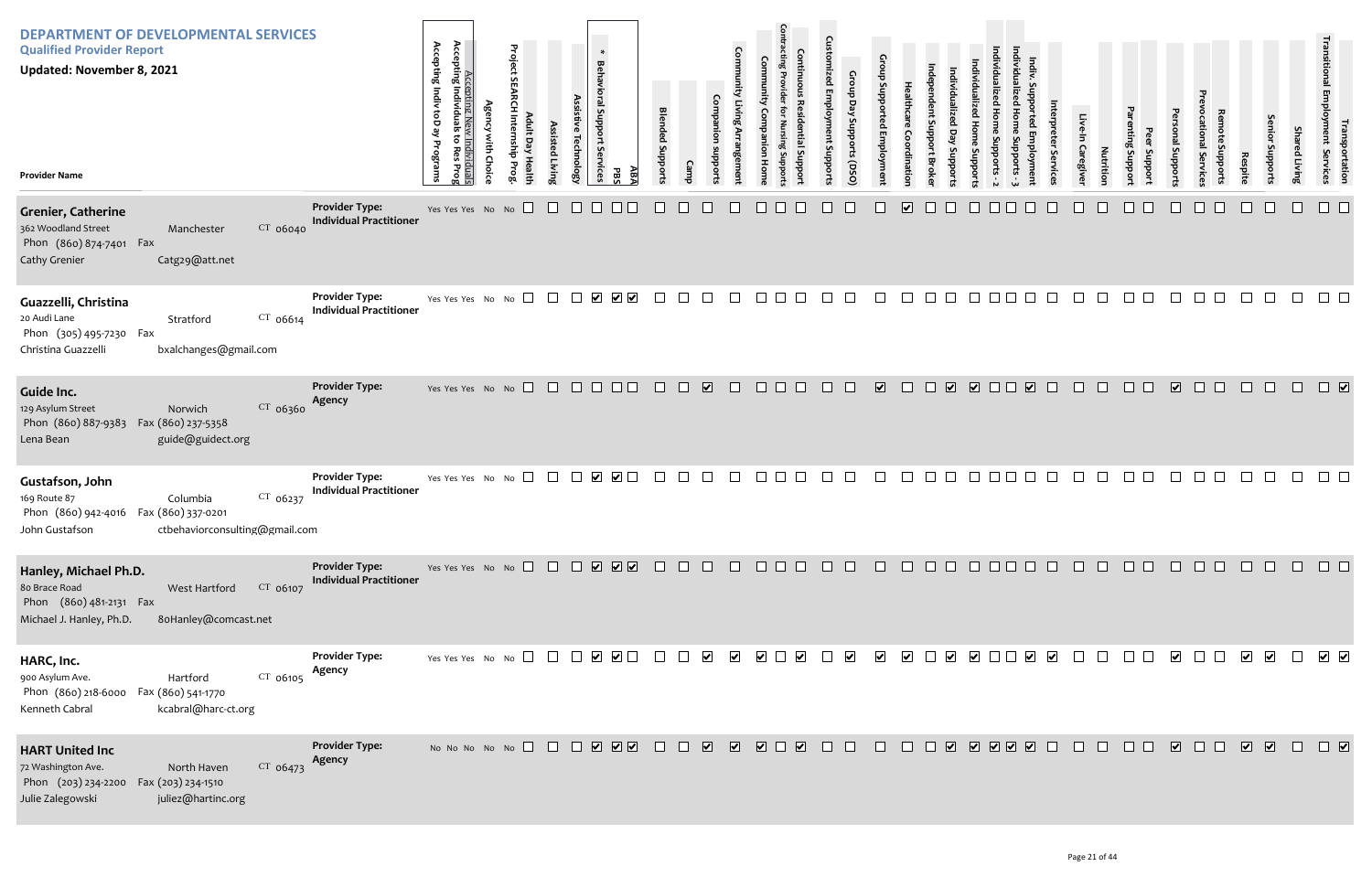| <b>DEPARTMENT OF DEVELOPMENTAL SERVICES</b><br><b>Qualified Provider Report</b><br><b>Updated: November 8, 2021</b><br><b>Provider Name</b>                      |                                                         | Accepting I<br>Accepting Indiv toD ay<br>Accepting New Individuals<br>Individuals<br>õ<br>Programs<br><b>Res</b><br>Prog | <b>Agency with Choice</b> | Project SEARCH Internship Prog<br>Adult Day Health | Assisted Living | Assistive Technology | *<br>Behavioral Support Services<br>ABA<br>PBS                             | <b>Blended Supports</b> | Camp | Companion<br>subports   | Community Living Arrangement | Community<br>Companion<br>Home          | <b>Contracting Provider</b><br><b>Continuous Residential Support</b><br>Nursing Support | <b>Customized Employment Supports</b> | Group Day Supports (DSO) | Group Supported Employment | Healthcare<br>Coordination | ndependent Support Broke | Individualized Day Supports | Individualized Home Supports | Individualized Home Supports - 2 |
|------------------------------------------------------------------------------------------------------------------------------------------------------------------|---------------------------------------------------------|--------------------------------------------------------------------------------------------------------------------------|---------------------------|----------------------------------------------------|-----------------|----------------------|----------------------------------------------------------------------------|-------------------------|------|-------------------------|------------------------------|-----------------------------------------|-----------------------------------------------------------------------------------------|---------------------------------------|--------------------------|----------------------------|----------------------------|--------------------------|-----------------------------|------------------------------|----------------------------------|
| <b>Grenier, Catherine</b><br>362 Woodland Street<br>CT 06040<br>Manchester<br>Phon (860) 874-7401 Fax<br>Cathy Grenier<br>Catg29@att.net                         | <b>Provider Type:</b><br><b>Individual Practitioner</b> | Yes Yes Yes No No                                                                                                        |                           |                                                    |                 |                      |                                                                            |                         |      |                         |                              |                                         |                                                                                         |                                       |                          |                            | $\overline{\mathbf{v}}$    |                          |                             |                              |                                  |
| Guazzelli, Christina<br>20 Audi Lane<br>$CT$ 06614<br>Stratford<br>Phon (305) 495-7230 Fax<br>bxalchanges@gmail.com<br>Christina Guazzelli                       | <b>Provider Type:</b><br><b>Individual Practitioner</b> | Yes Yes Yes No No                                                                                                        |                           |                                                    | $\mathbf{L}$    | $\vert \ \ \vert$    | $\blacktriangledown$<br>$\blacktriangledown$                               | $\vert \ \ \vert$       |      |                         |                              |                                         |                                                                                         |                                       |                          |                            |                            |                          |                             |                              |                                  |
| Guide Inc.<br>CT 06360<br>129 Asylum Street<br>Norwich<br>Phon (860) 887-9383<br>Fax (860) 237-5358<br>Lena Bean<br>guide@guidect.org                            | <b>Provider Type:</b><br>Agency                         | Yes Yes Yes No No                                                                                                        |                           | $\Box$                                             | $\perp$         |                      |                                                                            |                         |      | $\blacktriangleright$   |                              |                                         |                                                                                         |                                       |                          | $\overline{\mathbf{v}}$    |                            |                          | $\blacktriangledown$        | ☑□                           |                                  |
| Gustafson, John<br>CT 06237<br>169 Route 87<br>Columbia<br>Phon (860) 942-4016  Fax (860) 337-0201<br>ctbehaviorconsulting@gmail.com<br>John Gustafson           | <b>Provider Type:</b><br><b>Individual Practitioner</b> | Yes Yes Yes No No                                                                                                        |                           |                                                    |                 |                      | $\blacktriangledown$<br>$\blacktriangleright$                              |                         |      |                         |                              |                                         |                                                                                         |                                       |                          |                            |                            |                          |                             |                              |                                  |
| Hanley, Michael Ph.D.<br>80 Brace Road<br>CT 06107<br>West Hartford<br>Phon (860) 481-2131 Fax<br>Michael J. Hanley, Ph.D.<br>8oHanley@comcast.net               | <b>Provider Type:</b><br><b>Individual Practitioner</b> | Yes Yes Yes No No                                                                                                        |                           |                                                    | $\Box$          | $\Box$               | $\begin{array}{c} \hline \textbf{V} & \textbf{V} & \textbf{V} \end{array}$ | $\Box$                  |      |                         |                              |                                         |                                                                                         |                                       |                          |                            |                            |                          |                             |                              |                                  |
| HARC, Inc.<br>900 Asylum Ave.<br>CT 06105<br>Hartford<br>Phon (860) 218-6000<br>Fax (860) 541-1770<br>Kenneth Cabral<br>kcabral@harc-ct.org                      | <b>Provider Type:</b><br>Agency                         | Yes Yes Yes No No $\Box$                                                                                                 |                           |                                                    | $\mathbf{1}$    |                      | $\overline{\smile}$ $\Box$<br>$\blacktriangledown$                         |                         |      | $\blacktriangleright$   | ⊻                            | $\blacktriangledown$                    | $\overline{\mathbf{v}}$                                                                 |                                       | $\blacktriangledown$     | $\overline{\mathbf{v}}$    | $\blacktriangledown$       |                          | $\blacktriangledown$        | ⊻ □                          |                                  |
| <b>HART United Inc</b><br>72 Washington Ave.<br>North Haven<br>$CT$ 06473<br>Phon (203) 234-2200<br>Fax (203) 234-1510<br>Julie Zalegowski<br>juliez@hartinc.org | <b>Provider Type:</b><br>Agency                         | No No No No No $\Box$                                                                                                    |                           |                                                    | $\Box$          | $\Box$               | <b>V</b> V V                                                               | $\Box$                  |      | $\overline{\mathbf{v}}$ | $\overline{\mathbf{v}}$      | $\overline{\mathbf{v}}$<br>$\mathbf{L}$ | $\overline{\mathbf{v}}$                                                                 |                                       |                          |                            | H                          |                          | $\overline{\mathbf{v}}$     | $\boxed{\bullet}$            |                                  |

| Individualized Home Supports - 3 | Indiv. Supported Employment | Interpreter Services | Live-In Caregiver | Nutrition | Parenting Support | Peer Support | Personal Supports       | Prevocational Services | Remote Supports | Respite | Senior Supports | <b>Shared Living</b>                                           | Transitional Employment Services | Transportation               |
|----------------------------------|-----------------------------|----------------------|-------------------|-----------|-------------------|--------------|-------------------------|------------------------|-----------------|---------|-----------------|----------------------------------------------------------------|----------------------------------|------------------------------|
|                                  |                             |                      |                   |           |                   |              |                         |                        |                 |         |                 |                                                                |                                  |                              |
|                                  |                             |                      |                   |           |                   |              |                         |                        |                 |         |                 |                                                                |                                  |                              |
|                                  | $\overline{\mathbf{v}}$     |                      |                   |           |                   |              | $\overline{\mathbf{v}}$ |                        |                 |         |                 |                                                                |                                  | $\boxed{\blacktriangledown}$ |
|                                  |                             |                      |                   |           |                   |              |                         |                        |                 |         |                 |                                                                |                                  |                              |
| $\overline{\Box}$                |                             |                      |                   |           |                   |              |                         |                        |                 |         |                 | 000000000000                                                   |                                  | $\Box$                       |
|                                  |                             |                      |                   |           |                   |              |                         |                        |                 |         |                 | $\begin{array}{ccc} & \bullet & \bullet & \bullet \end{array}$ |                                  |                              |
|                                  |                             |                      |                   |           |                   |              |                         |                        |                 |         |                 |                                                                |                                  |                              |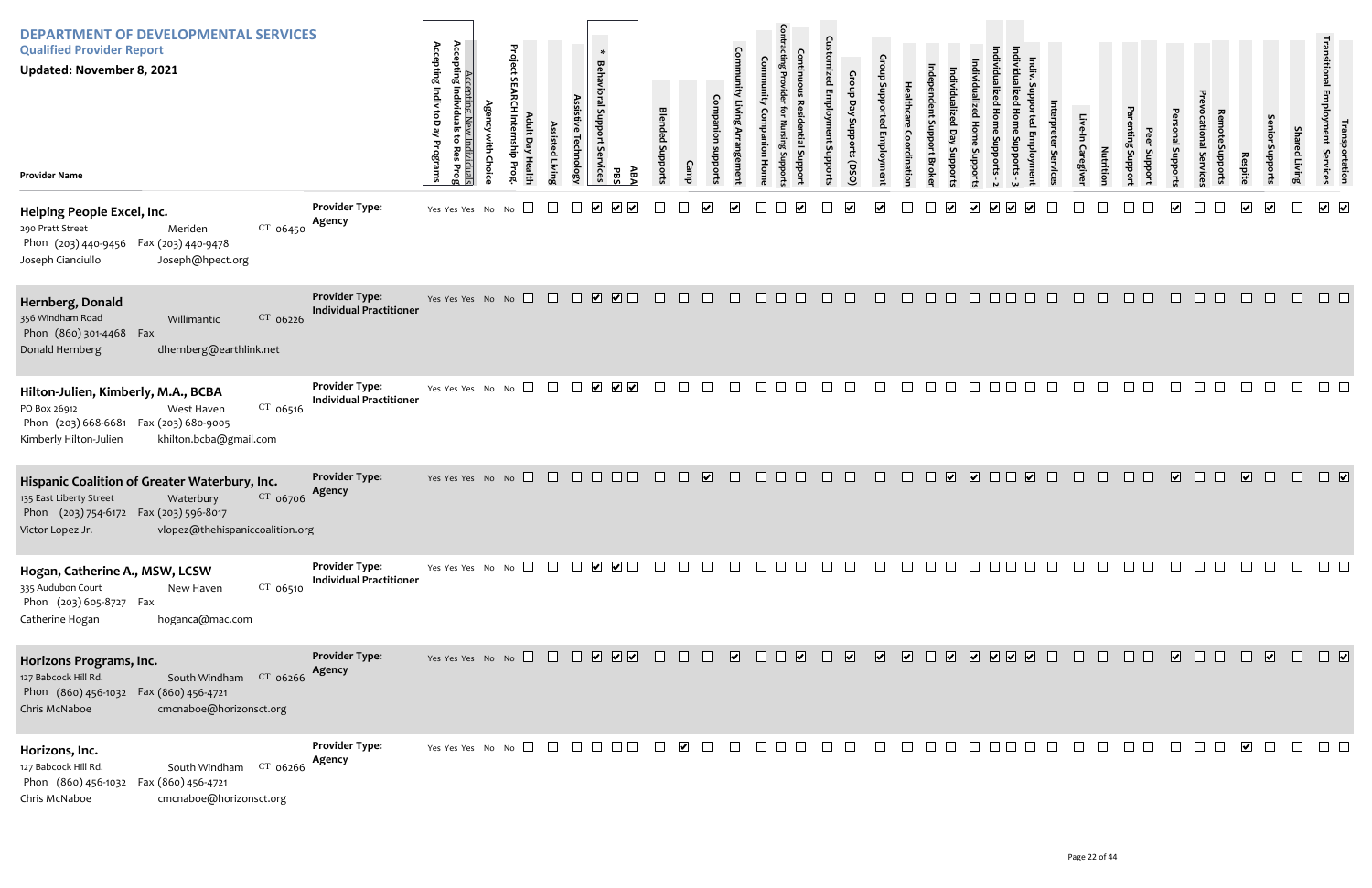| <b>DEPARTMENT OF DEVELOPMENTAL SERVICES</b><br><b>Qualified Provider Report</b><br><b>Updated: November 8, 2021</b><br><b>Provider Name</b>                                                        |                                                         | Accepting Indiv toD ay<br>Accepting N<br>Accepting Individu<br><u>Individuals</u><br>to Res Prog<br>Programs<br>È<br>≏ | Project<br><b>S</b><br>$\overline{a}$ | ssisted Livin | Behavioral Support<br>echnolog<br>Services | $\ast$<br>AB,<br>곦                                                               | <b>Blended Suppor</b> |        |                         | Com                     |                      | G<br>addng pus | Croup<br>Day<br>OSQ) suoddns | $b$ 2u                   |        |                                                                                                                                                                                                                                                                                                                                                                                                                          |         |      |         | Servic      | Caregive     | Nutrition | Jupport<br>Support | onal Suppor             | abbort:<br>ervic | Respite                 | uoddn                   | <b>Shar</b><br>ed Living | ו ransp<br>smployment<br>portation<br>Services  |
|----------------------------------------------------------------------------------------------------------------------------------------------------------------------------------------------------|---------------------------------------------------------|------------------------------------------------------------------------------------------------------------------------|---------------------------------------|---------------|--------------------------------------------|----------------------------------------------------------------------------------|-----------------------|--------|-------------------------|-------------------------|----------------------|----------------|------------------------------|--------------------------|--------|--------------------------------------------------------------------------------------------------------------------------------------------------------------------------------------------------------------------------------------------------------------------------------------------------------------------------------------------------------------------------------------------------------------------------|---------|------|---------|-------------|--------------|-----------|--------------------|-------------------------|------------------|-------------------------|-------------------------|--------------------------|-------------------------------------------------|
| Helping People Excel, Inc.<br>$CT$ 06450<br>290 Pratt Street<br>Meriden<br>Phon (203) 440-9456<br>Fax (203) 440-9478<br>Joseph Cianciullo<br>Joseph@hpect.org                                      | <b>Provider Type:</b><br>Agency                         | Yes Yes Yes No No $\square$                                                                                            |                                       |               | $\blacktriangledown$                       | $\blacktriangledown$<br>⊻                                                        |                       |        |                         |                         |                      |                |                              |                          |        |                                                                                                                                                                                                                                                                                                                                                                                                                          |         |      |         |             |              |           |                    |                         |                  |                         | $\overline{\mathbf{v}}$ |                          | $\overline{\mathsf{v}}$ $\overline{\mathsf{v}}$ |
| Hernberg, Donald<br>CT 06226<br>356 Windham Road<br>Willimantic<br>Phon (860) 301-4468 Fax<br>Donald Hernberg<br>dhernberg@earthlink.net                                                           | <b>Provider Type:</b><br><b>Individual Practitioner</b> | Yes Yes Yes No No                                                                                                      |                                       | $\Box$        |                                            | $\begin{array}{c} \square \ \square \ \square \end{array}$                       | $\Box$                | $\Box$ | $\Box$                  | $\Box$                  | $\Box$ $\Box$ $\Box$ | $\Box$         | $\Box$                       | $\Box$                   | $\Box$ | $\Box$                                                                                                                                                                                                                                                                                                                                                                                                                   | $\Box$  | 1111 | $\perp$ | $\Box$      | $\mathbb{R}$ | $\Box$    | $\Box$ $\Box$      | $\Box$                  | $\Box$<br>$\pm$  | $\perp$                 | $\Box$                  | $\Box$                   | $\Box$ $\Box$                                   |
| Hilton-Julien, Kimberly, M.A., BCBA<br>$CT$ 06516<br>PO Box 26912<br>West Haven<br>Fax (203) 680-9005<br>Phon (203) 668-6681<br>Kimberly Hilton-Julien<br>khilton.bcba@gmail.com                   | <b>Provider Type:</b><br><b>Individual Practitioner</b> | Yes Yes Yes No No $\square$                                                                                            |                                       | $\Box$        |                                            | $\begin{array}{c c c c} \hline \textbf{v} & \textbf{v} & \textbf{v} \end{array}$ |                       |        | $\mathbf{L}$            |                         | $\mathbb{R}^n$       |                |                              |                          |        |                                                                                                                                                                                                                                                                                                                                                                                                                          |         |      |         |             |              |           |                    |                         |                  |                         |                         |                          |                                                 |
| Hispanic Coalition of Greater Waterbury, Inc.<br>CT 06706<br>135 East Liberty Street<br>Waterbury<br>Phon (203) 754-6172 Fax (203) 596-8017<br>vlopez@thehispaniccoalition.org<br>Victor Lopez Jr. | <b>Provider Type:</b><br>Agency                         | Yes Yes Yes No No $\Box$ $\Box$ $\Box$ $\Box$ $\Box$ $\Box$                                                            |                                       |               |                                            |                                                                                  | $\Box$                | $\Box$ | $\overline{\mathbf{v}}$ | $\Box$                  | $\Box$               |                | $\Box$                       |                          | $\Box$ | $\Box$                                                                                                                                                                                                                                                                                                                                                                                                                   |         |      |         | V V O D V O |              | $\Box$    | $\Box$             | $\sqrt{2}$              | $\Box$           | $\overline{\mathbf{v}}$ | $\Box$                  |                          | $\Box$                                          |
| Hogan, Catherine A., MSW, LCSW<br>335 Audubon Court<br>$CT$ 06510<br>New Haven<br>Phon (203) 605-8727 Fax<br>hoganca@mac.com<br>Catherine Hogan                                                    | <b>Provider Type:</b><br><b>Individual Practitioner</b> | Yes Yes Yes No No $\Box$ $\Box$ $\Box$ $\Box$ $\Box$ $\Box$                                                            |                                       |               |                                            |                                                                                  |                       |        |                         |                         | u u u                |                |                              |                          |        |                                                                                                                                                                                                                                                                                                                                                                                                                          | $\perp$ |      |         |             |              |           |                    |                         |                  |                         |                         |                          |                                                 |
| Horizons Programs, Inc.<br>127 Babcock Hill Rd.<br>South Windham CT 06266<br>Phon (860) 456-1032  Fax (860) 456-4721<br>cmcnaboe@horizonsct.org<br>Chris McNaboe                                   | <b>Provider Type:</b><br>Agency                         | Yes Yes Yes No No $\Box$ $\Box$ $\Box$ $\Box$ $\Box$ $\Box$ $\Box$                                                     |                                       |               |                                            |                                                                                  |                       | $\Box$ | $\Box$                  | $\overline{\mathbf{v}}$ | $\Box$               | $\blacksquare$ | $\sqrt{2}$                   | $\overline{\phantom{a}}$ |        | $\begin{array}{c c c c c c} \hline \textbf{a} & \textbf{b} & \textbf{c} & \textbf{c} & \textbf{b} & \textbf{b} & \textbf{b} & \textbf{b} & \textbf{b} & \textbf{b} & \textbf{b} & \textbf{b} & \textbf{b} & \textbf{b} & \textbf{b} & \textbf{b} & \textbf{b} & \textbf{b} & \textbf{b} & \textbf{b} & \textbf{b} & \textbf{b} & \textbf{b} & \textbf{b} & \textbf{b} & \textbf{b} & \textbf{b} & \textbf{b} & \textbf{$ |         |      |         |             |              | $\perp$   | $\mathbf{L}$       | $\overline{\mathbf{v}}$ | $\mathbf{L}$     | $\Box$                  | $\sqrt{2}$              | $\Box$                   | $\Box$                                          |
| Horizons, Inc.<br>South Windham CT 06266<br>127 Babcock Hill Rd.<br>Phon (860) 456-1032<br>Fax (860) 456-4721<br>Chris McNaboe<br>cmcnaboe@horizonsct.org                                          | <b>Provider Type:</b><br>Agency                         |                                                                                                                        |                                       |               |                                            |                                                                                  |                       |        |                         | $\Box$                  | <b>IN N N</b>        |                | $\Box$                       | $\mathbb{R}$             |        | $\perp$                                                                                                                                                                                                                                                                                                                                                                                                                  | $\Box$  |      |         |             |              | $\Box$    | $\Box$ $\Box$      |                         |                  | $\overline{\mathbf{v}}$ | $\Box$                  |                          | $\Box$ $\Box$                                   |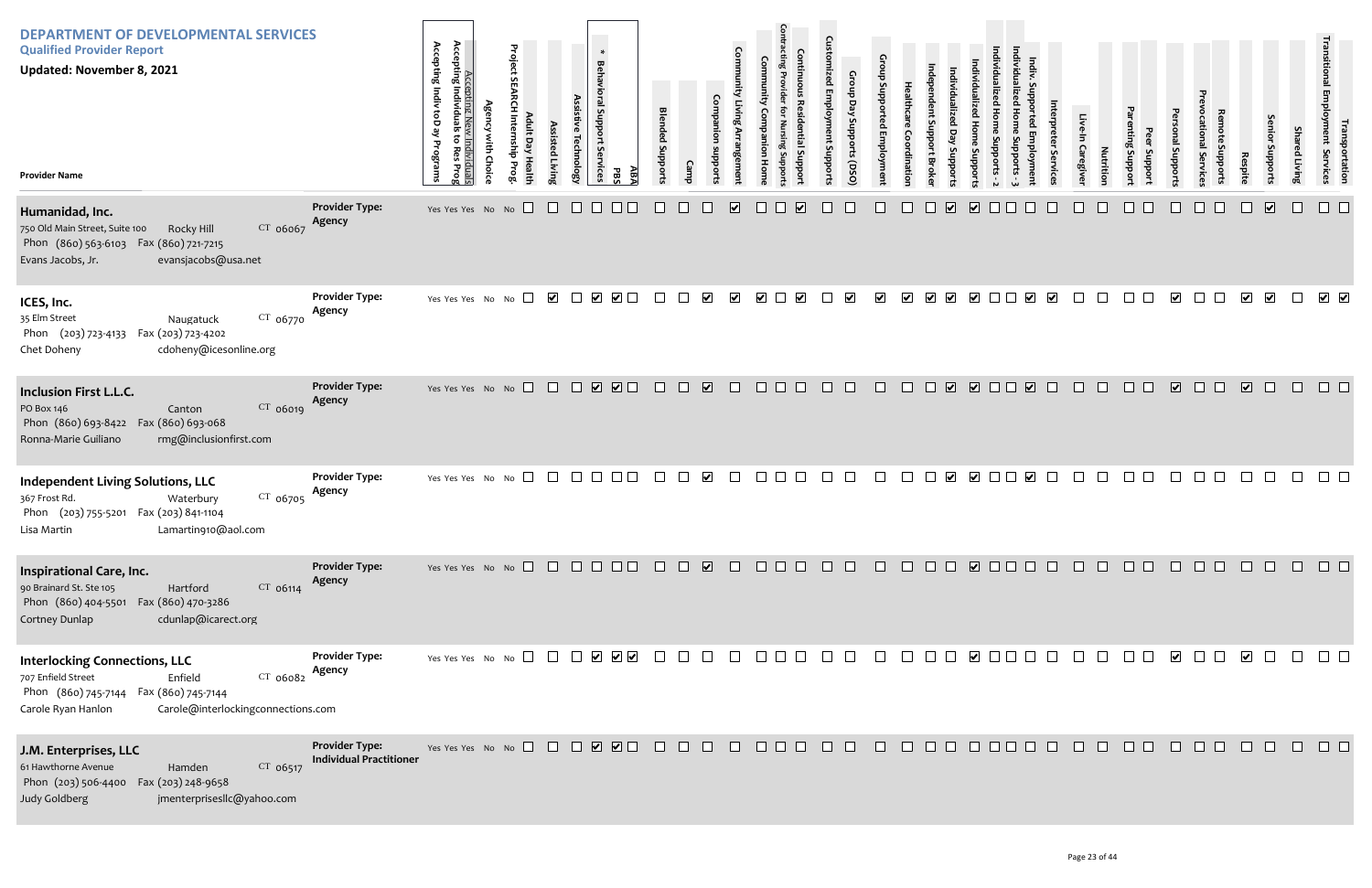| <b>DEPARTMENT OF DEVELOPMENTAL SERVICES</b><br><b>Qualified Provider Report</b><br>Updated: November 8, 2021<br><b>Provider Name</b>                                                      |                                                         | Accepting Indiv toD ay<br>Accepting New<br>Accepting Individuals<br>to Res<br>ist:<br>Programs<br>Choic<br>iduals<br>s Prog | Project<br>$\sigma$<br>diusu<br>ay Healt | Assisted Livin<br><b>Technology</b> | $\ast$<br><b>Behavioral Support</b><br>: Services<br>PBS<br>ABA                     | <b>Blended Support:</b> |                    | Com                                          |                          |                         | Croup<br><b>Emplo</b><br>Day Supports<br>and and pou<br>(DSQ) |                      | 등                       |                                                 | Support                 |                                                 | Caregive | Nutrition | Support<br>Loddns | nal Suppor              | Fvic                                                                         | Respite                 | Senior<br>subborts      | Shar<br>ed Living | <b>Iransportation<br/>Inployment Services</b>                                |
|-------------------------------------------------------------------------------------------------------------------------------------------------------------------------------------------|---------------------------------------------------------|-----------------------------------------------------------------------------------------------------------------------------|------------------------------------------|-------------------------------------|-------------------------------------------------------------------------------------|-------------------------|--------------------|----------------------------------------------|--------------------------|-------------------------|---------------------------------------------------------------|----------------------|-------------------------|-------------------------------------------------|-------------------------|-------------------------------------------------|----------|-----------|-------------------|-------------------------|------------------------------------------------------------------------------|-------------------------|-------------------------|-------------------|------------------------------------------------------------------------------|
| Humanidad, Inc.<br>CT 06067<br>750 Old Main Street, Suite 100<br>Rocky Hill<br>Phon (860) 563-6103 Fax (860) 721-7215<br>Evans Jacobs, Jr.<br>evansjacobs@usa.net                         | <b>Provider Type:</b><br>Agency                         | Yes Yes Yes No No                                                                                                           |                                          | $\Box$<br>$\Box$                    |                                                                                     |                         |                    | $\overline{\mathbf{v}}$<br>L                 | $\mathbf{L}$             | $\overline{\mathbf{v}}$ |                                                               |                      |                         | $\overline{\mathbf{v}}$                         | $\overline{\mathbf{v}}$ |                                                 |          |           |                   |                         |                                                                              |                         | $\overline{\mathbf{v}}$ | $\Box$            | $\Box$                                                                       |
| ICES, Inc.<br>CT 06770<br>35 Elm Street<br>Naugatuck<br>Phon (203) 723-4133 Fax (203) 723-4202<br>cdoheny@icesonline.org<br>Chet Doheny                                                   | <b>Provider Type:</b><br>Agency                         | Yes Yes Yes No                                                                                                              | $\Box$<br>No                             | $\overline{\mathbf{v}}$             | $\blacktriangledown$<br>$\blacktriangledown$                                        | $\perp$                 |                    | $\blacktriangledown$<br>$\blacktriangledown$ | $\blacktriangledown$     | $\blacktriangledown$    | $\blacktriangledown$                                          | $\blacktriangledown$ | $\overline{\mathbf{v}}$ | $\overline{\mathbf{v}}$<br>$\blacktriangledown$ | $\blacktriangledown$    | $\blacktriangledown$<br>$\overline{\mathbf{v}}$ |          |           |                   | $\overline{\mathbf{v}}$ |                                                                              | $\overline{\mathbf{v}}$ | $\blacktriangleright$   | $\Box$            | $\overline{\mathbf{v}}$ $\overline{\mathbf{v}}$                              |
| Inclusion First L.L.C.<br>CT 06019<br>PO Box 146<br>Canton<br>Phon (860) 693-8422<br>Fax (860) 693-068<br>Ronna-Marie Guiliano<br>rmg@inclusionfirst.com                                  | <b>Provider Type:</b><br>Agency                         | Yes Yes Yes No No $\Box$                                                                                                    |                                          |                                     | $\begin{array}{c} \square \ \blacksquare \ \blacksquare \ \blacksquare \end{array}$ | $\Box$                  | $\Box$             | $\overline{\mathbf{v}}$<br>$\Box$            | $\Box$<br>$\Box$         |                         | $\Box$                                                        | $\Box$               | $\Box$                  | n                                               | V V O O                 | $\begin{array}{c} \nabla \end{array}$           | $\Box$   | $\Box$    | $\Box$            | $\sqrt{2}$              | П<br>$\Box$                                                                  | $\overline{\mathbf{v}}$ | $\Box$                  | $\Box$            | $\Box$ $\Box$                                                                |
| Independent Living Solutions, LLC<br>CT 06705<br>367 Frost Rd.<br>Waterbury<br>Phon (203) 755-5201 Fax (203) 841-1104<br>Lamartin910@aol.com<br>Lisa Martin                               | <b>Provider Type:</b><br>Agency                         | Yes Yes Yes No No                                                                                                           | $\Box$                                   |                                     |                                                                                     |                         |                    | $\blacktriangledown$                         |                          |                         |                                                               |                      |                         | $\blacktriangledown$                            | $\blacktriangleright$   | $\blacktriangledown$                            |          |           |                   |                         |                                                                              |                         |                         |                   |                                                                              |
| Inspirational Care, Inc.<br>90 Brainard St. Ste 105<br>$CT$ 06114<br>Hartford<br>Phon (860) 404-5501 Fax (860) 470-3286<br>Cortney Dunlap<br>cdunlap@icarect.org                          | <b>Provider Type:</b><br>Agency                         |                                                                                                                             |                                          |                                     |                                                                                     |                         |                    |                                              |                          |                         |                                                               |                      |                         |                                                 |                         |                                                 |          |           |                   |                         |                                                                              |                         |                         |                   |                                                                              |
| <b>Interlocking Connections, LLC</b><br>$CT$ 06082<br>707 Enfield Street<br>Enfield<br>Phon (860) 745-7144 Fax (860) 745-7144<br>Carole Ryan Hanlon<br>Carole@interlockingconnections.com | <b>Provider Type:</b><br>Agency                         | Yes Yes Yes No No $\Box$                                                                                                    |                                          |                                     |                                                                                     |                         | <b>The Company</b> | $\mathbf{L}$<br>$\perp$                      | <b>The College State</b> |                         | $\perp$                                                       | $\mathbf{1}$         |                         | $\Box$<br>$\mathbb{R}$                          |                         |                                                 |          |           |                   | $\overline{\mathbf{v}}$ | $\Box$                                                                       | $\overline{\mathbf{v}}$ | $\Box$                  | $\Box$            | $\Box$ $\Box$                                                                |
| J.M. Enterprises, LLC<br>$CT$ 06517<br>61 Hawthorne Avenue<br>Hamden<br>Phon (203) 506-4400 Fax (203) 248-9658<br>Judy Goldberg<br>jmenterprisesllc@yahoo.com                             | <b>Provider Type:</b><br><b>Individual Practitioner</b> |                                                                                                                             |                                          |                                     |                                                                                     |                         |                    |                                              |                          |                         |                                                               |                      |                         |                                                 |                         |                                                 |          |           | $\Box$ $\Box$     |                         | $\begin{array}{cccccccccccccc} \Box & \Box & \Box & \Box & \Box \end{array}$ |                         |                         |                   | $\begin{array}{cccccccccccccc} \Box & \Box & \Box & \Box & \Box \end{array}$ |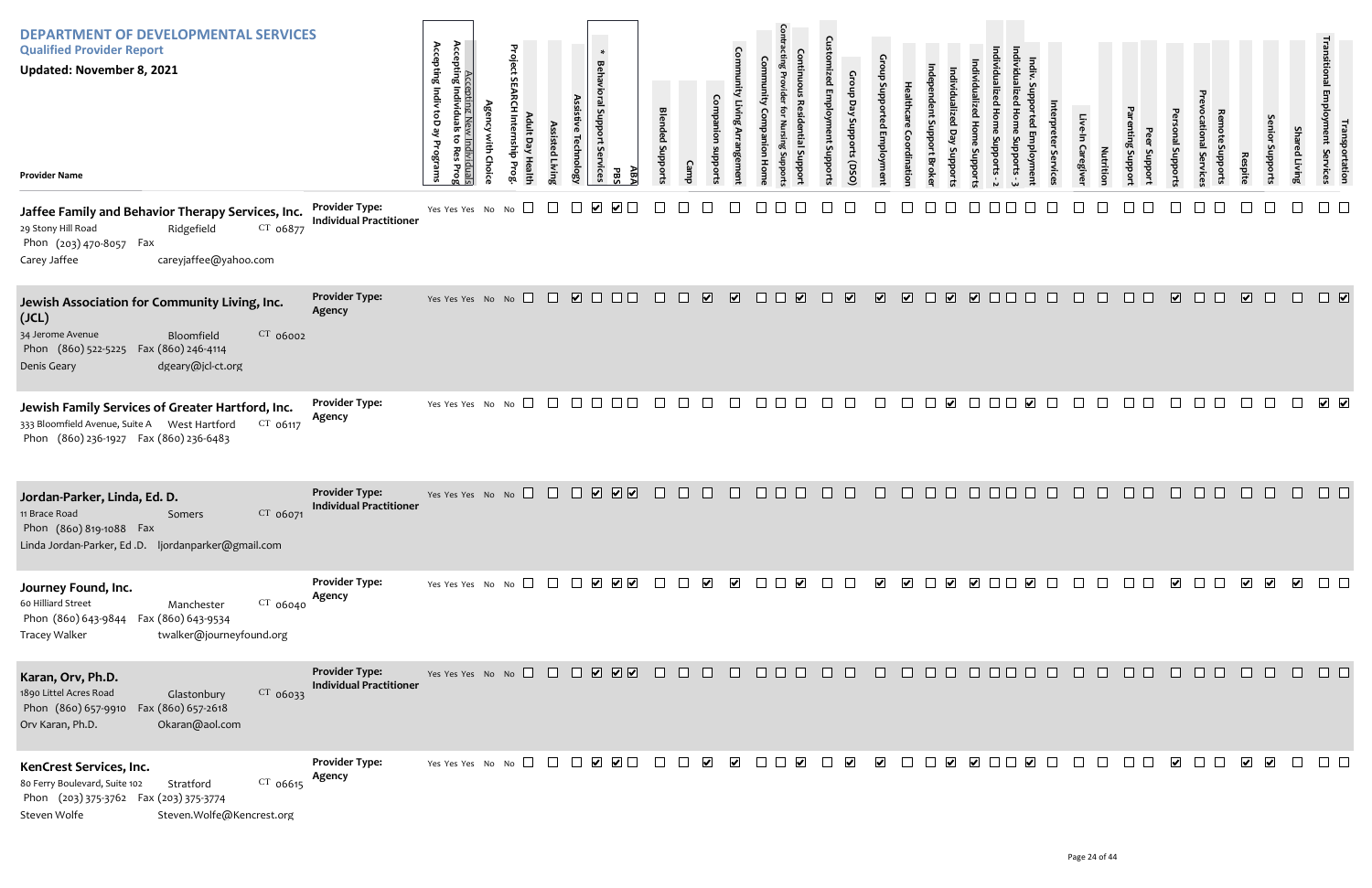| <b>DEPARTMENT OF DEVELOPMENTAL SERVICES</b><br><b>Qualified Provider Report</b><br><b>Updated: November 8, 2021</b><br><b>Provider Name</b>                                           |                                                         | Accepting I<br>Accepting Individu<br>Accepting Indiv toD ay<br>ទ<br>Programs<br>ndividuals<br>o Res Prog | Project<br><b>S</b><br>$\sigma$ | ssisted<br><b>Livir</b> | $\ast$<br><b>Behavioral Sup</b><br>hnolog<br>iervices | Æ,<br>곦      | <b>Blended</b><br>loddn <sub>S</sub> |                                   |                                              |               |                                                                                    | oddns             | Gro<br>upports (DSO)     |                         | ddns                              |                         |                         |               |                          |              | Caregive<br>Nutritio | Jupport<br><b>Suppor</b> | pubport                 | ervic        | <b>Respite</b> | enio<br>oddr                                       | ed Livin                | ייפוויטן<br>או yment<br>portation<br>Services |  |
|---------------------------------------------------------------------------------------------------------------------------------------------------------------------------------------|---------------------------------------------------------|----------------------------------------------------------------------------------------------------------|---------------------------------|-------------------------|-------------------------------------------------------|--------------|--------------------------------------|-----------------------------------|----------------------------------------------|---------------|------------------------------------------------------------------------------------|-------------------|--------------------------|-------------------------|-----------------------------------|-------------------------|-------------------------|---------------|--------------------------|--------------|----------------------|--------------------------|-------------------------|--------------|----------------|----------------------------------------------------|-------------------------|-----------------------------------------------|--|
| Jaffee Family and Behavior Therapy Services, Inc.<br>29 Stony Hill Road<br>CT 06877<br>Ridgefield<br>Phon (203) 470-8057 Fax<br>careyjaffee@yahoo.com<br>Carey Jaffee                 | <b>Provider Type:</b><br><b>Individual Practitioner</b> | Yes Yes Yes No No $\square$                                                                              |                                 |                         |                                                       |              |                                      |                                   |                                              |               |                                                                                    |                   |                          |                         |                                   |                         |                         |               |                          |              |                      |                          |                         |              |                |                                                    |                         |                                               |  |
| Jewish Association for Community Living, Inc.<br>(JCL)<br>CT 06002<br>34 Jerome Avenue<br>Bloomfield<br>Phon (860) 522-5225<br>Fax (860) 246-4114<br>dgeary@jcl-ct.org<br>Denis Geary | <b>Provider Type:</b><br>Agency                         | Yes Yes Yes No No $\square$                                                                              |                                 | $\Box$                  | $\Box$                                                | $\Box$       | $\Box$                               | $\overline{\mathbf{v}}$<br>$\Box$ | $\overline{\mathbf{v}}$                      | $\Box$        | $\overline{\mathbf{v}}$<br>$\Box$                                                  | $\Box$            | $\overline{\mathbf{v}}$  | $\overline{\mathbf{v}}$ | $\overline{\mathbf{v}}$<br>$\Box$ | $\overline{\mathbf{v}}$ | $\overline{\mathbf{v}}$ | $\Box$ $\Box$ | $\Box$                   | $\mathbf{1}$ | n.                   | $\Box$ $\Box$            | $\overline{\mathbf{v}}$ | $\Box$       | $\Box$         | $\overline{\mathbf{v}}$<br>$\Box$                  | $\Box$                  | $\Box$                                        |  |
| Jewish Family Services of Greater Hartford, Inc.<br>333 Bloomfield Avenue, Suite A West Hartford<br>CT 06117<br>Phon (860) 236-1927 Fax (860) 236-6483                                | <b>Provider Type:</b><br>Agency                         | Yes Yes Yes No No $\square$                                                                              |                                 | $\Box$                  | $\Box$<br>If                                          |              |                                      |                                   | $\Box$                                       |               |                                                                                    |                   |                          |                         |                                   |                         |                         |               | $\blacktriangledown$     |              |                      |                          |                         |              |                |                                                    |                         | $\sqrt{ }$                                    |  |
| Jordan-Parker, Linda, Ed. D.<br>CT 06071<br>11 Brace Road<br>Somers<br>Phon (860) 819-1088 Fax<br>Linda Jordan-Parker, Ed.D. ljordanparker@gmail.com                                  | <b>Provider Type:</b><br><b>Individual Practitioner</b> | Yes Yes Yes No No                                                                                        |                                 | $\Box$                  | $\mathbf{1}$                                          | <b>V V V</b> |                                      |                                   |                                              |               |                                                                                    |                   |                          |                         |                                   |                         | $\mathbf{I}$            |               |                          |              |                      |                          |                         | H            |                |                                                    |                         |                                               |  |
| Journey Found, Inc.<br>$CT$ 06040<br>60 Hilliard Street<br>Manchester<br>Phon (860) 643-9844  Fax (860) 643-9534<br>twalker@journeyfound.org<br><b>Tracey Walker</b>                  | <b>Provider Type:</b><br>Agency                         | Yes Yes Yes No No $\Box$ $\Box$ $\Box$ $\Box$ $\Box$ $\Box$ $\Box$                                       |                                 |                         |                                                       |              | $\mathcal{L}^{\mathcal{L}}$ .        | $\mathbb{R}^n$                    | $\blacktriangledown$<br>$\blacktriangledown$ | $\Box$ $\Box$ | $\blacktriangledown$                                                               | <b>TELEVISION</b> | $\perp$                  | $\blacktriangledown$    | $\blacktriangledown$              |                         |                         |               | $\overline{\phantom{a}}$ |              |                      |                          | $\overline{\mathbf{v}}$ |              |                | $\blacktriangledown$<br>$\blacktriangledown$       | $\overline{\mathbf{v}}$ | $\Box$                                        |  |
| Karan, Orv, Ph.D.<br>1890 Littel Acres Road<br>CT 06033<br>Glastonbury<br>Phon (860) 657-9910<br>Fax (860) 657-2618<br>Orv Karan, Ph.D.<br>Okaran@aol.com                             | <b>Provider Type:</b><br><b>Individual Practitioner</b> | Yes Yes Yes No No $\Box$ $\Box$ $\Box$ $\Box$ $\Box$ $\Box$ $\Box$                                       |                                 |                         |                                                       |              | $\Box$                               | $\Box$<br>$\Box$                  | $\Box$                                       |               | $\begin{array}{c c c c c} \hline \textbf{a} & \textbf{b} & \textbf{c} \end{array}$ | $\Box$            | $\Box$                   | $\Box$                  | $\Box$                            | $\Box$ $\Box$           | $\Box$ $\Box$ $\Box$    |               |                          |              | $\perp$              |                          |                         | $\mathbf{1}$ |                | $\Box$                                             | $\Box$                  | $\Box$                                        |  |
| KenCrest Services, Inc.<br>$CT$ 06615<br>80 Ferry Boulevard, Suite 102<br>Stratford<br>Phon (203) 375-3762 Fax (203) 375-3774<br>Steven.Wolfe@Kencrest.org<br>Steven Wolfe            | <b>Provider Type:</b><br>Agency                         | Yes Yes Yes No No $\Box$                                                                                 |                                 |                         |                                                       |              | a katika                             |                                   | $\blacktriangledown$<br>$\blacktriangledown$ | $\mathbf{1}$  | $\blacktriangledown$                                                               |                   | $\vert \checkmark \vert$ | $\blacktriangledown$    |                                   |                         | $\blacktriangleright$   |               | $\blacktriangleright$    |              |                      |                          | $\overline{\mathbf{v}}$ |              |                | $\overline{\mathbf{v}}$<br>$\overline{\mathbf{v}}$ |                         | $\Box$ $\Box$                                 |  |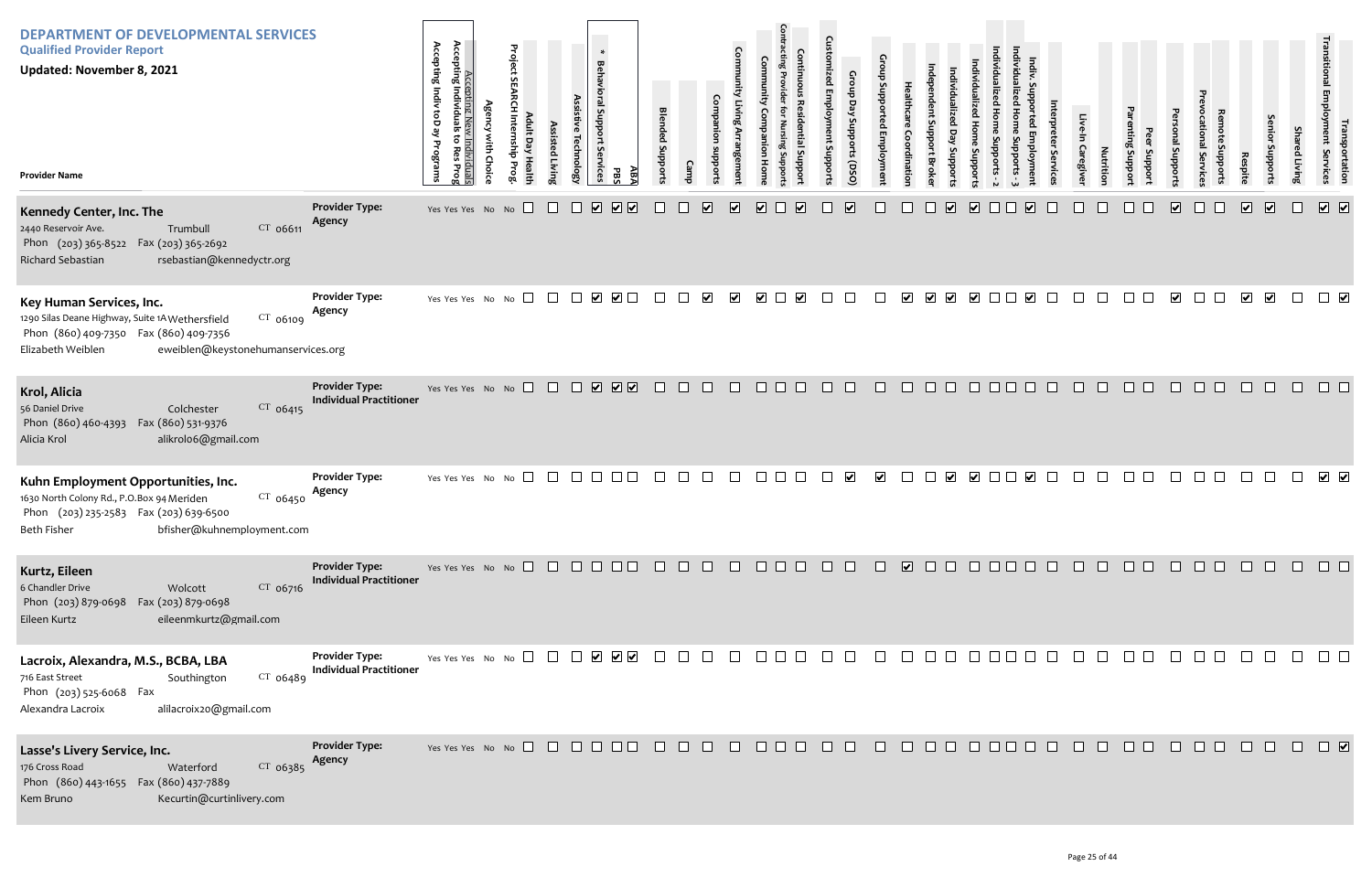| <b>DEPARTMENT OF DEVELOPMENTAL SERVICES</b><br><b>Qualified Provider Report</b><br><b>Updated: November 8, 2021</b><br><b>Provider Name</b>                                                   |                                                         | Accepting Indiv toD ay<br>Accepting New<br>Accepting Individuals<br>to Res<br>ist:<br>Programs<br>Choic<br>iduals<br>s Prog | Project<br>$\overline{a}$<br>dius<br>ay Healt | Assisted Livin | <b>Technology</b>    | $\ast$<br><b>Behavioral Support</b><br><b>Services</b><br>ABA<br>PBS                     | <b>Blended Support</b>                                                |              |                         |                         |                      |                         | <b>Emplo</b><br>Suppor | Croup<br>Day Supports<br>(DSQ) |                      | ਠ                    |                                              | Support                     |               |                         |        | Caregive | <b>Nutrition</b> | uoddns<br>Loddns | <b>alS</b><br>uoddn     |         | Respite                 | enior<br>Supports       | ed Living | rranspor<br>Ioyment Se<br>portation<br>Services                              |
|-----------------------------------------------------------------------------------------------------------------------------------------------------------------------------------------------|---------------------------------------------------------|-----------------------------------------------------------------------------------------------------------------------------|-----------------------------------------------|----------------|----------------------|------------------------------------------------------------------------------------------|-----------------------------------------------------------------------|--------------|-------------------------|-------------------------|----------------------|-------------------------|------------------------|--------------------------------|----------------------|----------------------|----------------------------------------------|-----------------------------|---------------|-------------------------|--------|----------|------------------|------------------|-------------------------|---------|-------------------------|-------------------------|-----------|------------------------------------------------------------------------------|
| Kennedy Center, Inc. The<br>$CT$ 06611<br>2440 Reservoir Ave.<br>Trumbull<br>Phon (203) 365-8522 Fax (203) 365-2692<br>Richard Sebastian<br>rsebastian@kennedyctr.org                         | <b>Provider Type:</b><br>Agency                         | Yes Yes Yes No No                                                                                                           |                                               | $\Box$         | $\sqrt{2}$<br>$\Box$ | $\boxed{\bullet}$                                                                        |                                                                       |              | $\overline{\mathbf{v}}$ | $\overline{\mathbf{v}}$ | $\blacktriangledown$ | $\overline{\mathbf{v}}$ |                        | $\overline{\mathbf{v}}$        |                      |                      | $\overline{\mathbf{v}}$<br>$\mathbb{R}^n$    | $\overline{\mathbf{v}}$     | $\Box$ $\Box$ | $\overline{\mathbf{v}}$ |        |          |                  |                  | $\overline{\mathbf{v}}$ |         | $\overline{\mathbf{v}}$ | $\sqrt{2}$              | $\Box$    | $\boxed{\bullet}$                                                            |
| Key Human Services, Inc.<br>CT 06109<br>1290 Silas Deane Highway, Suite 1A Wethersfield<br>Phon (860) 409-7350  Fax (860) 409-7356<br>eweiblen@keystonehumanservices.org<br>Elizabeth Weiblen | <b>Provider Type:</b><br>Agency                         | Yes Yes Yes No                                                                                                              | $\Box$<br>No                                  | $\Box$         |                      |                                                                                          | $\Box$                                                                |              | $\blacktriangledown$    | $\blacktriangledown$    | $\blacktriangledown$ | $\blacktriangledown$    |                        |                                |                      | $\blacktriangledown$ | $\blacktriangledown$<br>$\blacktriangledown$ | $\blacktriangledown$        | 1111          | $\blacktriangledown$    |        |          |                  |                  | $\overline{\mathbf{v}}$ | $\perp$ | $\overline{\mathbf{v}}$ | $\overline{\mathbf{v}}$ | $\Box$    | $\Box$                                                                       |
| Krol, Alicia<br>56 Daniel Drive<br>$CT$ 06415<br>Colchester<br>Phon (860) 460-4393<br>Fax (860) 531-9376<br>alikrolo6@gmail.com<br>Alicia Krol                                                | <b>Provider Type:</b><br><b>Individual Practitioner</b> | Yes Yes Yes No No $\Box$                                                                                                    |                                               |                |                      | $\begin{array}{c} \square \ \square \ \square \ \square \end{array}$                     | $\Box$                                                                | $\Box$       | $\Box$                  | $\Box$                  | $\Box$<br>$\Box$     |                         | <b>TELEVISION</b>      | $\Box$                         | $\Box$               | $\Box$               | $\Box$<br>$\Box$                             | $\Box$                      | $\Box$ $\Box$ | $\Box$                  | $\Box$ | $\Box$   | $\Box$           | $\Box$           | $\Box$                  | П       | $\Box$                  | H                       | $\Box$    | $\Box$ $\Box$                                                                |
| Kuhn Employment Opportunities, Inc.<br>1630 North Colony Rd., P.O.Box 94 Meriden<br>$CT$ 06450<br>Phon (203) 235-2583 Fax (203) 639-6500<br>bfisher@kuhnemployment.com<br><b>Beth Fisher</b>  | <b>Provider Type:</b><br>Agency                         | Yes Yes Yes No No                                                                                                           | $\Box$                                        |                | $\Box$               |                                                                                          |                                                                       |              |                         |                         |                      |                         |                        | $\blacktriangledown$           | $\blacktriangledown$ |                      | $\blacktriangledown$<br>$\Box$               | $\blacktriangledown$        |               | $\blacktriangledown$    |        |          |                  |                  |                         |         |                         |                         |           | $\sqrt{ }$                                                                   |
| Kurtz, Eileen<br>6 Chandler Drive<br>$CT$ 06716<br>Wolcott<br>Phon (203) 879-0698<br>Fax (203) 879-0698<br>eileenmkurtz@gmail.com<br>Eileen Kurtz                                             | <b>Provider Type:</b><br><b>Individual Practitioner</b> | Yes Yes Yes No No $\Box$ $\Box$ $\Box$ $\Box$ $\Box$ $\Box$                                                                 |                                               |                |                      |                                                                                          | $\begin{array}{cccccccccccccc} \Box & \Box & \Box & \Box \end{array}$ |              |                         |                         |                      |                         |                        |                                |                      |                      |                                              |                             |               |                         |        |          |                  |                  |                         |         |                         |                         |           |                                                                              |
| Lacroix, Alexandra, M.S., BCBA, LBA<br>716 East Street<br>$CT$ 06489<br>Southington<br>Phon (203) 525-6068 Fax<br>alilacroix20@gmail.com<br>Alexandra Lacroix                                 | <b>Provider Type:</b><br><b>Individual Practitioner</b> | Yes Yes Yes No No $\square$                                                                                                 |                                               |                |                      | $\begin{array}{c} \begin{array}{c} \begin{array}{c} \end{array} \end{array} \end{array}$ | $\mathcal{L}_{\text{max}}$                                            | $\mathbf{1}$ | $\perp$                 | $\perp$                 | $\Box$ $\Box$        |                         | $\mathbf{1}$           | $\perp$                        | $\sim 10^{-1}$       | $\pm$                | $\Box$ $\Box$                                | $\mathcal{L}^{\mathcal{L}}$ |               | $\Box$ $\Box$ $\Box$    |        |          | $\perp$          | $\Box$           |                         |         |                         |                         | $\Box$    | $\Box$ $\Box$                                                                |
| Lasse's Livery Service, Inc.<br>$CT$ 06385<br>176 Cross Road<br>Waterford<br>Phon (860) 443-1655  Fax (860) 437-7889<br>Kecurtin@curtinlivery.com<br>Kem Bruno                                | <b>Provider Type:</b><br>Agency                         |                                                                                                                             |                                               |                |                      |                                                                                          |                                                                       |              |                         |                         |                      |                         |                        |                                |                      |                      |                                              |                             |               |                         |        |          |                  |                  |                         |         |                         |                         |           | $\begin{array}{cccccccccccccc} \Box & \Box & \Box & \Box & \Box \end{array}$ |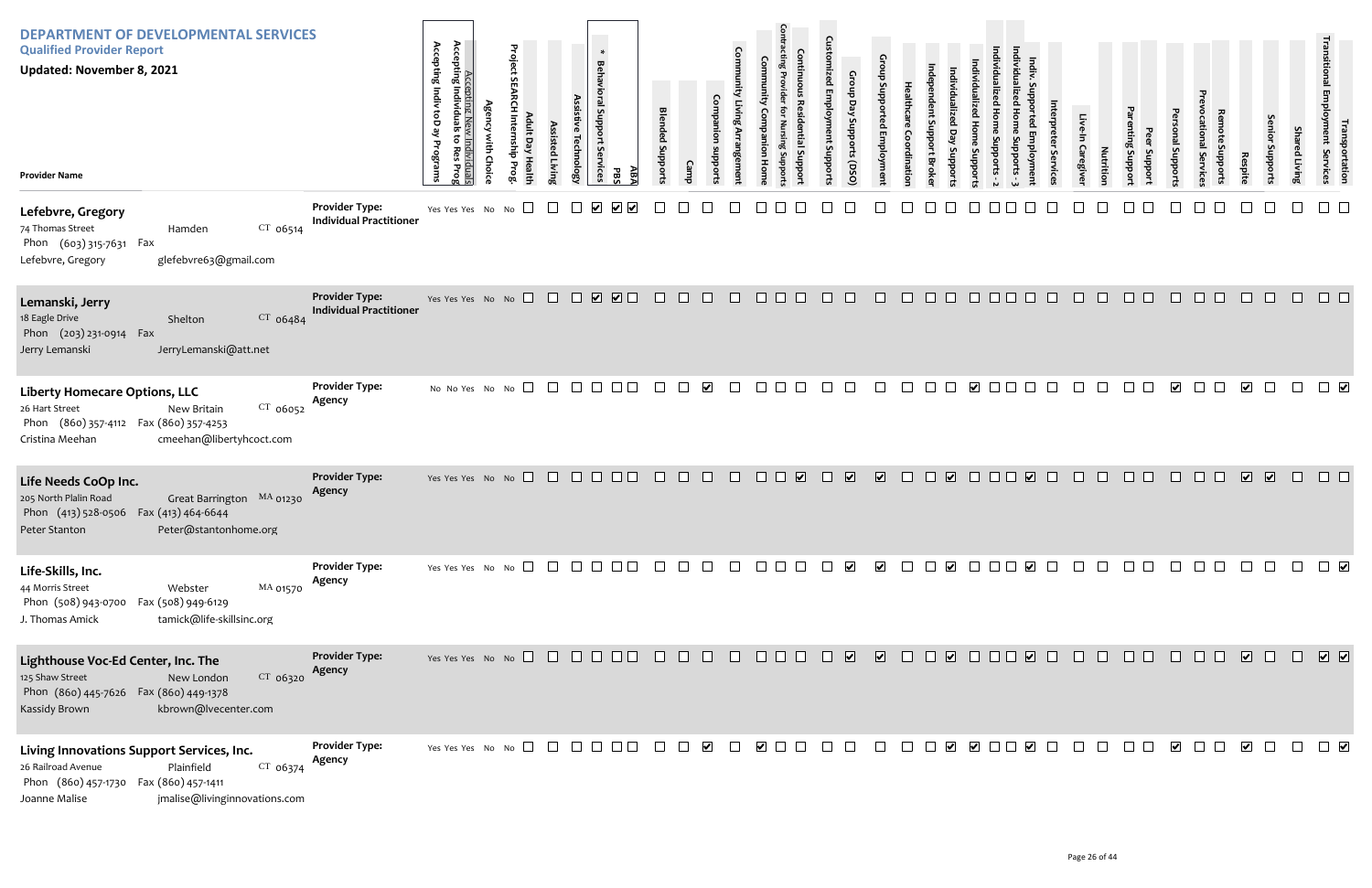| <b>DEPARTMENT OF DEVELOPMENTAL SERVICES</b><br><b>Qualified Provider Report</b><br><b>Updated: November 8, 2021</b><br><b>Provider Name</b>                                           |                                                         | Accepting Indiv toD ay<br>Accepting Nev<br>Accepting Individuals<br>ᠳ<br>v Individuals<br>to Res Prog<br>Programs | Project<br>$\overline{a}$ | ssisted Livin | hnolog)              | $\ast$<br><b>Behavioral Support</b><br>Services<br>ΑB7<br><b>PB</b> | <b>Blended Suppor</b>    |                                                                       |                      | Com          |                                                                                                                                                                                                                                                                                                                                                                                                           | oddns  | Gro<br>Day<br>iupports (DSO) |                         | dinatio | ddn <sub>S</sub> :<br>ă                | oddns                   |        |                       |        | Caregive | Nutritio | Jupport<br><b>Suppor</b> | I Support            | ervic            | Respite                 | enio<br>oddns | Sha<br>ed Living | ן Employment<br>  Employment<br>portation<br>Services |
|---------------------------------------------------------------------------------------------------------------------------------------------------------------------------------------|---------------------------------------------------------|-------------------------------------------------------------------------------------------------------------------|---------------------------|---------------|----------------------|---------------------------------------------------------------------|--------------------------|-----------------------------------------------------------------------|----------------------|--------------|-----------------------------------------------------------------------------------------------------------------------------------------------------------------------------------------------------------------------------------------------------------------------------------------------------------------------------------------------------------------------------------------------------------|--------|------------------------------|-------------------------|---------|----------------------------------------|-------------------------|--------|-----------------------|--------|----------|----------|--------------------------|----------------------|------------------|-------------------------|---------------|------------------|-------------------------------------------------------|
| Lefebvre, Gregory<br>$CT$ 06514<br>74 Thomas Street<br>Hamden<br>Phon (603) 315-7631 Fax<br>glefebvre63@gmail.com<br>Lefebvre, Gregory                                                | <b>Provider Type:</b><br><b>Individual Practitioner</b> | Yes Yes Yes No No $\square$                                                                                       |                           |               | $\blacktriangledown$ |                                                                     |                          |                                                                       |                      |              |                                                                                                                                                                                                                                                                                                                                                                                                           |        |                              |                         |         |                                        |                         |        |                       |        |          |          |                          |                      |                  |                         |               |                  |                                                       |
| Lemanski, Jerry<br>18 Eagle Drive<br>$CT$ 06484<br>Shelton<br>Phon (203) 231-0914 Fax<br>JerryLemanski@att.net<br>Jerry Lemanski                                                      | <b>Provider Type:</b><br><b>Individual Practitioner</b> | Yes Yes Yes No No $\Box$                                                                                          |                           |               |                      | $\begin{array}{c} \square \ \square \ \square \end{array}$          | $\Box$                   | $\Box$                                                                | $\Box$               | $\Box$       | $\begin{array}{c c c c c} \hline \rule{0pt}{16pt} \rule{0pt}{2pt} \rule{0pt}{2pt} \rule{0pt}{2pt} \rule{0pt}{2pt} \rule{0pt}{2pt} \rule{0pt}{2pt} \rule{0pt}{2pt} \rule{0pt}{2pt} \rule{0pt}{2pt} \rule{0pt}{2pt} \rule{0pt}{2pt} \rule{0pt}{2pt} \rule{0pt}{2pt} \rule{0pt}{2pt} \rule{0pt}{2pt} \rule{0pt}{2pt} \rule{0pt}{2pt} \rule{0pt}{2pt} \rule{0pt}{2pt} \rule{0pt}{2pt} \rule{0pt}{2pt} \rule{$ | $\Box$ | $\Box$                       | $\Box$                  | $\Box$  | $\Box$ $\Box$                          | $\Box$                  | $\Box$ | $\Box$                | $\Box$ | $\Box$   | $\Box$   | $\Box$ $\Box$            | $\Box$               | $\Box$<br>$\Box$ | $\Box$                  | $\Box$        | $\Box$           | $\Box$ $\Box$                                         |
| <b>Liberty Homecare Options, LLC</b><br>CT 06052<br>26 Hart Street<br>New Britain<br>Phon (860) 357-4112 Fax (860) 357-4253<br>cmeehan@libertyhcoct.com<br>Cristina Meehan            | <b>Provider Type:</b><br>Agency                         | No No Yes No No                                                                                                   | $\Box$                    | $\Box$        |                      |                                                                     |                          |                                                                       | $\blacktriangledown$ | $\mathbf{I}$ | $\Box$                                                                                                                                                                                                                                                                                                                                                                                                    |        |                              |                         |         |                                        | $\overline{\mathbf{v}}$ |        |                       |        |          |          |                          | $\blacktriangledown$ |                  | $\overline{\mathbf{v}}$ | $\Box$        |                  |                                                       |
| Life Needs CoOp Inc.<br>205 North Plalin Road<br>Great Barrington MA 01230<br>Phon (413) 528-0506 Fax (413) 464-6644<br>Peter@stantonhome.org<br>Peter Stanton                        | <b>Provider Type:</b><br>Agency                         | Yes Yes Yes No No $\Box$ $\Box$ $\Box$ $\Box$ $\Box$ $\Box$                                                       |                           |               |                      |                                                                     | $\Box$                   | $\Box$                                                                | $\Box$               | $\Box$       | $\Box$ $\Box$ $\Box$                                                                                                                                                                                                                                                                                                                                                                                      | $\Box$ | $\overline{\mathbf{v}}$      | $\overline{\mathbf{v}}$ | $\Box$  | $\begin{array}{c} \square \end{array}$ | $\Box$                  |        | $\Box$                |        | $\Box$   | $\Box$   | $\Box$ $\Box$            |                      | $\Box$           | $\overline{\mathbf{v}}$ | $\sqrt{2}$    | $\Box$           |                                                       |
| Life-Skills, Inc.<br>MA 01570<br>44 Morris Street<br>Webster<br>Phon (508) 943-0700<br>Fax (508) 949-6129<br>tamick@life-skillsinc.org<br>J. Thomas Amick                             | <b>Provider Type:</b><br>Agency                         | Yes Yes Yes No No $\Box$                                                                                          |                           |               |                      |                                                                     |                          |                                                                       |                      |              | $\Box$ $\Box$                                                                                                                                                                                                                                                                                                                                                                                             |        | $\blacktriangledown$         | $\blacktriangledown$    |         | $\blacktriangleright$                  | $\perp$                 |        | $\blacktriangleright$ |        |          |          |                          |                      |                  |                         |               |                  |                                                       |
| Lighthouse Voc-Ed Center, Inc. The<br>125 Shaw Street<br>$CT$ 06320<br>New London<br>Phon (860) 445-7626  Fax (860) 449-1378<br>Kassidy Brown<br>kbrown@lvecenter.com                 | <b>Provider Type:</b><br>Agency                         | Yes Yes Yes No No $\square$ $\square$ $\square$ $\square$ $\square$ $\square$                                     |                           |               |                      |                                                                     |                          | $\begin{array}{cccccccccccccc} \Box & \Box & \Box & \Box \end{array}$ |                      |              | 8 8 8 8 8 8 8 8 8 8 8 8                                                                                                                                                                                                                                                                                                                                                                                   |        |                              |                         |         |                                        |                         |        |                       |        | $\Box$   | $\Box$   | $\Box$ $\Box$            | $\Box$               | $\Box$<br>$\Box$ | $\sqrt{2}$              | $\Box$        | $\Box$           | $\sqrt{2}$                                            |
| Living Innovations Support Services, Inc.<br>CT 06374<br>26 Railroad Avenue<br>Plainfield<br>Phon (860) 457-1730 Fax (860) 457-1411<br>jmalise@livinginnovations.com<br>Joanne Malise | <b>Provider Type:</b><br>Agency                         | Yes Yes Yes No No $\Box$                                                                                          |                           |               | $\Box$               | $\Box$ $\Box$                                                       | $\overline{\phantom{a}}$ | $\Box$                                                                | $\blacktriangledown$ | $\Box$       | $\checkmark$ $\Box$ $\Box$                                                                                                                                                                                                                                                                                                                                                                                |        |                              |                         |         |                                        |                         |        |                       |        | $\Box$   | $\Box$   | $\Box$ $\Box$            | $\blacktriangledown$ | $\Box$           | $\blacktriangledown$    | $\Box$        | $\Box$           | $\Box$                                                |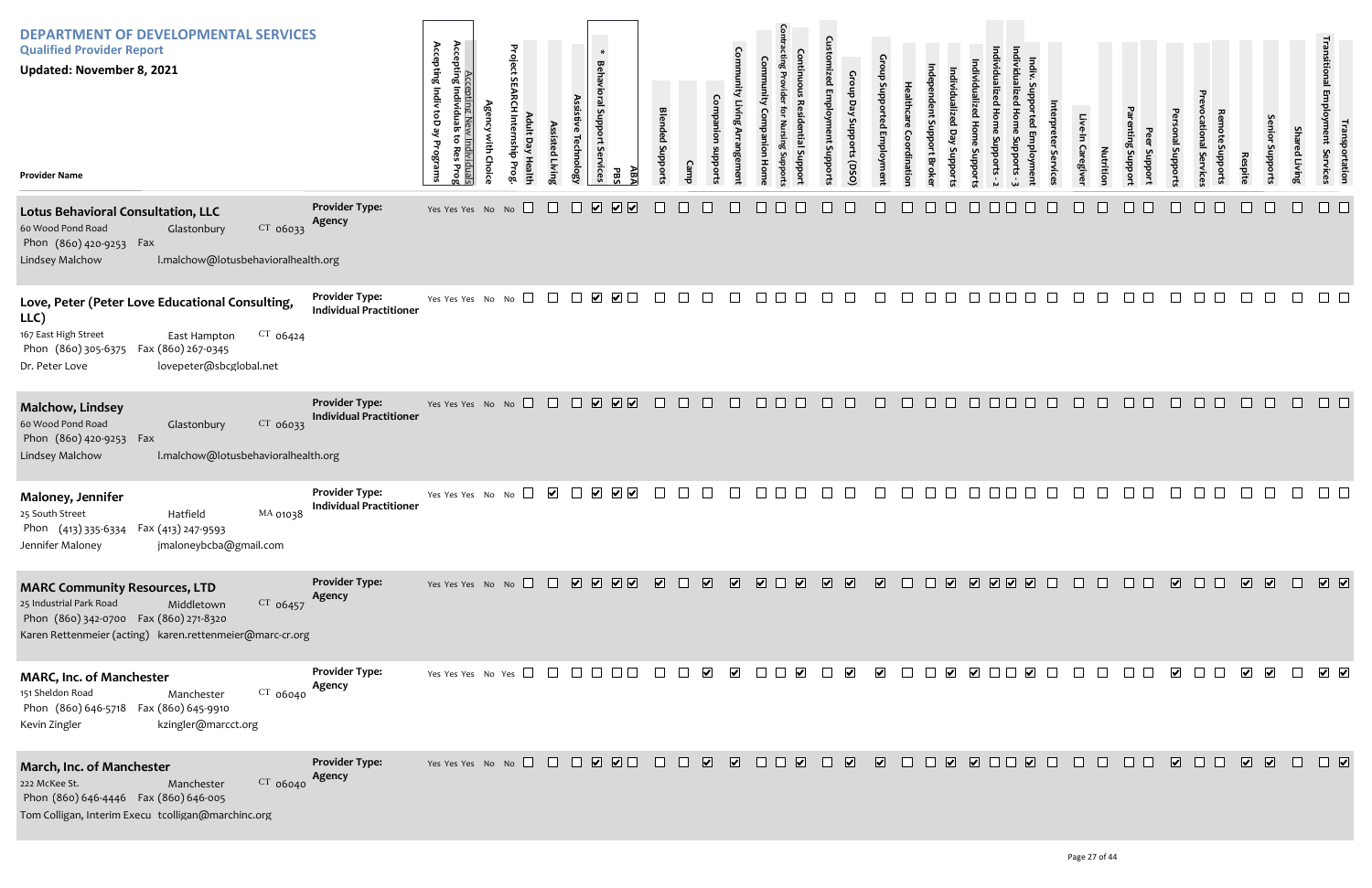| Individualized Home Supports - 3 | Indiv. Supported Employment | Interpreter Services | Live-In Caregiver | Nutrition | Parenting Support | Peer Support | Personal Supports | Prevocational Services | Remote Supports | Respite | Senior Supports | Shared Living    | Transitional Employment Services | Transportation          |
|----------------------------------|-----------------------------|----------------------|-------------------|-----------|-------------------|--------------|-------------------|------------------------|-----------------|---------|-----------------|------------------|----------------------------------|-------------------------|
|                                  |                             |                      |                   |           |                   |              |                   |                        |                 |         |                 |                  |                                  |                         |
|                                  |                             |                      |                   |           |                   |              |                   |                        |                 |         |                 |                  |                                  |                         |
|                                  |                             |                      |                   |           |                   |              |                   |                        |                 |         |                 |                  |                                  |                         |
|                                  |                             |                      |                   |           |                   |              |                   |                        |                 |         |                 |                  |                                  |                         |
|                                  |                             |                      |                   |           |                   |              |                   |                        |                 |         |                 |                  |                                  |                         |
|                                  |                             |                      |                   |           |                   |              |                   |                        |                 |         |                 |                  |                                  |                         |
|                                  |                             |                      |                   |           |                   |              |                   |                        |                 |         |                 | $\hfill \square$ | $\hfill \square$                 | $\overline{\mathbf{v}}$ |

| <b>DEPARTMENT OF DEVELOPMENTAL SERVICES</b><br><b>Qualified Provider Report</b><br><b>Updated: November 8, 2021</b><br><b>Provider Name</b>                                                             |                                                         | Accepting<br>Accepting Indiv toD ay<br>Accepting New Individuals<br>Individua<br>ã<br>Programs<br>kes<br>Prog | Project SEARCH Internship Prog<br><b>Agency with Choice</b><br>Adult Day Health | Assisted Living | $\ast$<br>Behavioral Support Se<br>Assistive Technology<br><b>IVices</b><br>ĀВA<br>PBS | <b>Blended Supports</b> | Companion<br>suoddns<br><b>Camp</b> | Community Living Arrangement | <b>Contracting Provider</b><br>Community<br>Companion<br>Nursing Suppo<br>Hom | Continuous<br><b>Residential Suppor</b> | <b>Customized Employment Supports</b><br>Group Day Supports (DSO) | Group Supported Employment | Healthcare<br>Coordination | ndependent Support Broke<br>Individualized<br>Day<br>Supports | Individualized<br><b>Home Supports</b> | Individualized Home Supports - 2 |
|---------------------------------------------------------------------------------------------------------------------------------------------------------------------------------------------------------|---------------------------------------------------------|---------------------------------------------------------------------------------------------------------------|---------------------------------------------------------------------------------|-----------------|----------------------------------------------------------------------------------------|-------------------------|-------------------------------------|------------------------------|-------------------------------------------------------------------------------|-----------------------------------------|-------------------------------------------------------------------|----------------------------|----------------------------|---------------------------------------------------------------|----------------------------------------|----------------------------------|
| <b>Lotus Behavioral Consultation, LLC</b><br>60 Wood Pond Road<br>CT 06033<br>Glastonbury<br>Phon (860) 420-9253 Fax<br>Lindsey Malchow<br>I.malchow@lotusbehavioralhealth.org                          | <b>Provider Type:</b><br>Agency                         | Yes Yes Yes No No                                                                                             |                                                                                 |                 | ⊻<br>☑<br>$\vert\bm{\mathsf{v}}\vert$                                                  |                         |                                     |                              |                                                                               |                                         |                                                                   |                            |                            |                                                               |                                        |                                  |
| Love, Peter (Peter Love Educational Consulting,<br>LLC)<br>167 East High Street<br>$CT$ 06424<br>East Hampton<br>Phon (860) 305-6375<br>Fax (860) 267-0345<br>lovepeter@sbcglobal.net<br>Dr. Peter Love | <b>Provider Type:</b><br><b>Individual Practitioner</b> | Yes Yes Yes No No                                                                                             |                                                                                 | $\mathbf{L}$    | $\blacktriangledown$ $\Box$<br>$\blacktriangledown$<br>$\perp$                         |                         |                                     |                              |                                                                               |                                         |                                                                   |                            |                            |                                                               |                                        |                                  |
| <b>Malchow, Lindsey</b><br>60 Wood Pond Road<br>CT 06033<br>Glastonbury<br>Phon (860) 420-9253 Fax<br>I.malchow@lotusbehavioralhealth.org<br>Lindsey Malchow                                            | <b>Provider Type:</b><br><b>Individual Practitioner</b> | Yes Yes Yes No No                                                                                             | $\Box$                                                                          | $\Box$          | ☑☑<br>$\overline{\mathbf{v}}$<br>$\Box$                                                | H                       | $\mathbf{L}$                        |                              | H                                                                             | $\mathbf{L}$                            | $\mathbf{1}$                                                      | $\Box$                     | $\overline{a}$             |                                                               |                                        |                                  |
| Maloney, Jennifer<br>Hatfield<br>MA 01038<br>25 South Street<br>Phon (413) 335-6334 Fax (413) 247-9593<br>Jennifer Maloney<br>jmaloneybcba@gmail.com                                                    | <b>Provider Type:</b><br><b>Individual Practitioner</b> | Yes Yes Yes No No                                                                                             |                                                                                 | ⊻               | $\blacktriangledown$<br>$\vert\bm{\mathsf{v}}\vert$<br>$\blacktriangleright$           |                         |                                     |                              |                                                                               |                                         |                                                                   |                            |                            |                                                               |                                        |                                  |
| <b>MARC Community Resources, LTD</b><br>25 Industrial Park Road<br>Middletown<br>$CT$ 06457<br>Phon (860) 342-0700 Fax (860) 271-8320<br>Karen Rettenmeier (acting) karen.rettenmeier@marc-cr.org       | <b>Provider Type:</b><br>Agency                         |                                                                                                               | Yes Yes Yes No No $\Box$                                                        |                 | V V V V                                                                                | $\overline{\mathbf{v}}$ | $\overline{\mathbf{v}}$             | $\overline{\mathbf{v}}$      | $\overline{\mathbf{v}}$                                                       | $\overline{\mathbf{v}}$                 | $\overline{\mathbf{v}}$<br>$\overline{\mathbf{v}}$                | $\overline{\mathbf{v}}$    |                            | $\overline{\mathbf{v}}$                                       |                                        | $\boxed{\mathbf{v}}$             |
| <b>MARC, Inc. of Manchester</b><br>CT 06040<br>151 Sheldon Road<br>Manchester<br>Phon (860) 646-5718  Fax (860) 645-9910<br>kzingler@marcct.org<br>Kevin Zingler                                        | <b>Provider Type:</b><br>Agency                         |                                                                                                               | Yes Yes Yes No Yes $\Box$                                                       | $\perp$         |                                                                                        |                         | V                                   | $\blacktriangledown$         |                                                                               |                                         | $\blacktriangledown$                                              | $\blacktriangledown$       |                            |                                                               | $\blacktriangledown$                   |                                  |
| March, Inc. of Manchester<br>222 McKee St.<br>CT 06040<br>Manchester<br>Phon (860) 646-4446  Fax (860) 646-005<br>Tom Colligan, Interim Execu tcolligan@marchinc.org                                    | <b>Provider Type:</b><br>Agency                         |                                                                                                               | Yes Yes Yes No No $\Box$                                                        | $\pm$           | $\boxed{\bullet}$ $\boxed{\bullet}$<br>$\overline{\mathbf{v}}$                         |                         | $\overline{\mathbf{v}}$             | ⊻                            |                                                                               | $\vert\bm{\mathsf{v}}\vert$             | $\overline{\mathbf{v}}$                                           | $\overline{\mathbf{v}}$    |                            | $\overline{\mathbf{v}}$                                       |                                        | $\Box$                           |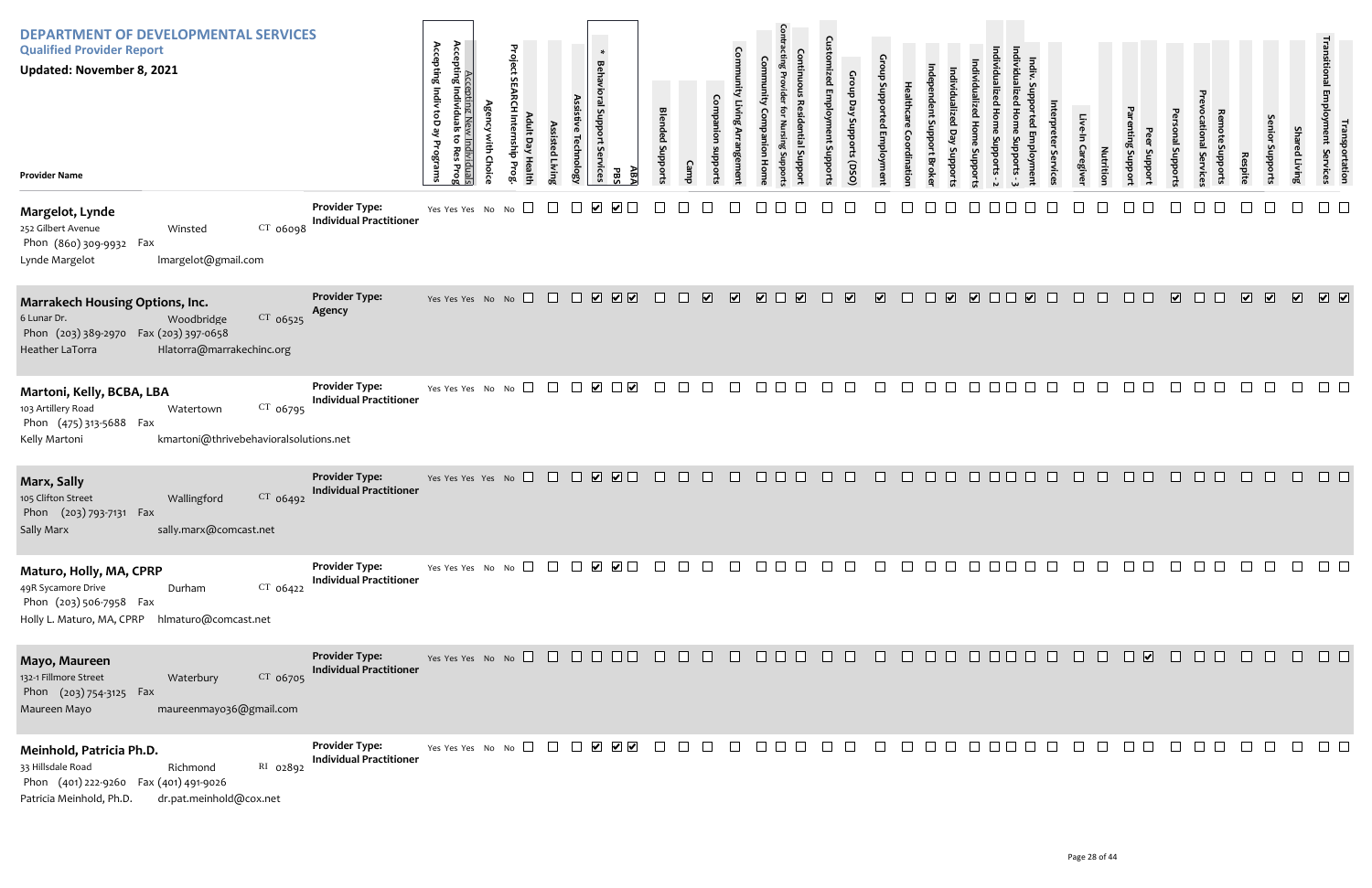| <b>DEPARTMENT OF DEVELOPMENTAL SERVICES</b><br><b>Qualified Provider Report</b><br><b>Updated: November 8, 2021</b><br><b>Provider Name</b>                                |                                                         | Accepting I<br>Accepting Indiv toD ay<br>Accepting New Individuals<br>Individuals<br>to Res<br>Programs<br>Prog | <b>Agency with Choice</b> | Project SEARCH Internship Prog<br>Adult Day Health | Assisted Living | Assistive Technology | ∗<br>Behavioral Support Services<br>ABA<br><b>PBS</b> | <b>Blended Supports</b> | Camp    | Companion<br>stroddns   | <b>Community Living Arrangement</b> | munity<br><b>Companion Home</b> | Contracting Provider for<br><b>Continuous Residential Support</b><br>Nursing Supports | <b>Customized Employment Supports</b> | Group Day Supports (DSO) | Group Supported Employment | Healthcare<br>Coordination | Independent Support Broker | Individualized Day Supports | Individualized Home Supports - 2<br>Individualized<br><b>Home Supports</b> |  |
|----------------------------------------------------------------------------------------------------------------------------------------------------------------------------|---------------------------------------------------------|-----------------------------------------------------------------------------------------------------------------|---------------------------|----------------------------------------------------|-----------------|----------------------|-------------------------------------------------------|-------------------------|---------|-------------------------|-------------------------------------|---------------------------------|---------------------------------------------------------------------------------------|---------------------------------------|--------------------------|----------------------------|----------------------------|----------------------------|-----------------------------|----------------------------------------------------------------------------|--|
| Margelot, Lynde<br>252 Gilbert Avenue<br>$CT$ 06098<br>Winsted<br>Phon (860) 309-9932 Fax<br>Imargelot@gmail.com<br>Lynde Margelot                                         | <b>Provider Type:</b><br><b>Individual Practitioner</b> | Yes Yes Yes No No                                                                                               |                           |                                                    |                 |                      | V                                                     |                         |         |                         |                                     |                                 |                                                                                       |                                       |                          |                            |                            |                            |                             |                                                                            |  |
| <b>Marrakech Housing Options, Inc.</b><br>6 Lunar Dr.<br>CT 06525<br>Woodbridge<br>Phon (203) 389-2970  Fax (203) 397-0658<br>Hlatorra@marrakechinc.org<br>Heather LaTorra | <b>Provider Type:</b><br>Agency                         | Yes Yes Yes No No                                                                                               |                           | $\Box$                                             | $\Box$          | $\Box$               | $\boxed{\mathbf{v}}$<br>$\boxed{\blacktriangledown}$  | $\perp$                 | $\perp$ | $\overline{\mathbf{v}}$ | $\overline{\mathbf{v}}$             | $\overline{\blacktriangledown}$ | $\overline{\mathbf{v}}$<br>$\mathbb{L}$                                               | $\Box$                                | $\overline{\mathbf{v}}$  | $\overline{\mathbf{v}}$    | $\Box$                     | $\Box$                     | $\overline{\mathbf{v}}$     | $\Box$                                                                     |  |
| Martoni, Kelly, BCBA, LBA<br>103 Artillery Road<br>CT 06795<br>Watertown<br>Phon (475) 313-5688<br>Fax<br>Kelly Martoni<br>kmartoni@thrivebehavioralsolutions.net          | <b>Provider Type:</b><br><b>Individual Practitioner</b> | Yes Yes Yes No No                                                                                               |                           | $\sqcup$                                           |                 |                      | $\vert\bm{\mathsf{v}}\vert$<br>⊻                      |                         |         |                         |                                     |                                 |                                                                                       |                                       |                          |                            |                            |                            |                             |                                                                            |  |
| Marx, Sally<br>105 Clifton Street<br>CT 06492<br>Wallingford<br>Phon (203) 793-7131 Fax<br>sally.marx@comcast.net<br>Sally Marx                                            | <b>Provider Type:</b><br><b>Individual Practitioner</b> | Yes Yes Yes Yes No                                                                                              |                           | $\Box$                                             |                 |                      | ☑<br>$\overline{\mathbf{v}}$                          |                         |         |                         |                                     |                                 |                                                                                       |                                       |                          |                            |                            |                            |                             |                                                                            |  |
| Maturo, Holly, MA, CPRP<br>49R Sycamore Drive<br>$CT$ 06422<br>Durham<br>Phon (203) 506-7958 Fax<br>Holly L. Maturo, MA, CPRP<br>hlmaturo@comcast.net                      | <b>Provider Type:</b><br><b>Individual Practitioner</b> | Yes Yes Yes No No $\Box$                                                                                        |                           |                                                    | $\Box$          | $\mathbf{L}$         | ⊻<br>$\blacktriangledown$ $\Box$                      |                         |         |                         |                                     |                                 |                                                                                       |                                       |                          |                            |                            |                            |                             |                                                                            |  |
| Mayo, Maureen<br>132-1 Fillmore Street<br>CT 06705<br>Waterbury<br>Phon (203) 754-3125 Fax<br>Maureen Mayo<br>maureenmayo36@gmail.com                                      | <b>Provider Type:</b><br><b>Individual Practitioner</b> | Yes Yes Yes No No $\Box$                                                                                        |                           |                                                    |                 |                      |                                                       |                         |         |                         |                                     |                                 |                                                                                       |                                       |                          |                            |                            |                            |                             |                                                                            |  |
| Meinhold, Patricia Ph.D.<br>33 Hillsdale Road<br>RI 02892<br>Richmond<br>Phon (401) 222-9260 Fax (401) 491-9026<br>Patricia Meinhold, Ph.D.<br>dr.pat.meinhold@cox.net     | <b>Provider Type:</b><br><b>Individual Practitioner</b> | Yes Yes Yes No No $\square$                                                                                     |                           |                                                    | $\mathbf{1}$    | $\Box$               | $\begin{array}{c} \bigtriangledown \end{array}$       |                         |         |                         |                                     |                                 |                                                                                       |                                       |                          |                            |                            |                            |                             |                                                                            |  |

| Individualized Home Supports - 3 | Indiv. Supported Employment | Interpreter Services | Live-In Caregiver | Nutrition            | Parenting Support | Peer Support | Personal Supports       | Prevocational Services | Remote Supports | Respite                 | Senior Supports         | <b>Shared Living</b>    | Transitional Employment Services | Transportation          |
|----------------------------------|-----------------------------|----------------------|-------------------|----------------------|-------------------|--------------|-------------------------|------------------------|-----------------|-------------------------|-------------------------|-------------------------|----------------------------------|-------------------------|
|                                  |                             |                      |                   |                      |                   |              |                         |                        |                 |                         |                         |                         |                                  |                         |
|                                  | $\overline{\mathbf{v}}$     |                      |                   |                      |                   |              | $\overline{\mathbf{v}}$ |                        |                 | $\overline{\mathbf{v}}$ | $\overline{\mathbf{v}}$ | $\overline{\mathbf{v}}$ | $\overline{\mathbf{v}}$          | $\overline{\mathbf{v}}$ |
|                                  |                             |                      |                   |                      |                   |              |                         |                        |                 |                         |                         |                         |                                  |                         |
|                                  |                             |                      |                   |                      |                   |              |                         |                        |                 |                         |                         |                         |                                  |                         |
|                                  |                             |                      |                   |                      |                   |              |                         |                        |                 |                         | $\Box$                  | $\Box$                  | $\Box$                           | $\Box$                  |
| $\Box$                           |                             |                      |                   | 00000000000          |                   |              |                         |                        |                 |                         |                         |                         | $\hfill \square$                 | $\Box$                  |
|                                  |                             |                      |                   | PO O O O O O O O O O |                   |              |                         |                        |                 |                         | $\Box$                  | $\Box$                  | $\Box$                           | $\Box$                  |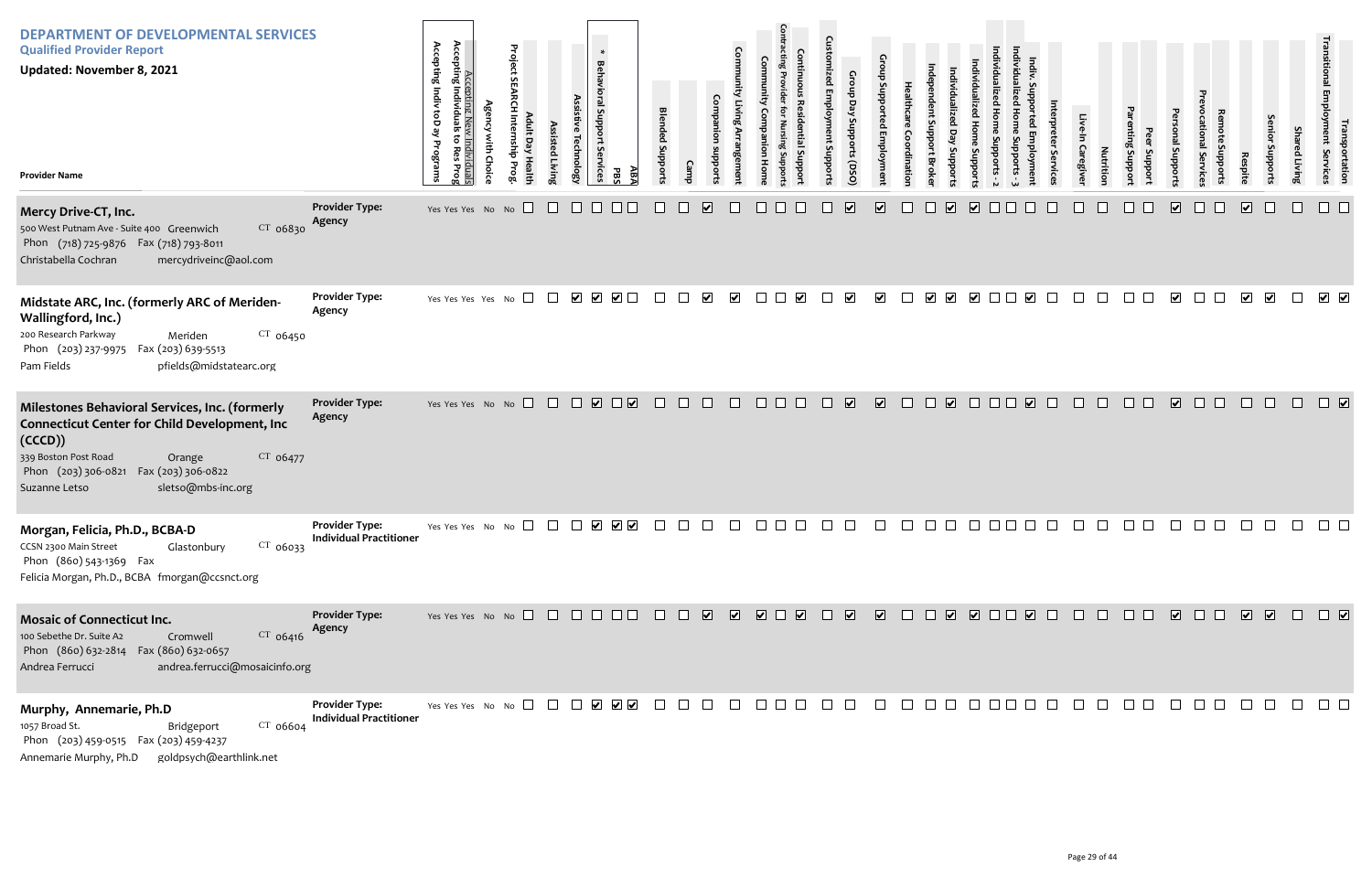| <b>DEPARTMENT OF DEVELOPMENTAL SERVICES</b><br><b>Qualified Provider Report</b><br><b>Updated: November 8, 2021</b><br><b>Provider Name</b>                                                                                                      |                                                         | Accepting New<br>Accepting Individuals<br>Accepting Indiv toD ay<br>v Individuals<br>to Res Prog<br>with<br>Programs<br>Choic | Project<br>S<br>Internship<br>dult Day Health<br>Prog | Assisted Livin | $\ast$<br><b>Behavioral Support Services</b><br>Assistive Technology | ΑBA<br>PBS                                                                                                                          | <b>Blended Support:</b> | Camp   | Companion<br><b>Ingeme</b><br>mpports        | <b>Comn</b><br>Companion | <b>A</b><br>sntial Suppor<br>Hom                                            | zed Employm<br>ent Supports | Group Day Supports (DSO) | ng di<br><b>Emplo</b>   | Healthc<br>Coordinatio | Individualiz<br>ent Support Broke               | ndividualized<br>Support | ದ           | uwo                     | Servic | Live<br>In Caregive | <b>Nutrition</b> | enting Suppor<br>proddns | onal Support:                  | tional Service | Respite                 | Senior Support          | <b>Shared Living</b> | ן Employment<br>  Employment<br><sub>P</sub> ortation<br>Services |
|--------------------------------------------------------------------------------------------------------------------------------------------------------------------------------------------------------------------------------------------------|---------------------------------------------------------|-------------------------------------------------------------------------------------------------------------------------------|-------------------------------------------------------|----------------|----------------------------------------------------------------------|-------------------------------------------------------------------------------------------------------------------------------------|-------------------------|--------|----------------------------------------------|--------------------------|-----------------------------------------------------------------------------|-----------------------------|--------------------------|-------------------------|------------------------|-------------------------------------------------|--------------------------|-------------|-------------------------|--------|---------------------|------------------|--------------------------|--------------------------------|----------------|-------------------------|-------------------------|----------------------|-------------------------------------------------------------------|
| Mercy Drive-CT, Inc.<br>CT 06830<br>500 West Putnam Ave - Suite 400 Greenwich<br>Phon (718) 725-9876 Fax (718) 793-8011<br>Christabella Cochran<br>mercydriveinc@aol.com                                                                         | <b>Provider Type:</b><br>Agency                         | Yes Yes Yes No No $\Box$                                                                                                      |                                                       | $\Box$         | $\Box$                                                               |                                                                                                                                     |                         |        | $\overline{\mathbf{v}}$                      |                          |                                                                             |                             | $\blacktriangledown$     | $\overline{\mathbf{v}}$ |                        | $\overline{\mathbf{v}}$                         | $\boxed{\bullet}$        |             |                         |        |                     |                  |                          | $\boxed{\blacktriangledown}$   |                | $\overline{\mathbf{v}}$ |                         |                      |                                                                   |
| Midstate ARC, Inc. (formerly ARC of Meriden-<br>Wallingford, Inc.)<br>200 Research Parkway<br>$CT$ 06450<br>Meriden<br>Fax (203) 639-5513<br>Phon (203) 237-9975<br>pfields@midstatearc.org<br>Pam Fields                                        | <b>Provider Type:</b><br>Agency                         | Yes Yes Yes Yes No                                                                                                            | $\Box$                                                | $\Box$         | $\blacktriangledown$                                                 | $\begin{array}{c} \hline \textbf{1} & \textbf{2} & \textbf{3} \\ \hline \textbf{2} & \textbf{3} & \textbf{4} \\ \hline \end{array}$ | $\Box$                  |        | $\blacktriangledown$<br>$\blacktriangledown$ | $\vert \ \ \vert$        | $\blacktriangledown$                                                        |                             | $\blacktriangledown$     | $\blacktriangleright$   |                        | $\blacktriangledown$<br>$\overline{\mathbf{v}}$ | $\blacktriangledown$     |             | $\overline{\mathbf{v}}$ |        |                     |                  |                          | $\vert\blacktriangledown\vert$ |                | $\overline{\mathbf{v}}$ | $\overline{\mathbf{v}}$ | $\Box$               | $\sqrt{2}$                                                        |
| Milestones Behavioral Services, Inc. (formerly<br><b>Connecticut Center for Child Development, Inc</b><br>(CCCD))<br>339 Boston Post Road<br>CT 06477<br>Orange<br>Phon (203) 306-0821 Fax (203) 306-0822<br>sletso@mbs-inc.org<br>Suzanne Letso | <b>Provider Type:</b><br>Agency                         | Yes Yes Yes No No $\Box$                                                                                                      |                                                       |                | $\Box$<br>$\sqrt{2}$                                                 | $\Box$                                                                                                                              | $\Box$                  | $\Box$ | $\Box$<br>$\Box$                             | $\Box$                   |                                                                             | $\Box$                      | $\overline{\mathbf{v}}$  | $\overline{\mathbf{v}}$ | $\Box$                 | $\overline{\mathbf{v}}$<br>П                    | $\Box$                   | <b>FIFI</b> | $\overline{\mathbf{v}}$ |        |                     |                  |                          | $\overline{\mathbf{v}}$        |                |                         |                         |                      |                                                                   |
| Morgan, Felicia, Ph.D., BCBA-D<br>CCSN 2300 Main Street<br>$CT$ 06033<br>Glastonbury<br>Phon (860) 543-1369 Fax<br>Felicia Morgan, Ph.D., BCBA fmorgan@ccsnct.org                                                                                | <b>Provider Type:</b><br><b>Individual Practitioner</b> |                                                                                                                               |                                                       |                |                                                                      |                                                                                                                                     |                         |        |                                              |                          |                                                                             |                             |                          |                         |                        |                                                 |                          |             |                         |        |                     |                  |                          |                                |                |                         |                         |                      | $\Box$                                                            |
| <b>Mosaic of Connecticut Inc.</b><br>CT 06416<br>100 Sebethe Dr. Suite A2<br>Cromwell<br>Phon (860) 632-2814  Fax (860) 632-0657<br>andrea.ferrucci@mosaicinfo.org<br>Andrea Ferrucci                                                            | <b>Provider Type:</b><br>Agency                         | Yes Yes Yes No No $\Box$ $\Box$ $\Box$ $\Box$ $\Box$ $\Box$                                                                   |                                                       |                |                                                                      |                                                                                                                                     |                         |        |                                              |                          | $\begin{array}{c} \hline \textbf{V} & \textbf{V} \end{array}$<br>$\sqrt{2}$ | $\Box$                      | $\overline{\mathbf{v}}$  | $\overline{\mathbf{v}}$ | $\Box$                 | $\Box$                                          | V V O D V D              |             |                         |        | $\Box$              | $\Box$           |                          | $\overline{\mathbf{v}}$        | $\Box$ $\Box$  | $\overline{\mathbf{v}}$ | $\sqrt{2}$              | $\Box$               | $\Box$                                                            |
| Murphy, Annemarie, Ph.D<br>1057 Broad St.<br>CT 06604<br>Bridgeport<br>Phon (203) 459-0515 Fax (203) 459-4237<br>goldpsych@earthlink.net<br>Annemarie Murphy, Ph.D                                                                               | <b>Provider Type:</b><br><b>Individual Practitioner</b> | Yes Yes Yes No No $\square$                                                                                                   |                                                       |                |                                                                      | $\begin{array}{c} \begin{array}{c} \begin{array}{c} \end{array} \end{array} \end{array}$                                            |                         |        |                                              |                          |                                                                             |                             |                          |                         |                        |                                                 |                          |             |                         |        |                     |                  |                          |                                |                |                         |                         |                      |                                                                   |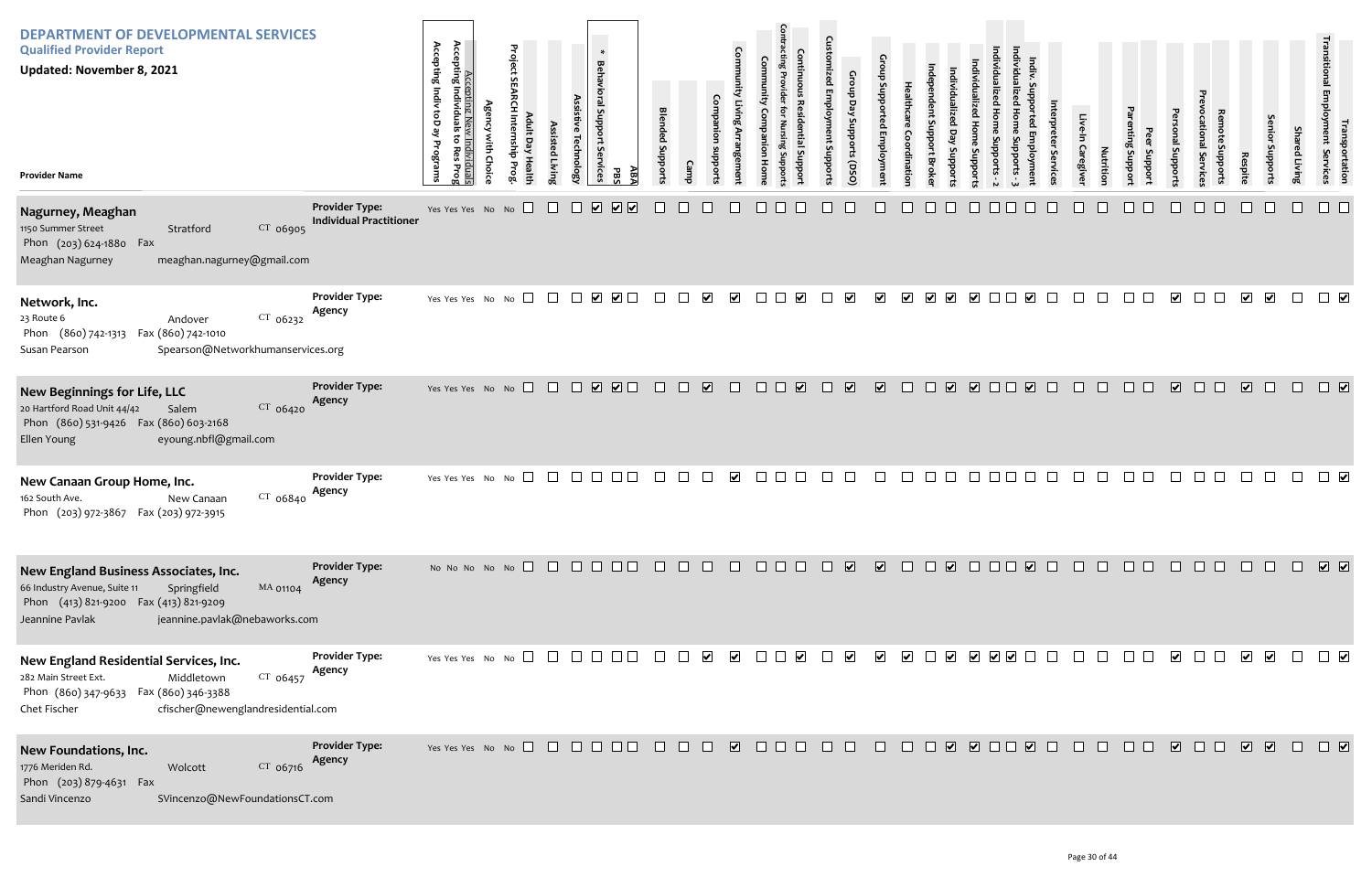| <b>DEPARTMENT OF DEVELOPMENTAL SERVICES</b><br><b>Qualified Provider Report</b><br><b>Updated: November 8, 2021</b><br><b>Provider Name</b>                                                    |                                                         | Accepting<br>Accepting Indiv toD ay Programs<br>Accepting New Individuals<br>Individuals<br>đ<br><b>Res</b><br>Prog | <b>Agency with Choice</b> | Project SEARCH Internship Prog<br>Adult Day Health | Assisted Living | Assistive Technology | $\ast$<br>Behavioral Support<br>δę<br><b>irvices</b><br>ĀВĀ<br><b>PBS</b>                    | <b>Blended Supports</b> | Camp | Companion<br>suoddns            | Community Living Arrangement | Community<br>Companion<br>Home | <b>Contracting Provider</b><br><b>Continuous Residential Suppor</b><br>Nursing Suppor | <b>Customized Employment Supports</b> | Group Day Supports (DSO) | Group Supported Employment | Healthcare<br>Coordination | ndependent Support Broker | Individualized Day Supports | Individualized Home Supports - 2<br>Individualized Home<br>Supports |
|------------------------------------------------------------------------------------------------------------------------------------------------------------------------------------------------|---------------------------------------------------------|---------------------------------------------------------------------------------------------------------------------|---------------------------|----------------------------------------------------|-----------------|----------------------|----------------------------------------------------------------------------------------------|-------------------------|------|---------------------------------|------------------------------|--------------------------------|---------------------------------------------------------------------------------------|---------------------------------------|--------------------------|----------------------------|----------------------------|---------------------------|-----------------------------|---------------------------------------------------------------------|
| Nagurney, Meaghan<br>1150 Summer Street<br>CT 06905<br>Stratford<br>Phon (203) 624-1880 Fax<br>Meaghan Nagurney<br>meaghan.nagurney@gmail.com                                                  | <b>Provider Type:</b><br><b>Individual Practitioner</b> | Yes Yes Yes No No                                                                                                   |                           |                                                    |                 |                      | $\boxed{\blacktriangledown}$<br>$\boxed{\blacktriangledown}$<br>$\boxed{\blacktriangledown}$ |                         |      |                                 |                              |                                |                                                                                       |                                       |                          |                            |                            |                           |                             |                                                                     |
| Network, Inc.<br>$CT$ 06232<br>23 Route 6<br>Andover<br>Fax (860) 742-1010<br>Phon (860) 742-1313<br>Susan Pearson<br>Spearson@Networkhumanservices.org                                        | <b>Provider Type:</b><br>Agency                         | Yes Yes Yes No No                                                                                                   |                           | $\perp$                                            | $\Box$          | $\perp$              | $\Box$<br>$\blacktriangledown$                                                               | $\mathbf{I}$            |      | $\overline{\blacktriangledown}$ | ⊻                            |                                | ⊻                                                                                     | $\mathbf{I}$                          | $\blacktriangledown$     | $\overline{\mathbf{v}}$    | $\blacktriangledown$       | $\blacktriangleright$     | $\blacktriangleright$       | $\blacktriangleright$                                               |
| New Beginnings for Life, LLC<br>20 Hartford Road Unit 44/42<br>Salem<br>CT 06420<br>Phon (860) 531-9426  Fax (860) 603-2168<br>Ellen Young<br>eyoung.nbfl@gmail.com                            | <b>Provider Type:</b><br>Agency                         | Yes Yes Yes No No                                                                                                   |                           | $\Box$                                             | $\perp$         |                      | $\overline{\mathbf{v}}$<br>$\overline{\mathbf{v}}$                                           |                         |      | $\boxed{\blacktriangledown}$    |                              |                                | $\blacktriangledown$                                                                  |                                       | $\blacktriangledown$     | $\overline{\mathbf{v}}$    |                            |                           | $\blacktriangledown$        | $\Box$                                                              |
| New Canaan Group Home, Inc.<br>CT 06840<br>162 South Ave.<br>New Canaan<br>Phon (203) 972-3867 Fax (203) 972-3915                                                                              | <b>Provider Type:</b><br>Agency                         | Yes Yes Yes No No                                                                                                   |                           |                                                    |                 |                      |                                                                                              |                         |      |                                 | $\blacktriangledown$         |                                |                                                                                       |                                       |                          |                            |                            |                           |                             |                                                                     |
| New England Business Associates, Inc.<br>66 Industry Avenue, Suite 11<br>Springfield<br>MA 01104<br>Phon (413) 821-9200 Fax (413) 821-9209<br>Jeannine Pavlak<br>jeannine.pavlak@nebaworks.com | <b>Provider Type:</b><br>Agency                         |                                                                                                                     |                           | No No No No No $\Box$                              | $\Box$          |                      |                                                                                              |                         |      |                                 |                              |                                |                                                                                       |                                       | $\overline{\mathbf{v}}$  | $\overline{\mathbf{v}}$    |                            |                           | ☑                           |                                                                     |
| New England Residential Services, Inc.<br>282 Main Street Ext.<br>$CT$ 06457<br>Middletown<br>Phon (860) 347-9633 Fax (860) 346-3388<br>cfischer@newenglandresidential.com<br>Chet Fischer     | <b>Provider Type:</b><br>Agency                         | Yes Yes Yes No No                                                                                                   |                           |                                                    |                 |                      |                                                                                              |                         |      | V                               | $\blacktriangleright$        |                                | $\blacktriangledown$                                                                  |                                       | $\blacktriangledown$     | ☑                          | $\blacktriangledown$       |                           | ⊻                           | $\vee$ $\vee$                                                       |
| New Foundations, Inc.<br>1776 Meriden Rd.<br>CT 06716<br>Wolcott<br>Phon (203) 879-4631 Fax<br>Sandi Vincenzo<br>SVincenzo@NewFoundationsCT.com                                                | <b>Provider Type:</b><br>Agency                         | Yes Yes Yes No No                                                                                                   |                           |                                                    | $\Box$          | $\perp$              | $\Box$<br>$\mathbf{L}$                                                                       |                         |      |                                 | $\overline{\mathbf{v}}$      | $\mathbf{L}$                   |                                                                                       |                                       |                          |                            |                            |                           | $\overline{\mathbf{v}}$     | $\Box$                                                              |

| Individualized Home Supports - 3 | Indiv. Supported Employment | Interpreter Services | Live-In Caregiver | Nutrition | Parenting Support | Peer Support | Personal Supports       | Prevocational Services | Remote Supports | Respite                 | Senior Supports         | Shared Living | Transitional Employment Services | Transportation               |
|----------------------------------|-----------------------------|----------------------|-------------------|-----------|-------------------|--------------|-------------------------|------------------------|-----------------|-------------------------|-------------------------|---------------|----------------------------------|------------------------------|
|                                  |                             |                      |                   |           |                   |              |                         |                        |                 |                         |                         |               |                                  |                              |
|                                  | $\overline{\mathbf{v}}$     |                      |                   |           |                   |              | $\overline{\mathbf{v}}$ |                        |                 | $\overline{\mathbf{v}}$ | $\overline{\mathbf{v}}$ |               |                                  | $\overline{\mathbf{v}}$      |
|                                  | $\overline{\mathbf{v}}$     |                      |                   |           |                   |              | $\overline{\mathbf{v}}$ |                        |                 | $\overline{\mathbf{v}}$ |                         |               |                                  | $\boxed{\blacktriangledown}$ |
|                                  |                             |                      |                   |           |                   |              |                         |                        |                 |                         |                         |               |                                  | $\blacktriangledown$         |
|                                  |                             |                      |                   |           |                   |              |                         |                        |                 |                         |                         |               |                                  |                              |
|                                  |                             |                      |                   |           |                   |              |                         |                        |                 |                         |                         | $\Box$        | $\Box$                           |                              |
|                                  |                             |                      |                   |           |                   |              |                         |                        |                 |                         |                         |               |                                  |                              |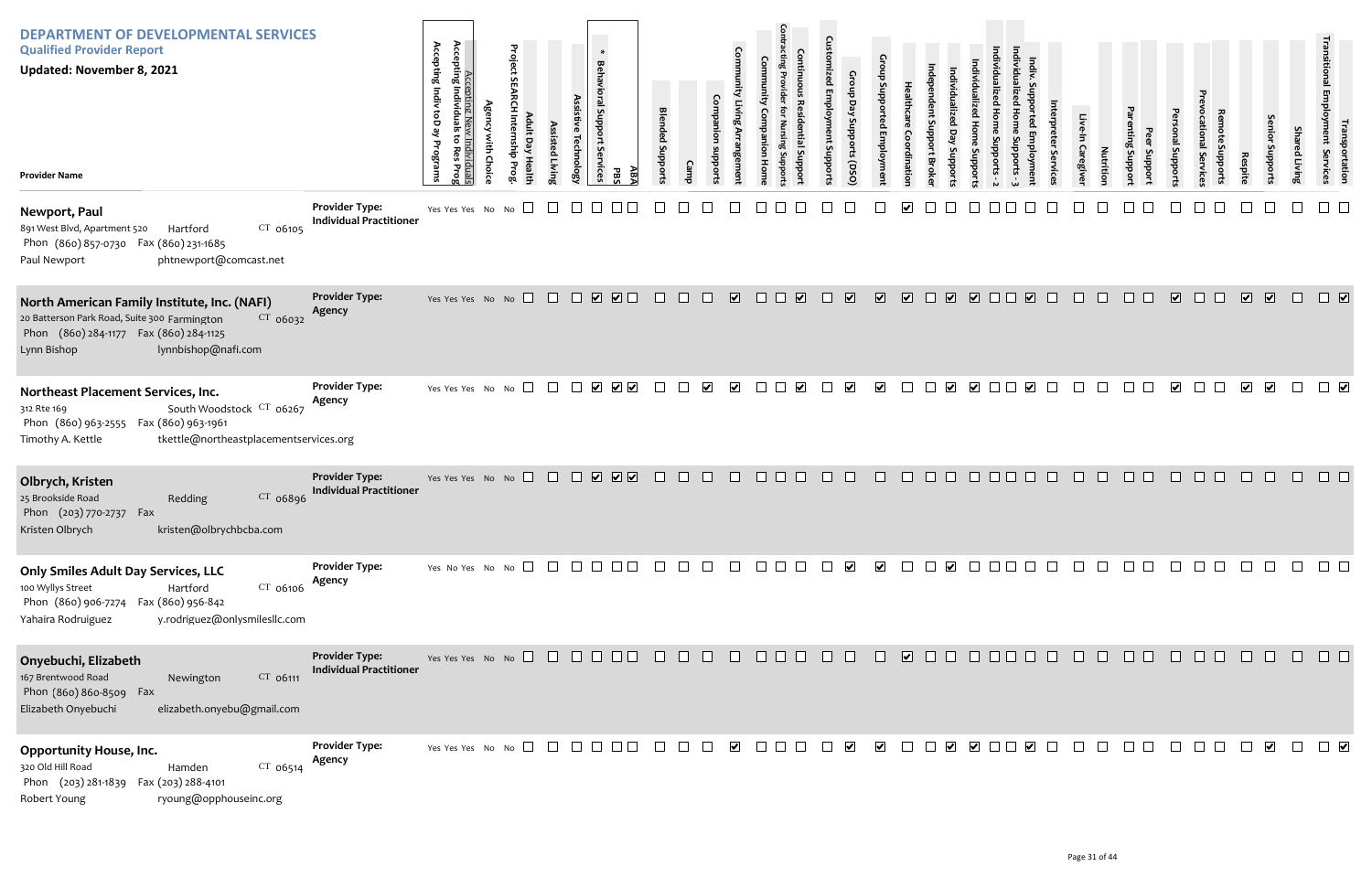| <b>DEPARTMENT OF DEVELOPMENTAL SERVICES</b><br><b>Qualified Provider Report</b><br><b>Updated: November 8, 2021</b><br><b>Provider Name</b>                                               |                                                         | Accepting I<br>Accepting Indiv toD ay<br>Accepting New Individuals<br>Individuals<br>to Res<br>Programs<br>Prog | <b>Agency with Choice</b> | Project SEARCH Internship Prog<br>Adult Day Health | Assisted Living | Assistive Technology | ∗<br>Behavioral Support Services<br>ABA<br><b>PBS</b>   | <b>Blended Supports</b> | Camp    | Companion<br>subports | Community Living Arrangement | munity<br><b>Companion Home</b> | <b>Contracting Provider for</b><br><b>Continuous Residential Support</b><br>Nursing Supports | <b>Customized Employment Supports</b> | Group Day Supports (DSO)    | Group Supported Employment   | Healthcare<br>Coordination | Independent Support Broker | Individualized Day Supports | Individualized Home Supports - 2<br>Individualized<br><b>Home Supports</b> |
|-------------------------------------------------------------------------------------------------------------------------------------------------------------------------------------------|---------------------------------------------------------|-----------------------------------------------------------------------------------------------------------------|---------------------------|----------------------------------------------------|-----------------|----------------------|---------------------------------------------------------|-------------------------|---------|-----------------------|------------------------------|---------------------------------|----------------------------------------------------------------------------------------------|---------------------------------------|-----------------------------|------------------------------|----------------------------|----------------------------|-----------------------------|----------------------------------------------------------------------------|
| Newport, Paul<br>891 West Blvd, Apartment 520<br>$CT$ 06105<br>Hartford<br>Phon (860) 857-0730<br>Fax (860) 231-1685<br>Paul Newport<br>phtnewport@comcast.net                            | <b>Provider Type:</b><br><b>Individual Practitioner</b> | Yes Yes Yes No No                                                                                               |                           |                                                    |                 |                      |                                                         |                         |         |                       |                              |                                 |                                                                                              |                                       |                             |                              |                            |                            |                             |                                                                            |
| North American Family Institute, Inc. (NAFI)<br>20 Batterson Park Road, Suite 300 Farmington<br>CT 06032<br>Phon (860) 284-1177 Fax (860) 284-1125<br>lynnbishop@nafi.com<br>Lynn Bishop  | <b>Provider Type:</b><br>Agency                         | Yes Yes Yes No No                                                                                               |                           |                                                    | $\Box$          | $\Box$               | $\overline{\mathbf{v}}$<br>$\Box$                       | $\blacksquare$          | $\perp$ |                       | $\overline{\mathbf{v}}$      |                                 | ☑<br>$\mathbf{I}$                                                                            | ⊔                                     | $\blacktriangleright$       | $\boxed{\blacktriangledown}$ | $\overline{\mathbf{v}}$    | $\Box$                     | $\overline{\mathbf{v}}$     | $\overline{\mathbf{v}}$<br>$\Box$                                          |
| Northeast Placement Services, Inc.<br>South Woodstock CT 06267<br>312 Rte 169<br>Fax (860) 963-1961<br>Phon (860) 963-2555<br>tkettle@northeastplacementservices.org<br>Timothy A. Kettle | <b>Provider Type:</b><br>Agency                         | Yes Yes Yes No No                                                                                               |                           | ⊔                                                  |                 |                      | ☑<br>$\overline{\mathbf{v}}$<br>$\overline{\mathbf{v}}$ |                         |         | ⊻                     | $\vert\bm{\mathsf{v}}\vert$  |                                 |                                                                                              |                                       | $\left  \mathbf{v} \right $ | $\blacktriangledown$         |                            |                            | $\vert \checkmark\vert$     | $\blacktriangledown$                                                       |
| Olbrych, Kristen<br>25 Brookside Road<br>Redding<br>CT 06896<br>Phon (203) 770-2737 Fax<br>kristen@olbrychbcba.com<br>Kristen Olbrych                                                     | <b>Provider Type:</b><br><b>Individual Practitioner</b> | Yes Yes Yes No No                                                                                               |                           | $\Box$                                             |                 |                      | ☑<br>$\overline{\mathbf{v}}$ $\overline{\mathbf{v}}$    |                         |         |                       |                              |                                 |                                                                                              |                                       |                             |                              |                            |                            |                             |                                                                            |
| Only Smiles Adult Day Services, LLC<br>100 Wyllys Street<br>CT 06106<br>Hartford<br>Fax (860) 956-842<br>Phon (860) 906-7274<br>Yahaira Rodruiguez<br>y.rodriguez@onlysmilesllc.com       | <b>Provider Type:</b><br>Agency                         | Yes No Yes No No $\Box$                                                                                         |                           |                                                    |                 |                      |                                                         |                         |         |                       |                              |                                 |                                                                                              |                                       |                             | $\blacktriangleright$        |                            |                            |                             |                                                                            |
| Onyebuchi, Elizabeth<br>167 Brentwood Road<br>CT 06111<br>Newington<br>Phon (860) 860-8509 Fax<br>Elizabeth Onyebuchi<br>elizabeth.onyebu@gmail.com                                       | <b>Provider Type:</b><br><b>Individual Practitioner</b> | Yes Yes Yes No No $\Box$                                                                                        |                           |                                                    |                 |                      |                                                         |                         |         |                       |                              |                                 |                                                                                              |                                       |                             |                              | ☑                          |                            |                             |                                                                            |
| <b>Opportunity House, Inc.</b><br>320 Old Hill Road<br>CT 06514<br>Hamden<br>Phon (203) 281-1839<br>Fax (203) 288-4101<br>Robert Young<br>ryoung@opphouseinc.org                          | <b>Provider Type:</b><br>Agency                         | Yes Yes Yes No No $\square$                                                                                     |                           |                                                    |                 |                      |                                                         |                         |         |                       | $\blacktriangledown$         |                                 |                                                                                              |                                       | $\blacktriangledown$        | $\blacktriangledown$         |                            |                            |                             | $\blacktriangleright$                                                      |

| Individualized Home Supports - 3 | Indiv. Supported Employment | Interpreter Services | Live-In Caregiver                                                                                           | Nutrition | Parenting Support | Peer Support | Personal Supports                                                      | Prevocational Services | Remote Supports | Respite                 | Senior Supports         | <b>Shared Living</b> | Transitional Employment Services | Transportation          |
|----------------------------------|-----------------------------|----------------------|-------------------------------------------------------------------------------------------------------------|-----------|-------------------|--------------|------------------------------------------------------------------------|------------------------|-----------------|-------------------------|-------------------------|----------------------|----------------------------------|-------------------------|
|                                  |                             |                      |                                                                                                             |           |                   |              |                                                                        |                        |                 |                         |                         |                      |                                  |                         |
|                                  | $\overline{\mathbf{v}}$     |                      |                                                                                                             |           |                   |              | $\overline{\mathbf{v}}$                                                |                        |                 | $\overline{\mathbf{v}}$ | $\overline{\mathbf{v}}$ |                      |                                  | $\overline{\mathbf{v}}$ |
|                                  | $\overline{\mathbf{v}}$     |                      |                                                                                                             |           |                   |              | $\blacktriangledown$                                                   |                        |                 | $\blacktriangledown$    | $\blacktriangledown$    |                      |                                  | $\blacktriangledown$    |
|                                  |                             |                      |                                                                                                             |           |                   |              |                                                                        |                        |                 |                         |                         |                      |                                  |                         |
| $\Box$                           | $\Box$                      | $\hfill \square$     | $\begin{array}{c} \square \hspace{0.2cm} \square \hspace{0.2cm} \square \hspace{0.2cm} \square \end{array}$ |           |                   | $\Box$       | $\hfill \square$                                                       | $\Box$                 | $\Box$          | $\Box$                  | $\Box$                  | $\Box$               |                                  | $\Box$                  |
| $\Box$                           | $\Box$                      |                      |                                                                                                             |           |                   |              | 000000000                                                              |                        |                 |                         | $\hfill \square$        | $\Box$               | $\Box$                           | $\Box$                  |
| $\Box$                           |                             |                      |                                                                                                             |           |                   |              | $\begin{array}{ccc} \square & \square & \square & \square \end{array}$ |                        | $\Box$          | $\Box$                  | $\blacktriangleright$   | $\Box$               | $\Box$                           | $\blacktriangledown$    |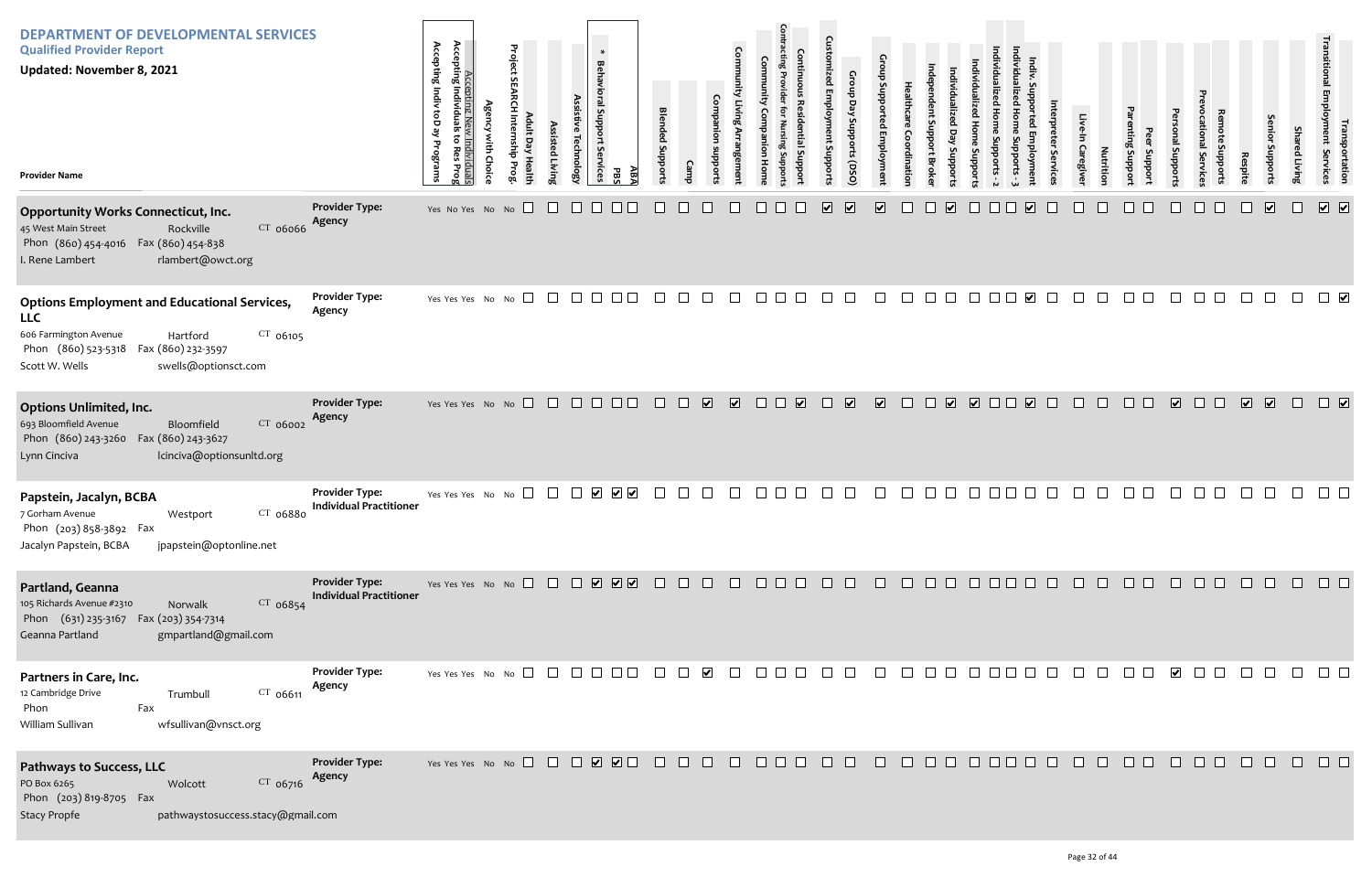| Individualized Home Supports - 3 | Indiv. Supported Employment | Interpreter Services | Live-In Caregiver | Nutrition   | Parenting Support | Peer Support | Personal Supports       | Prevocational Services | Remote Supports | Respite                 | Senior Supports              | Shared Living    | Transitional Employment Services | Transportation               |
|----------------------------------|-----------------------------|----------------------|-------------------|-------------|-------------------|--------------|-------------------------|------------------------|-----------------|-------------------------|------------------------------|------------------|----------------------------------|------------------------------|
|                                  | $\blacktriangledown$        |                      |                   |             |                   |              |                         |                        |                 |                         | $\boxed{\blacktriangledown}$ |                  | $\overline{\mathbf{v}}$          | $\boxed{\blacktriangledown}$ |
|                                  | $\overline{\mathbf{v}}$     |                      |                   |             |                   |              |                         |                        |                 |                         |                              |                  |                                  | $\blacktriangledown$         |
|                                  | $\overline{\mathbf{v}}$     |                      |                   |             |                   |              | $\overline{\mathbf{v}}$ |                        |                 | $\overline{\mathbf{v}}$ | $\boxed{\checkmark}$         |                  |                                  | $\boxed{\blacktriangledown}$ |
|                                  |                             |                      |                   |             |                   |              |                         |                        |                 |                         |                              |                  |                                  |                              |
|                                  |                             |                      |                   |             |                   |              |                         |                        |                 |                         |                              | 10000000000000   |                                  |                              |
|                                  |                             |                      |                   | 10000000000 |                   |              |                         |                        |                 |                         | $\Box$                       | $\Box$           | $\Box$                           | $\Box$                       |
| $\Box$                           |                             |                      |                   | 0000000000  |                   |              |                         |                        |                 |                         |                              | $\hfill \square$ | $\hfill \square$                 | $\Box$                       |

| <b>DEPARTMENT OF DEVELOPMENTAL SERVICES</b><br><b>Qualified Provider Report</b><br><b>Updated: November 8, 2021</b><br><b>Provider Name</b>                                                              |                                                         | Accepting<br>Accepting Indiv<br>Individuals<br>g<br>بع<br>Individuals<br>Programs<br>Res<br>Prog | <b>Agency with Choice</b> | Project S<br><b>EARCH Internship Prog</b><br>Adult Day Health | Assisted<br>Living | Assistive Technology | $\ast$<br><b>Behavioral Support</b><br>δę<br>rvices<br>ABA<br>PBS              | <b>Blended</b><br>Supports | Camp         | Companion<br>suoddns    | Community Living Arrangement | Community<br>Companion<br>Hom | <b>Contracting Provider</b><br>Nursing Support | Continuous<br><b>Residential Suppor</b> | <b>Customized Employment Supports</b>              | Group<br>Group Day Supports (DSO)<br>Supported Employment | Healthcare<br>Coordinatior | ndependent Support<br><b>Broke</b> | Individualized<br>Day<br>Supports | Individualized Home<br>Stropports | Individualized Home Supports - 2 |
|----------------------------------------------------------------------------------------------------------------------------------------------------------------------------------------------------------|---------------------------------------------------------|--------------------------------------------------------------------------------------------------|---------------------------|---------------------------------------------------------------|--------------------|----------------------|--------------------------------------------------------------------------------|----------------------------|--------------|-------------------------|------------------------------|-------------------------------|------------------------------------------------|-----------------------------------------|----------------------------------------------------|-----------------------------------------------------------|----------------------------|------------------------------------|-----------------------------------|-----------------------------------|----------------------------------|
| <b>Opportunity Works Connecticut, Inc.</b><br>CT 06066<br>45 West Main Street<br>Rockville<br>Phon (860) 454-4016 Fax (860) 454-838<br>I. Rene Lambert<br>rlambert@owct.org                              | <b>Provider Type:</b><br>Agency                         | Yes No Yes No No                                                                                 |                           |                                                               |                    |                      |                                                                                |                            |              |                         |                              |                               |                                                |                                         | $\overline{\mathbf{v}}$<br>$\overline{\mathbf{v}}$ | $\overline{\blacktriangledown}$                           |                            |                                    | $\blacktriangledown$              |                                   |                                  |
| <b>Options Employment and Educational Services,</b><br><b>LLC</b><br>606 Farmington Avenue<br>$CT$ 06105<br>Hartford<br>Phon (860) 523-5318 Fax (860) 232-3597<br>Scott W. Wells<br>swells@optionsct.com | <b>Provider Type:</b><br>Agency                         | Yes Yes Yes No                                                                                   |                           | No                                                            |                    |                      |                                                                                |                            |              |                         |                              |                               |                                                |                                         |                                                    |                                                           |                            |                                    |                                   |                                   |                                  |
| <b>Options Unlimited, Inc.</b><br>693 Bloomfield Avenue<br>CT 06002<br>Bloomfield<br>Phon (860) 243-3260<br>Fax (860) 243-3627<br>lcinciva@optionsunltd.org<br>Lynn Cinciva                              | <b>Provider Type:</b><br>Agency                         | Yes Yes Yes No No                                                                                |                           | $\Box$                                                        | $\Box$             | $\Box$               | $\Box$<br>$\Box$                                                               | $\mathsf{L}$               | $\mathbf{L}$ | $\overline{\mathbf{v}}$ | $\overline{\mathbf{v}}$      | $\mathbf{L}$                  | $\mathsf{L}$                                   | $\overline{\mathbf{v}}$                 | $\blacktriangledown$<br>$\Box$                     | $\overline{\mathbf{v}}$                                   | $\Box$                     | $\Box$                             | $\overline{\mathbf{v}}$           | $\Box$                            |                                  |
| Papstein, Jacalyn, BCBA<br>$CT$ 06880<br>7 Gorham Avenue<br>Westport<br>Phon (203) 858-3892 Fax<br>Jacalyn Papstein, BCBA<br>jpapstein@optonline.net                                                     | <b>Provider Type:</b><br><b>Individual Practitioner</b> | Yes Yes Yes No                                                                                   |                           | $\vert \ \ \vert$<br>No                                       |                    |                      | $\overline{\mathsf{v}}$ $\overline{\mathsf{v}}$<br>$ \boldsymbol{\mathsf{v}} $ |                            |              |                         |                              |                               |                                                |                                         |                                                    |                                                           |                            |                                    |                                   |                                   |                                  |
| Partland, Geanna<br>105 Richards Avenue #2310<br>$CT$ 06854<br>Norwalk<br>Phon (631) 235-3167 Fax (203) 354-7314<br>Geanna Partland<br>gmpartland@gmail.com                                              | <b>Provider Type:</b><br><b>Individual Practitioner</b> | Yes Yes Yes No No $\Box$                                                                         |                           |                                                               |                    | $\Box$               | $\boxed{\mathbf{v}}$                                                           |                            |              |                         |                              |                               |                                                |                                         |                                                    |                                                           |                            |                                    |                                   |                                   |                                  |
| Partners in Care, Inc.<br>12 Cambridge Drive<br>CT 06611<br>Trumbull<br>Fax<br>Phon<br>wfsullivan@vnsct.org<br>William Sullivan                                                                          | <b>Provider Type:</b><br>Agency                         | Yes Yes Yes No No                                                                                |                           |                                                               |                    |                      |                                                                                |                            |              |                         |                              |                               |                                                |                                         |                                                    |                                                           |                            |                                    |                                   |                                   |                                  |
| Pathways to Success, LLC<br>CT 06716<br>PO Box 6265<br>Wolcott<br>Phon (203) 819-8705 Fax<br><b>Stacy Propfe</b><br>pathwaystosuccess.stacy@gmail.com                                                    | <b>Provider Type:</b><br>Agency                         | Yes Yes Yes No No $\Box$                                                                         |                           |                                                               | $\pm$              | $\Box$               |                                                                                |                            |              |                         |                              |                               |                                                |                                         |                                                    |                                                           |                            |                                    |                                   |                                   |                                  |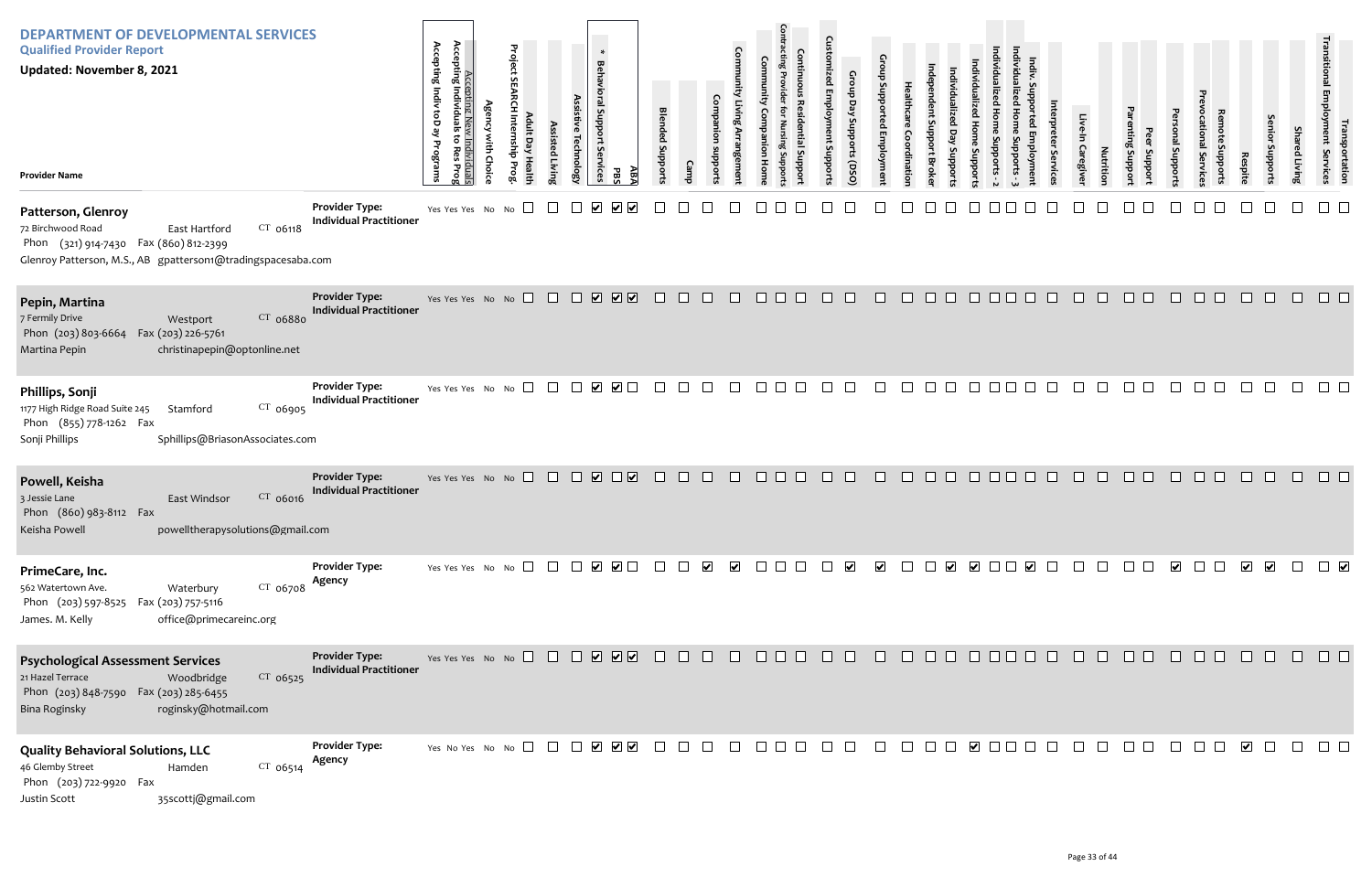| Individualized Home Supports - 3 | Indiv. Supported Employment | Interpreter Services | Live-In Caregiver | Nutrition | Parenting Support | Peer Support | Personal Supports           | Prevocational Services | Remote Supports                                                | Respite | Senior Supports  | <b>Shared Living</b> | Transitional Employment Services | Transportation       |
|----------------------------------|-----------------------------|----------------------|-------------------|-----------|-------------------|--------------|-----------------------------|------------------------|----------------------------------------------------------------|---------|------------------|----------------------|----------------------------------|----------------------|
|                                  |                             |                      |                   |           |                   |              |                             |                        |                                                                |         |                  |                      |                                  |                      |
|                                  |                             |                      |                   |           |                   |              |                             |                        |                                                                |         |                  |                      |                                  |                      |
|                                  |                             |                      |                   |           |                   |              |                             |                        |                                                                |         |                  |                      |                                  |                      |
|                                  |                             |                      |                   |           |                   |              |                             |                        |                                                                |         |                  |                      |                                  |                      |
|                                  |                             |                      |                   |           |                   |              | <b>TE O O O O O O O O O</b> |                        |                                                                |         |                  | $\Box$               | $\Box$                           | $\blacktriangledown$ |
| コ                                | $\Box$                      | $\hfill \square$     |                   |           |                   |              | $\hfill \square$            |                        |                                                                | $\Box$  | $\hfill \square$ | $\Box$               | $\Box$                           | $\Box$               |
| $\Box$                           | $\Box$                      | $\Box$               | $\Box$            | $\Box$    | $\Box$            | $\Box$       |                             | $\Box$                 | $\begin{array}{ccc} & \bullet & \bullet \\ \hline \end{array}$ |         | $\Box$           | $\Box$               |                                  | $\Box$               |

| <b>DEPARTMENT OF DEVELOPMENTAL SERVICES</b><br><b>Qualified Provider Report</b><br><b>Updated: November 8, 2021</b><br><b>Provider Name</b>                                    |                                                         | Accepting Individuals<br>Accepting Indiv toD ay<br>to Res<br>Programs<br>Individuals<br>Prog | <b>Agency</b><br>with Choice | Project<br>ᄒ<br>Adult Day Health<br>Internship<br>Prog | Assisted Living | Assistive Technology | $\ast$<br><b>Behavioral Support</b><br>rvices<br>PBS                     | ABA                     | <b>Blended Supports</b> | <b>Camp</b>  | Companion supports | <b>Community Living Arrangement</b> | Community<br>Companion<br>Home | Contracting Provider for Nursing Supports<br>Continuous<br>Residential Suppor | <b>Customized Employment Supports</b> | Group<br>Day Supports<br>(0sQ) | Group Supported Employment | Healthcare<br>Coordination | Independent Support<br>Stropports<br><b>Broker</b> | Individualized<br>Individualized Day<br>Home<br>Supports | Individualized Home Supports - 2 |  |
|--------------------------------------------------------------------------------------------------------------------------------------------------------------------------------|---------------------------------------------------------|----------------------------------------------------------------------------------------------|------------------------------|--------------------------------------------------------|-----------------|----------------------|--------------------------------------------------------------------------|-------------------------|-------------------------|--------------|--------------------|-------------------------------------|--------------------------------|-------------------------------------------------------------------------------|---------------------------------------|--------------------------------|----------------------------|----------------------------|----------------------------------------------------|----------------------------------------------------------|----------------------------------|--|
| Patterson, Glenroy<br>CT 06118<br>72 Birchwood Road<br>East Hartford<br>Phon (321) 914-7430 Fax (860) 812-2399<br>Glenroy Patterson, M.S., AB gpatterson1@tradingspacesaba.com | <b>Provider Type:</b><br><b>Individual Practitioner</b> | Yes Yes Yes No                                                                               |                              | No                                                     |                 |                      | V                                                                        |                         |                         |              |                    |                                     |                                |                                                                               |                                       |                                |                            |                            |                                                    |                                                          |                                  |  |
| Pepin, Martina<br>7 Fermily Drive<br>CT 06880<br>Westport<br>Phon (203) 803-6664<br>Fax (203) 226-5761<br>christinapepin@optonline.net<br>Martina Pepin                        | <b>Provider Type:</b><br><b>Individual Practitioner</b> | Yes Yes Yes No                                                                               |                              | $\perp$<br>No                                          | ⊔               | $\blacksquare$       | $\overline{\mathbf{v}}$<br>$\overline{\mathbf{v}}$                       | $\overline{\mathbf{v}}$ | $\Box$                  | $\mathsf{L}$ |                    |                                     |                                |                                                                               |                                       |                                |                            |                            | $\Box$                                             |                                                          |                                  |  |
| Phillips, Sonji<br>1177 High Ridge Road Suite 245<br>CT 06905<br>Stamford<br>Phon (855) 778-1262 Fax<br>Sonji Phillips<br>Sphillips@BriasonAssociates.com                      | <b>Provider Type:</b><br><b>Individual Practitioner</b> | Yes Yes Yes No                                                                               |                              | No                                                     |                 |                      | $\overline{\mathbf{v}}$<br>⊻                                             |                         |                         |              |                    |                                     |                                |                                                                               |                                       |                                |                            |                            |                                                    |                                                          |                                  |  |
| Powell, Keisha<br>CT 06016<br>3 Jessie Lane<br>East Windsor<br>Phon (860) 983-8112 Fax<br>powelltherapysolutions@gmail.com<br>Keisha Powell                                    | <b>Provider Type:</b><br><b>Individual Practitioner</b> | Yes Yes Yes No No $\Box$                                                                     |                              |                                                        | $\Box$          |                      | $\overline{\mathbf{v}}$                                                  | $\overline{\mathbf{v}}$ |                         |              |                    |                                     |                                |                                                                               |                                       |                                |                            |                            |                                                    |                                                          |                                  |  |
| PrimeCare, Inc.<br>562 Watertown Ave.<br>$CT$ 06708<br>Waterbury<br>Phon (203) 597-8525<br>Fax (203) 757-5116<br>office@primecareinc.org<br>James. M. Kelly                    | <b>Provider Type:</b><br>Agency                         | Yes Yes Yes No No $\Box$                                                                     |                              |                                                        |                 |                      | $\overline{\smile}$ $\Box$<br>⊻                                          |                         |                         |              |                    |                                     |                                |                                                                               |                                       |                                |                            |                            | $\left  \bm{\mathsf{v}} \right $                   | ⊻                                                        |                                  |  |
| <b>Psychological Assessment Services</b><br>21 Hazel Terrace<br>$CT$ 06525<br>Woodbridge<br>Phon (203) 848-7590<br>Fax (203) 285-6455<br>Bina Roginsky<br>roginsky@hotmail.com | <b>Provider Type:</b><br><b>Individual Practitioner</b> | Yes Yes Yes No No $\Box$                                                                     |                              |                                                        |                 |                      | ☑<br>$\overline{\mathbf{v}}$                                             | ∣✔∣                     |                         |              |                    |                                     |                                |                                                                               |                                       |                                |                            |                            |                                                    |                                                          |                                  |  |
| <b>Quality Behavioral Solutions, LLC</b><br>46 Glemby Street<br>CT 06514<br>Hamden<br>Phon (203) 722-9920 Fax<br>35scottj@gmail.com<br>Justin Scott                            | <b>Provider Type:</b><br>Agency                         | Yes No Yes No No $\Box$                                                                      |                              |                                                        |                 |                      | $\overline{\mathbf{v}}$ $\overline{\mathbf{v}}$<br>$\blacktriangleright$ |                         |                         |              |                    |                                     |                                |                                                                               |                                       |                                |                            |                            |                                                    | $\vert\bm{\mathsf{v}}\vert$                              |                                  |  |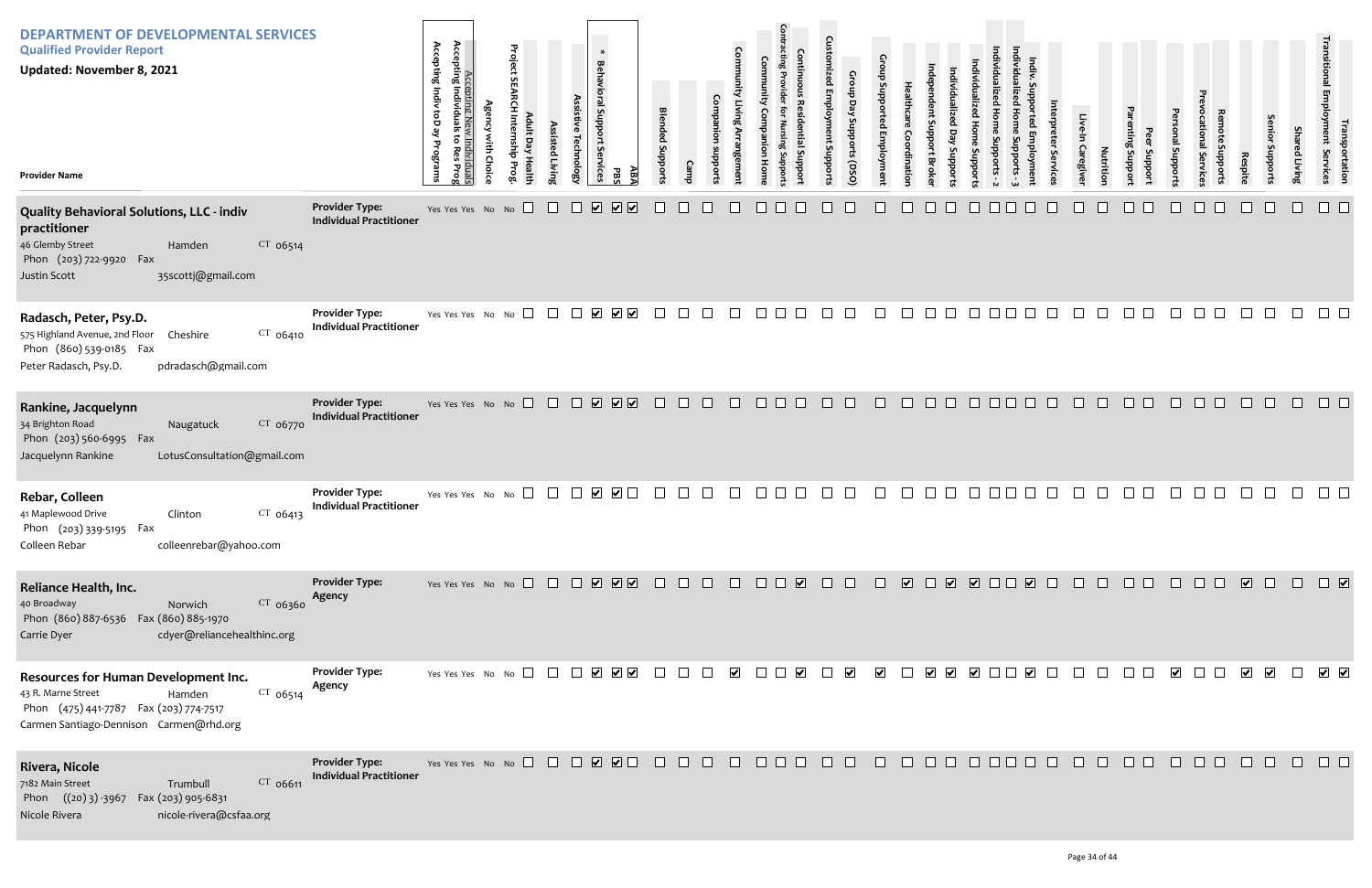| Individualized Home Supports - 3 | Indiv. Supported Employment | Interpreter Services | Live-In Caregiver | Nutrition                  | Parenting Support | Peer Support | Personal Supports | Prevocational Services | Remote Supports | Respite | Senior Supports | <b>Shared Living</b> | Transitional Employment Services                                           | Transportation |
|----------------------------------|-----------------------------|----------------------|-------------------|----------------------------|-------------------|--------------|-------------------|------------------------|-----------------|---------|-----------------|----------------------|----------------------------------------------------------------------------|----------------|
|                                  |                             |                      |                   |                            |                   |              |                   |                        |                 |         |                 |                      |                                                                            |                |
|                                  |                             |                      |                   |                            |                   |              |                   |                        |                 |         |                 |                      |                                                                            |                |
|                                  |                             |                      |                   |                            |                   |              |                   |                        |                 |         |                 |                      |                                                                            |                |
|                                  |                             |                      |                   |                            |                   |              |                   |                        |                 |         |                 |                      |                                                                            |                |
|                                  |                             |                      |                   | 10 0 0 0 0 0 0 0 0 0 0 0 0 |                   |              |                   |                        |                 |         |                 |                      | $\begin{array}{ c c } \hline \textbf{v} & \textbf{v} \\\hline \end{array}$ |                |
|                                  |                             |                      |                   |                            |                   |              |                   |                        |                 |         |                 |                      |                                                                            |                |
| $\Box$                           |                             |                      |                   | 00000000000                |                   |              |                   |                        |                 |         |                 | $\hfill \square$     |                                                                            | ┚              |

| <b>DEPARTMENT OF DEVELOPMENTAL SERVICES</b><br><b>Qualified Provider Report</b><br><b>Updated: November 8, 2021</b><br><b>Provider Name</b>                                      |                                                         | Accepting<br>Accepting Indiv toD ay<br>Accepting New Individuals<br>Individuals<br>õ<br>Programs<br>Res<br>Prog | Project SEARCH Internship Prog<br><b>Agency with Choice</b> | Adult Day Health<br>Assisted Living | Assistive Technology    | $\star$<br><b>Behavioral Support Services</b><br>ABA<br><b>PBS</b> | <b>Blended Supports</b> | Camp | Community Living Arrangement<br>Companion<br>suoddns | Community<br>Companion<br>Home | <b>Contracting Provider</b><br>Continuous<br>Residential Support<br>Nursing Su | Custol<br>mized Employment Supports | Group Day Supports (DSO) | Group Supported Employment | Healthcare<br>Coordination | ndependent Support Broker<br>Individualized<br>Day Supports | Individualized Home Supports | Individualized Home Supports - 2 |
|----------------------------------------------------------------------------------------------------------------------------------------------------------------------------------|---------------------------------------------------------|-----------------------------------------------------------------------------------------------------------------|-------------------------------------------------------------|-------------------------------------|-------------------------|--------------------------------------------------------------------|-------------------------|------|------------------------------------------------------|--------------------------------|--------------------------------------------------------------------------------|-------------------------------------|--------------------------|----------------------------|----------------------------|-------------------------------------------------------------|------------------------------|----------------------------------|
| <b>Quality Behavioral Solutions, LLC - indiv</b><br>practitioner<br>46 Glemby Street<br>$CT$ 06514<br>Hamden<br>Phon (203) 722-9920<br>Fax<br>Justin Scott<br>35scottj@gmail.com | <b>Provider Type:</b><br><b>Individual Practitioner</b> | Yes Yes Yes No No                                                                                               |                                                             |                                     | ⊻                       | $\boxed{\blacktriangledown}$<br>$\boxed{\blacktriangledown}$       |                         |      |                                                      |                                |                                                                                |                                     |                          |                            |                            |                                                             |                              |                                  |
| Radasch, Peter, Psy.D.<br>575 Highland Avenue, 2nd Floor<br>CT 06410<br>Cheshire<br>Phon (860) 539-0185 Fax<br>pdradasch@gmail.com<br>Peter Radasch, Psy.D.                      | <b>Provider Type:</b><br><b>Individual Practitioner</b> | Yes Yes Yes No No                                                                                               |                                                             |                                     | $\overline{\mathbf{v}}$ | $\overline{\mathsf{v}}$ $\overline{\mathsf{v}}$                    |                         |      |                                                      |                                |                                                                                |                                     |                          |                            |                            |                                                             |                              |                                  |
| Rankine, Jacquelynn<br>34 Brighton Road<br>CT 06770<br>Naugatuck<br>Phon (203) 560-6995 Fax<br>Jacquelynn Rankine<br>LotusConsultation@gmail.com                                 | <b>Provider Type:</b><br><b>Individual Practitioner</b> | Yes Yes Yes No No                                                                                               |                                                             | $\Box$                              | $\overline{\mathbf{v}}$ | ☑☑                                                                 |                         |      |                                                      |                                |                                                                                |                                     |                          |                            |                            |                                                             |                              |                                  |
| Rebar, Colleen<br>$CT$ 06413<br>41 Maplewood Drive<br>Clinton<br>Phon (203) 339-5195 Fax<br>Colleen Rebar<br>colleenrebar@yahoo.com                                              | <b>Provider Type:</b><br><b>Individual Practitioner</b> | Yes Yes Yes No No                                                                                               |                                                             |                                     |                         | $\blacktriangleright$                                              |                         |      |                                                      |                                |                                                                                |                                     |                          |                            |                            |                                                             |                              |                                  |
| Reliance Health, Inc.<br>40 Broadway<br>$CT$ 06360<br>Norwich<br>Phon (860) 887-6536  Fax (860) 885-1970<br>cdyer@reliancehealthinc.org<br>Carrie Dyer                           | <b>Provider Type:</b><br>Agency                         | Yes Yes Yes No No                                                                                               |                                                             | $\mathbf{L}$                        | $\mathbf{1}$            | VVV                                                                |                         |      |                                                      |                                | ☑                                                                              |                                     |                          |                            | $\overline{\mathbf{v}}$    | $\overline{\mathbf{v}}$                                     |                              | $\Box$                           |
| Resources for Human Development Inc.<br>43 R. Marne Street<br>CT 06514<br>Hamden<br>Phon (475) 441-7787 Fax (203) 774-7517<br>Carmen Santiago-Dennison Carmen@rhd.org            | <b>Provider Type:</b><br>Agency                         | Yes Yes Yes No No $\Box$                                                                                        |                                                             | $\perp$                             |                         | $\begin{array}{c} \bullet \end{array}$                             |                         |      | $\blacktriangleright$                                |                                | $\blacktriangledown$                                                           |                                     | $\overline{\mathbf{v}}$  | $\blacktriangleright$      |                            | $\blacktriangleright$<br>$\overline{\mathbf{v}}$            |                              | ✔ □                              |
| Rivera, Nicole<br>7182 Main Street<br>CT 06611<br>Trumbull<br>Phon $((20)3) - 3967$<br>Fax (203) 905-6831<br>Nicole Rivera<br>nicole-rivera@csfaa.org                            | <b>Provider Type:</b><br><b>Individual Practitioner</b> | Yes Yes Yes No No                                                                                               |                                                             | $\perp$                             | $\overline{\mathbf{v}}$ | $\boxed{\bullet}$ $\boxed{\bullet}$                                |                         |      |                                                      |                                |                                                                                |                                     |                          |                            |                            |                                                             |                              |                                  |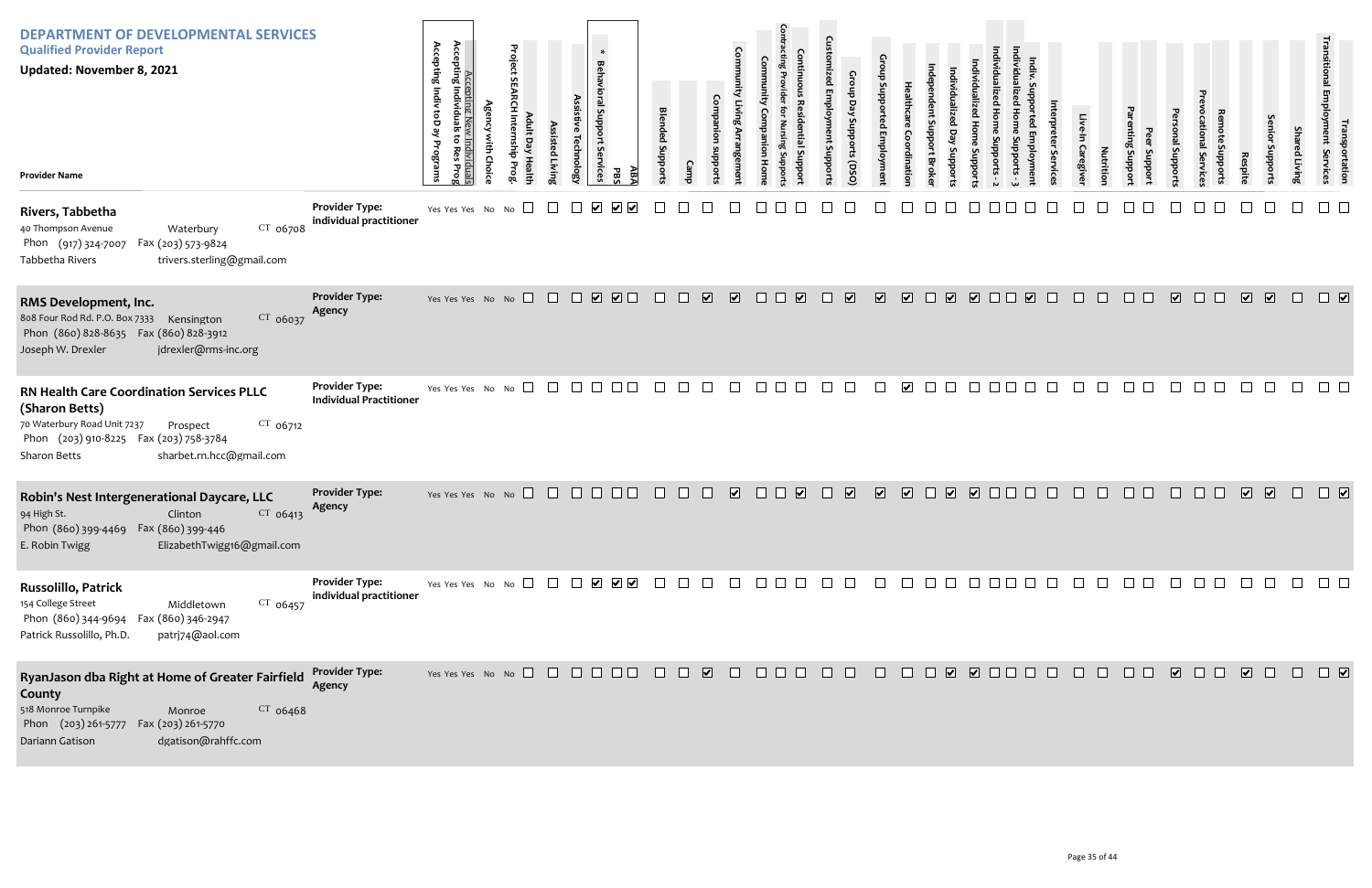| <b>DEPARTMENT OF DEVELOPMENTAL SERVICES</b><br><b>Qualified Provider Report</b><br><b>Updated: November 8, 2021</b><br><b>Provider Name</b>                                                                |                                                         | Accepting Indiv toD ay<br>Accepting Ne<br>Accepting Individua<br>to Res<br>Programs<br>iduals<br>SProg | Project<br>$\sigma$ | ssisted<br>l Livin | $\ast$<br><b>Behavioral Support</b><br>Services<br>hnolog | ΑB7<br>모 | <b>Blended Suppor</b> |         |                         | Com                     |                  |                                   | Gro<br>Ρã<br>upports (DSO)<br>oddns |                         |                         | ddns                                    | nddo                    |        |        | Caregive | Nutritio | Jupport<br><b>Suppor</b> | puoddns                 | ervic                                                      | Respite                 | enio<br>oddn | Sha<br>ed Livin | ייפוויטן<br>או yment<br>portation<br>Services |
|------------------------------------------------------------------------------------------------------------------------------------------------------------------------------------------------------------|---------------------------------------------------------|--------------------------------------------------------------------------------------------------------|---------------------|--------------------|-----------------------------------------------------------|----------|-----------------------|---------|-------------------------|-------------------------|------------------|-----------------------------------|-------------------------------------|-------------------------|-------------------------|-----------------------------------------|-------------------------|--------|--------|----------|----------|--------------------------|-------------------------|------------------------------------------------------------|-------------------------|--------------|-----------------|-----------------------------------------------|
| Rivers, Tabbetha<br>$CT$ 06708<br>40 Thompson Avenue<br>Waterbury<br>Phon (917) 324-7007 Fax (203) 573-9824<br>Tabbetha Rivers<br>trivers.sterling@gmail.com                                               | <b>Provider Type:</b><br>individual practitioner        | Yes Yes Yes No No $\square$                                                                            |                     |                    | $\blacktriangledown$                                      |          |                       |         |                         |                         |                  |                                   |                                     |                         |                         |                                         |                         |        |        |          |          |                          |                         |                                                            |                         |              |                 |                                               |
| RMS Development, Inc.<br>$CT$ 06037<br>808 Four Rod Rd. P.O. Box 7333 Kensington<br>Phon (860) 828-8635  Fax (860) 828-3912<br>jdrexler@rms-inc.org<br>Joseph W. Drexler                                   | <b>Provider Type:</b><br>Agency                         | Yes Yes Yes No No                                                                                      |                     |                    |                                                           |          | $\Box$                | $\Box$  | $\overline{\mathbf{v}}$ | $\overline{\mathbf{v}}$ | $\Box$<br>$\Box$ | $\overline{\mathbf{v}}$<br>$\Box$ | $\overline{\mathbf{v}}$             | $\overline{\mathbf{v}}$ | $\overline{\mathbf{v}}$ | $\overline{\mathbf{v}}$<br>$\Box$       | $\sqrt{2}$              | $\Box$ | $\Box$ | $\Box$   | $\Box$   | $\Box$                   | $\overline{\mathbf{v}}$ | $\Box$<br>$\Box$                                           | $\overline{\mathbf{v}}$ | $\sqrt{2}$   | $\Box$          | $\Box$                                        |
| RN Health Care Coordination Services PLLC<br>(Sharon Betts)<br>$CT$ 06712<br>70 Waterbury Road Unit 7237<br>Prospect<br>Phon (203) 910-8225 Fax (203) 758-3784<br>sharbet.rn.hcc@gmail.com<br>Sharon Betts | <b>Provider Type:</b><br><b>Individual Practitioner</b> | Yes Yes Yes No No                                                                                      | $\Box$              |                    |                                                           |          |                       |         |                         |                         |                  |                                   |                                     |                         | $\blacktriangleright$   |                                         |                         |        |        |          |          |                          |                         |                                                            |                         |              |                 |                                               |
| Robin's Nest Intergenerational Daycare, LLC<br>CT 06413<br>94 High St.<br>Clinton<br>Phon (860) 399-4469  Fax (860) 399-446<br>E. Robin Twigg<br>ElizabethTwigg16@gmail.com                                | <b>Provider Type:</b><br>Agency                         | Yes Yes Yes No No                                                                                      |                     | $\Box$             | $\Box$ $\Box$                                             |          |                       | $\perp$ | $\mathbf{I}$            | $\overline{\mathbf{v}}$ | $\perp$          | $\vert \checkmark \vert$          | $\blacktriangledown$                | $\overline{\mathbf{v}}$ | ⊻                       | $\overline{\mathbf{v}}$<br>$\mathbf{I}$ | $\overline{\mathbf{v}}$ | .      |        |          |          |                          |                         | H                                                          | $\overline{\mathbf{v}}$ | $\sqrt{2}$   | $\Box$          | $\Box$                                        |
| Russolillo, Patrick<br>154 College Street<br>$CT$ 06457<br>Middletown<br>Phon (860) 344-9694  Fax (860) 346-2947<br>patrj74@aol.com<br>Patrick Russolillo, Ph.D.                                           | <b>Provider Type:</b><br>individual practitioner        | Yes Yes Yes No No $\Box$ $\Box$ $\Box$ $\Box$ $\Box$ $\Box$ $\Box$                                     |                     |                    |                                                           |          |                       |         | $\Box$                  |                         | 000000           |                                   |                                     | $\Box$                  |                         |                                         |                         |        |        |          |          | $\Box$ $\Box$            |                         | $\begin{array}{c} \square \ \square \ \square \end{array}$ | $\Box$                  | $\Box$       | $\Box$          | $\Box$ $\Box$                                 |
| RyanJason dba Right at Home of Greater Fairfield<br>County<br>518 Monroe Turnpike<br>$CT$ 06468<br>Monroe<br>Phon (203) 261-5777 Fax (203) 261-5770<br>dgatison@rahffc.com<br>Dariann Gatison              | <b>Provider Type:</b><br>Agency                         |                                                                                                        |                     |                    |                                                           |          |                       |         |                         |                         |                  |                                   |                                     | 8 8 8 8 8 8 8 8 8       |                         |                                         |                         |        |        | $\Box$   | $\Box$   | $\Box$ $\Box$            |                         |                                                            | $\sqrt{2}$              | $\Box$       | $\Box$          | $\Box$                                        |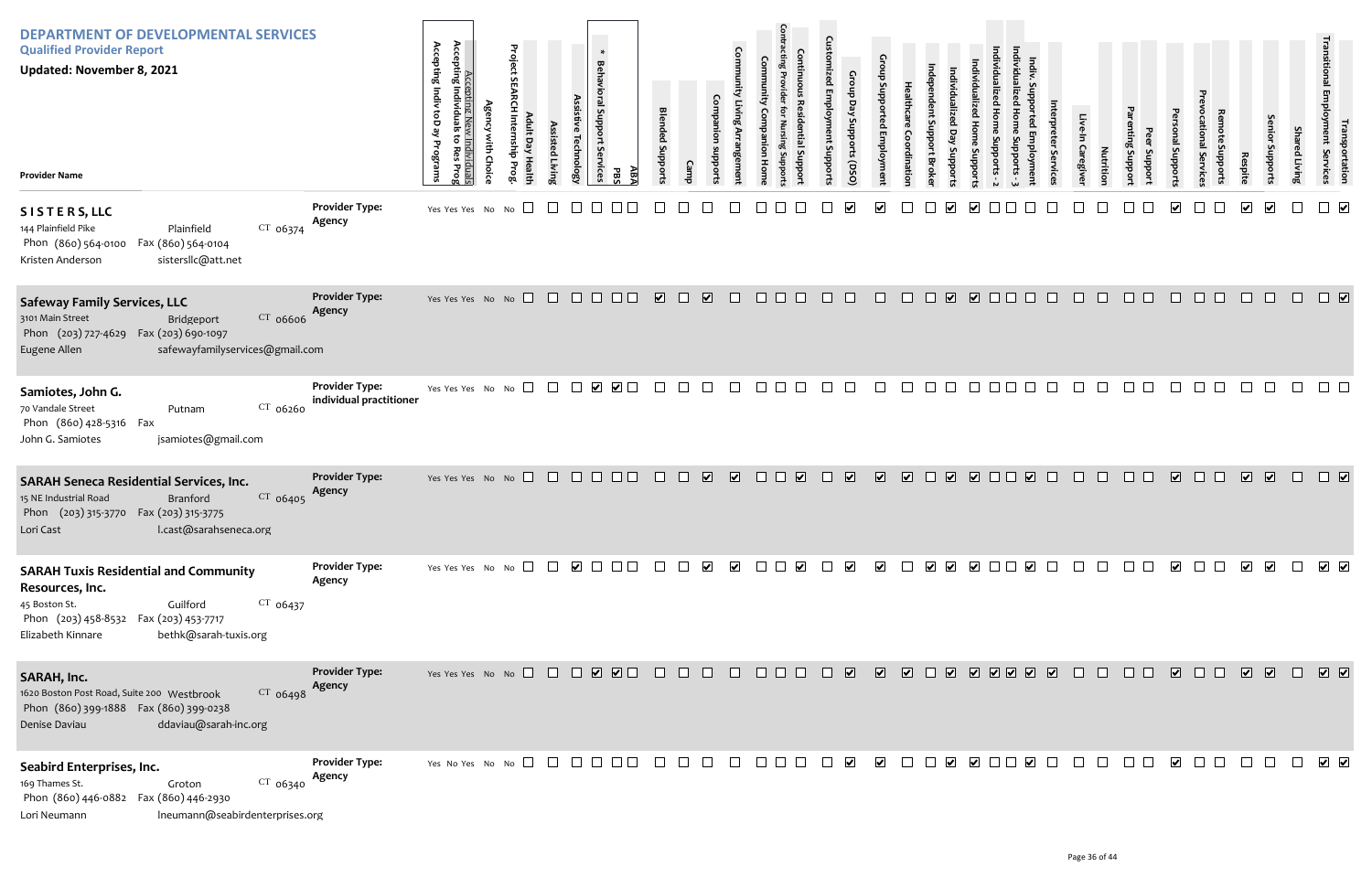| <b>DEPARTMENT OF DEVELOPMENTAL SERVICES</b><br><b>Qualified Provider Report</b><br>Updated: November 8, 2021<br><b>Provider Name</b>                                                               |                                                  | Accepting Indiv toD ay Programs<br>Accepting Nev<br>Accepting Individuals<br>ಕ<br>ist.<br>Individuals<br>o Res Prog<br>Choic | Project<br>dius | ssisted Livin; | $\ast$<br><b>Behavioral Support</b><br>Technolog <sub>'</sub><br>Services | ΑB7<br>PBS | <b>Blended Support</b>  |        | Com                                                |                          |                                                                | $\mathbf{c}$<br>$\overline{\mathbf{B}}$<br>ant Suppoi | Croup<br>Day Supports (DSO |                         |                         |                                   | Suppor     |                            |                                                                                                                                          | ervic  | Caregive | Nutrition    | Support<br>proport | Proport                 | Supports<br><b>Il Service</b> | Respite                 | enior<br>Support:       | Shai<br>ed Living | Transi<br>ו ransp<br>Employment<br>Employment<br>portation<br>Services |
|----------------------------------------------------------------------------------------------------------------------------------------------------------------------------------------------------|--------------------------------------------------|------------------------------------------------------------------------------------------------------------------------------|-----------------|----------------|---------------------------------------------------------------------------|------------|-------------------------|--------|----------------------------------------------------|--------------------------|----------------------------------------------------------------|-------------------------------------------------------|----------------------------|-------------------------|-------------------------|-----------------------------------|------------|----------------------------|------------------------------------------------------------------------------------------------------------------------------------------|--------|----------|--------------|--------------------|-------------------------|-------------------------------|-------------------------|-------------------------|-------------------|------------------------------------------------------------------------|
| SISTERS, LLC<br>$CT$ 06374<br>144 Plainfield Pike<br>Plainfield<br>Phon (860) 564-0100<br>Fax (860) 564-0104<br>sistersllc@att.net<br>Kristen Anderson                                             | <b>Provider Type:</b><br>Agency                  | Yes Yes Yes No No                                                                                                            | $\Box$          |                |                                                                           |            |                         |        |                                                    |                          |                                                                |                                                       |                            | $\blacktriangledown$    |                         |                                   |            |                            |                                                                                                                                          |        |          |              |                    |                         |                               | $\overline{\mathbf{v}}$ | $\overline{\mathbf{v}}$ |                   | $\Box$                                                                 |
| <b>Safeway Family Services, LLC</b><br>$CT$ 06606<br>3101 Main Street<br>Bridgeport<br>Phon (203) 727-4629  Fax (203) 690-1097<br>safewayfamilyservices@gmail.com<br>Eugene Allen                  | <b>Provider Type:</b><br>Agency                  | Yes Yes Yes No No $\Box$ $\Box$ $\Box$ $\Box$ $\Box$ $\Box$                                                                  |                 |                |                                                                           |            | $\overline{\mathbf{v}}$ | $\Box$ | $\overline{\mathbf{v}}$<br>$\Box$                  | $\Box$                   |                                                                |                                                       | $\Box$                     | $\Box$                  | $\Box$                  | $\overline{\mathbf{v}}$<br>$\Box$ |            |                            | $\Box$                                                                                                                                   | n.     | $\Box$   | $\Box$       | $\Box$ $\Box$      |                         | П                             |                         | $\Box$                  | $\Box$            | $\Box$                                                                 |
| Samiotes, John G.<br>CT 06260<br>70 Vandale Street<br>Putnam<br>Phon (860) 428-5316 Fax<br>jsamiotes@gmail.com<br>John G. Samiotes                                                                 | <b>Provider Type:</b><br>individual practitioner | Yes Yes Yes No No $\square$                                                                                                  |                 | $\Box$         |                                                                           |            | $\Box$                  |        | $\mathcal{L}^{\mathcal{A}}$<br>$\perp$             | $\overline{\phantom{a}}$ |                                                                |                                                       | $\mathbf{1}$               |                         |                         | $\mathbf{L}$                      |            |                            |                                                                                                                                          |        |          |              | $\perp$            |                         |                               |                         |                         |                   |                                                                        |
| <b>SARAH Seneca Residential Services, Inc.</b><br>CT 06405<br>15 NE Industrial Road<br>Branford<br>Phon (203) 315-3770 Fax (203) 315-3775<br>l.cast@sarahseneca.org<br>Lori Cast                   | <b>Provider Type:</b><br>Agency                  | Yes Yes Yes No No $\Box$                                                                                                     |                 |                | $\Box$ $\Box$                                                             | $\Box$     | $\Box$                  | $\Box$ | $\overline{\mathbf{v}}$<br>$\overline{\mathbf{v}}$ | $\Box$                   | $\overline{\mathbf{v}}$                                        |                                                       | $\overline{\mathbf{v}}$    | $\overline{\mathbf{v}}$ | $\overline{\mathbf{v}}$ | $\sqrt{2}$<br>$\Box$              | $\sqrt{2}$ | $\Box$                     |                                                                                                                                          | $\Box$ |          |              | $\perp$            | $\sqrt{2}$              | H                             | $\overline{\mathbf{v}}$ | $\sqrt{2}$              | $\Box$            | $\Box$                                                                 |
| <b>SARAH Tuxis Residential and Community</b><br>Resources, Inc.<br>$CT$ 06437<br>45 Boston St.<br>Guilford<br>Phon (203) 458-8532 Fax (203) 453-7717<br>bethk@sarah-tuxis.org<br>Elizabeth Kinnare | <b>Provider Type:</b><br>Agency                  | Yes Yes Yes No No $\Box$ $\Box$ $\Box$                                                                                       |                 |                |                                                                           |            |                         |        | $\blacktriangledown$<br>$\blacktriangledown$       |                          | $\Box$                                                         |                                                       | $\overline{\mathbf{v}}$    | $\blacktriangledown$    |                         |                                   |            |                            |                                                                                                                                          |        |          |              |                    | $\overline{\mathbf{v}}$ |                               | $\blacktriangledown$    | $\overline{\mathbf{v}}$ | $\Box$            | $\overline{\phantom{a}}$                                               |
| SARAH, Inc.<br>CT 06498<br>1620 Boston Post Road, Suite 200 Westbrook<br>Phon (860) 399-1888  Fax (860) 399-0238<br>ddaviau@sarah-inc.org<br>Denise Daviau                                         | <b>Provider Type:</b><br>Agency                  | Yes Yes Yes No No $\Box$ $\Box$ $\Box$ $\Box$ $\Box$ $\Box$                                                                  |                 |                |                                                                           |            | $\Box$                  | $\Box$ | $\Box$<br>$\Box$                                   |                          | $\begin{array}{c} \square \square \square \square \end{array}$ | $\Box$                                                |                            | $\sqrt{2}$              |                         |                                   |            |                            | $\begin{array}{c c c c c c} \hline \textbf{A} & \textbf{B} & \textbf{C} & \textbf{B} & \textbf{B} & \textbf{B} & \textbf{B} \end{array}$ |        | $\Box$   | $\mathbf{L}$ | $\Box$             | $\sqrt{2}$              | $\Box$                        | $\sqrt{2}$              |                         | $\Box$            | $\sqrt{2}$                                                             |
| Seabird Enterprises, Inc.<br>$CT$ 06340<br>169 Thames St.<br>Groton<br>Phon (860) 446-0882  Fax (860) 446-2930<br>Ineumann@seabirdenterprises.org<br>Lori Neumann                                  | <b>Provider Type:</b><br>Agency                  | Yes No Yes No No $\Box$                                                                                                      |                 |                | a katika sa Tan                                                           |            |                         |        | $\Box$<br>$\Box$                                   |                          | $\Box$ $\Box$                                                  |                                                       | $\blacktriangleright$      | $\blacktriangledown$    |                         | $\blacktriangledown$<br>$\Box$    |            | $\overline{\smile}$ $\Box$ | $\blacktriangledown$                                                                                                                     |        |          |              |                    | $\overline{\mathbf{v}}$ |                               |                         |                         |                   | $\sqrt{ }$                                                             |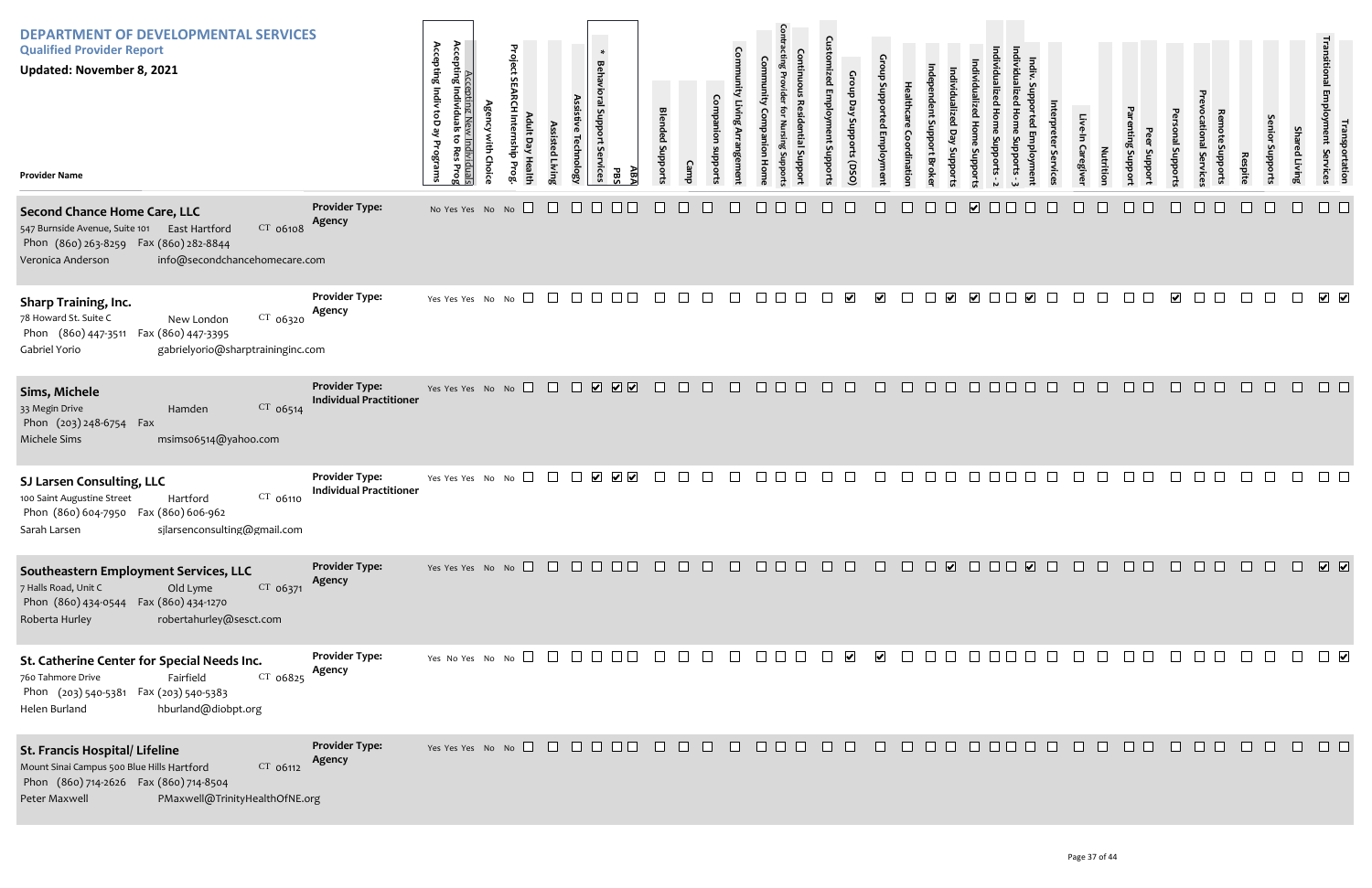| <b>DEPARTMENT OF DEVELOPMENTAL SERVICES</b><br><b>Qualified Provider Report</b><br><b>Updated: November 8, 2021</b><br><b>Provider Name</b>                                                         |                                                         | Accepting<br>Accepting<br>Indiv<br>Individua<br>g<br><u>ew Individuals</u><br>بع<br>ි<br>Programs<br><b>Res</b><br>Prog | <b>Agency with Choice</b> | Project SEARCH Internship Prog<br>Adult Day Health | Assisted Living | <b>Behavioral Support</b><br>Assistive Technology<br>δę<br>rvices | $\ast$<br>ABA<br><b>PBS</b>                       | <b>Blended</b><br>Stropports | Camp | Companion<br>subborts | Community Living Arrangement | Community<br>Companion<br>Hom | <b>Contracting Provider</b><br><b>Continuous Residential Suppor</b><br>for Nursing Suppor | <b>Customized Employment Supports</b> | Group Day Supports (DSO) | Group Supported Employment | Healthcare<br>Coordination | ndependent Support Broke | Individualized<br>Day<br>Supports | Individualized Home Supports - 2<br>Individualized Home<br>Supports |
|-----------------------------------------------------------------------------------------------------------------------------------------------------------------------------------------------------|---------------------------------------------------------|-------------------------------------------------------------------------------------------------------------------------|---------------------------|----------------------------------------------------|-----------------|-------------------------------------------------------------------|---------------------------------------------------|------------------------------|------|-----------------------|------------------------------|-------------------------------|-------------------------------------------------------------------------------------------|---------------------------------------|--------------------------|----------------------------|----------------------------|--------------------------|-----------------------------------|---------------------------------------------------------------------|
| <b>Second Chance Home Care, LLC</b><br>CT 06108<br>547 Burnside Avenue, Suite 101<br>East Hartford<br>Phon (860) 263-8259  Fax (860) 282-8844<br>info@secondchancehomecare.com<br>Veronica Anderson | <b>Provider Type:</b><br>Agency                         | No Yes Yes No No                                                                                                        |                           |                                                    |                 |                                                                   |                                                   |                              |      |                       |                              |                               |                                                                                           |                                       |                          |                            |                            |                          |                                   | $\overline{\mathbf{v}}$                                             |
| <b>Sharp Training, Inc.</b><br>78 Howard St. Suite C<br>$CT$ 06320<br>New London<br>Phon (860) 447-3511 Fax (860) 447-3395<br>gabrielyorio@sharptraininginc.com<br>Gabriel Yorio                    | <b>Provider Type:</b><br>Agency                         | Yes Yes Yes No                                                                                                          |                           | No                                                 |                 | $\vert \ \ \vert$                                                 |                                                   |                              |      |                       |                              |                               |                                                                                           |                                       | $\overline{\mathbf{v}}$  | $\blacktriangledown$       |                            |                          | ⊻                                 | $\vert \mathbf{v} \vert$                                            |
| Sims, Michele<br>33 Megin Drive<br>CT 06514<br>Hamden<br>Phon (203) 248-6754<br>Fax<br>Michele Sims<br>msims06514@yahoo.com                                                                         | <b>Provider Type:</b><br><b>Individual Practitioner</b> | Yes Yes Yes No No                                                                                                       |                           | $\Box$                                             | $\Box$          | $\Box$<br>$\overline{\mathbf{v}}$                                 | $\overline{\mathbf{v}}$ $\overline{\mathbf{v}}$   |                              |      |                       |                              |                               | $\mathbf{I}$                                                                              |                                       | $\mathbf{1}$             | $\mathbf{I}$               | <b>I</b>                   |                          |                                   |                                                                     |
| SJ Larsen Consulting, LLC<br>100 Saint Augustine Street<br>Hartford<br>CT 06110<br>Phon (860) 604-7950  Fax (860) 606-962<br>sjlarsenconsulting@gmail.com<br>Sarah Larsen                           | <b>Provider Type:</b><br><b>Individual Practitioner</b> | Yes Yes Yes No                                                                                                          |                           | No                                                 |                 |                                                                   | $\vert \mathbf{v} \vert$<br>$\blacktriangleright$ |                              |      |                       |                              |                               |                                                                                           |                                       |                          |                            |                            |                          |                                   |                                                                     |
| Southeastern Employment Services, LLC<br>7 Halls Road, Unit C<br>Old Lyme<br>$CT$ 06371<br>Fax (860) 434-1270<br>Phon (860) 434-0544<br>Roberta Hurley<br>robertahurley@sesct.com                   | <b>Provider Type:</b><br>Agency                         | Yes Yes Yes No No                                                                                                       |                           |                                                    | $\perp$         | $\perp$                                                           |                                                   |                              |      |                       |                              |                               |                                                                                           |                                       |                          |                            |                            |                          | $\overline{\mathbf{v}}$           |                                                                     |
| St. Catherine Center for Special Needs Inc.<br>760 Tahmore Drive<br>Fairfield<br>$CT$ 06825<br>Phon (203) 540-5381 Fax (203) 540-5383<br>Helen Burland<br>hburland@diobpt.org                       | <b>Provider Type:</b><br>Agency                         | Yes No Yes No No $\Box$                                                                                                 |                           |                                                    |                 |                                                                   |                                                   |                              |      |                       |                              |                               |                                                                                           |                                       | $\blacktriangledown$     | $\blacktriangleright$      |                            |                          |                                   |                                                                     |
| St. Francis Hospital/ Lifeline<br>Mount Sinai Campus 500 Blue Hills Hartford<br>CT 06112<br>Phon (860) 714-2626  Fax (860) 714-8504<br>Peter Maxwell<br>PMaxwell@TrinityHealthOfNE.org              | <b>Provider Type:</b><br>Agency                         | Yes Yes Yes No No                                                                                                       |                           |                                                    |                 |                                                                   |                                                   |                              |      |                       |                              |                               |                                                                                           |                                       | $\mathbf{I}$             |                            |                            |                          |                                   |                                                                     |

| Individualized Home Supports - 3 | Indiv. Supported Employment | Interpreter Services | Live-In Caregiver | Nutrition                                                                           | Parenting Support | Peer Support | Personal Supports       | Prevocational Services | Remote Supports                                                                                                  | Respite          | Senior Supports | <b>Shared Living</b> | Transitional Employment Services | Transportation       |
|----------------------------------|-----------------------------|----------------------|-------------------|-------------------------------------------------------------------------------------|-------------------|--------------|-------------------------|------------------------|------------------------------------------------------------------------------------------------------------------|------------------|-----------------|----------------------|----------------------------------|----------------------|
|                                  |                             |                      |                   |                                                                                     |                   |              |                         |                        |                                                                                                                  |                  |                 |                      |                                  |                      |
|                                  | $\overline{\mathbf{v}}$     |                      |                   |                                                                                     |                   |              | $\overline{\mathbf{v}}$ |                        |                                                                                                                  |                  |                 |                      | $\overline{\mathbf{v}}$          | $\blacktriangledown$ |
|                                  |                             |                      |                   |                                                                                     |                   |              |                         |                        |                                                                                                                  |                  |                 |                      |                                  |                      |
|                                  |                             |                      |                   |                                                                                     |                   |              |                         |                        |                                                                                                                  |                  |                 |                      |                                  |                      |
|                                  |                             |                      |                   |                                                                                     |                   |              |                         |                        |                                                                                                                  |                  |                 |                      |                                  |                      |
| $\Box$                           |                             |                      |                   | $\begin{array}{cccccccccccccc} \Box & \Box & \Box & \Box & \Box & \Box \end{array}$ |                   |              |                         |                        | $\begin{array}{c} \square \end{array} \begin{array}{c} \square \end{array} \begin{array}{c} \square \end{array}$ | $\hfill \square$ | $\Box$          | $\Box$               | $\Box$                           |                      |
| $\Box$                           |                             |                      |                   | 00000000000                                                                         |                   |              |                         |                        |                                                                                                                  |                  |                 |                      | $\Box$                           |                      |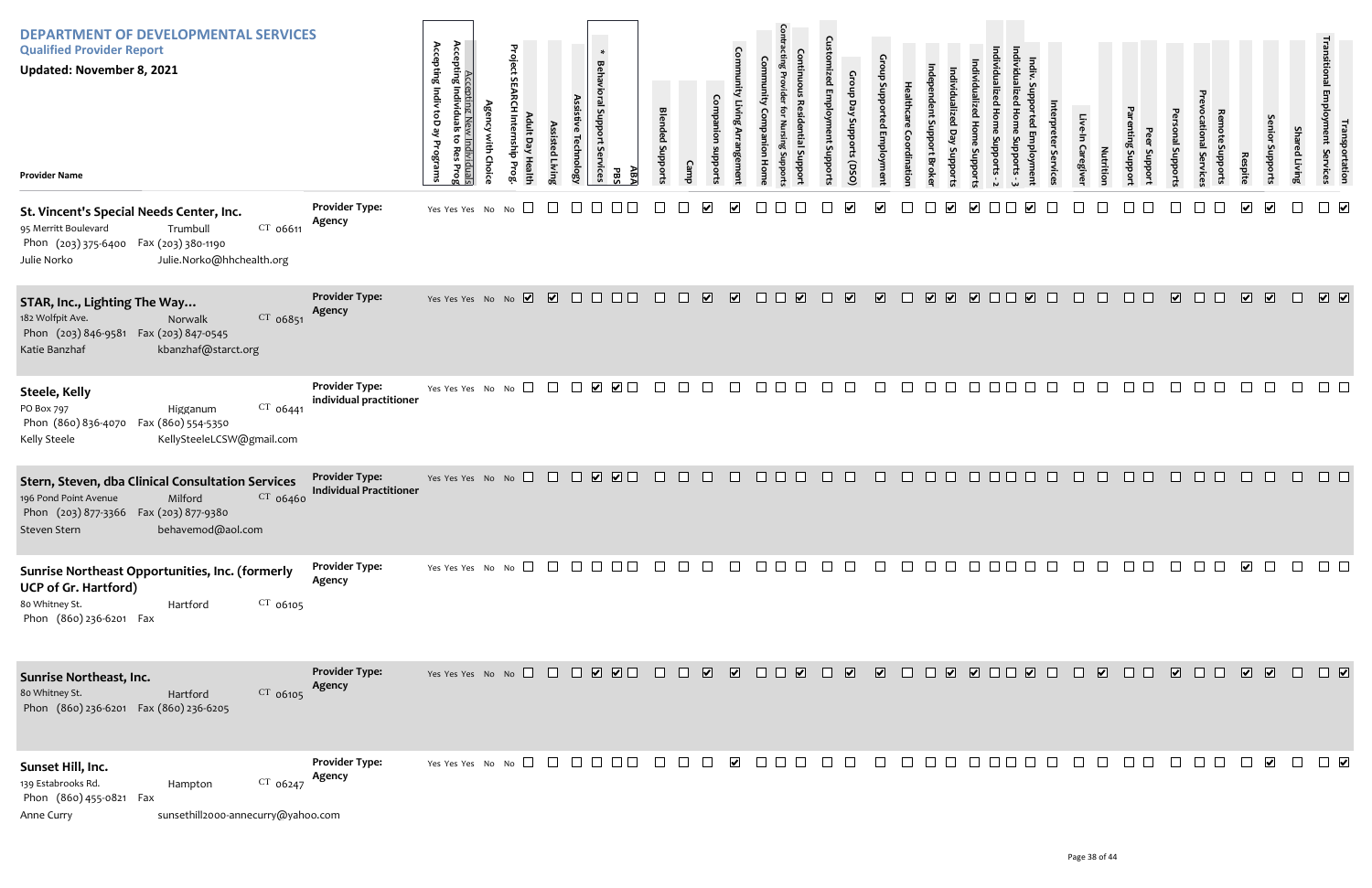| <b>DEPARTMENT OF DEVELOPMENTAL SERVICES</b><br><b>Qualified Provider Report</b><br><b>Updated: November 8, 2021</b><br><b>Provider Name</b>                                      |                                                         | Accepting Indiv toD ay Programs<br>Accepting Nev<br>Accepting Individuals<br>ಕ<br>È<br>Res<br>lividuals<br>Res Prog<br>Choic | Project<br>$\Box$<br>dius<br><b>Healt</b> | Assisted Livin   | $\ast$<br><b>Behavioral Support</b><br><b>Technology</b><br>: Services | АBA<br>PBS                 | <b>Blended Support</b>     |                                   | Com<br>ppor             |                             |                                                                                          | $\mathbf{C}$<br>Empl<br>oddns: | Group Day Supports (DSO |                         |                          | <b>Brok</b>       | Support    |                |                         | ervic                                                                                                          | <b>Caregiver</b> | Nutritio                | Loddns<br>poddns | pupport                 | Service<br>abport: | Respite                 | enior<br>subborts       | Shar<br>ed Living | Transi<br><b>Iranspor</b><br>Ioyment Se<br>portation<br>Services       |
|----------------------------------------------------------------------------------------------------------------------------------------------------------------------------------|---------------------------------------------------------|------------------------------------------------------------------------------------------------------------------------------|-------------------------------------------|------------------|------------------------------------------------------------------------|----------------------------|----------------------------|-----------------------------------|-------------------------|-----------------------------|------------------------------------------------------------------------------------------|--------------------------------|-------------------------|-------------------------|--------------------------|-------------------|------------|----------------|-------------------------|----------------------------------------------------------------------------------------------------------------|------------------|-------------------------|------------------|-------------------------|--------------------|-------------------------|-------------------------|-------------------|------------------------------------------------------------------------|
| St. Vincent's Special Needs Center, Inc.<br>$CT$ 06611<br>95 Merritt Boulevard<br>Trumbull<br>Phon (203) 375-6400 Fax (203) 380-1190<br>Julie.Norko@hhchealth.org<br>Julie Norko | <b>Provider Type:</b><br>Agency                         | Yes Yes Yes No                                                                                                               | $\Box$<br>No                              |                  |                                                                        |                            |                            | V                                 | $\overline{\mathbf{v}}$ |                             |                                                                                          |                                |                         |                         |                          |                   |            |                |                         |                                                                                                                |                  |                         |                  |                         |                    |                         | $\overline{\mathbf{v}}$ |                   | $\Box$                                                                 |
| STAR, Inc., Lighting The Way<br>$CT$ 06851<br>182 Wolfpit Ave.<br>Norwalk<br>Phon (203) 846-9581 Fax (203) 847-0545<br>Katie Banzhaf<br>kbanzhaf@starct.org                      | <b>Provider Type:</b><br>Agency                         | Yes Yes Yes No No $\overline{\vee}$ $\overline{\vee}$ $\overline{\square}$                                                   |                                           |                  |                                                                        | $\Box$                     | $\Box$                     | $\overline{\mathbf{v}}$<br>$\Box$ | $\overline{\mathbf{v}}$ | $\Box$                      | $\overline{\mathbf{v}}$<br>$\Box$                                                        | $\Box$                         | $\overline{\mathbf{v}}$ | $\overline{\mathbf{v}}$ | $\overline{\phantom{a}}$ | $\boxed{\bullet}$ | $\sqrt{2}$ | $\Box$         | $\overline{\mathbf{v}}$ |                                                                                                                |                  | $\Box$                  |                  | $\overline{\mathbf{v}}$ | $\Box$             | $\overline{\mathbf{v}}$ | $\boxed{\mathbf{v}}$    | $\Box$            | $\boxed{\blacktriangledown}$                                           |
| <b>Steele, Kelly</b><br>$CT$ 06441<br>PO Box 797<br>Higganum<br>Phon (860) 836-4070<br>Fax (860) 554-5350<br>KellySteeleLCSW@gmail.com<br>Kelly Steele                           | <b>Provider Type:</b><br>individual practitioner        | Yes Yes Yes No No $\square$                                                                                                  |                                           | $\Box$           |                                                                        |                            | $\mathcal{L}(\mathcal{A})$ |                                   | $\Box$<br>$\mathbf{I}$  | $\mathbf{L}$                |                                                                                          |                                | $\mathbf{L}$            |                         |                          | $\mathsf{L}$      | $\Box$     | $\mathbb{R}^n$ | $\mathbb{R}$            |                                                                                                                | $\mathcal{L}$    | $\Box$                  |                  |                         |                    |                         |                         |                   | $\Box$ $\Box$                                                          |
| Stern, Steven, dba Clinical Consultation Services<br>CT 06460<br>196 Pond Point Avenue<br>Milford<br>Phon (203) 877-3366 Fax (203) 877-9380<br>behavemod@aol.com<br>Steven Stern | <b>Provider Type:</b><br><b>Individual Practitioner</b> | Yes Yes Yes No No                                                                                                            |                                           | $\Box$<br>$\Box$ | $\boxed{\bullet}$                                                      | $\overline{\smile}$ $\Box$ |                            |                                   |                         |                             |                                                                                          |                                |                         |                         |                          |                   |            |                |                         |                                                                                                                |                  |                         |                  |                         |                    |                         |                         |                   |                                                                        |
| Sunrise Northeast Opportunities, Inc. (formerly<br><b>UCP of Gr. Hartford)</b><br>$CT$ 06105<br>80 Whitney St.<br>Hartford<br>Phon (860) 236-6201 Fax                            | <b>Provider Type:</b><br>Agency                         | Yes Yes Yes No No $\Box$ $\Box$ $\Box$ $\Box$                                                                                |                                           |                  |                                                                        |                            |                            | $\perp$                           | $\perp$                 |                             | $\Box$ $\Box$                                                                            |                                |                         |                         |                          | $\Box$ $\Box$     |            |                |                         | $\begin{array}{c} \square \square \square \square \square \square \square \end{array}$                         | $\Box$           |                         |                  |                         |                    | $\blacktriangledown$    | $\Box$                  |                   | $\begin{array}{c} \square \square \square \square \square \end{array}$ |
| Sunrise Northeast, Inc.<br>CT 06105<br>80 Whitney St.<br>Hartford<br>Phon (860) 236-6201 Fax (860) 236-6205                                                                      | <b>Provider Type:</b><br>Agency                         | Yes Yes Yes No No $\Box$ $\Box$ $\Box$ $\Box$ $\Box$ $\Box$                                                                  |                                           |                  |                                                                        |                            | $\Box$                     | $\Box$                            |                         |                             | $\begin{tabular}{c} \hline \textbf{r} & \textbf{r} & \textbf{r} \\ \hline \end{tabular}$ |                                | $\overline{\mathbf{v}}$ | $\blacksquare$          |                          |                   |            |                |                         | $\begin{array}{c c c c c c} \hline \textbf{C} & \textbf{C} & \textbf{C} & \textbf{C} & \textbf{C} \end{array}$ | $\Box$           | $\overline{\mathbf{v}}$ | $\Box$ $\Box$    |                         |                    | $\sqrt{2}$              |                         | $\Box$            | $\Box$                                                                 |
| Sunset Hill, Inc.<br>139 Estabrooks Rd.<br>$CT$ 06247<br>Hampton<br>Phon (860) 455-0821 Fax<br>sunsethill2000-annecurry@yahoo.com<br>Anne Curry                                  | <b>Provider Type:</b><br>Agency                         | Yes Yes Yes No No $\square$                                                                                                  |                                           | $\Box$           | $\Box$<br>$\Box$                                                       |                            | $\Box$                     | $\perp$                           | $\blacktriangledown$    | $\mathcal{L}_{\mathcal{A}}$ |                                                                                          |                                |                         |                         |                          |                   |            |                |                         |                                                                                                                |                  |                         |                  |                         |                    |                         | $\vert\mathbf{v}\vert$  |                   | $\Box$                                                                 |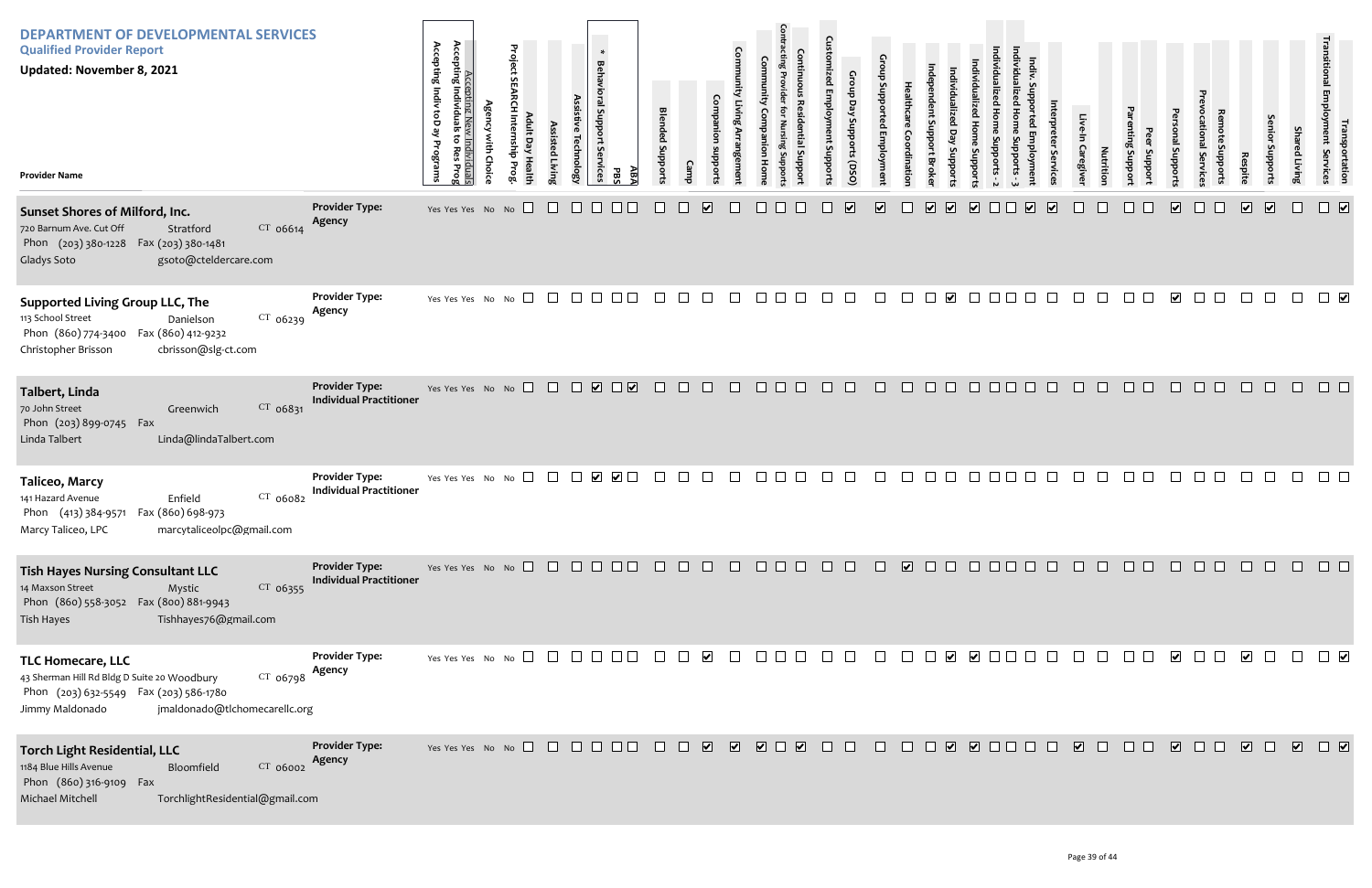| <b>DEPARTMENT OF DEVELOPMENTAL SERVICES</b><br><b>Qualified Provider Report</b><br><b>Updated: November 8, 2021</b><br><b>Provider Name</b>                                          |                                                         | Accepting<br>Accepting<br>ACC<br>Indiv<br>Individua<br>ĝ<br><u>ew Individuals</u><br>بع<br>ã<br>Programs<br><b>Res</b><br>Prog | <b>Agency with Choice</b> | Project SEARCH Internship Prog<br>Adult Day Health | Assisted Living | Assistive Technology<br>rvices    | $\ast$<br><b>Behavioral Support</b><br>δę<br>ABA<br>PBS | <b>Blended</b><br>Stropports | <b>Camp</b> | Companion<br>subports   | Community Living Arrangement | Community<br>Companion<br>Hom | <b>Contracting Provider</b><br><b>Continuous Residential Suppor</b><br>for Nursing Suppor | <b>Customized Employment Supports</b> | Group Day Supports (DSO) | Group Supported Employment      | Healthcare<br>Coordination | ndependent Support Broke        | Individualized<br>Day<br>Supports | Individualized Home<br>Supports          | Individualized Home Supports - 2 |
|--------------------------------------------------------------------------------------------------------------------------------------------------------------------------------------|---------------------------------------------------------|--------------------------------------------------------------------------------------------------------------------------------|---------------------------|----------------------------------------------------|-----------------|-----------------------------------|---------------------------------------------------------|------------------------------|-------------|-------------------------|------------------------------|-------------------------------|-------------------------------------------------------------------------------------------|---------------------------------------|--------------------------|---------------------------------|----------------------------|---------------------------------|-----------------------------------|------------------------------------------|----------------------------------|
| Sunset Shores of Milford, Inc.<br>720 Barnum Ave. Cut Off<br>CT 06614<br>Stratford<br>Phon (203) 380-1228 Fax (203) 380-1481<br>Gladys Soto<br>gsoto@cteldercare.com                 | <b>Provider Type:</b><br><b>Agency</b>                  | Yes Yes Yes No No                                                                                                              |                           |                                                    |                 |                                   |                                                         |                              |             | ⊻                       |                              |                               |                                                                                           |                                       | $\overline{\mathbf{v}}$  | $\overline{\blacktriangledown}$ |                            | $\overline{\blacktriangledown}$ | $\overline{\mathbf{v}}$           | $\boxed{\blacktriangledown}$             |                                  |
| <b>Supported Living Group LLC, The</b><br>113 School Street<br>$CT$ 06239<br>Danielson<br>Phon (860) 774-3400 Fax (860) 412-9232<br>Christopher Brisson<br>cbrisson@slg-ct.com       | <b>Provider Type:</b><br>Agency                         | Yes Yes Yes No                                                                                                                 |                           | No                                                 |                 | $\vert \ \ \vert$                 | $\vert \ \ \vert$                                       |                              |             |                         |                              |                               |                                                                                           |                                       |                          |                                 |                            |                                 | $\vert \checkmark \vert$          |                                          |                                  |
| Talbert, Linda<br>70 John Street<br>CT 06831<br>Greenwich<br>Phon (203) 899-0745<br>Fax<br>Linda Talbert<br>Linda@lindaTalbert.com                                                   | <b>Provider Type:</b><br><b>Individual Practitioner</b> | Yes Yes Yes No No                                                                                                              |                           | $\Box$                                             | $\Box$          | $\Box$<br>$\overline{\mathbf{v}}$ | $\overline{\mathbf{v}}$<br>$\Box$                       |                              |             |                         | $\mathbf{L}$                 |                               | $\mathbf{I}$                                                                              |                                       | $\mathbf{L}$             | $\mathbf{I}$                    | $\Box$                     |                                 |                                   |                                          |                                  |
| Taliceo, Marcy<br>141 Hazard Avenue<br>Enfield<br>CT 06082<br>Phon (413) 384-9571 Fax (860) 698-973<br>Marcy Taliceo, LPC<br>marcytaliceolpc@gmail.com                               | <b>Provider Type:</b><br><b>Individual Practitioner</b> | Yes Yes Yes No No                                                                                                              |                           |                                                    |                 |                                   | V                                                       |                              |             |                         |                              |                               |                                                                                           |                                       |                          |                                 |                            |                                 |                                   |                                          |                                  |
| <b>Tish Hayes Nursing Consultant LLC</b><br>14 Maxson Street<br>Mystic<br>CT 06355<br>Phon (860) 558-3052  Fax (800) 881-9943<br>Tishhayes76@gmail.com<br><b>Tish Hayes</b>          | <b>Provider Type:</b><br><b>Individual Practitioner</b> | Yes Yes Yes No No $\square$                                                                                                    |                           |                                                    | $\perp$         |                                   |                                                         |                              |             |                         |                              |                               |                                                                                           |                                       |                          |                                 | $\overline{\mathbf{v}}$    |                                 |                                   |                                          |                                  |
| <b>TLC Homecare, LLC</b><br>43 Sherman Hill Rd Bldg D Suite 20 Woodbury<br>$CT$ 06798<br>Phon (203) 632-5549  Fax (203) 586-1780<br>jmaldonado@tlchomecarellc.org<br>Jimmy Maldonado | <b>Provider Type:</b><br>Agency                         | Yes Yes Yes No No $\Box$                                                                                                       |                           |                                                    | $\perp$         | $\mathbf{L}$                      |                                                         |                              |             | $\blacktriangledown$    |                              |                               |                                                                                           |                                       |                          |                                 |                            |                                 | $\blacktriangledown$              | $\vert\bm{\mathsf{v}}\vert$ $\vert\vert$ |                                  |
| <b>Torch Light Residential, LLC</b><br>1184 Blue Hills Avenue<br>CT 06002<br>Bloomfield<br>Phon (860) 316-9109 Fax<br>Michael Mitchell<br>TorchlightResidential@gmail.com            | <b>Provider Type:</b><br>Agency                         | Yes Yes Yes No No $\Box$                                                                                                       |                           |                                                    |                 | $\perp$<br>$\perp$                | $\Box$ $\Box$                                           |                              |             | $\overline{\mathbf{v}}$ | $\overline{\mathbf{v}}$      | $\overline{\mathbf{v}}$       | $\blacktriangledown$                                                                      |                                       |                          |                                 |                            |                                 | $\vert \checkmark \vert$          | $\Box$                                   |                                  |

| Individualized Home Supports - 3 | Indiv. Supported Employment | Interpreter Services    | Live-In Caregiver | Nutrition                                                                                                                                                       | Parenting Support | Peer Support | Personal Supports               | Prevocational Services | Remote Supports | Respite                 | Senior Supports         | Shared Living | Transitional Employment Services | Transportation                  |
|----------------------------------|-----------------------------|-------------------------|-------------------|-----------------------------------------------------------------------------------------------------------------------------------------------------------------|-------------------|--------------|---------------------------------|------------------------|-----------------|-------------------------|-------------------------|---------------|----------------------------------|---------------------------------|
|                                  | $\blacktriangledown$        | $\overline{\mathbf{v}}$ |                   |                                                                                                                                                                 |                   |              | $\overline{\blacktriangledown}$ |                        |                 | $\overline{\mathbf{v}}$ | $\overline{\mathbf{v}}$ |               |                                  | $\overline{\blacktriangledown}$ |
|                                  |                             |                         |                   |                                                                                                                                                                 |                   |              | $\overline{\mathbf{v}}$         |                        |                 |                         |                         |               |                                  | $\overline{\mathbf{v}}$         |
|                                  |                             |                         |                   |                                                                                                                                                                 |                   |              |                                 |                        |                 |                         |                         |               |                                  |                                 |
|                                  |                             |                         |                   |                                                                                                                                                                 |                   |              |                                 |                        |                 |                         |                         |               |                                  |                                 |
| $\Box$                           |                             |                         |                   | 0000000000000                                                                                                                                                   |                   |              |                                 |                        |                 |                         |                         |               |                                  |                                 |
| $\Box$                           | $\Box$                      | $\Box$                  |                   | $\begin{array}{c c c c c c} \hline \quad \text{I} & \text{I} & \text{I} & \text{I} & \text{I} & \text{I} & \text{I} & \text{I} & \text{I} \\\hline \end{array}$ |                   |              |                                 |                        |                 |                         | $\Box$                  | $\Box$        | $\overline{\phantom{a}}$         |                                 |
| ב                                | $\hfill \square$            |                         |                   | 0000000000                                                                                                                                                      |                   |              |                                 |                        |                 |                         |                         |               |                                  |                                 |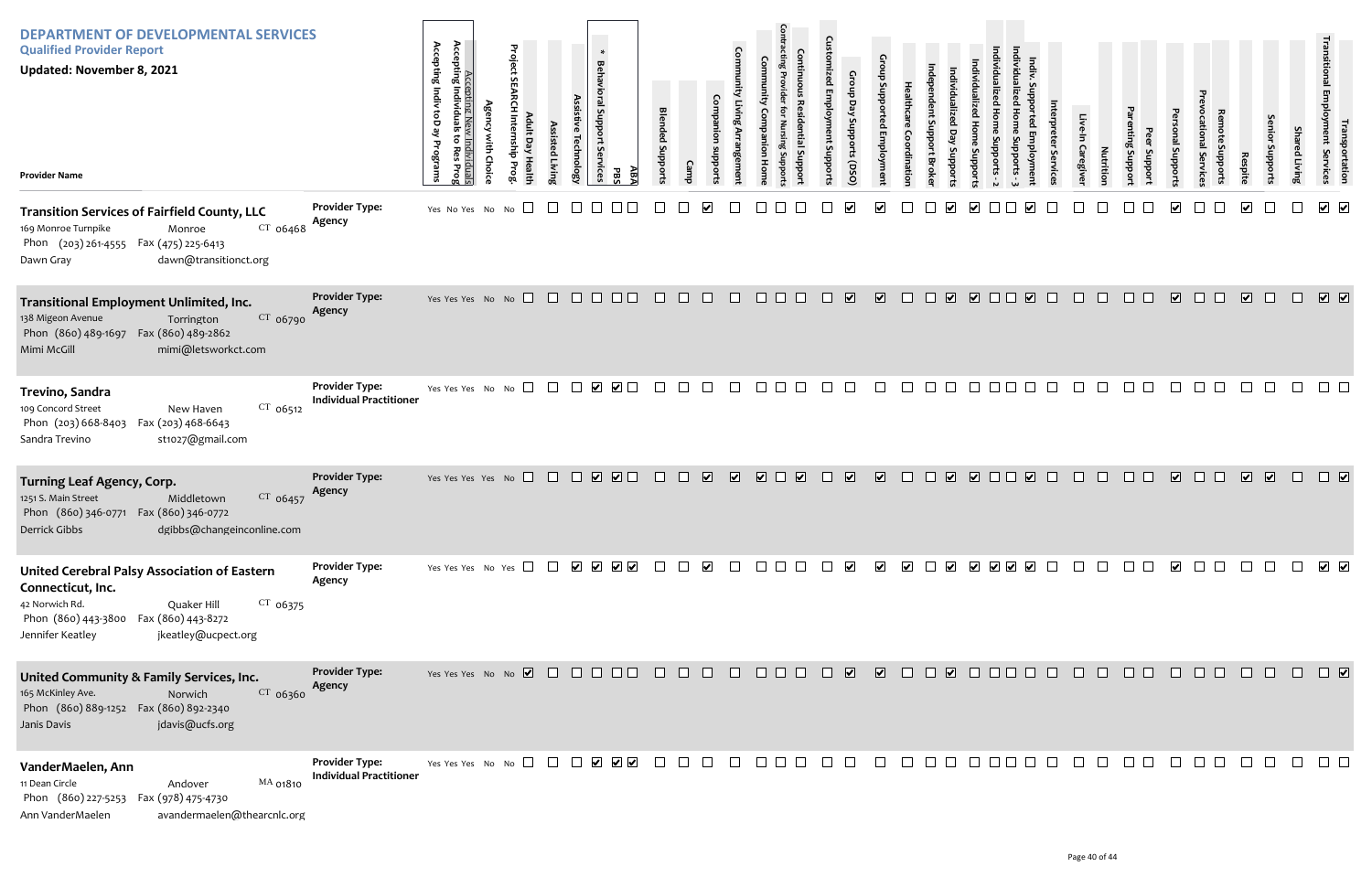| <b>DEPARTMENT OF DEVELOPMENTAL SERVICES</b><br><b>Qualified Provider Report</b><br><b>Updated: November 8, 2021</b><br><b>Provider Name</b>                                                                  |                                                         | Accepting New<br>Accepting Individuals<br>Accepting Indiv toD ay<br>to Res<br>ist.<br>Programs<br>Choic<br>iduals<br>s Prog | Project<br>$\Box$ | ssisted Livin | <b>Behavioral Support</b><br>echnolog;<br>Services | $\ast$<br>ABA<br>PBS                                                                       | <b>Blended Support</b> |        |                             |                         |                                   | $\Omega$<br>ē<br>nddns tu | Croup<br>Day<br>Stropports<br>(DSQ) |                         | dinatio              |                                   | oddn   |                         |                   | Caregive | Nutrition | Jupport<br>Support | I Support                   | <b>EVIC</b>      | Respite                 | enio<br>Supports | Sha<br>ed Living | lransp<br>Employment<br>portation<br>Services                                                                    |
|--------------------------------------------------------------------------------------------------------------------------------------------------------------------------------------------------------------|---------------------------------------------------------|-----------------------------------------------------------------------------------------------------------------------------|-------------------|---------------|----------------------------------------------------|--------------------------------------------------------------------------------------------|------------------------|--------|-----------------------------|-------------------------|-----------------------------------|---------------------------|-------------------------------------|-------------------------|----------------------|-----------------------------------|--------|-------------------------|-------------------|----------|-----------|--------------------|-----------------------------|------------------|-------------------------|------------------|------------------|------------------------------------------------------------------------------------------------------------------|
| <b>Transition Services of Fairfield County, LLC</b><br>$CT$ 06468<br>169 Monroe Turnpike<br>Monroe<br>Phon (203) 261-4555 Fax (475) 225-6413<br>dawn@transitionct.org<br>Dawn Gray                           | <b>Provider Type:</b><br>Agency                         | Yes No Yes No No                                                                                                            | $\Box$            |               |                                                    |                                                                                            |                        |        |                             |                         |                                   |                           |                                     |                         |                      |                                   |        |                         |                   |          |           |                    |                             |                  |                         |                  |                  | √ ⊽                                                                                                              |
| Transitional Employment Unlimited, Inc.<br>CT 06790<br>138 Migeon Avenue<br>Torrington<br>Phon (860) 489-1697  Fax (860) 489-2862<br>mimi@letsworkct.com<br>Mimi McGill                                      | <b>Provider Type:</b><br>Agency                         | Yes Yes Yes No No                                                                                                           |                   |               |                                                    | $\begin{array}{c} \square \ \square \ \square \ \square \end{array}$                       | $\Box$                 | $\Box$ | $\Box$                      | $\Box$                  | $\Box$ $\Box$ $\Box$              | $\Box$                    | $\overline{\mathbf{v}}$             | $\overline{\mathbf{v}}$ | $\Box$               | $\overline{\mathbf{v}}$<br>$\Box$ |        | $\overline{\mathbf{v}}$ | $\Box$            | $\Box$   | $\Box$    | $\Box$ $\Box$      | $\overline{\mathbf{v}}$     | $\Box$<br>$\Box$ | $\overline{\mathbf{v}}$ | $\Box$           | $\Box$           | $\boxed{\textbf{v}}$                                                                                             |
| Trevino, Sandra<br>CT 06512<br>109 Concord Street<br>New Haven<br>Phon (203) 668-8403<br>Fax (203) 468-6643<br>Sandra Trevino<br>st1027@gmail.com                                                            | <b>Provider Type:</b><br><b>Individual Practitioner</b> | Yes Yes Yes No No                                                                                                           | $\Box$            | $\Box$        |                                                    |                                                                                            |                        |        | $\mathbf{I}$                |                         | $\mathbf{L}$                      |                           |                                     |                         |                      |                                   |        |                         |                   |          |           |                    |                             |                  |                         |                  |                  |                                                                                                                  |
| <b>Turning Leaf Agency, Corp.</b><br>$CT$ 06457<br>1251 S. Main Street<br>Middletown<br>Phon (860) 346-0771 Fax (860) 346-0772<br>dgibbs@changeinconline.com<br>Derrick Gibbs                                | <b>Provider Type:</b><br>Agency                         | Yes Yes Yes Yes No                                                                                                          |                   |               |                                                    | $\begin{array}{c} \square \ \square \ \square \end{array}$                                 | $\Box$                 | $\Box$ | $\overline{\mathbf{v}}$     | $\overline{\mathbf{v}}$ | $\Box$<br>$\overline{\mathbf{v}}$ | $\Box$                    | $\overline{\mathbf{v}}$             | $\overline{\mathbf{v}}$ | $\Box$               | $\Box$                            |        | V V O D V O             |                   |          | $\Box$    |                    | $\overline{\mathbf{v}}$     | $\Box$           | $\overline{\mathbf{v}}$ | $\sqrt{2}$       | $\Box$           | $\Box$                                                                                                           |
| <b>United Cerebral Palsy Association of Eastern</b><br>Connecticut, Inc.<br>42 Norwich Rd.<br>$CT$ 06375<br>Quaker Hill<br>Phon (860) 443-3800 Fax (860) 443-8272<br>Jennifer Keatley<br>jkeatley@ucpect.org | <b>Provider Type:</b><br>Agency                         | Yes Yes Yes No Yes $\Box$ $\Box$ $\Box$ $\Box$ $\Box$ $\Box$ $\Box$                                                         |                   |               |                                                    |                                                                                            |                        |        | ⊻                           |                         | $\mathbf{L}$                      |                           | ⋁                                   | ⊻                       | $\blacktriangledown$ | $\perp$<br>M                      |        | V V V V                 |                   |          |           |                    | $\vert\bm{\mathsf{v}}\vert$ |                  |                         |                  |                  | $\overline{\phantom{a}}$                                                                                         |
| United Community & Family Services, Inc.<br>165 McKinley Ave.<br>CT 06360<br>Norwich<br>Phon (860) 889-1252  Fax (860) 892-2340<br>jdavis@ucfs.org<br>Janis Davis                                            | <b>Provider Type:</b><br>Agency                         |                                                                                                                             |                   |               |                                                    |                                                                                            |                        |        |                             |                         | 8 8 8 8 8 8                       |                           |                                     | $\blacksquare$          |                      |                                   |        |                         | O Ø O O O O O O O |          |           | $\Box$ $\Box$      | $\Box$                      | $\Box$           | $\Box$                  | $\Box$           |                  | $\begin{array}{c} \square \end{array} \begin{array}{c} \square \end{array} \begin{array}{c} \square \end{array}$ |
| VanderMaelen, Ann<br>11 Dean Circle<br>MA 01810<br>Andover<br>Phon (860) 227-5253 Fax (978) 475-4730<br>avandermaelen@thearcnlc.org<br>Ann VanderMaelen                                                      | <b>Provider Type:</b><br><b>Individual Practitioner</b> | Yes Yes Yes No No $\Box$                                                                                                    |                   |               |                                                    | $\begin{array}{c} \begin{array}{c} \begin{array}{c} \end{array}\\ \end{array} \end{array}$ | $\Box$                 |        | $\mathcal{L}^{\mathcal{A}}$ | $\Box$                  | $\Box$ $\Box$                     |                           | $\Box$                              |                         |                      | $\Box$                            | $\Box$ |                         |                   |          |           |                    |                             |                  |                         |                  |                  |                                                                                                                  |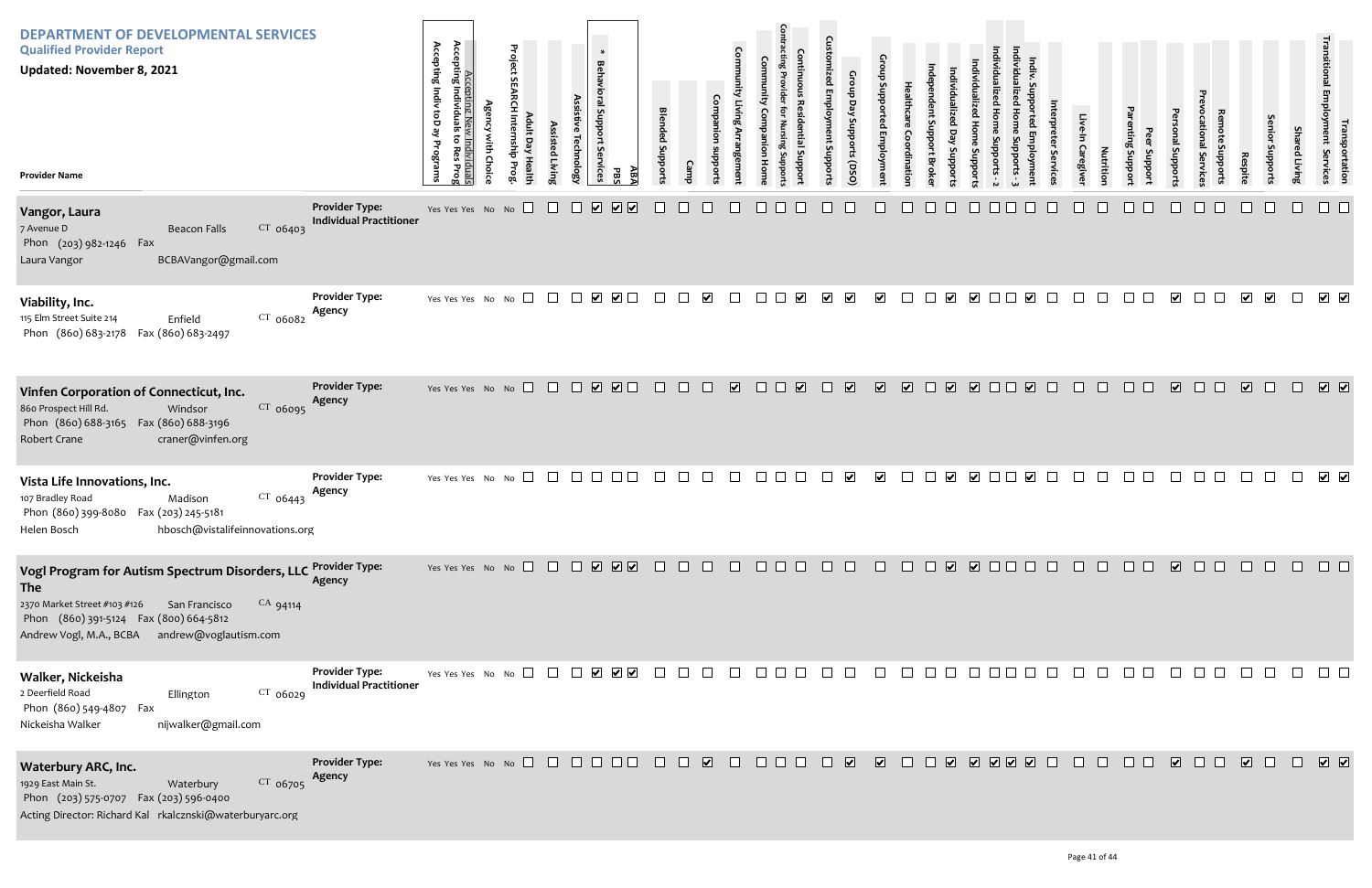| Individualized Home Supports - 3 | Indiv. Supported Employment | Interpreter Services | Live-In Caregiver | Nutrition                                                                                                   | Parenting Support | Peer Support | Personal Supports       | Prevocational Services | Remote Supports  | Respite                      | Senior Supports         | Shared Living | Transitional Employment Services | Transportation          |
|----------------------------------|-----------------------------|----------------------|-------------------|-------------------------------------------------------------------------------------------------------------|-------------------|--------------|-------------------------|------------------------|------------------|------------------------------|-------------------------|---------------|----------------------------------|-------------------------|
|                                  |                             |                      |                   |                                                                                                             |                   |              |                         |                        |                  |                              |                         |               |                                  |                         |
|                                  | $\overline{\mathbf{v}}$     |                      |                   |                                                                                                             |                   |              | $\overline{\mathbf{v}}$ |                        |                  | $\overline{\mathbf{v}}$      | $\overline{\mathbf{v}}$ |               | $\blacktriangledown$             | $\blacktriangledown$    |
|                                  | $\overline{\mathbf{v}}$     |                      |                   |                                                                                                             |                   |              | $\overline{\mathbf{v}}$ |                        |                  | $\boxed{\blacktriangledown}$ |                         |               | $\overline{\mathbf{v}}$          | $\overline{\mathbf{v}}$ |
|                                  | $\blacktriangledown$        |                      |                   |                                                                                                             |                   |              |                         |                        |                  |                              |                         |               | $\blacktriangledown$             | $\blacktriangledown$    |
| $\Box$                           | $\Box$                      | $\Box$               | $\Box$            | $\Box$                                                                                                      |                   |              |                         |                        | $\Box$           | $\Box$                       | $\Box$                  | $\Box$        |                                  | ٦                       |
| $\Box$                           | $\Box$                      | $\hfill \square$     |                   | $\begin{array}{c} \square \hspace{0.2cm} \square \hspace{0.2cm} \square \hspace{0.2cm} \square \end{array}$ |                   | $\Box$       | $\Box$                  | $\Box$                 | $\hfill \square$ | $\hfill \square$             | $\Box$                  | $\Box$        |                                  | $\Box$                  |
|                                  |                             |                      |                   |                                                                                                             |                   |              |                         |                        |                  |                              |                         | $\Box$        | $\boxed{\textbf{v}}$             |                         |

| <b>DEPARTMENT OF DEVELOPMENTAL SERVICES</b><br><b>Qualified Provider Report</b><br><b>Updated: November 8, 2021</b><br><b>Provider Name</b>                                                                               |                                                         | Accepting<br>Accepting Indiv toD ay Programs<br>Individuals<br>$\ddot{\circ}$<br>kes<br>Prog | Accepting New Individuals<br><b>Agency with Choice</b> | Project SEARCH Internship Prog<br>Adult Day Health | Assisted Living | Assistive Technology | $\ast$<br>Behavioral Support Se<br><b>rvices</b><br>ĀВĀ<br>PBS                                   | <b>Blended Supports</b> | Camp | Companion<br>subports   | Community Living Arrangement | Community<br>Companion<br>Hom | <b>Contracting Provider</b><br><b>Continuous Residential Suppor</b><br>for Nursing Suppor | <b>Customized Employment Supports</b> | Group Day Supports (DSO)    | Group Supported Employment | Healthcare<br>Coordination | ndependent Support Broke | Individualized<br>Day<br>Supports | Individualized Home Supports | Individualized Home Supports - 2 |
|---------------------------------------------------------------------------------------------------------------------------------------------------------------------------------------------------------------------------|---------------------------------------------------------|----------------------------------------------------------------------------------------------|--------------------------------------------------------|----------------------------------------------------|-----------------|----------------------|--------------------------------------------------------------------------------------------------|-------------------------|------|-------------------------|------------------------------|-------------------------------|-------------------------------------------------------------------------------------------|---------------------------------------|-----------------------------|----------------------------|----------------------------|--------------------------|-----------------------------------|------------------------------|----------------------------------|
| Vangor, Laura<br>CT 06403<br>7 Avenue D<br><b>Beacon Falls</b><br>Phon (203) 982-1246 Fax<br>BCBAVangor@gmail.com<br>Laura Vangor                                                                                         | <b>Provider Type:</b><br><b>Individual Practitioner</b> | Yes Yes Yes No No                                                                            |                                                        |                                                    |                 |                      | $\boxed{\blacktriangledown}$<br>$\overline{\blacktriangledown}$<br>$\vert \bm{\mathsf{v}} \vert$ |                         |      |                         |                              |                               |                                                                                           |                                       |                             |                            |                            |                          |                                   |                              |                                  |
| Viability, Inc.<br>CT 06082<br>115 Elm Street Suite 214<br>Enfield<br>Phon (860) 683-2178<br>Fax (860) 683-2497                                                                                                           | <b>Provider Type:</b><br>Agency                         | Yes Yes Yes No No                                                                            |                                                        |                                                    | $\perp$         | $\vert \ \ \vert$    | $\Box$<br>$\overline{\mathbf{v}}$                                                                |                         |      | $\overline{\mathbf{v}}$ |                              |                               | $\overline{\mathbf{v}}$                                                                   | $\blacktriangledown$                  | $\blacktriangledown$        | $\overline{\mathbf{v}}$    |                            |                          | ⊻                                 | $\blacktriangleright$        |                                  |
| Vinfen Corporation of Connecticut, Inc.<br>860 Prospect Hill Rd.<br>CT 06095<br>Windsor<br>Phon (860) 688-3165<br>Fax (860) 688-3196<br><b>Robert Crane</b><br>craner@vinfen.org                                          | <b>Provider Type:</b><br>Agency                         |                                                                                              |                                                        | Yes Yes Yes No No $\Box$                           | $\Box$          | $\Box$               | $\Box$<br>$\overline{\mathbf{v}}$                                                                |                         |      |                         | $\blacktriangledown$         | ∟                             | $\overline{\mathbf{v}}$                                                                   |                                       | $\blacktriangledown$        | $\overline{\mathbf{v}}$    | $\overline{\mathbf{v}}$    | $\Box$                   | $\overline{\mathbf{v}}$           | $\Box$                       |                                  |
| Vista Life Innovations, Inc.<br>CT 06443<br>107 Bradley Road<br>Madison<br>Phon (860) 399-8080  Fax (203) 245-5181<br>hbosch@vistalifeinnovations.org<br>Helen Bosch                                                      | <b>Provider Type:</b><br>Agency                         | Yes Yes Yes No No                                                                            |                                                        |                                                    |                 |                      |                                                                                                  |                         |      |                         |                              |                               |                                                                                           |                                       | $\vert\bm{\checkmark}\vert$ | ⊻                          |                            |                          | $\vert\bm{\mathsf{v}}\vert$       | $\blacktriangleright$        |                                  |
| Vogl Program for Autism Spectrum Disorders, LLC<br><b>The</b><br>2370 Market Street #103 #126<br>CA 94114<br>San Francisco<br>Phon (860) 391-5124  Fax (800) 664-5812<br>Andrew Vogl, M.A., BCBA<br>andrew@voglautism.com | <b>Provider Type:</b><br>Agency                         |                                                                                              |                                                        | Yes Yes Yes No No                                  | $\pm$           | $\mathbf{1}$         | $\begin{array}{c} \nabla \end{array}$                                                            |                         |      |                         |                              |                               |                                                                                           |                                       |                             |                            |                            |                          | $\overline{\mathbf{v}}$           | ☑ □                          |                                  |
| Walker, Nickeisha<br>2 Deerfield Road<br>Ellington<br>$CT$ 06029<br>Phon (860) 549-4807<br>Fax<br>Nickeisha Walker<br>nijwalker@gmail.com                                                                                 | <b>Provider Type:</b><br><b>Individual Practitioner</b> | Yes Yes Yes No No                                                                            |                                                        |                                                    |                 |                      | $\overline{\mathsf{v}}$<br>☑ ⊽                                                                   |                         |      |                         |                              |                               |                                                                                           |                                       |                             |                            |                            |                          |                                   |                              |                                  |
| <b>Waterbury ARC, Inc.</b><br>1929 East Main St.<br>CT 06705<br>Waterbury<br>Phon (203) 575-0707 Fax (203) 596-0400<br>Acting Director: Richard Kal rkalcznski@waterburyarc.org                                           | <b>Provider Type:</b><br>Agency                         |                                                                                              |                                                        | Yes Yes Yes No No                                  | $\Box$          |                      |                                                                                                  |                         |      | $\overline{\mathbf{v}}$ |                              |                               |                                                                                           |                                       | $\overline{\mathbf{v}}$     | $\overline{\mathbf{v}}$    |                            |                          | $\overline{\mathbf{v}}$           | $\sqrt{2}$                   |                                  |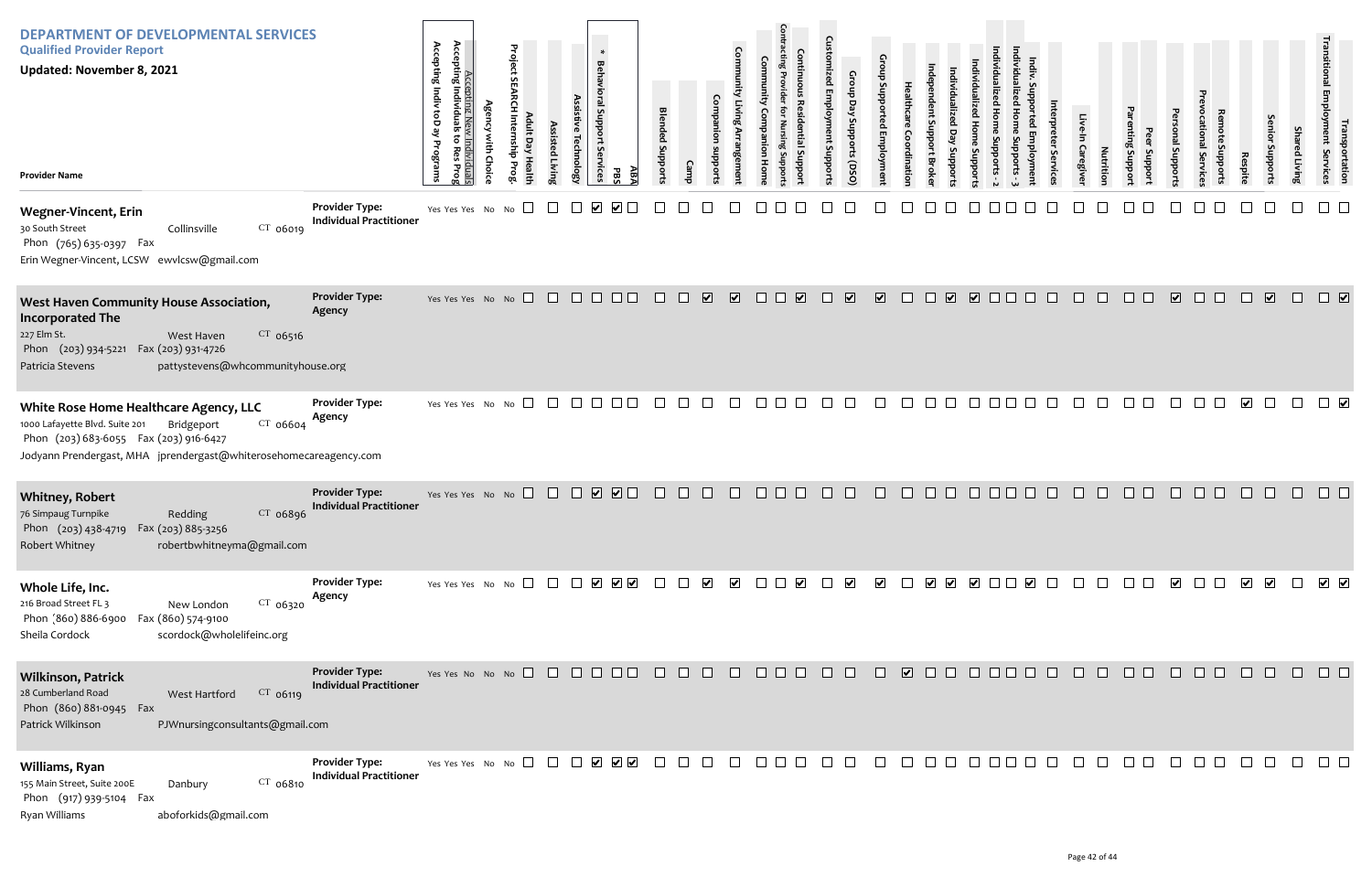| Individualized Home Supports - 3 | Indiv. Supported Employment                                                                                                        | Interpreter Services | Live-In Caregiver | Nutrition | Parenting Support | Peer Support | Personal Supports        | Prevocational Services | Remote Supports                                      | Respite                 | Senior Supports                                                | <b>Shared Living</b> | Transitional Employment Services | Transportation          |
|----------------------------------|------------------------------------------------------------------------------------------------------------------------------------|----------------------|-------------------|-----------|-------------------|--------------|--------------------------|------------------------|------------------------------------------------------|-------------------------|----------------------------------------------------------------|----------------------|----------------------------------|-------------------------|
|                                  |                                                                                                                                    |                      |                   |           |                   |              |                          |                        |                                                      |                         |                                                                |                      |                                  |                         |
|                                  |                                                                                                                                    |                      |                   |           |                   |              | $\overline{\mathbf{v}}$  |                        |                                                      |                         | $\overline{\mathbf{v}}$                                        |                      |                                  | $\overline{\mathbf{v}}$ |
|                                  |                                                                                                                                    |                      |                   |           |                   |              |                          |                        |                                                      | $\overline{\mathbf{v}}$ |                                                                |                      |                                  | $\blacktriangledown$    |
|                                  |                                                                                                                                    |                      |                   |           |                   |              |                          |                        |                                                      |                         |                                                                |                      |                                  |                         |
|                                  | $\begin{array}{c} \begin{array}{ccc} \text{ } & \text{ } \\ \text{ } & \text{ } \\ \text{ } & \text{ } \\ \end{array} \end{array}$ |                      | $\Box$            | $\Box$    | $\Box$            |              | $\overline{\phantom{a}}$ | $\Box$                 |                                                      |                         | $\begin{array}{ccc} & \bullet & \bullet & \bullet \end{array}$ | $\Box$               | $\sqrt{ }$                       |                         |
| $\Box$                           | $\Box$                                                                                                                             |                      |                   | 0000000   |                   |              |                          |                        | $\begin{array}{ccc} & \square & \square \end{array}$ |                         | $\hfill \square$                                               | $\Box$               | $\Box$                           |                         |
| $\blacksquare$                   | $\Box$                                                                                                                             | $\Box$               | $\hfill \square$  | $\Box$    | $\Box$            | $\Box$       | $\Box$                   | $\Box$                 | $\Box$                                               | $\Box$                  | $\Box$                                                         | $\Box$               |                                  | $\Box$                  |

| <b>DEPARTMENT OF DEVELOPMENTAL SERVICES</b><br><b>Qualified Provider Report</b><br><b>Updated: November 8, 2021</b><br><b>Provider Name</b>                                                                       |                                                         | Accepting<br>Accepting Indiv toD<br>Individua<br>قع<br>5<br>ි<br>Programs<br>Kes<br>Prog | Accepting New Individuals<br><b>Agency with Choic</b> | Project SEARCH Internship Prog<br>Adult Day Health | Assisted Living | Assistive Technology | ×<br><b>Behavioral Support</b><br>S<br>rvices<br>PBS                               | ABA | <b>Blended Supports</b> | <b>Camp</b>           | <b>Community Living Arrangement</b><br>Companion<br>suoddns | Community<br>Com<br>panion<br>Hom | <b>Contracting Provider</b><br><b>Continuous Residential Suppor</b><br>for Nursing Suppor | <b>Customized Employment Supports</b> | Group Day Supports (DSO)        | Group Supported Employment | Healthcare<br>Coordination | ndependent Support Broke | Individualized<br>Day<br>Supports | Individualized Home Supports - 2<br>Individualized Home<br>Supports |  |
|-------------------------------------------------------------------------------------------------------------------------------------------------------------------------------------------------------------------|---------------------------------------------------------|------------------------------------------------------------------------------------------|-------------------------------------------------------|----------------------------------------------------|-----------------|----------------------|------------------------------------------------------------------------------------|-----|-------------------------|-----------------------|-------------------------------------------------------------|-----------------------------------|-------------------------------------------------------------------------------------------|---------------------------------------|---------------------------------|----------------------------|----------------------------|--------------------------|-----------------------------------|---------------------------------------------------------------------|--|
| <b>Wegner-Vincent, Erin</b><br>30 South Street<br>CT 06019<br>Collinsville<br>Phon (765) 635-0397 Fax<br>Erin Wegner-Vincent, LCSW ewvlcsw@gmail.com                                                              | <b>Provider Type:</b><br><b>Individual Practitioner</b> | Yes Yes Yes No No                                                                        |                                                       |                                                    |                 |                      |                                                                                    |     |                         |                       |                                                             |                                   |                                                                                           |                                       |                                 |                            |                            |                          |                                   |                                                                     |  |
| West Haven Community House Association,<br><b>Incorporated The</b><br>227 Elm St.<br>$CT$ 06516<br>West Haven<br>Phon (203) 934-5221 Fax (203) 931-4726<br>pattystevens@whcommunityhouse.org<br>Patricia Stevens  | <b>Provider Type:</b><br>Agency                         | Yes Yes Yes No No                                                                        |                                                       |                                                    | $\Box$          |                      |                                                                                    |     |                         | ☑                     | $\overline{\mathbf{v}}$                                     | $\mathbf{L}$                      | $\blacktriangledown$                                                                      | H                                     | $\overline{\blacktriangledown}$ | $\overline{\mathbf{v}}$    |                            |                          | $\boxed{\blacktriangledown}$      | $\overline{\mathbf{v}}$                                             |  |
| White Rose Home Healthcare Agency, LLC<br>1000 Lafayette Blvd. Suite 201<br>CT 06604<br>Bridgeport<br>Phon (203) 683-6055 Fax (203) 916-6427<br>Jodyann Prendergast, MHA jprendergast@whiterosehomecareagency.com | <b>Provider Type:</b><br>Agency                         | Yes Yes Yes No No                                                                        |                                                       |                                                    |                 |                      |                                                                                    |     |                         |                       |                                                             |                                   |                                                                                           |                                       |                                 |                            |                            |                          |                                   |                                                                     |  |
| <b>Whitney, Robert</b><br>CT 06896<br>76 Simpaug Turnpike<br>Redding<br>Phon (203) 438-4719<br>Fax (203) 885-3256<br>Robert Whitney<br>robertbwhitneyma@gmail.com                                                 | <b>Provider Type:</b><br><b>Individual Practitioner</b> | Yes Yes Yes No No                                                                        |                                                       | $\Box$                                             | $\Box$          |                      | $\overline{\mathbf{v}}$<br>$\overline{\mathbf{v}}$                                 |     |                         |                       |                                                             |                                   |                                                                                           |                                       |                                 |                            |                            |                          |                                   |                                                                     |  |
| Whole Life, Inc.<br>216 Broad Street FL 3<br>$CT$ 06320<br>New London<br>Phon (860) 886-6900<br>Fax (860) 574-9100<br>scordock@wholelifeinc.org<br>Sheila Cordock                                                 | <b>Provider Type:</b><br>Agency                         |                                                                                          |                                                       | Yes Yes Yes No No $\Box$                           | $\Box$          | $\perp$              | $\begin{array}{c c c c c} \hline \textbf{v} & \textbf{v} & \textbf{v} \end{array}$ |     |                         | $\blacktriangleright$ | $\blacktriangledown$                                        |                                   | V                                                                                         |                                       | $\blacktriangledown$            | $\blacktriangledown$       |                            | $\blacktriangledown$     | $\blacktriangledown$              | $\blacktriangledown$                                                |  |
| <b>Wilkinson, Patrick</b><br>28 Cumberland Road<br>CT 06119<br>West Hartford<br>Phon (860) 881-0945 Fax<br>Patrick Wilkinson<br>PJWnursingconsultants@gmail.com                                                   | <b>Provider Type:</b><br><b>Individual Practitioner</b> |                                                                                          |                                                       | Yes Yes No No No $\Box$                            | $\perp$         |                      |                                                                                    |     |                         |                       |                                                             |                                   |                                                                                           |                                       |                                 |                            | $\overline{\mathbf{v}}$    |                          |                                   |                                                                     |  |
| Williams, Ryan<br>155 Main Street, Suite 200E<br>Danbury<br>CT 06810<br>Phon (917) 939-5104 Fax<br>Ryan Williams<br>aboforkids@gmail.com                                                                          | <b>Provider Type:</b><br><b>Individual Practitioner</b> | Yes Yes Yes No No                                                                        |                                                       |                                                    |                 |                      | ✔ ✔<br>$\blacktriangledown$                                                        |     |                         |                       |                                                             |                                   |                                                                                           |                                       |                                 |                            |                            |                          |                                   |                                                                     |  |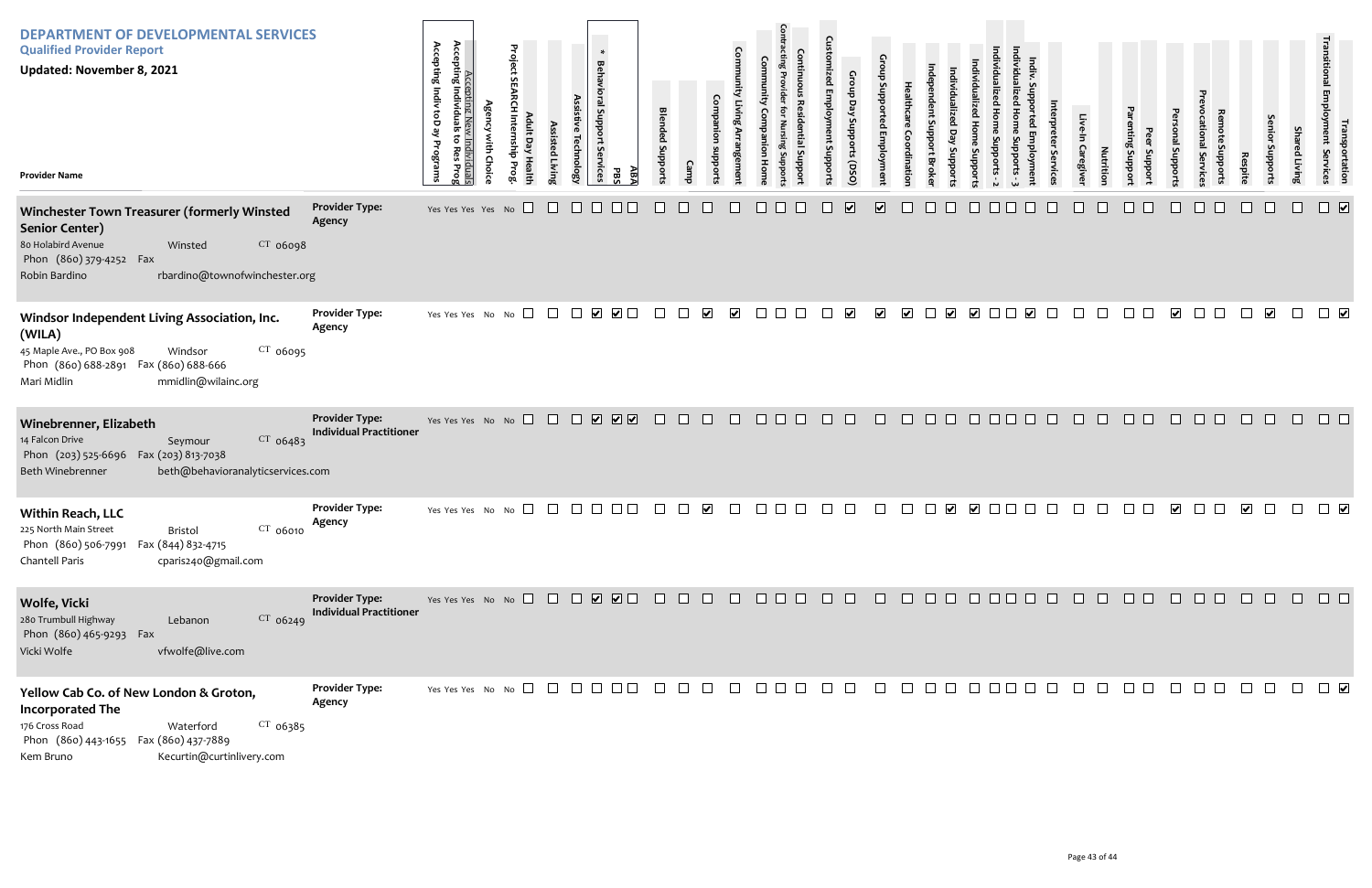| <b>DEPARTMENT OF DEVELOPMENTAL SERVICES</b><br><b>Qualified Provider Report</b><br><b>Updated: November 8, 2021</b><br><b>Provider Name</b>                                                         |                                                         | Accepting New<br>Accepting Individuals<br>Accepting Indiv toD ay<br>v Individuals<br>: to Res Prog<br>Programs<br>ę | Project<br>ult Day Healt<br>dius<br><b>Prog</b> | Assisted Livin | $\ast$<br><b>Behavioral Support</b><br>Technolog <sub>'</sub><br>: Services | ABA<br>PBS                                                                     | <b>Blended Support</b> | Camp   | pport                | <b>Comm</b><br><b>Igeme</b> | $\frac{1}{2}$<br>흉<br>Hom | $\Omega$<br>ad Em<br>ant Suppor | Group Day Supports (DSO | ≏                       |                         | oddns<br>Brok                           | <b>Loddns</b>        | <u>S</u>                                                         |         | Caregive | Nutritio | iting Suppor<br>Support | al Support           | Service | Respit | enior<br>Juppor       | <b>Shared Livin</b> | <b>Transportation</b><br>Iployment Services |
|-----------------------------------------------------------------------------------------------------------------------------------------------------------------------------------------------------|---------------------------------------------------------|---------------------------------------------------------------------------------------------------------------------|-------------------------------------------------|----------------|-----------------------------------------------------------------------------|--------------------------------------------------------------------------------|------------------------|--------|----------------------|-----------------------------|---------------------------|---------------------------------|-------------------------|-------------------------|-------------------------|-----------------------------------------|----------------------|------------------------------------------------------------------|---------|----------|----------|-------------------------|----------------------|---------|--------|-----------------------|---------------------|---------------------------------------------|
| Winchester Town Treasurer (formerly Winsted<br><b>Senior Center)</b><br>80 Holabird Avenue<br>CT 06098<br>Winsted<br>Phon (860) 379-4252 Fax<br>rbardino@townofwinchester.org<br>Robin Bardino      | <b>Provider Type:</b><br>Agency                         | Yes Yes Yes Yes No                                                                                                  | $\Box$                                          |                | $\mathbb{L}$                                                                |                                                                                |                        |        |                      |                             |                           |                                 | $\overline{\mathbf{v}}$ | $\overline{\mathbf{v}}$ |                         |                                         |                      |                                                                  |         |          |          |                         |                      |         |        |                       |                     | $\overline{\mathbf{v}}$                     |
| Windsor Independent Living Association, Inc.<br>(WILA)<br>45 Maple Ave., PO Box 908<br>$CT$ 06095<br>Windsor<br>Phon (860) 688-2891 Fax (860) 688-666<br>mmidlin@wilainc.org<br>Mari Midlin         | <b>Provider Type:</b><br>Agency                         | Yes Yes Yes No No                                                                                                   | $\Box$                                          | $\Box$         | $\blacktriangleright$                                                       | $\Box$                                                                         | $\pm$                  |        | $\blacktriangledown$ | $\blacktriangledown$        | ⊔                         |                                 | $\blacktriangledown$    | $\blacktriangleright$   | $\overline{\mathbf{v}}$ | $\overline{\mathbf{v}}$<br>$\mathsf{L}$ | $\blacktriangledown$ | $\blacktriangledown$                                             |         |          |          |                         | $\blacktriangledown$ |         |        | $\blacktriangleright$ | $\Box$              | $\Box$                                      |
| Winebrenner, Elizabeth<br>CT 06483<br>14 Falcon Drive<br>Seymour<br>Phon (203) 525-6696  Fax (203) 813-7038<br>Beth Winebrenner<br>beth@behavioranalyticservices.com                                | <b>Provider Type:</b><br><b>Individual Practitioner</b> | Yes Yes Yes No No                                                                                                   |                                                 |                |                                                                             | $\begin{array}{c} \square \ \square \ \square \ \square \ \square \end{array}$ | $\Box$                 | $\Box$ | $\Box$               | $\Box$                      | $\Box$ $\Box$<br>$\Box$   | $\Box$                          | $\Box$                  | $\Box$                  | $\Box$                  | $\Box$ $\Box$                           |                      | $\begin{array}{c c c c c} \Box & \Box & \Box & \Box \end{array}$ | $\Box$  | $\Box$   | $\Box$   | $\Box$ $\Box$           | $\Box$               | $\Box$  | $\Box$ | $\Box$                | $\Box$              | $\Box$                                      |
| <b>Within Reach, LLC</b><br>$CT$ 06010<br>225 North Main Street<br>Bristol<br>Phon (860) 506-7991  Fax (844) 832-4715<br>cparis240@gmail.com<br>Chantell Paris                                      | <b>Provider Type:</b><br>Agency                         | Yes Yes Yes No No                                                                                                   |                                                 |                |                                                                             |                                                                                |                        |        |                      |                             |                           |                                 |                         |                         |                         |                                         |                      |                                                                  |         |          |          |                         |                      |         |        |                       |                     |                                             |
| Wolfe, Vicki<br>280 Trumbull Highway<br>$CT$ 06249<br>Lebanon<br>Phon (860) 465-9293 Fax<br>Vicki Wolfe<br>vfwolfe@live.com                                                                         | <b>Provider Type:</b><br><b>Individual Practitioner</b> |                                                                                                                     |                                                 |                |                                                                             |                                                                                |                        |        |                      |                             |                           |                                 |                         |                         |                         |                                         |                      |                                                                  |         |          |          |                         |                      |         |        |                       |                     |                                             |
| Yellow Cab Co. of New London & Groton,<br><b>Incorporated The</b><br>176 Cross Road<br>$CT$ 06385<br>Waterford<br>Phon (860) 443-1655  Fax (860) 437-7889<br>Kecurtin@curtinlivery.com<br>Kem Bruno | <b>Provider Type:</b><br>Agency                         | Yes Yes Yes No No $\Box$ $\Box$ $\Box$ $\Box$                                                                       |                                                 |                |                                                                             |                                                                                | $\Box$                 |        | $\mathbb{R}^n$       | $\Box$                      | $\Box$ $\Box$             |                                 |                         | $\Box$                  | $\Box$                  |                                         |                      |                                                                  | 0000000 | $\Box$   | $\Box$   |                         |                      |         |        |                       |                     | $\Box$                                      |